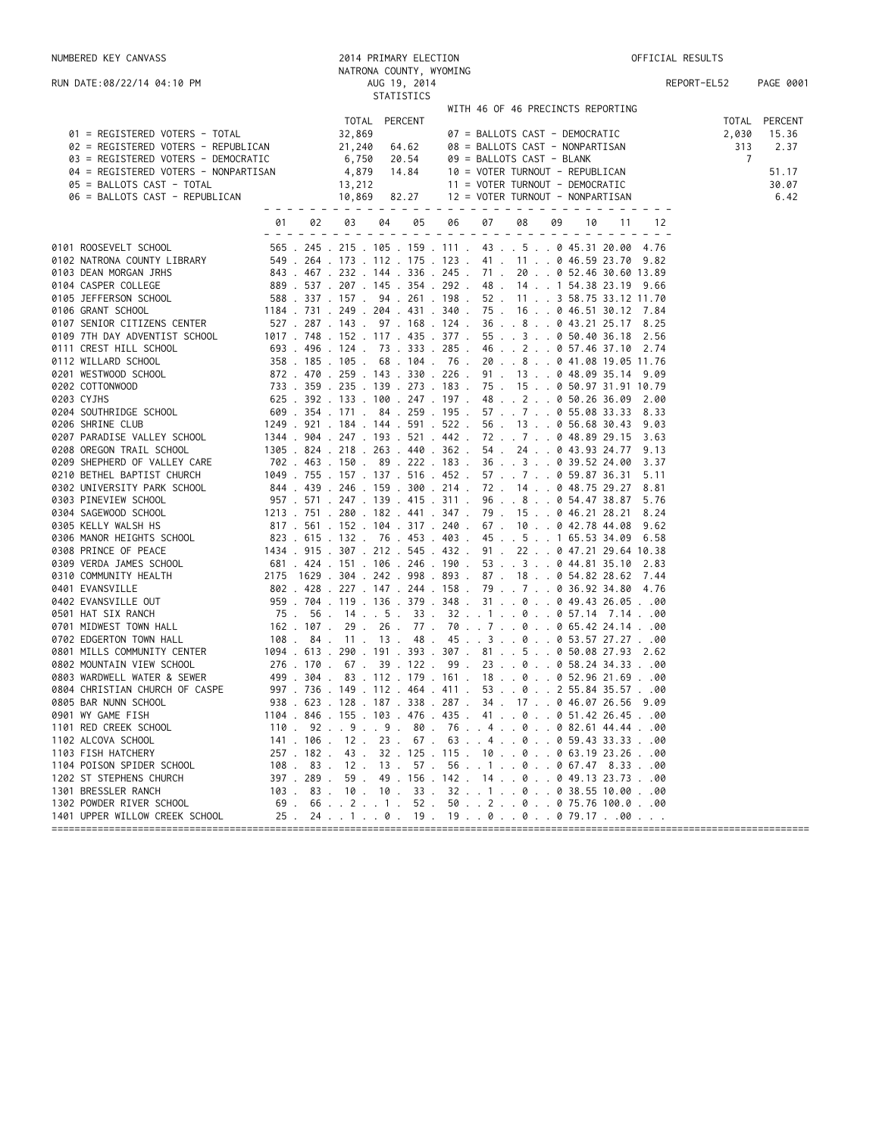| NUMBERED KEY CANVASS                                          |          |        | 2014 PRIMARY ELECTION                       |                                                                                               | OFFICIAL RESULTS |               |
|---------------------------------------------------------------|----------|--------|---------------------------------------------|-----------------------------------------------------------------------------------------------|------------------|---------------|
|                                                               |          |        | NATRONA COUNTY, WYOMING                     |                                                                                               |                  |               |
| RUN DATE:08/22/14 04:10 PM                                    |          |        | AUG 19, 2014                                |                                                                                               | REPORT-EL52      | PAGE 0001     |
|                                                               |          |        | STATISTICS                                  | WITH 46 OF 46 PRECINCTS REPORTING                                                             |                  |               |
|                                                               |          |        | TOTAL PERCENT                               |                                                                                               |                  | TOTAL PERCENT |
| 01 = REGISTERED VOTERS - TOTAL                                |          | 32,869 |                                             | 07 = BALLOTS CAST - DEMOCRATIC                                                                | 2,030            | 15.36         |
| 02 = REGISTERED VOTERS - REPUBLICAN                           |          | 21,240 | 64.62                                       | 08 = BALLOTS CAST - NONPARTISAN                                                               | 313              | 2.37          |
| 03 = REGISTERED VOTERS - DEMOCRATIC                           |          | 6,750  | 20.54                                       | 09 = BALLOTS CAST - BLANK                                                                     | 7                |               |
| 04 = REGISTERED VOTERS - NONPARTISAN                          |          | 4,879  | 14.84                                       | 10 = VOTER TURNOUT - REPUBLICAN                                                               |                  | 51.17         |
| 05 = BALLOTS CAST - TOTAL                                     |          | 13,212 |                                             | 11 = VOTER TURNOUT - DEMOCRATIC                                                               |                  | 30.07         |
| 06 = BALLOTS CAST - REPUBLICAN                                |          | 10,869 | 82.27                                       | 12 = VOTER TURNOUT - NONPARTISAN                                                              |                  | 6.42          |
|                                                               | 02<br>01 | 03     | 04<br>05                                    | 07<br>09<br>06<br>08<br>10                                                                    | 12<br>11         |               |
|                                                               |          |        |                                             |                                                                                               |                  |               |
| 0101 ROOSEVELT SCHOOL                                         |          |        |                                             | 565 . 245 . 215 . 105 . 159 . 111 . 43 5 0 45.31 20.00 4.76                                   |                  |               |
| 0102 NATRONA COUNTY LIBRARY                                   |          |        | 549 . 264 . 173 . 112 . 175 . 123 .         | 41 . 11 0 46.59 23.70 9.82<br>843 . 467 . 232 . 144 . 336 . 245 . 71 . 20 0 52.46 30.60 13.89 |                  |               |
| 0103 DEAN MORGAN JRHS<br>0104 CASPER COLLEGE                  |          |        |                                             | 889 . 537 . 207 . 145 . 354 . 292 . 48 . 14 1 54.38 23.19 9.66                                |                  |               |
| 0105 JEFFERSON SCHOOL                                         |          |        | 588 . 337 . 157 . 94 . 261 . 198 .          | 52 . 11 3 58.75 33.12 11.70                                                                   |                  |               |
| 0106 GRANT SCHOOL                                             |          |        |                                             | 1184 . 731 . 249 . 204 . 431 . 340 . 75 . 16 0 46.51 30.12 7.84                               |                  |               |
| 0107 SENIOR CITIZENS CENTER                                   |          |        |                                             | 527 . 287 . 143 . 97 . 168 . 124 . 36 8 0 43.21 25.17 8.25                                    |                  |               |
| 0109 7TH DAY ADVENTIST SCHOOL                                 |          |        | 1017 . 748 . 152 . 117 . 435 . 377 .        | 55. . 3. . 0 50.40 36.18 2.56                                                                 |                  |               |
| 0111 CREST HILL SCHOOL                                        |          |        | 693 . 496 . 124 . 73 . 333 . 285 .          | 462057.4637.102.74                                                                            |                  |               |
| 0112 WILLARD SCHOOL                                           |          |        |                                             | 358.185.105.68.104.76.208041.0819.0511.76                                                     |                  |               |
| 0201 WESTWOOD SCHOOL                                          |          |        |                                             | 872 . 470 . 259 . 143 . 330 . 226 . 91 . 13 0 48.09 35.14 9.09                                |                  |               |
| 0202 COTTONWOOD                                               |          |        |                                             | 733 . 359 . 235 . 139 . 273 . 183 . 75 . 15 0 50.97 31.91 10.79                               |                  |               |
| 0203 CYJHS                                                    |          |        |                                             | 625 . 392 . 133 . 100 . 247 . 197 . 48 2 0 50.26 36.09 2.00                                   |                  |               |
| 0204 SOUTHRIDGE SCHOOL                                        |          |        | $609$ $.354$ $.171$ $.84$ $.259$ $.195$ $.$ | 57.7.7.055.0833.33                                                                            | 8.33             |               |
| 0206 SHRINE CLUB                                              |          |        | 1249 . 921 . 184 . 144 . 591 . 522 .        | 56. 13. 0 56.68 30.43                                                                         | 9.03             |               |
| 0207 PARADISE VALLEY SCHOOL                                   |          |        |                                             | 1344 . 904 . 247 . 193 . 521 . 442 . 72 7 0 48.89 29.15                                       | 3.63             |               |
| 0208 OREGON TRAIL SCHOOL                                      |          |        | 1305 . 824 . 218 . 263 . 440 . 362 .        | 54 . 24 0 43.93 24.77                                                                         | 9.13             |               |
| 0209 SHEPHERD OF VALLEY CARE                                  |          |        | 702 . 463 . 150 . 89 . 222 . 183 .          | 3630 39.52 24.00                                                                              | 3.37             |               |
| 0210 BETHEL BAPTIST CHURCH                                    |          |        | 1049 . 755 . 157 . 137 . 516 . 452 .        | 57.7.7.859.8736.31                                                                            | 5.11             |               |
| 0302 UNIVERSITY PARK SCHOOL                                   |          |        |                                             | 844 . 439 . 246 . 159 . 300 . 214 . 72 . 14 0 48.75 29.27                                     | 8.81             |               |
| 0303 PINEVIEW SCHOOL                                          |          |        | 957 . 571 . 247 . 139 . 415 . 311 .         | 96.8.8.054.4738.87                                                                            | 5.76             |               |
| 0304 SAGEWOOD SCHOOL                                          |          |        |                                             | 1213 . 751 . 280 . 182 . 441 . 347 . 79 . 15 0 46.21 28.21                                    | 8.24             |               |
| 0305 KELLY WALSH HS                                           |          |        |                                             | 817 . 561 . 152 . 104 . 317 . 240 . 67 . 10 0 42.78 44.08                                     | 9.62             |               |
| 0306 MANOR HEIGHTS SCHOOL                                     |          |        |                                             | 823 . 615 . 132 . 76 . 453 . 403 . 45 5 1 65.53 34.09 6.58                                    |                  |               |
| 0308 PRINCE OF PEACE                                          |          |        |                                             | 1434 . 915 . 307 . 212 . 545 . 432 . 91 . 22 0 47.21 29.64 10.38                              |                  |               |
| 0309 VERDA JAMES SCHOOL                                       |          |        |                                             | 681 . 424 . 151 . 106 . 246 . 190 . 53 3 0 44.81 35.10 2.83                                   |                  |               |
| 0310 COMMUNITY HEALTH                                         |          |        |                                             | 2175 1629 . 304 . 242 . 998 . 893 . 87 . 18 0 54.82 28.62 7.44                                |                  |               |
| 0401 EVANSVILLE                                               |          |        |                                             | 802 . 428 . 227 . 147 . 244 . 158 . 79 7 0 36.92 34.80 4.76                                   |                  |               |
| 0402 EVANSVILLE OUT                                           |          |        |                                             | 959 . 704 . 119 . 136 . 379 . 348 . 31 0 0 49.43 26.0500                                      |                  |               |
| 0501 HAT SIX RANCH                                            |          |        |                                             | 75 . 56 . 14 5 . 33 . 32 1 0 0 57.14 7.1400                                                   |                  |               |
| 0701 MIDWEST TOWN HALL                                        | 162.107. |        |                                             | 29 . 26 . 77 . 70 7 0 0 65.42 24.1400                                                         |                  |               |
| 0702 EDGERTON TOWN HALL                                       |          |        |                                             | 108 . 84 . 11 . 13 . 48 . 45 3 0 0 53.57 27.2700                                              |                  |               |
| 0801 MILLS COMMUNITY CENTER                                   |          |        |                                             | 1094 . 613 . 290 . 191 . 393 . 307 . 81 5 0 50.08 27.93 2.62                                  |                  |               |
| 0802 MOUNTAIN VIEW SCHOOL                                     |          |        |                                             | 276 . 170 . 67 . 39 . 122 . 99 . 23 0 0 58.24 34.3300                                         |                  |               |
| 0803 WARDWELL WATER & SEWER<br>0804 CHRISTIAN CHURCH OF CASPE |          |        | 997 . 736 . 149 . 112 . 464 . 411 .         | 499 . 304 . 83 . 112 . 179 . 161 . 18 0 0 52.96 21.6900<br>53. 0. 2 55.84 35.57. 00           |                  |               |
| 0805 BAR NUNN SCHOOL                                          |          |        |                                             | 938 . 623 . 128 . 187 . 338 . 287 . 34 . 17 0 46.07 26.56 9.09                                |                  |               |
| 0901 WY GAME FISH                                             |          |        |                                             | 1104 . 846 . 155 . 103 . 476 . 435 . 41 0 0 51.42 26.4500                                     |                  |               |
| 1101 RED CREEK SCHOOL                                         |          |        |                                             | $110$ . $92$ $9$ $9$ . 80 . 76 4 0 0 82.61 44.4400                                            |                  |               |
| 1102 ALCOVA SCHOOL                                            |          |        |                                             | 141 . 106 . 12 . 23 . 67 . 63 4 0 0 59.43 33.3300                                             |                  |               |
| 1103 FISH HATCHERY                                            | 257.182. | 43.    |                                             | 32.125.115.100063.1923.2600                                                                   |                  |               |
| 1104 POISON SPIDER SCHOOL                                     |          |        |                                             | 108 . 83 . 12 . 13 . 57 . 56 1 0 0 67.47 8.3300                                               |                  |               |
| 1202 ST STEPHENS CHURCH                                       |          |        |                                             | 397 . 289 . 59 . 49 . 156 . 142 . 14 0 0 49.13 23.7300                                        |                  |               |
| 1301 BRESSLER RANCH                                           | 103.     |        |                                             | 83. 10. 10. 33. 32. 1. 0. 038.55 10.00. 00                                                    |                  |               |
| 1302 POWDER RIVER SCHOOL                                      |          |        |                                             | $69$ . $66$ 2 1 . 52 . 50 2 0 0 75.76 100.000                                                 |                  |               |
| 1401 UPPER WILLOW CREEK SCHOOL                                | 25.      |        |                                             | $24$ 1 0 . 19 . 19 0 0 0 79.1700                                                              |                  |               |
| ====================================                          |          |        |                                             |                                                                                               |                  |               |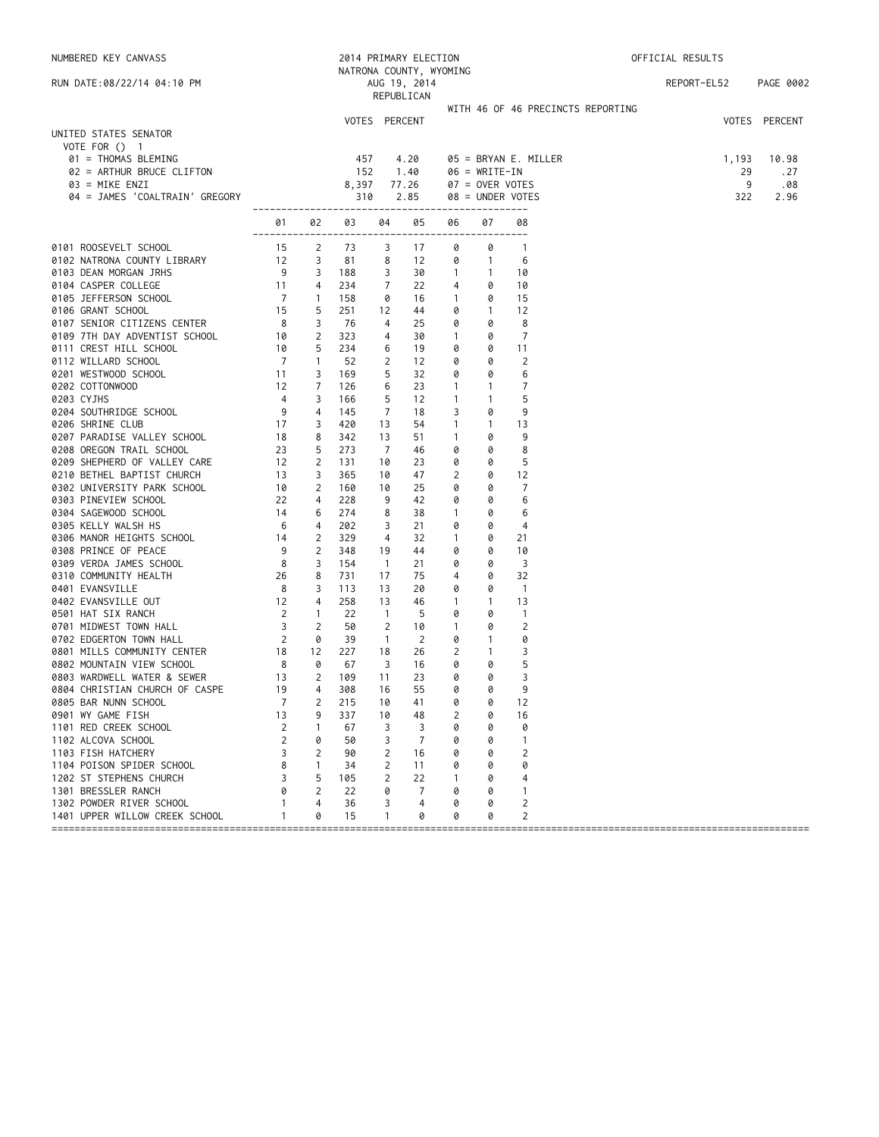| NUMBERED KEY CANVASS                                                                                                                    |                                                                                         |                                  | 2014 PRIMARY ELECTION |                     |                         |                   |                     | OFFICIAL RESULTS                  |  |             |               |
|-----------------------------------------------------------------------------------------------------------------------------------------|-----------------------------------------------------------------------------------------|----------------------------------|-----------------------|---------------------|-------------------------|-------------------|---------------------|-----------------------------------|--|-------------|---------------|
|                                                                                                                                         |                                                                                         |                                  |                       |                     | NATRONA COUNTY, WYOMING |                   |                     |                                   |  |             |               |
| RUN DATE:08/22/14 04:10 PM                                                                                                              |                                                                                         |                                  |                       |                     | AUG 19, 2014            |                   |                     |                                   |  | REPORT-EL52 | PAGE 0002     |
|                                                                                                                                         |                                                                                         |                                  |                       |                     | REPUBLICAN              |                   |                     |                                   |  |             |               |
|                                                                                                                                         |                                                                                         |                                  |                       |                     |                         |                   |                     | WITH 46 OF 46 PRECINCTS REPORTING |  |             |               |
|                                                                                                                                         |                                                                                         |                                  |                       | VOTES PERCENT       |                         |                   |                     |                                   |  |             | VOTES PERCENT |
| UNITED STATES SENATOR                                                                                                                   |                                                                                         |                                  |                       |                     |                         |                   |                     |                                   |  |             |               |
| VOTE FOR $()$ 1<br>01 = THOMAS BLEMING                                                                                                  |                                                                                         |                                  | 457                   |                     | 4.20                    |                   |                     | $05 = BRYAN E. MILLER$            |  | 1,193       | 10.98         |
| 02 = ARTHUR BRUCE CLIFTON                                                                                                               |                                                                                         |                                  | 152                   |                     | 1.40                    |                   | $06 = WRITE-IN$     |                                   |  | 29          | . 27          |
| 03 = MIKE ENZI                                                                                                                          |                                                                                         |                                  | 8,397                 |                     | 77.26                   |                   | 07 = OVER VOTES     |                                   |  | 9           | .08           |
| 04 = JAMES 'COALTRAIN' GREGORY                                                                                                          |                                                                                         |                                  | 310                   |                     | 2.85                    |                   |                     | 08 = UNDER VOTES                  |  | 322         | 2.96          |
|                                                                                                                                         |                                                                                         |                                  |                       |                     |                         |                   |                     |                                   |  |             |               |
|                                                                                                                                         | 01                                                                                      |                                  | 02 03                 | 04                  | 05                      | 06                | 07                  | 08                                |  |             |               |
|                                                                                                                                         | ---------                                                                               |                                  |                       |                     |                         |                   |                     | $- - - -$                         |  |             |               |
|                                                                                                                                         |                                                                                         | $\overline{2}$                   | 73                    | 3                   | 17                      | 0                 | 0                   | $\overline{1}$                    |  |             |               |
| 215<br>0102 NATRONA COUNTY LIBRARY<br>0103 DEAN MORGAN JRHS<br>0104 CASPER COUNTERS                                                     |                                                                                         | 3<br>3                           | 81<br>188             | 8<br>3              | 12<br>30                | 0                 | $\overline{1}$      | - 6                               |  |             |               |
| 0104 CASPER COLLEGE                                                                                                                     | $\begin{array}{c} 9 \\ 11 \\ 7 \end{array}$                                             | 4                                | 234                   | 7                   | 22                      | $\mathbf{1}$<br>4 | $\overline{1}$<br>0 | 10<br>10                          |  |             |               |
| 0105 JEFFERSON SCHOOL                                                                                                                   |                                                                                         | $\mathbf{1}$                     | 158                   | 0                   | 16                      | $\mathbf{1}$      | 0                   | 15                                |  |             |               |
| 0106 GRANT SCHOOL                                                                                                                       | 15                                                                                      | 5                                | 251                   | 12                  | 44                      | 0                 | $\mathbf{1}$        | 12                                |  |             |               |
| 0107 SENIOR CITIZENS CENTER 8                                                                                                           |                                                                                         | 3                                | - 76                  | 4                   | 25                      | 0                 | 0                   | - 8                               |  |             |               |
|                                                                                                                                         |                                                                                         | 2                                | 323                   | 4                   | 30                      | $\mathbf{1}$      | 0                   | $\overline{7}$                    |  |             |               |
|                                                                                                                                         |                                                                                         | 5                                | 234                   | 6                   | 19                      | 0                 | 0                   | 11                                |  |             |               |
|                                                                                                                                         |                                                                                         | $\mathbf{1}$                     | 52                    | 2                   | 12                      | 0                 | 0                   | 2                                 |  |             |               |
| 0109 7TH DAY ADVENTIST SCHOOL 10<br>0111 CREST HILL SCHOOL 10<br>0112 WILLARD SCHOOL 7<br>0201 WESTWOOD SCHOOL 11<br>0202 COTTONWOOD 12 |                                                                                         | 3                                | 169                   | 5                   | 32                      | 0                 | 0                   | 6                                 |  |             |               |
|                                                                                                                                         |                                                                                         | 7                                | 126                   | 6                   | 23                      | $\mathbf{1}$      | 1                   | $\overline{7}$                    |  |             |               |
| 0203 CYJHS                                                                                                                              | $\overline{4}$                                                                          | 3                                | 166                   | 5                   | 12                      | $\mathbf{1}$      | $\mathbf{1}$        | 5                                 |  |             |               |
| 0204 SOUTHRIDGE SCHOOL                                                                                                                  | - 9                                                                                     | 4                                | 145                   | 7                   | 18                      | 3                 | 0                   | 9                                 |  |             |               |
| 0206 SHRINE CLUB                                                                                                                        | $\begin{array}{r} 9 \\ 17 \\ 23 \\ 12 \\ 13 \\ 10 \\ 22 \\ 14 \\ 6 \\ 6 \\ \end{array}$ | 3                                | 420                   | 13                  | 54                      | $\mathbf{1}$      | $\mathbf{1}$        | 13                                |  |             |               |
| 0207 PARADISE VALLEY SCHOOL                                                                                                             |                                                                                         | 8                                | 342                   | 13                  | 51                      | $\mathbf{1}$      | 0                   | 9                                 |  |             |               |
| 0208 OREGON TRAIL SCHOOL                                                                                                                |                                                                                         | 5                                | 273                   | 7                   | 46                      | 0                 | 0                   | 8                                 |  |             |               |
| 0209 SHEPHERD OF VALLEY CARE                                                                                                            |                                                                                         | $\overline{2}$                   | 131                   | 10                  | 23                      | 0                 | 0                   | 5                                 |  |             |               |
| 0210 BETHEL BAPTIST CHURCH                                                                                                              |                                                                                         | 3                                | 365                   | 10                  | 47                      | 2                 | 0                   | 12                                |  |             |               |
| 0302 UNIVERSITY PARK SCHOOL                                                                                                             |                                                                                         | $\overline{2}$                   | 160                   | 10                  | 25                      | 0                 | 0                   | $\overline{7}$                    |  |             |               |
| 0303 PINEVIEW SCHOOL                                                                                                                    |                                                                                         | 4                                | 228                   | 9                   | 42                      | 0                 | 0                   | 6                                 |  |             |               |
| 0304 SAGEWOOD SCHOOL                                                                                                                    |                                                                                         | 6                                | 274                   | 8                   | 38                      | $\mathbf{1}$      | 0                   | 6                                 |  |             |               |
| 0305 KELLY WALSH HS                                                                                                                     | 6                                                                                       | 4                                | 202                   | 3                   | 21                      | 0                 | 0                   | 4                                 |  |             |               |
| 14<br>0306 MANOR HEIGHTS SCHOOL                                                                                                         |                                                                                         | $\overline{2}$                   | 329                   | 4                   | 32                      | $\mathbf{1}$      | 0                   | 21                                |  |             |               |
| 0308 PRINCE OF PEACE                                                                                                                    | - 9                                                                                     | $\overline{2}$                   | 348                   | 19                  | 44                      | 0                 | 0                   | 10                                |  |             |               |
| 0309 VERDA JAMES SCHOOL                                                                                                                 | 8 <sup>8</sup>                                                                          | 3                                | 154                   | $\overline{1}$      | 21                      | 0                 | 0                   | $\overline{\mathbf{3}}$           |  |             |               |
| 0310 COMMUNITY HEALTH                                                                                                                   | 26                                                                                      | 8                                | 731                   | 17                  | 75                      | 4                 | 0                   | 32                                |  |             |               |
| 0401 EVANSVILLE                                                                                                                         | 8                                                                                       | 3                                | 113                   | 13                  | 20                      | 0                 | 0                   | $\overline{1}$                    |  |             |               |
| 0402 EVANSVILLE OUT                                                                                                                     | 12                                                                                      | 4                                | 258                   | 13                  | 46                      | $\mathbf{1}$      | $\mathbf{1}$        | 13                                |  |             |               |
| 0501 HAT SIX RANCH                                                                                                                      | $\overline{\phantom{a}}$<br>$\overline{\phantom{a}}$                                    | $\overline{1}$<br>$\overline{2}$ | 22<br>50              | $\overline{1}$      | - 5                     | 0                 | 0                   | $\overline{1}$<br>$\overline{2}$  |  |             |               |
| 0701 MIDWEST TOWN HALL                                                                                                                  |                                                                                         | 0                                | 39                    | 2<br>$\overline{1}$ | 10<br>$\overline{2}$    | $\mathbf{1}$<br>0 | 0<br>$\mathbf{1}$   | 0                                 |  |             |               |
| 0702 EDGERTON TOWN HALL 2<br>0801 MILLS COMMUNITY CENTER 18                                                                             |                                                                                         | 12                               | 227                   | 18                  | 26                      | 2                 | $\mathbf{1}$        | 3                                 |  |             |               |
| 0802 MOUNTAIN VIEW SCHOOL                                                                                                               | 8                                                                                       | 0                                | 67                    | 3                   | 16                      | 0                 | 0                   | 5                                 |  |             |               |
| $\frac{1}{13}$<br>0803 WARDWELL WATER & SEWER                                                                                           |                                                                                         | 2                                | 109                   | 11                  | 23                      | 0                 | 0                   | 3                                 |  |             |               |
| 0804 CHRISTIAN CHURCH OF CASPE                                                                                                          | 19                                                                                      | 4                                | 308                   | 16                  | 55                      | 0                 | 0                   | 9                                 |  |             |               |
| 0805 BAR NUNN SCHOOL                                                                                                                    | 7                                                                                       | 2                                | 215                   | 10                  | 41                      | 0                 | 0                   | 12                                |  |             |               |
| 0901 WY GAME FISH                                                                                                                       | 13                                                                                      | 9                                | 337                   | 10                  | 48                      | 2                 | 0                   | 16                                |  |             |               |
| 1101 RED CREEK SCHOOL                                                                                                                   | 2                                                                                       | 1                                | 67                    | 3                   | 3                       | 0                 | 0                   | 0                                 |  |             |               |
| 1102 ALCOVA SCHOOL                                                                                                                      | 2                                                                                       | 0                                | 50                    | 3                   | 7                       | 0                 | 0                   | 1                                 |  |             |               |
| 1103 FISH HATCHERY                                                                                                                      | 3                                                                                       | $\overline{2}$                   | 90                    | 2                   | 16                      | 0                 | 0                   | 2                                 |  |             |               |
| 1104 POISON SPIDER SCHOOL                                                                                                               | 8                                                                                       | 1                                | 34                    | 2                   | 11                      | 0                 | 0                   | 0                                 |  |             |               |
| 1202 ST STEPHENS CHURCH                                                                                                                 | 3                                                                                       | 5                                | 105                   | 2                   | 22                      | 1                 | 0                   | 4                                 |  |             |               |
| 1301 BRESSLER RANCH                                                                                                                     | 0                                                                                       | 2                                | 22                    | 0                   | 7                       | 0                 | 0                   | $\mathbf{1}$                      |  |             |               |
| 1302 POWDER RIVER SCHOOL                                                                                                                | -1                                                                                      | 4                                | 36                    | 3                   | 4                       | 0                 | 0                   | 2                                 |  |             |               |
| 1401 UPPER WILLOW CREEK SCHOOL                                                                                                          | 1                                                                                       | 0                                | 15                    | 1                   | 0                       | 0                 | 0                   | $\overline{c}$                    |  |             |               |
|                                                                                                                                         |                                                                                         |                                  |                       |                     |                         |                   |                     |                                   |  |             |               |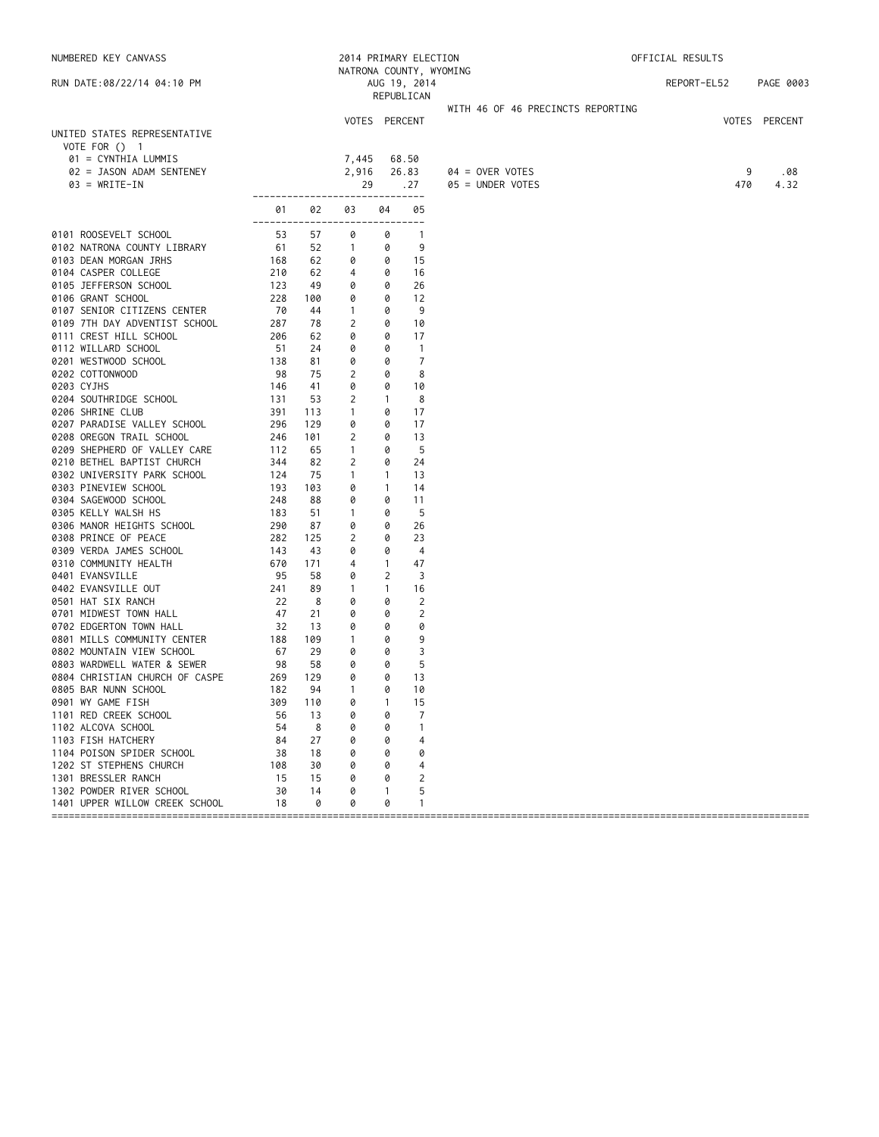| NUMBERED KEY CANVASS                        |                 |          | 2014 PRIMARY ELECTION          |                   |                            |                                       | OFFICIAL RESULTS |               |  |
|---------------------------------------------|-----------------|----------|--------------------------------|-------------------|----------------------------|---------------------------------------|------------------|---------------|--|
|                                             |                 |          |                                |                   | NATRONA COUNTY, WYOMING    |                                       |                  | PAGE 0003     |  |
| RUN DATE:08/22/14 04:10 PM                  |                 |          |                                |                   | AUG 19, 2014<br>REPUBLICAN |                                       | REPORT-EL52      |               |  |
|                                             |                 |          |                                |                   |                            | WITH 46 OF 46 PRECINCTS REPORTING     |                  |               |  |
|                                             |                 |          |                                |                   | VOTES PERCENT              |                                       |                  | VOTES PERCENT |  |
| UNITED STATES REPRESENTATIVE                |                 |          |                                |                   |                            |                                       |                  |               |  |
| VOTE FOR () 1                               |                 |          |                                |                   |                            |                                       |                  |               |  |
| 01 = CYNTHIA LUMMIS                         |                 |          | 7,445                          |                   | 68.50                      |                                       | 9                |               |  |
| 02 = JASON ADAM SENTENEY<br>$03 = WRITE-IN$ |                 |          | 2,916<br>29                    |                   | 26.83<br>.27               | $04 =$ OVER VOTES<br>05 = UNDER VOTES | 470              | .08<br>4.32   |  |
|                                             |                 |          | ------------------------------ |                   |                            |                                       |                  |               |  |
|                                             | 01              | 02       | 03                             | 04                | 05                         |                                       |                  |               |  |
| 0101 ROOSEVELT SCHOOL                       | ---------<br>53 | 57       | 0                              | 0                 | ---<br>$\overline{1}$      |                                       |                  |               |  |
| 0102 NATRONA COUNTY LIBRARY                 | 61              | 52       | $\overline{1}$                 | 0                 | 9                          |                                       |                  |               |  |
| 0103 DEAN MORGAN JRHS                       | 168             | 62       | 0                              | 0                 | 15                         |                                       |                  |               |  |
| 0104 CASPER COLLEGE                         | 210             | 62       | 4                              | 0                 | 16                         |                                       |                  |               |  |
| 0105 JEFFERSON SCHOOL                       | 123             | 49       | 0                              | 0                 | 26                         |                                       |                  |               |  |
| 0106 GRANT SCHOOL                           | 228             | 100      | 0                              | 0                 | 12                         |                                       |                  |               |  |
| 0107 SENIOR CITIZENS CENTER                 | 70              | 44       | -1                             | 0                 | 9                          |                                       |                  |               |  |
| 0109 7TH DAY ADVENTIST SCHOOL               | 287             | 78       | $\overline{2}$                 | 0                 | 10                         |                                       |                  |               |  |
| 0111 CREST HILL SCHOOL                      | 206             | 62       | 0                              | 0                 | 17                         |                                       |                  |               |  |
| 0112 WILLARD SCHOOL                         | - 51            | 24       | 0                              | 0                 | $\overline{1}$             |                                       |                  |               |  |
| 0201 WESTWOOD SCHOOL                        | 138             | 81       | 0                              | 0                 | 7                          |                                       |                  |               |  |
| 0202 COTTONWOOD                             | - 98            | 75       | 2                              | 0                 | 8                          |                                       |                  |               |  |
| 0203 CYJHS                                  | 146             | 41       | 0                              | 0                 | 10                         |                                       |                  |               |  |
| 0204 SOUTHRIDGE SCHOOL                      | 131             | 53       | 2                              | $\mathbf{1}$      | 8                          |                                       |                  |               |  |
| 0206 SHRINE CLUB                            | 391             | 113      | $\mathbf{1}$                   | 0                 | 17                         |                                       |                  |               |  |
| 0207 PARADISE VALLEY SCHOOL                 | 296             | 129      | 0                              | 0                 | 17                         |                                       |                  |               |  |
| 0208 OREGON TRAIL SCHOOL                    | 246             | 101      | 2                              | 0                 | 13                         |                                       |                  |               |  |
| 0209 SHEPHERD OF VALLEY CARE                | 112             | 65       | -1                             | 0                 | 5                          |                                       |                  |               |  |
| 0210 BETHEL BAPTIST CHURCH                  | 344             | 82       | 2                              | 0                 | 24                         |                                       |                  |               |  |
| 0302 UNIVERSITY PARK SCHOOL                 | 124             | 75       | $\mathbf{1}$                   | 1                 | 13                         |                                       |                  |               |  |
| 0303 PINEVIEW SCHOOL                        | 193             | 103      | 0                              | $\mathbf{1}$      | 14                         |                                       |                  |               |  |
| 0304 SAGEWOOD SCHOOL                        | 248             | 88       | 0                              | 0                 | 11                         |                                       |                  |               |  |
| 0305 KELLY WALSH HS                         | 183             | 51       | $\mathbf{1}$                   | 0                 | -5                         |                                       |                  |               |  |
| 0306 MANOR HEIGHTS SCHOOL                   | 290             | 87       | 0                              | 0                 | 26                         |                                       |                  |               |  |
| 0308 PRINCE OF PEACE                        | 282             | 125      | 2                              | 0                 | 23                         |                                       |                  |               |  |
| 0309 VERDA JAMES SCHOOL                     | 143             | 43       | 0                              | 0                 | $\overline{4}$             |                                       |                  |               |  |
| 0310 COMMUNITY HEALTH                       | 670             | 171      | 4                              | $\mathbf{1}$<br>2 | 47                         |                                       |                  |               |  |
| 0401 EVANSVILLE<br>0402 EVANSVILLE OUT      | - 95<br>241     | 58<br>89 | 0<br>$\mathbf{1}$              |                   | 3<br>16                    |                                       |                  |               |  |
| 0501 HAT SIX RANCH                          | 22              | 8        | 0                              | $\mathbf{1}$<br>0 | 2                          |                                       |                  |               |  |
| 0701 MIDWEST TOWN HALL                      | 47              | 21       | 0                              | 0                 | $\overline{2}$             |                                       |                  |               |  |
| 0702 EDGERTON TOWN HALL                     | -32             | 13       | 0                              | 0                 | 0                          |                                       |                  |               |  |
| 0801 MILLS COMMUNITY CENTER                 | 188             | 109      | $\mathbf{1}$                   | 0                 | 9                          |                                       |                  |               |  |
| 0802 MOUNTAIN VIEW SCHOOL                   | 67              | 29       | 0                              | 0                 | 3                          |                                       |                  |               |  |
| 0803 WARDWELL WATER & SEWER                 | 98              | 58       | 0                              | 0                 | 5                          |                                       |                  |               |  |
| 0804 CHRISTIAN CHURCH OF CASPE              | 269             | 129      | 0                              | 0                 | 13                         |                                       |                  |               |  |
| 0805 BAR NUNN SCHOOL                        | 182             | 94       | $\mathbf{1}$                   | 0                 | 10                         |                                       |                  |               |  |
| 0901 WY GAME FISH                           | 309             | 110      | 0                              |                   | 15                         |                                       |                  |               |  |
| 1101 RED CREEK SCHOOL                       | 56              | 13       | 0                              | 0                 | 7                          |                                       |                  |               |  |
| 1102 ALCOVA SCHOOL                          | 54              | 8        | 0                              |                   | -1                         |                                       |                  |               |  |
| 1103 FISH HATCHERY                          | 84              | 27       | 0                              |                   | 4                          |                                       |                  |               |  |
| 1104 POISON SPIDER SCHOOL                   | 38              | 18       | 0                              |                   | 0                          |                                       |                  |               |  |
| 1202 ST STEPHENS CHURCH                     | 108             | 30       | 0                              |                   | 4                          |                                       |                  |               |  |
| 1301 BRESSLER RANCH                         | 15              | 15       | 0                              |                   | 2                          |                                       |                  |               |  |
| 1302 POWDER RIVER SCHOOL                    | 30              | 14       | 0                              |                   | 5                          |                                       |                  |               |  |
| 1401 UPPER WILLOW CREEK SCHOOL              | 18              | 0        | 0                              | 0                 | -1                         |                                       |                  |               |  |
|                                             |                 |          |                                |                   |                            |                                       |                  |               |  |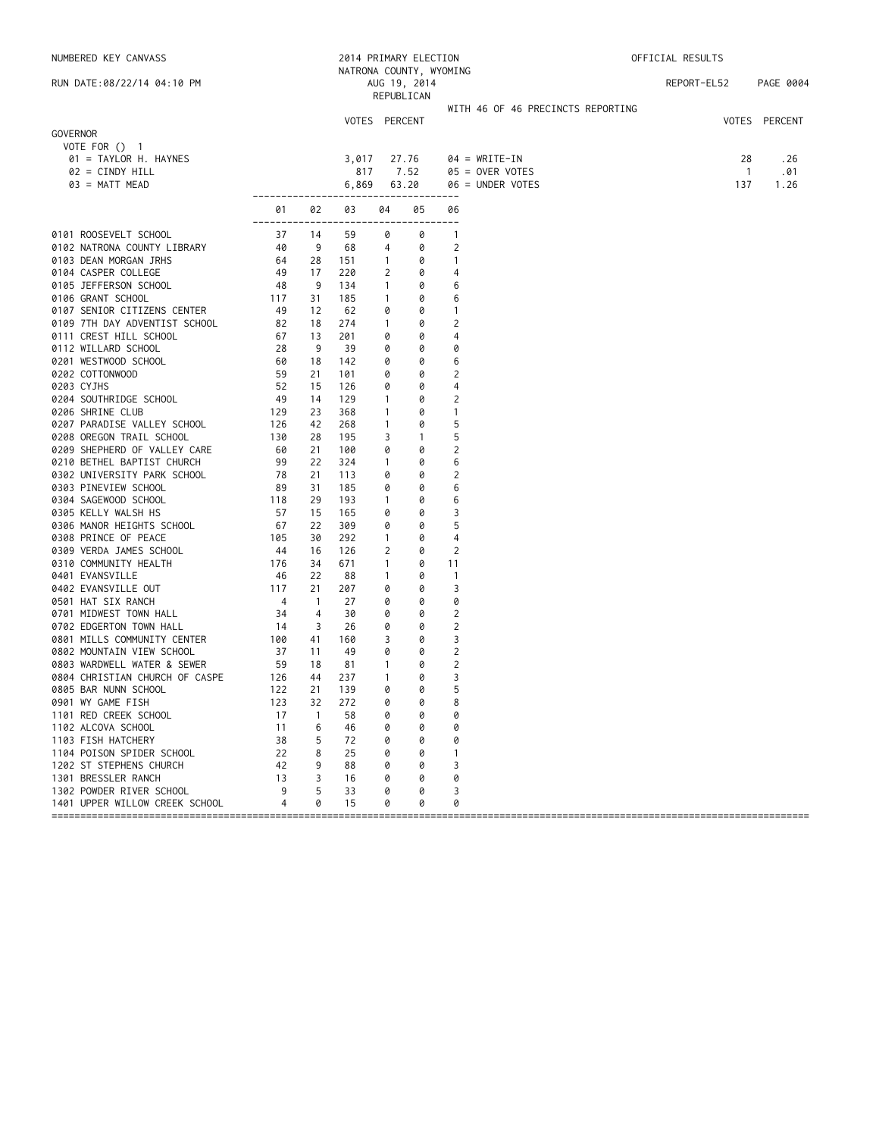|          | NUMBERED KEY CANVASS                            | 2014 PRIMARY ELECTION |                |               |                   | OFFICIAL RESULTS           |                                   |  |                     |               |
|----------|-------------------------------------------------|-----------------------|----------------|---------------|-------------------|----------------------------|-----------------------------------|--|---------------------|---------------|
|          | RUN DATE:08/22/14 04:10 PM                      |                       |                |               |                   | NATRONA COUNTY, WYOMING    |                                   |  | REPORT-EL52         | PAGE 0004     |
|          |                                                 |                       |                |               |                   | AUG 19, 2014<br>REPUBLICAN |                                   |  |                     |               |
|          |                                                 |                       |                |               |                   |                            | WITH 46 OF 46 PRECINCTS REPORTING |  |                     |               |
|          |                                                 |                       |                | VOTES PERCENT |                   |                            |                                   |  |                     | VOTES PERCENT |
| GOVERNOR |                                                 |                       |                |               |                   |                            |                                   |  |                     |               |
|          | VOTE FOR $()$ 1                                 |                       |                |               |                   |                            |                                   |  |                     |               |
|          | 01 = TAYLOR H. HAYNES                           |                       |                | 3,017         |                   | 27.76                      | $04 = WRITE-IN$                   |  | 28                  | . 26          |
|          | $02 = CINDY HILL$                               |                       |                | 817           |                   | 7.52<br>63.20              | $05 =$ OVER VOTES                 |  | $\mathbf{1}$<br>137 | .01           |
|          | $03 = MATT MEAD$                                | -------------------   |                | 6,869         |                   | --------------             | 06 = UNDER VOTES                  |  |                     | 1.26          |
|          |                                                 | 01                    | 02             | 03            | 04                | 05                         | 06                                |  |                     |               |
|          | 0101 ROOSEVELT SCHOOL                           | 37                    | 14             | 59            | 0                 | 0                          | $\mathbf{1}$                      |  |                     |               |
|          | 0102 NATRONA COUNTY LIBRARY                     | 40                    | 9              | 68            | 4                 | 0                          | 2                                 |  |                     |               |
|          | 0103 DEAN MORGAN JRHS                           | 64                    | 28             | 151           | $\mathbf{1}$      | 0                          | $\mathbf{1}$                      |  |                     |               |
|          | 0104 CASPER COLLEGE                             | 49                    | 17             | 220           | 2                 | 0                          | 4                                 |  |                     |               |
|          | 0105 JEFFERSON SCHOOL                           | 48                    | 9              | 134           | $\mathbf{1}$      | 0                          | 6                                 |  |                     |               |
|          | 0106 GRANT SCHOOL                               | 117                   | 31             | 185           | $\mathbf{1}$      | 0                          | 6                                 |  |                     |               |
|          | 0107 SENIOR CITIZENS CENTER                     | -49                   | 12             | 62            | 0                 | 0                          | 1                                 |  |                     |               |
|          | 0109 7TH DAY ADVENTIST SCHOOL                   | 82                    | 18             | 274           | $\mathbf{1}$      | 0                          | 2                                 |  |                     |               |
|          | 0111 CREST HILL SCHOOL                          | 67                    | 13             | 201           | 0                 | 0                          | 4                                 |  |                     |               |
|          | 0112 WILLARD SCHOOL                             | 28                    | 9              | 39            | 0                 | 0                          | 0                                 |  |                     |               |
|          | 0201 WESTWOOD SCHOOL                            | 60                    | 18             | 142           | 0                 | 0                          | 6                                 |  |                     |               |
|          | 0202 COTTONWOOD                                 | 59                    | 21             | 101           | 0                 | 0                          | 2                                 |  |                     |               |
|          | 0203 CYJHS<br>0204 SOUTHRIDGE SCHOOL            | 52<br>-49             | 15<br>14       | 126<br>129    | 0<br>$\mathbf{1}$ | 0<br>0                     | 4<br>2                            |  |                     |               |
|          | 0206 SHRINE CLUB                                | 129                   | 23             | 368           | $\mathbf{1}$      | 0                          | 1                                 |  |                     |               |
|          | 0207 PARADISE VALLEY SCHOOL                     | 126                   | 42             | 268           | $\mathbf{1}$      | 0                          | 5                                 |  |                     |               |
|          | 0208 OREGON TRAIL SCHOOL                        | 130                   | 28             | 195           | 3                 | $\mathbf{1}$               | 5                                 |  |                     |               |
|          | 0209 SHEPHERD OF VALLEY CARE                    | 60                    | 21             | 100           | 0                 | 0                          | $\overline{2}$                    |  |                     |               |
|          | 0210 BETHEL BAPTIST CHURCH                      | 99                    | 22             | 324           | $\mathbf{1}$      | 0                          | 6                                 |  |                     |               |
|          | 0302 UNIVERSITY PARK SCHOOL                     | 78                    | 21             | 113           | 0                 | 0                          | 2                                 |  |                     |               |
|          | 0303 PINEVIEW SCHOOL                            | -89                   | 31             | 185           | 0                 | 0                          | 6                                 |  |                     |               |
|          | 0304 SAGEWOOD SCHOOL                            | 118                   | 29             | 193           | $\mathbf{1}$      | 0                          | 6                                 |  |                     |               |
|          | 0305 KELLY WALSH HS                             | 57                    | 15             | 165           | 0                 | 0                          | 3                                 |  |                     |               |
|          | 0306 MANOR HEIGHTS SCHOOL                       | 67                    | 22             | 309           | 0                 | 0                          | 5                                 |  |                     |               |
|          | 0308 PRINCE OF PEACE                            | 105                   | 30             | 292           | $\mathbf{1}$      | 0                          | 4                                 |  |                     |               |
|          | 0309 VERDA JAMES SCHOOL                         | - 44                  | 16             | 126           | 2                 | 0                          | $\overline{2}$                    |  |                     |               |
|          | 0310 COMMUNITY HEALTH                           | 176                   | 34             | 671           | $\mathbf{1}$      | 0                          | 11                                |  |                     |               |
|          | 0401 EVANSVILLE<br>0402 EVANSVILLE OUT          | - 46<br>117           | 22<br>21       | 88<br>207     | $\mathbf{1}$<br>0 | 0<br>0                     | $\mathbf{1}$<br>3                 |  |                     |               |
|          | 0501 HAT SIX RANCH                              | $\overline{4}$        | $\overline{1}$ | 27            | 0                 | 0                          | 0                                 |  |                     |               |
|          | 0701 MIDWEST TOWN HALL                          | 34                    | 4              | 30            | 0                 | 0                          | 2                                 |  |                     |               |
|          | 0702 EDGERTON TOWN HALL                         | -14                   | 3              | 26            | 0                 | 0                          | $\overline{2}$                    |  |                     |               |
|          | 0801 MILLS COMMUNITY CENTER                     | 100                   | 41             | 160           | 3                 | 0                          | 3                                 |  |                     |               |
|          | 0802 MOUNTAIN VIEW SCHOOL                       | 37                    | 11             | 49            | 0                 | 0                          | 2                                 |  |                     |               |
|          | 0803 WARDWELL WATER & SEWER                     | 59                    | 18             | 81            | 1                 | 0                          | $\overline{c}$                    |  |                     |               |
|          | 0804 CHRISTIAN CHURCH OF CASPE                  | 126                   | 44             | 237           | $\mathbf{1}$      | 0                          | 3                                 |  |                     |               |
|          | 0805 BAR NUNN SCHOOL                            | 122                   | 21             | 139           | 0                 | 0                          | 5                                 |  |                     |               |
|          | 0901 WY GAME FISH                               | 123                   | 32             | 272           | Ø                 | 0                          | 8                                 |  |                     |               |
|          | 1101 RED CREEK SCHOOL                           | 17                    | $\mathbf{1}$   | 58            | 0                 | 0                          | 0                                 |  |                     |               |
|          | 1102 ALCOVA SCHOOL                              | 11                    | 6              | 46            |                   | 0                          | 0                                 |  |                     |               |
|          | 1103 FISH HATCHERY                              | 38                    | 5              | 72            |                   | 0                          | 0                                 |  |                     |               |
|          | 1104 POISON SPIDER SCHOOL                       | 22                    | 8              | 25            |                   | 0                          | 1                                 |  |                     |               |
|          | 1202 ST STEPHENS CHURCH                         | 42                    | 9              | 88            |                   | 0                          | 3                                 |  |                     |               |
|          | 1301 BRESSLER RANCH<br>1302 POWDER RIVER SCHOOL | 13<br>9               | 3<br>5         | 16<br>33      | Ø<br>Ø            | 0<br>0                     | 0<br>3                            |  |                     |               |
|          | 1401 UPPER WILLOW CREEK SCHOOL                  | $\overline{4}$        | 0              | 15            | 0                 | 0                          | 0                                 |  |                     |               |
|          |                                                 |                       |                |               |                   |                            |                                   |  |                     |               |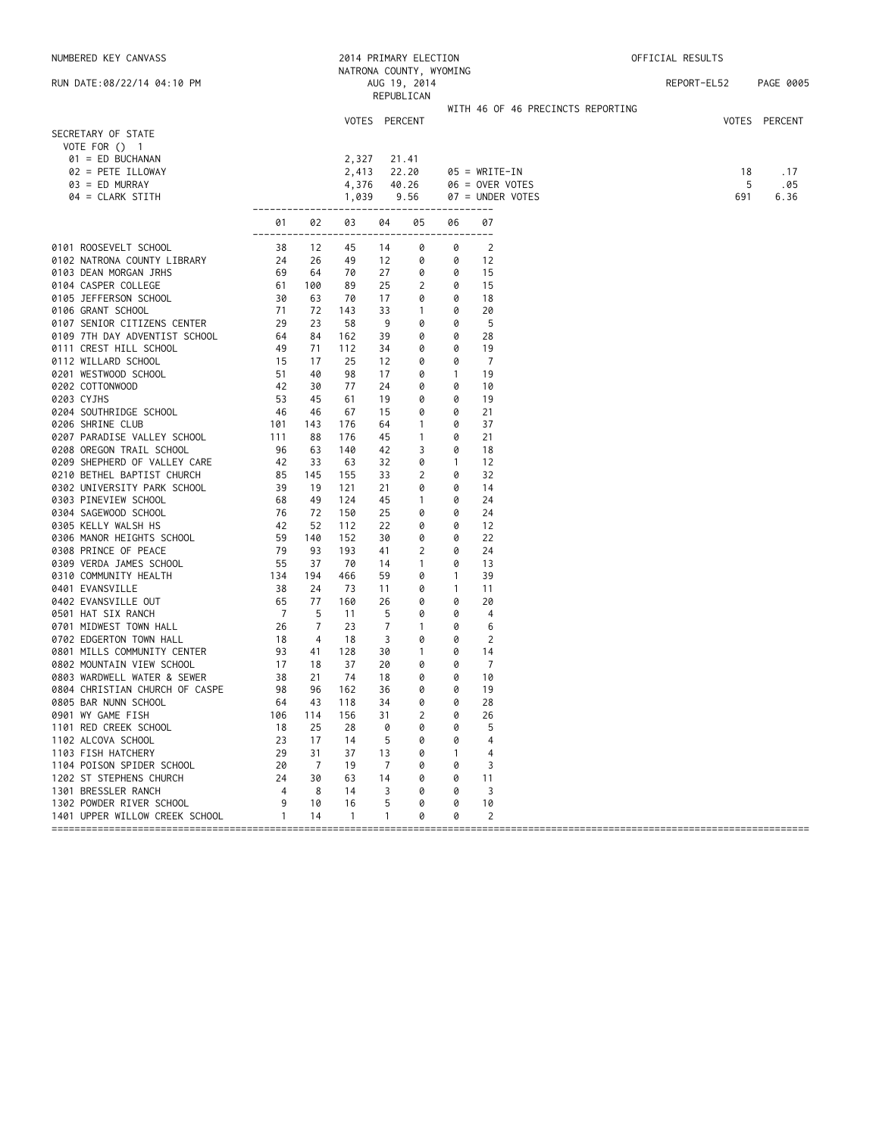| NUMBERED KEY CANVASS                      |                              |                |               |          | 2014 PRIMARY ELECTION      |              |                                   | OFFICIAL RESULTS |               |
|-------------------------------------------|------------------------------|----------------|---------------|----------|----------------------------|--------------|-----------------------------------|------------------|---------------|
|                                           |                              |                |               |          | NATRONA COUNTY, WYOMING    |              |                                   |                  |               |
| RUN DATE:08/22/14 04:10 PM                |                              |                |               |          | AUG 19, 2014<br>REPUBLICAN |              |                                   | REPORT-EL52      | PAGE 0005     |
|                                           |                              |                |               |          |                            |              | WITH 46 OF 46 PRECINCTS REPORTING |                  |               |
|                                           |                              |                | VOTES PERCENT |          |                            |              |                                   |                  | VOTES PERCENT |
| SECRETARY OF STATE                        |                              |                |               |          |                            |              |                                   |                  |               |
| VOTE FOR () 1                             |                              |                |               |          |                            |              |                                   |                  |               |
| 01 = ED BUCHANAN                          |                              |                | 2,327         |          | 21.41                      |              |                                   |                  |               |
| 02 = PETE ILLOWAY                         |                              |                | 2,413         |          | 22.20                      |              | $05 = WRITE-IN$                   | 18               | . 17          |
| $03 = ED$ MURRAY                          |                              |                | 4,376         |          | 40.26                      |              | $06 =$ OVER VOTES                 | 5                | .05           |
| 04 = CLARK STITH                          |                              |                | 1,039         |          | 9.56                       |              | 07 = UNDER VOTES                  | 691              | 6.36          |
|                                           | -------------                |                |               |          |                            |              |                                   |                  |               |
|                                           | 01<br>-------                | 02             | 03            | 04       | 05                         | 06           | 07<br>----                        |                  |               |
| 0101 ROOSEVELT SCHOOL                     | 38                           | 12             | 45            | 14       | 0                          | 0            | $\overline{2}$                    |                  |               |
| 0102 NATRONA COUNTY LIBRARY               | 24                           | 26             | 49            | 12       | 0                          | 0            | 12                                |                  |               |
| 0103 DEAN MORGAN JRHS                     | 69                           | 64             | 70            | 27       | 0                          | 0            | 15                                |                  |               |
| 0104 CASPER COLLEGE                       | 61                           | 100            | 89            | 25       | 2                          | 0            | 15                                |                  |               |
| 0105 JEFFERSON SCHOOL                     | 30                           | 63             | 70            | 17       | 0                          | 0            | 18                                |                  |               |
| 0106 GRANT SCHOOL                         | 71                           | 72             | 143           | 33       | $\overline{1}$             | 0            | 20                                |                  |               |
| 0107 SENIOR CITIZENS CENTER               | $\frac{1}{29}$               | 23             | 58            | 9        | 0                          | 0            | 5                                 |                  |               |
| 0109 7TH DAY ADVENTIST SCHOOL             | 64                           | 84             | 162           | 39       | 0                          | 0            | 28                                |                  |               |
| 0111 CREST HILL SCHOOL                    | 49                           | 71             | 112           | 34       | 0                          | 0            | 19                                |                  |               |
| 0112 WILLARD SCHOOL                       | 15                           | 17             | 25            | 12       | 0                          | 0            | $\overline{7}$                    |                  |               |
| 0201 WESTWOOD SCHOOL                      | 51                           | 40             | 98            | 17       | 0                          | $\mathbf{1}$ | 19                                |                  |               |
| 0202 COTTONWOOD                           | 42<br>53                     | 30<br>45       | 77            | 24       | 0                          | 0            | 10<br>19                          |                  |               |
| 0203 CYJHS<br>0204 SOUTHRIDGE SCHOOL      | - 46                         | 46             | 61<br>67      | 19<br>15 | 0<br>0                     | 0<br>0       | 21                                |                  |               |
| 0206 SHRINE CLUB                          | 101                          | 143            | 176           | 64       | $\mathbf{1}$               | 0            | 37                                |                  |               |
| 0207 PARADISE VALLEY SCHOOL               | 111                          | 88             | 176           | 45       | $\overline{1}$             | 0            | 21                                |                  |               |
| 0208 OREGON TRAIL SCHOOL                  | 96                           | 63             | 140           | 42       | 3                          | 0            | 18                                |                  |               |
| 0209 SHEPHERD OF VALLEY CARE              | 42                           | 33             | 63            | 32       | 0                          | $\mathbf{1}$ | 12                                |                  |               |
| 0210 BETHEL BAPTIST CHURCH                | 85                           | 145            | 155           | 33       | 2                          | 0            | 32                                |                  |               |
| 0302 UNIVERSITY PARK SCHOOL               |                              | 19             | 121           | 21       | 0                          | 0            | 14                                |                  |               |
| 0303 PINEVIEW SCHOOL                      |                              | 49             | 124           | 45       | $\mathbf{1}$               | 0            | 24                                |                  |               |
| 0304 SAGEWOOD SCHOOL                      | $39$<br>$68$<br>$76$<br>$42$ | 72             | 150           | 25       | 0                          | 0            | 24                                |                  |               |
| 0305 KELLY WALSH HS                       | 42                           | 52             | 112           | 22       | 0                          | 0            | 12                                |                  |               |
| 0306 MANOR HEIGHTS SCHOOL                 | 59                           | 140            | 152           | 30       | 0                          | 0            | 22                                |                  |               |
| 0308 PRINCE OF PEACE                      | 79                           | 93             | 193           | 41       | $\overline{c}$             | 0            | 24                                |                  |               |
| 0309 VERDA JAMES SCHOOL                   | 55                           | 37             | 70            | 14       | $\mathbf{1}$               | 0            | 13                                |                  |               |
| 0310 COMMUNITY HEALTH                     | 134                          | 194            | 466           | 59       | 0                          | $\mathbf{1}$ | 39                                |                  |               |
| 0401 EVANSVILLE                           | 38                           | 24             | 73            | 11       | 0                          | $\mathbf{1}$ | 11                                |                  |               |
| 0402 EVANSVILLE OUT                       | 65                           | 77             | 160           | 26       | 0                          | 0            | 20                                |                  |               |
| 0501 HAT SIX RANCH                        | $\overline{7}$               | 5              | 11            | 5        | 0                          | 0            | 4                                 |                  |               |
| 0701 MIDWEST TOWN HALL                    | 26                           | $\overline{7}$ | 23            | 7        | $\overline{1}$             | 0            | 6                                 |                  |               |
| 0702 EDGERTON TOWN HALL                   | 18                           | 4              | 18            | 3        | 0                          | 0            | 2                                 |                  |               |
| 0801 MILLS COMMUNITY CENTER               | 93                           | 41             | 128           | 30       | $\mathbf{1}$               | 0            | 14                                |                  |               |
| 0802 MOUNTAIN VIEW SCHOOL                 | 17                           | 18             | 37            | 20       | 0                          | 0            | $\overline{7}$                    |                  |               |
| 0803 WARDWELL WATER & SEWER               | 38<br>98                     | 21             | 74            | 18<br>36 | 0<br>0                     | 0<br>0       | 10                                |                  |               |
| 0804 CHRISTIAN CHURCH OF CASPE            |                              | 96             | 162           |          |                            |              | 19                                |                  |               |
| 0805 BAR NUNN SCHOOL<br>0901 WY GAME FISH | 64<br>106                    | 43<br>114      | 118<br>156    | 34<br>31 | 0<br>2                     | 0<br>0       | 28<br>26                          |                  |               |
| 1101 RED CREEK SCHOOL                     | 18                           | 25             | 28            | 0        | 0                          | 0            | 5                                 |                  |               |
| 1102 ALCOVA SCHOOL                        | 23                           | 17             | 14            | 5        | 0                          | 0            | 4                                 |                  |               |
| 1103 FISH HATCHERY                        | 29                           | 31             | 37            | 13       | 0                          | -1           | 4                                 |                  |               |
| 1104 POISON SPIDER SCHOOL                 | 20                           | 7              | 19            | 7        | 0                          | 0            | 3                                 |                  |               |
| 1202 ST STEPHENS CHURCH                   | 24                           | 30             | 63            | 14       | 0                          | 0            | 11                                |                  |               |
| 1301 BRESSLER RANCH                       | 4                            | 8              | 14            | 3        | 0                          | 0            | 3                                 |                  |               |
| 1302 POWDER RIVER SCHOOL                  | 9                            | 10             | 16            | 5        | 0                          | 0            | 10                                |                  |               |
| 1401 UPPER WILLOW CREEK SCHOOL            | $\mathbf{1}$                 | 14             | $\mathbf{1}$  | 1        | 0                          | 0            | 2                                 |                  |               |
|                                           |                              |                |               |          |                            |              |                                   |                  |               |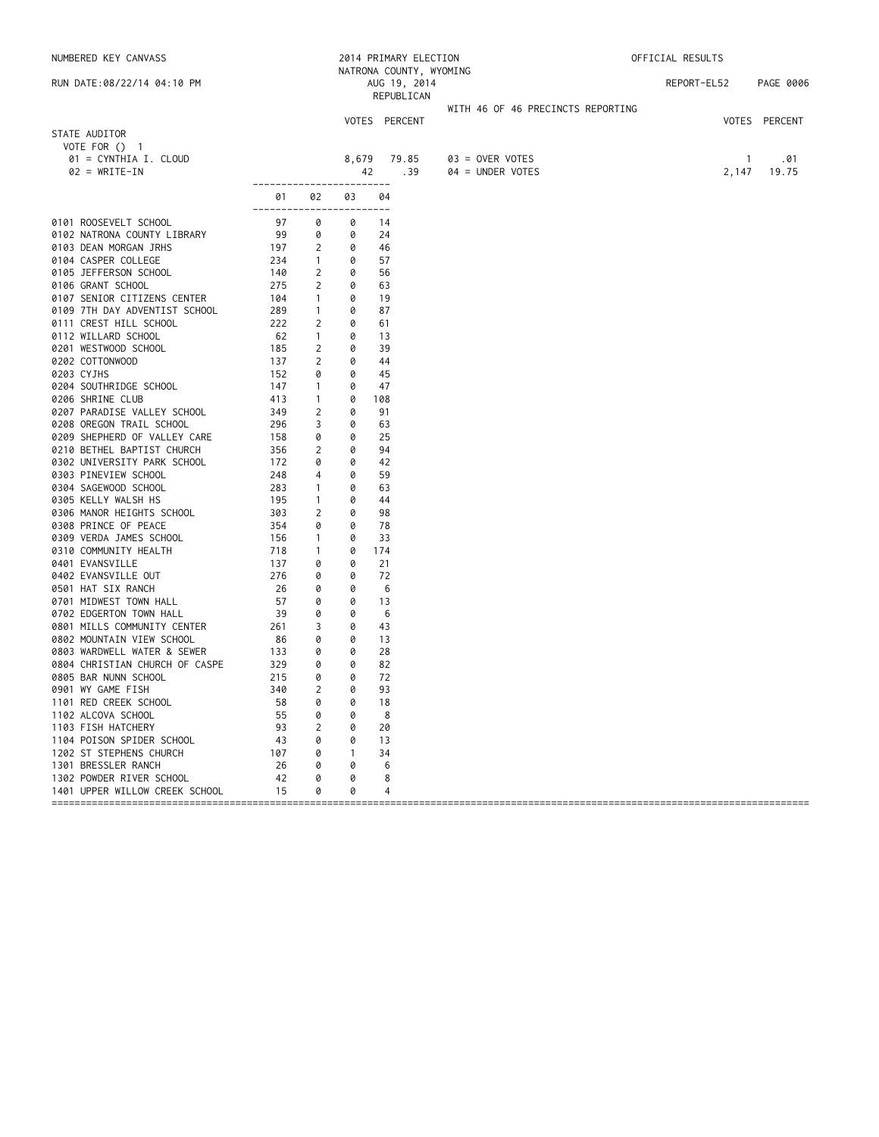NUMBERED KEY CANVASS 2014 PRIMARY ELECTION OFFICIAL RESULTS NATRONA COUNTY, WYOMING RUN DATE:08/22/14 04:10 PM AUG 19, 2014 REPORT-EL52 PAGE 0006 REPUBLICAN WITH 46 OF 46 PRECINCTS REPORTING VOTES PERCENT VOTES PERCENT STATE AUDITOR VOTE FOR () 1 01 = CYNTHIA I. CLOUD 8,679 79.85 03 = OVER VOTES 1 .01 42 .39 ------------------------ 01 02 03 04 ------------------------ 0101 ROOSEVELT SCHOOL 07 0 0 14 0102 NATRONA COUNTY LIBRARY 99 0 0 24<br>0103 DEAN MORGAN JRHS 197 2 0 46 0103 DEAN MORGAN JRHS 197 2 0 46 0104 CASPER COLLEGE 234 1 0 57 0105 JEFFERSON SCHOOL 140 2 0 56 0106 GRANT SCHOOL 275 2 0 63 0107 SENIOR CITIZENS CENTER 104 1 0 19<br>10109 7TH DAY ADVENTIST SCHOOL 289 1 0 87<br>10111 CREST HILL SCHOOL 222 2 0 61 0109 7TH DAY ADVENTIST SCHOOL 289 1 0<br>0111 CREST HILL SCHOOL 222 2 0 0111 CREST HILL SCHOOL 222 2 0 61 0112 WILLARD SCHOOL 62 1 0 13 0201 WESTWOOD SCHOOL 185 2 0 39 0202 COTTONWOOD 137 2 0 44<br>0203 CYJHS 152 0 0 45 0203 CYJHS 152 0 0 45 0204 SOUTHRIDGE SCHOOL 147 1 0 47 0206 SHRINE CLUB 413 1 0 108 0207 PARADISE VALLEY SCHOOL 349 2 0 91 0208 OREGON TRAIL SCHOOL 296 3 0 63 0209 SHEPHERD OF VALLEY CARE 158 0 0 25<br>0210 RETHEL BAPTIST CHURCH 156 2 0 94 0210 BETHEL BAPTIST CHURCH 356 2 0 94 0302 UNIVERSITY PARK SCHOOL 172 0 0 42 0303 PINEVIEW SCHOOL 248 4 0 59 0304 SAGEWOOD SCHOOL 283 1 0 63 0305 KELLY WALSH HS 195 1 0 44 0306 MANOR HEIGHTS SCHOOL 303 2 0 98 0308 PRINCE OF PEACE 354 0 0 78 0309 VERDA JAMES SCHOOL 156 1 0 33 0310 COMMUNITY HEALTH 718 1 0 174 0401 EVANSVILLE 137 0 0 21 0402 EVANSVILLE OUT 276 0 0 0501 HAT SIX RANCH 26 0 0 0 6<br>13 0701 MIDWEST TOWN HALL 4 0701 0 0 13 0701 MIDWEST TOWN HALL 57 0 0 13 0702 EDGERTON TOWN HALL 39 0 0 6 0762 EDUCTION TOM MELT<br>0801 MILLS COMMUNITY CENTER 261 3 0 43 0802 MOUNTAIN VIEW SCHOOL 86 0 0 13 0803 WARDWELL WATER & SEWER 133 0 0 28<br>0804 CHRTSTTAN CHURCH OF CASPE 329 0 0 82 0804 CHRISTIAN CHURCH OF CASPE 329 0 0 82<br>0805 BAR NUNN SCHOOL 215 0 0 72 0805 BAR NUNN SCHOOL 215 0 0 72 0901 WY GAME FISH 340 2 0 93 1101 RED CREEK SCHOOL 58 0 0 18 1102 ALCOVA SCHOOL 55 0 0 8 1103 FISH HATCHERY 93 2 0 20 1104 POISON SPIDER SCHOOL 43 0 0 13 1202 ST STEPHENS CHURCH 107 0 1 34<br>1301 BRESSLER RANCH 26 0 0 6 1301 BRESSLER RANCH 26 0 0 6 1302 POWDER RIVER SCHOOL 42 0 0 8 1401 UPPER WILLOW CREEK SCHOOL 15 0 0 4 ====================================================================================================================================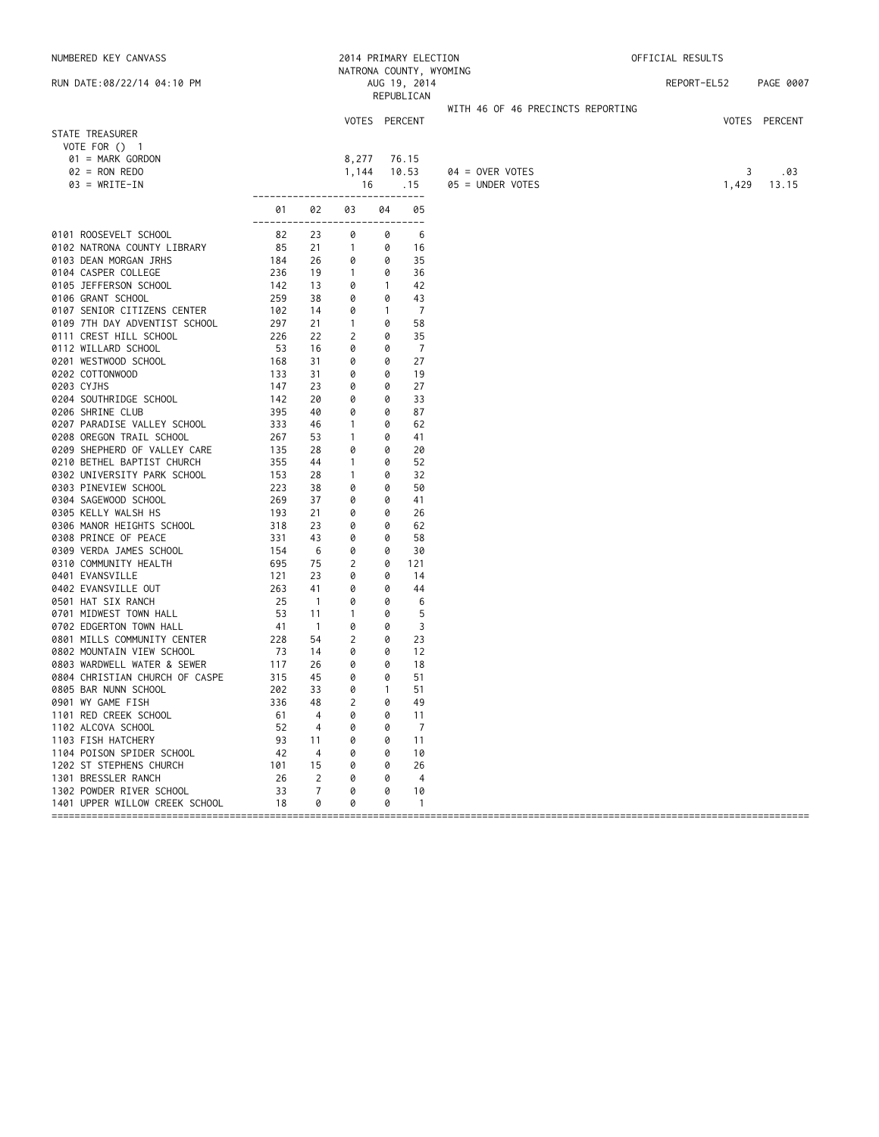| NATRONA COUNTY, WYOMING<br>RUN DATE:08/22/14 04:10 PM<br>AUG 19, 2014<br>REPORT-EL52<br>REPUBLICAN<br>WITH 46 OF 46 PRECINCTS REPORTING<br>VOTES PERCENT<br>STATE TREASURER | PAGE 0007<br>VOTES PERCENT<br>.03 |
|-----------------------------------------------------------------------------------------------------------------------------------------------------------------------------|-----------------------------------|
|                                                                                                                                                                             |                                   |
|                                                                                                                                                                             |                                   |
|                                                                                                                                                                             |                                   |
|                                                                                                                                                                             |                                   |
|                                                                                                                                                                             |                                   |
| VOTE FOR $()$ 1                                                                                                                                                             |                                   |
| 01 = MARK GORDON<br>8,277<br>76.15                                                                                                                                          |                                   |
| $02 = RON REDO$<br>1,144<br>10.53<br>$04 =$ OVER VOTES<br>3                                                                                                                 |                                   |
| $03 = WRITE-IN$<br>1,429<br>16<br>.15<br>05 = UNDER VOTES                                                                                                                   | 13.15                             |
| ------------------------------<br>02<br>03<br>04<br>05<br>01                                                                                                                |                                   |
| ---------<br>--------<br>0101 ROOSEVELT SCHOOL<br>82<br>23<br>0<br>6<br>0                                                                                                   |                                   |
| 0102 NATRONA COUNTY LIBRARY<br>85<br>21<br>$\overline{1}$<br>16<br>0                                                                                                        |                                   |
| 35<br>0103 DEAN MORGAN JRHS<br>184<br>26<br>0<br>0                                                                                                                          |                                   |
| 0104 CASPER COLLEGE<br>236<br>19<br>$\overline{1}$<br>0<br>36                                                                                                               |                                   |
| 0105 JEFFERSON SCHOOL<br>142<br>13<br>0<br>42<br>$\mathbf{1}$                                                                                                               |                                   |
| 0106 GRANT SCHOOL<br>259<br>38<br>0<br>0<br>43                                                                                                                              |                                   |
| 0107 SENIOR CITIZENS CENTER<br>102<br>14<br>0<br>7<br>$\mathbf{1}$                                                                                                          |                                   |
| 0109 7TH DAY ADVENTIST SCHOOL<br>297<br>21<br>$\mathbf{1}$<br>0<br>58                                                                                                       |                                   |
| 0111 CREST HILL SCHOOL<br>$\overline{c}$<br>35<br>226<br>22<br>0                                                                                                            |                                   |
| $\overline{7}$<br>0112 WILLARD SCHOOL<br>- 53<br>16<br>0<br>0                                                                                                               |                                   |
| 0201 WESTWOOD SCHOOL<br>27<br>168<br>31<br>0<br>0                                                                                                                           |                                   |
| 0202 COTTONWOOD<br>133<br>31<br>0<br>19<br>0                                                                                                                                |                                   |
| 0203 CYJHS<br>147<br>23<br>0<br>0<br>27                                                                                                                                     |                                   |
| 0204 SOUTHRIDGE SCHOOL<br>142<br>20<br>0<br>33<br>0                                                                                                                         |                                   |
| 0206 SHRINE CLUB<br>395<br>40<br>0<br>0<br>87                                                                                                                               |                                   |
| 62<br>0207 PARADISE VALLEY SCHOOL<br>333<br>46<br>$\mathbf{1}$<br>0                                                                                                         |                                   |
| 0208 OREGON TRAIL SCHOOL<br>267<br>53<br>$\overline{1}$<br>0<br>41                                                                                                          |                                   |
| 0209 SHEPHERD OF VALLEY CARE<br>28<br>135<br>0<br>20<br>0                                                                                                                   |                                   |
| 0210 BETHEL BAPTIST CHURCH<br>355<br>52<br>44<br>$\mathbf{1}$<br>0                                                                                                          |                                   |
| 0302 UNIVERSITY PARK SCHOOL<br>153<br>28<br>32<br>-1<br>0                                                                                                                   |                                   |
| 0303 PINEVIEW SCHOOL<br>223<br>38<br>0<br>0<br>50                                                                                                                           |                                   |
| 0304 SAGEWOOD SCHOOL<br>269<br>37<br>0<br>41<br>0                                                                                                                           |                                   |
| 0305 KELLY WALSH HS<br>193<br>21<br>0<br>26<br>0                                                                                                                            |                                   |
| 0306 MANOR HEIGHTS SCHOOL<br>318<br>23<br>0<br>0<br>62                                                                                                                      |                                   |
| 0308 PRINCE OF PEACE<br>331<br>43<br>0<br>58<br>0                                                                                                                           |                                   |
| 0309 VERDA JAMES SCHOOL<br>154<br>6<br>0<br>0<br>30                                                                                                                         |                                   |
| 0310 COMMUNITY HEALTH<br>$\overline{c}$<br>695<br>75<br>121<br>0                                                                                                            |                                   |
| 0401 EVANSVILLE<br>121<br>23<br>0<br>14<br>0                                                                                                                                |                                   |
| 0402 EVANSVILLE OUT<br>263<br>41<br>0<br>44<br>0                                                                                                                            |                                   |
| 25<br>6<br>0501 HAT SIX RANCH<br>$\overline{1}$<br>0<br>0                                                                                                                   |                                   |
| 53<br>5<br>0701 MIDWEST TOWN HALL<br>11<br>$\mathbf{1}$<br>0                                                                                                                |                                   |
| $\overline{3}$<br>0702 EDGERTON TOWN HALL<br>41<br>$\overline{1}$<br>0<br>0                                                                                                 |                                   |
| 2<br>23<br>0801 MILLS COMMUNITY CENTER<br>228<br>54<br>0                                                                                                                    |                                   |
| 0802 MOUNTAIN VIEW SCHOOL<br>- 73<br>14<br>0<br>0<br>12                                                                                                                     |                                   |
| 0803 WARDWELL WATER & SEWER<br>117<br>26<br>0<br>18<br>0                                                                                                                    |                                   |
| 51<br>0804 CHRISTIAN CHURCH OF CASPE<br>315<br>45<br>0<br>0                                                                                                                 |                                   |
| 202<br>0805 BAR NUNN SCHOOL<br>33<br>0<br>$\mathbf{1}$<br>51                                                                                                                |                                   |
| 0901 WY GAME FISH<br>48<br>2<br>49<br>336<br>0                                                                                                                              |                                   |
| 1101 RED CREEK SCHOOL<br>4<br>0<br>61<br>0<br>11                                                                                                                            |                                   |
| 1102 ALCOVA SCHOOL<br>52<br>4<br>0<br>7<br>0                                                                                                                                |                                   |
| 1103 FISH HATCHERY<br>93<br>0<br>11<br>11<br>0                                                                                                                              |                                   |
| 1104 POISON SPIDER SCHOOL<br>42<br>10<br>4<br>0<br>0                                                                                                                        |                                   |
| 1202 ST STEPHENS CHURCH<br>101<br>15<br>0<br>26<br>Ø                                                                                                                        |                                   |
| 1301 BRESSLER RANCH<br>26<br>2<br>$\overline{4}$<br>0<br>Ø                                                                                                                  |                                   |
| 1302 POWDER RIVER SCHOOL<br>7<br>33<br>0<br>10<br>0                                                                                                                         |                                   |
| 1401 UPPER WILLOW CREEK SCHOOL<br>18<br>0<br>0<br>0<br>-1                                                                                                                   |                                   |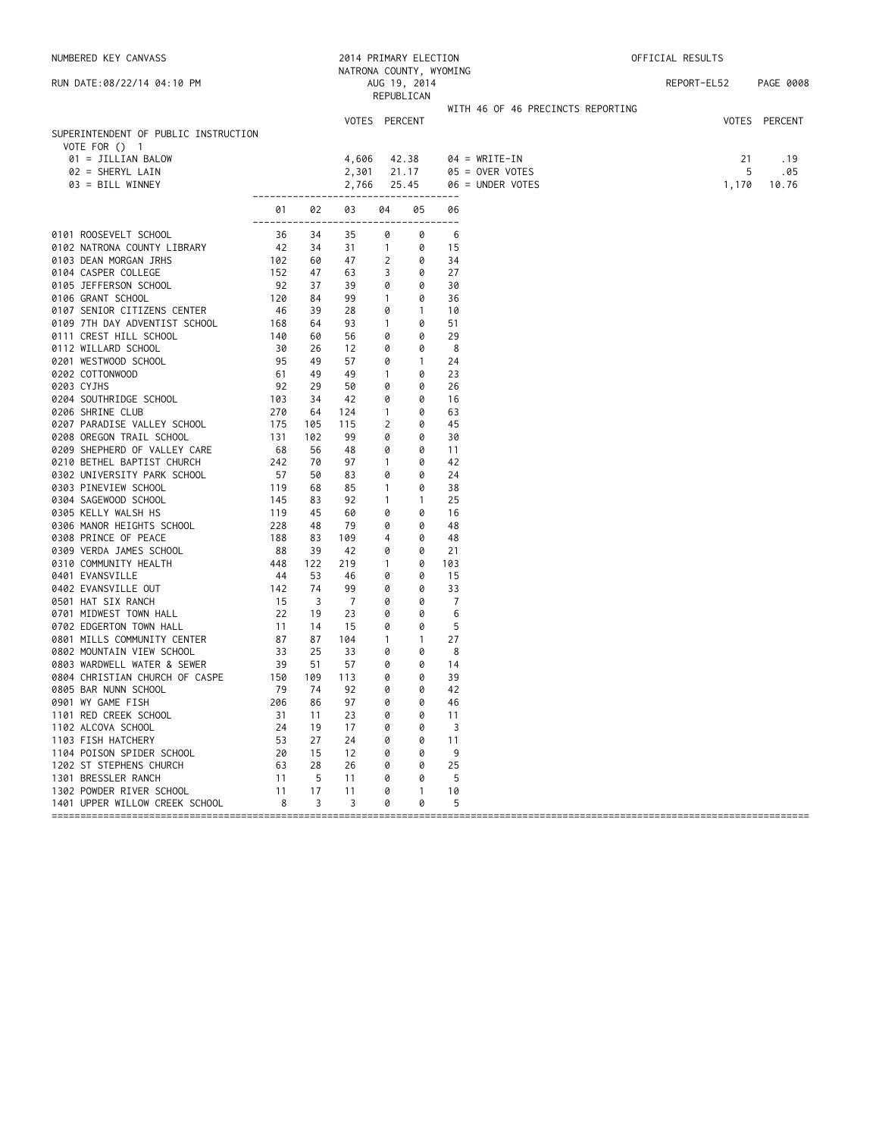| NUMBERED KEY CANVASS                                 |               | 2014 PRIMARY ELECTION |                             |                |                            |                | OFFICIAL RESULTS                      |             |                   |
|------------------------------------------------------|---------------|-----------------------|-----------------------------|----------------|----------------------------|----------------|---------------------------------------|-------------|-------------------|
|                                                      |               |                       | NATRONA COUNTY, WYOMING     |                |                            |                |                                       |             |                   |
| RUN DATE:08/22/14 04:10 PM                           |               |                       |                             |                | AUG 19, 2014<br>REPUBLICAN |                |                                       | REPORT-EL52 | PAGE 0008         |
|                                                      |               |                       |                             |                |                            |                | WITH 46 OF 46 PRECINCTS REPORTING     |             |                   |
|                                                      |               |                       | VOTES PERCENT               |                |                            |                |                                       |             | VOTES PERCENT     |
| SUPERINTENDENT OF PUBLIC INSTRUCTION                 |               |                       |                             |                |                            |                |                                       |             |                   |
| VOTE FOR $()$ 1                                      |               |                       |                             |                |                            |                |                                       |             |                   |
| 01 = JILLIAN BALOW                                   |               |                       | 4,606                       |                | 42.38                      |                | $04 = WRITE-IN$                       |             | 21<br>. 19        |
| 02 = SHERYL LAIN<br>03 = BILL WINNEY                 |               |                       | 2,301<br>2,766              |                | 21.17<br>25.45             |                | $05 =$ OVER VOTES<br>06 = UNDER VOTES |             | 5<br>.05<br>10.76 |
|                                                      |               |                       | --------------------------- |                | ---------                  |                |                                       | 1,170       |                   |
|                                                      | 01            | 02                    | 03                          | 04             | 05                         | 06             |                                       |             |                   |
| 0101 ROOSEVELT SCHOOL                                | -------<br>36 | 34                    | 35                          | 0              | --------<br>0              | 6              |                                       |             |                   |
| 0102 NATRONA COUNTY LIBRARY                          | 42            | 34                    | 31                          | $\overline{1}$ | 0                          | 15             |                                       |             |                   |
| 0103 DEAN MORGAN JRHS                                | 102           | 60                    | 47                          | 2              | 0                          | 34             |                                       |             |                   |
| 0104 CASPER COLLEGE                                  | 152           | 47                    | 63                          | 3              | 0                          | 27             |                                       |             |                   |
| 0105 JEFFERSON SCHOOL                                | 92            | 37                    | 39                          | 0              | 0                          | 30             |                                       |             |                   |
| 0106 GRANT SCHOOL                                    | 120           | 84                    | 99                          | $\mathbf{1}$   | 0                          | 36             |                                       |             |                   |
| 0107 SENIOR CITIZENS CENTER                          | 46            | 39                    | 28                          | 0              | $\mathbf{1}$               | 10             |                                       |             |                   |
| 0109 7TH DAY ADVENTIST SCHOOL                        | 168           | 64                    | 93                          | $\mathbf{1}$   | 0                          | 51             |                                       |             |                   |
| 0111 CREST HILL SCHOOL                               | 140           | 60                    | 56                          | 0              | 0                          | 29             |                                       |             |                   |
| 0112 WILLARD SCHOOL                                  | 30            | 26                    | 12                          | 0              | 0                          | 8              |                                       |             |                   |
| 0201 WESTWOOD SCHOOL                                 | 95            | 49                    | 57                          | 0              | $\mathbf{1}$               | 24             |                                       |             |                   |
| 0202 COTTONWOOD                                      | 61            | 49                    | 49                          | $\mathbf{1}$   | 0                          | 23             |                                       |             |                   |
| 0203 CYJHS                                           | 92            | 29                    | 50                          | 0              | 0                          | 26             |                                       |             |                   |
| 0204 SOUTHRIDGE SCHOOL                               | 103           | 34                    | 42                          | 0              | 0                          | 16             |                                       |             |                   |
| 0206 SHRINE CLUB                                     | 270           | 64                    | 124                         | $\mathbf{1}$   | 0                          | 63             |                                       |             |                   |
| 0207 PARADISE VALLEY SCHOOL                          | 175           | 105                   | 115                         | 2              | 0                          | 45             |                                       |             |                   |
| 0208 OREGON TRAIL SCHOOL                             | 131           | 102                   | 99                          | 0              | 0                          | 30             |                                       |             |                   |
| 0209 SHEPHERD OF VALLEY CARE                         | 68            | 56                    | 48                          | 0              | 0                          | 11             |                                       |             |                   |
| 0210 BETHEL BAPTIST CHURCH                           | 242           | 70                    | 97                          | $\mathbf{1}$   | 0                          | 42             |                                       |             |                   |
| 0302 UNIVERSITY PARK SCHOOL                          | 57            | 50                    | 83                          | 0              | 0                          | 24             |                                       |             |                   |
| 0303 PINEVIEW SCHOOL                                 | 119           | 68                    | 85                          | 1              | 0                          | 38             |                                       |             |                   |
| 0304 SAGEWOOD SCHOOL                                 | 145           | 83                    | 92                          | $\mathbf{1}$   | $\mathbf{1}$               | 25             |                                       |             |                   |
| 0305 KELLY WALSH HS                                  | 119           | 45                    | 60                          | 0              | 0                          | 16             |                                       |             |                   |
| 0306 MANOR HEIGHTS SCHOOL                            | 228           | 48                    | 79                          | 0              | 0                          | 48             |                                       |             |                   |
| 0308 PRINCE OF PEACE                                 | 188           | 83                    | 109                         | 4              | 0                          | 48             |                                       |             |                   |
| 0309 VERDA JAMES SCHOOL                              | 88            | 39                    | 42                          | 0              | 0                          | 21             |                                       |             |                   |
| 0310 COMMUNITY HEALTH                                | 448           | 122                   | 219                         | $\mathbf{1}$   | 0                          | 103            |                                       |             |                   |
| 0401 EVANSVILLE                                      | -44           | 53                    | 46                          | 0              | 0                          | 15             |                                       |             |                   |
| 0402 EVANSVILLE OUT                                  | 142           | 74                    | 99                          | 0              | 0                          | 33             |                                       |             |                   |
| 0501 HAT SIX RANCH                                   | 15            | $\overline{3}$        | 7                           | 0              | 0                          | $\overline{7}$ |                                       |             |                   |
| 0701 MIDWEST TOWN HALL                               | 22            | 19                    | 23                          | 0              | 0                          | 6              |                                       |             |                   |
| 0702 EDGERTON TOWN HALL                              | 11            | 14                    | 15                          | 0              | 0                          | 5              |                                       |             |                   |
| 0801 MILLS COMMUNITY CENTER                          | 87            | 87                    | 104                         | $\mathbf{1}$   | $\mathbf{1}$               | 27             |                                       |             |                   |
| 0802 MOUNTAIN VIEW SCHOOL                            | 33            | 25                    | 33                          | 0              | 0                          | 8              |                                       |             |                   |
| 0803 WARDWELL WATER & SEWER                          | 39            | 51                    | 57                          | 0              | 0                          | 14             |                                       |             |                   |
| 0804 CHRISTIAN CHURCH OF CASPE                       | 150           | 109                   | 113                         | 0              | 0                          | 39             |                                       |             |                   |
| 0805 BAR NUNN SCHOOL                                 | 79            | 74                    | 92                          | 0              | 0                          | 42             |                                       |             |                   |
| 0901 WY GAME FISH                                    | 206           | 86                    | 97                          | 0              | 0                          | 46             |                                       |             |                   |
| 1101 RED CREEK SCHOOL                                | 31            | 11                    | 23                          | 0              | 0                          | 11             |                                       |             |                   |
| 1102 ALCOVA SCHOOL                                   | 24            | 19                    | 17                          | 0              | 0                          | 3              |                                       |             |                   |
| 1103 FISH HATCHERY                                   | 53            | 27                    | 24                          | 0              | 0                          | 11             |                                       |             |                   |
| 1104 POISON SPIDER SCHOOL<br>1202 ST STEPHENS CHURCH | 20<br>63      | 15<br>28              | 12<br>26                    | 0<br>0         | 0<br>0                     | 9<br>25        |                                       |             |                   |
| 1301 BRESSLER RANCH                                  | 11            | 5                     | 11                          | 0              | 0                          | 5              |                                       |             |                   |
| 1302 POWDER RIVER SCHOOL                             | 11            | 17                    | 11                          | 0              | $\mathbf{1}$               | 10             |                                       |             |                   |
| 1401 UPPER WILLOW CREEK SCHOOL                       | 8             | 3                     | 3                           | 0              | 0                          | 5              |                                       |             |                   |
| ==================================                   |               |                       |                             |                |                            |                | ==============                        |             |                   |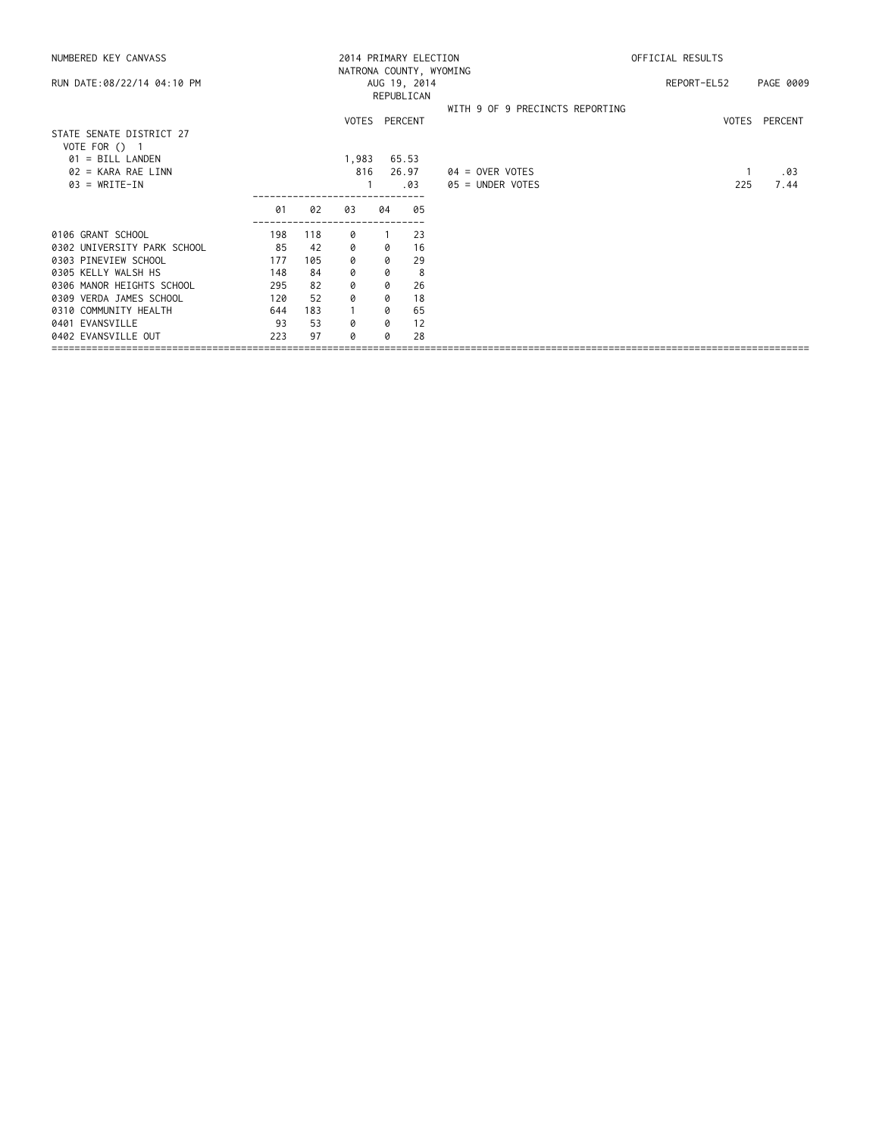| NUMBERED KEY CANVASS        |     |     |               |    | 2014 PRIMARY ELECTION   | OFFICIAL RESULTS                |             |               |
|-----------------------------|-----|-----|---------------|----|-------------------------|---------------------------------|-------------|---------------|
|                             |     |     |               |    | NATRONA COUNTY, WYOMING |                                 |             |               |
| RUN DATE:08/22/14 04:10 PM  |     |     |               |    | AUG 19, 2014            |                                 | REPORT-EL52 | PAGE 0009     |
|                             |     |     |               |    | REPUBLICAN              |                                 |             |               |
|                             |     |     |               |    |                         | WITH 9 OF 9 PRECINCTS REPORTING |             |               |
|                             |     |     | VOTES PERCENT |    |                         |                                 |             | VOTES PERCENT |
| STATE SENATE DISTRICT 27    |     |     |               |    |                         |                                 |             |               |
| VOTE FOR () 1               |     |     |               |    |                         |                                 |             |               |
| $01 = BILL$ LANDEN          |     |     | 1,983         |    | 65.53                   |                                 |             |               |
| $02 = KARA RAE LINN$        |     |     | 816           |    | 26.97                   | 04 = OVER VOTES                 |             | .03           |
| $03 = WRITE-IN$             |     |     |               |    | .03                     | 05 = UNDER VOTES                | 225         | 7.44          |
|                             |     |     |               |    |                         |                                 |             |               |
|                             | 01  | 02  | 03            | 04 | 05                      |                                 |             |               |
| 0106 GRANT SCHOOL           | 198 | 118 | 0             |    | 23                      |                                 |             |               |
| 0302 UNIVERSITY PARK SCHOOL | 85  | 42  | 0             | 0  | 16                      |                                 |             |               |
| 0303 PINEVIEW SCHOOL        | 177 | 105 | 0             | 0  | 29                      |                                 |             |               |
| 0305 KELLY WALSH HS         | 148 | 84  | 0             | 0  | 8                       |                                 |             |               |
| 0306 MANOR HEIGHTS SCHOOL   | 295 | 82  | 0             | 0  | 26                      |                                 |             |               |
| 0309 VERDA JAMES SCHOOL     | 120 | 52  | 0             | 0  | 18                      |                                 |             |               |
| 0310 COMMUNITY HEALTH       | 644 | 183 |               | 0  | 65                      |                                 |             |               |
| 0401 EVANSVILLE             | 93  | 53  | 0             | 0  | 12                      |                                 |             |               |
| 0402 EVANSVILLE OUT         | 223 | 97  | Ø             | a  | 28                      |                                 |             |               |
|                             |     |     |               |    |                         |                                 |             |               |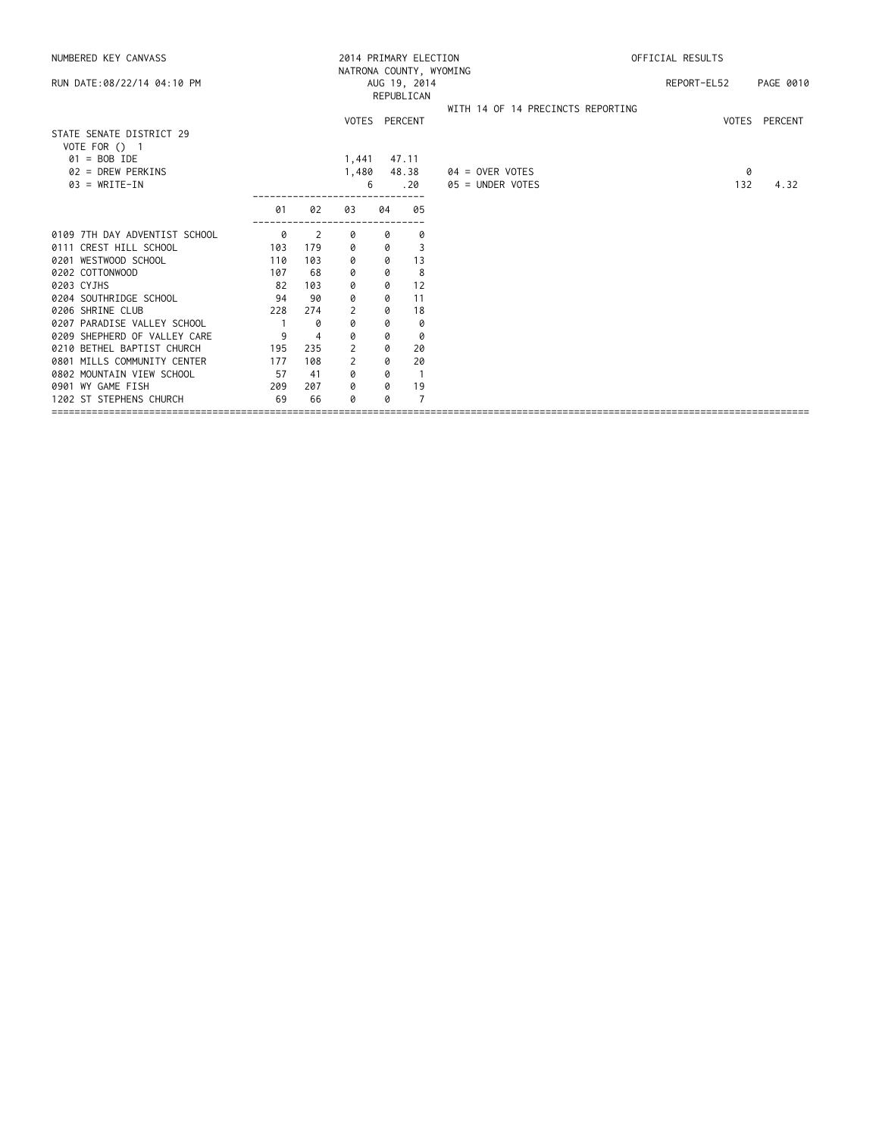| NUMBERED KEY CANVASS                      |     |                |       |               | 2014 PRIMARY ELECTION | OFFICIAL RESULTS                  |  |             |               |
|-------------------------------------------|-----|----------------|-------|---------------|-----------------------|-----------------------------------|--|-------------|---------------|
| RUN DATE: 08/22/14 04:10 PM               |     |                |       |               | AUG 19, 2014          | NATRONA COUNTY, WYOMING           |  | REPORT-EL52 | PAGE 0010     |
|                                           |     |                |       |               | REPUBLICAN            |                                   |  |             |               |
|                                           |     |                |       |               |                       | WITH 14 OF 14 PRECINCTS REPORTING |  |             |               |
|                                           |     |                |       | VOTES PERCENT |                       |                                   |  |             | VOTES PERCENT |
| STATE SENATE DISTRICT 29<br>VOTE FOR () 1 |     |                |       |               |                       |                                   |  |             |               |
| $01 = BOB IDE$                            |     |                | 1,441 |               | 47.11                 |                                   |  |             |               |
| 02 = DREW PERKINS                         |     |                | 1,480 |               | 48.38                 | $04 =$ OVER VOTES                 |  | 0           |               |
| $03 = WRITE-IN$                           |     |                |       | 6             | .20                   | 05 = UNDER VOTES                  |  | 132         | 4.32          |
|                                           | 01  | 02             | 03    | 04            | 05                    |                                   |  |             |               |
| 0109 7TH DAY ADVENTIST SCHOOL             | 0   | 2              | 0     | 0             | 0                     |                                   |  |             |               |
| 0111 CREST HILL SCHOOL                    | 103 | 179            | 0     | 0             | 3                     |                                   |  |             |               |
| 0201 WESTWOOD SCHOOL                      | 110 | 103            | 0     | 0             | 13                    |                                   |  |             |               |
| 0202 COTTONWOOD                           | 107 | 68             | 0     | 0             | 8                     |                                   |  |             |               |
| 0203 CYJHS                                | 82  | 103            | 0     | 0             | 12                    |                                   |  |             |               |
| 0204 SOUTHRIDGE SCHOOL                    | 94  | 90             | 0     | 0             | 11                    |                                   |  |             |               |
| 0206 SHRINE CLUB                          | 228 | 274            | 2     | 0             | 18                    |                                   |  |             |               |
| 0207 PARADISE VALLEY SCHOOL               |     | 0              | 0     | 0             | 0                     |                                   |  |             |               |
| 0209 SHEPHERD OF VALLEY CARE              | 9   | $\overline{4}$ | 0     | 0             | 0                     |                                   |  |             |               |
| 0210 BETHEL BAPTIST CHURCH                | 195 | 235            | 2     | 0             | 20                    |                                   |  |             |               |
| 0801 MILLS COMMUNITY CENTER               | 177 | 108            | 2     | 0             | 20                    |                                   |  |             |               |
| 0802 MOUNTAIN VIEW SCHOOL                 | 57  | 41             | 0     | 0             | $\overline{1}$        |                                   |  |             |               |
| 0901 WY GAME FISH                         | 209 | 207            | 0     | 0             | 19                    |                                   |  |             |               |
| 1202 ST STEPHENS CHURCH                   | 69  | 66             | 0     | 0             | 7                     |                                   |  |             |               |
|                                           |     |                |       |               |                       |                                   |  |             |               |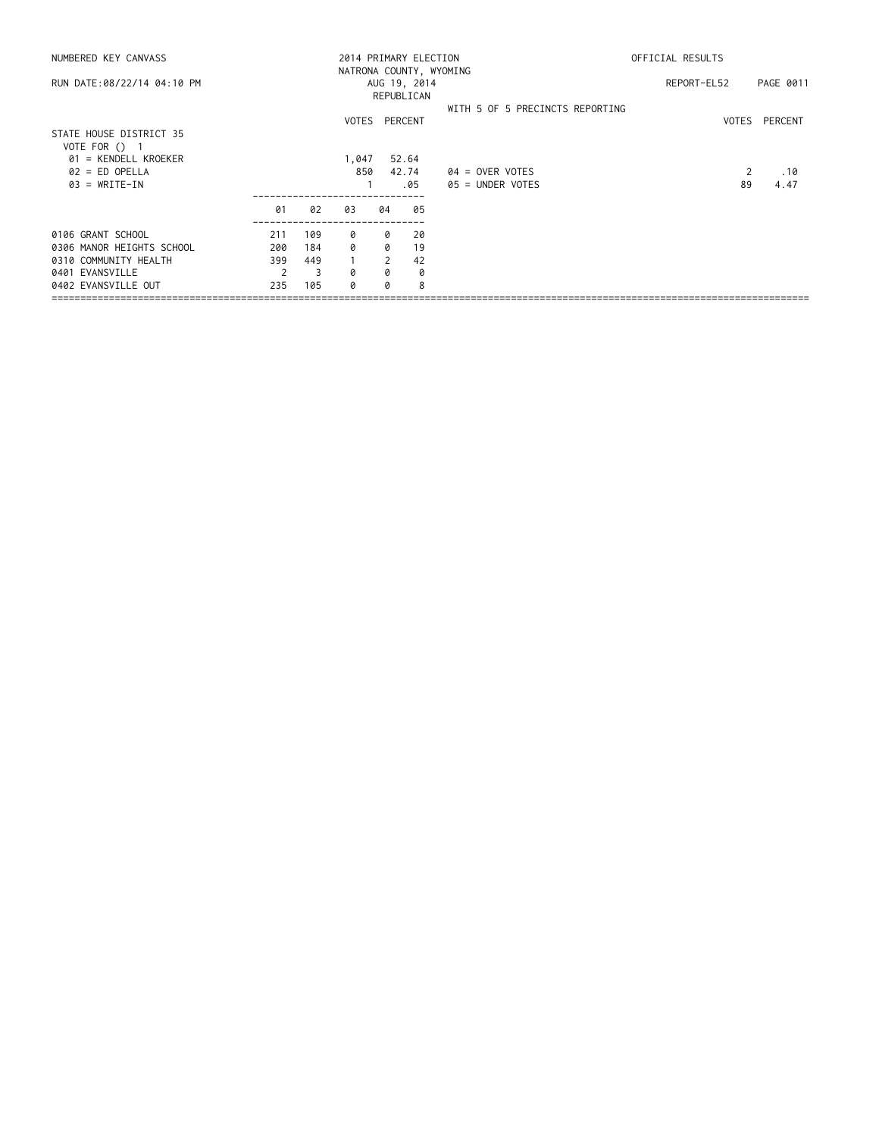| NUMBERED KEY CANVASS       |     |     |       |    | 2014 PRIMARY ELECTION   | OFFICIAL RESULTS                |             |       |           |
|----------------------------|-----|-----|-------|----|-------------------------|---------------------------------|-------------|-------|-----------|
|                            |     |     |       |    | NATRONA COUNTY, WYOMING |                                 |             |       |           |
| RUN DATE:08/22/14 04:10 PM |     |     |       |    | AUG 19, 2014            |                                 | REPORT-EL52 |       | PAGE 0011 |
|                            |     |     |       |    |                         |                                 |             |       |           |
|                            |     |     |       |    |                         | WITH 5 OF 5 PRECINCTS REPORTING |             |       |           |
|                            |     |     |       |    | VOTES PERCENT           |                                 |             | VOTES | PERCENT   |
| STATE HOUSE DISTRICT 35    |     |     |       |    |                         |                                 |             |       |           |
| VOTE FOR $()$ 1            |     |     |       |    |                         |                                 |             |       |           |
| $01$ = KENDELL KROEKER     |     |     | 1,047 |    | 52.64                   |                                 |             |       |           |
| $02 = ED$ OPELLA           |     |     | 850   |    | 42.74                   | 04 = OVER VOTES                 |             |       | .10       |
| $03 = WRITE-IN$            |     |     |       |    | .05                     | $05 =$ UNDER VOTES              |             | 89    | 4.47      |
|                            | 01  | 02  | 03    | 04 | 05                      |                                 |             |       |           |
| 0106 GRANT SCHOOL          | 211 | 109 | 0     | 0  | 20                      |                                 |             |       |           |
| 0306 MANOR HEIGHTS SCHOOL  | 200 | 184 | 0     | 0  | 19                      |                                 |             |       |           |
| 0310 COMMUNITY HEALTH      | 399 | 449 |       | 2  | 42                      |                                 |             |       |           |
| 0401 EVANSVILLE            |     | -3  | 0     | 0  | 0                       |                                 |             |       |           |
| 0402 EVANSVILLE OUT        | 235 | 105 | a     |    | 8                       |                                 |             |       |           |
|                            |     |     |       |    |                         |                                 |             |       |           |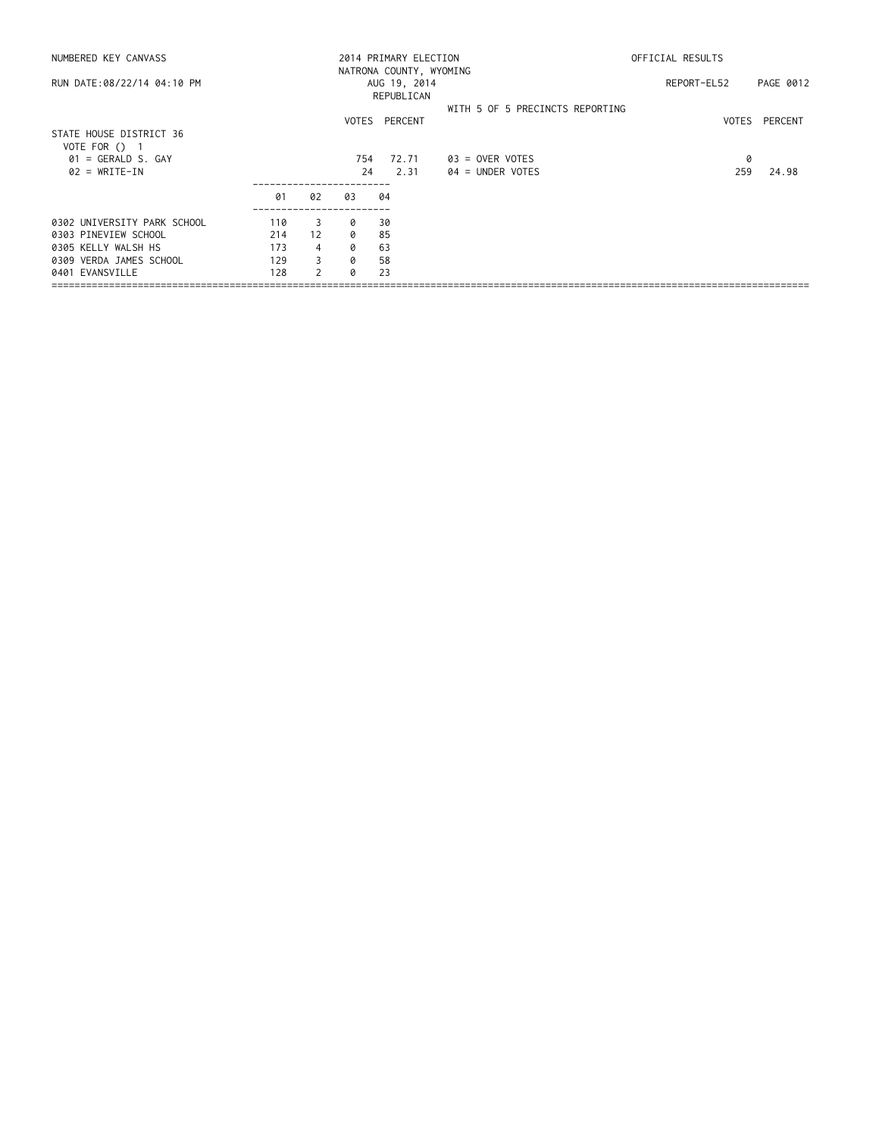| NUMBERED KEY CANVASS                     |     |               | 2014 PRIMARY ELECTION | OFFICIAL RESULTS                                      |                                 |             |               |
|------------------------------------------|-----|---------------|-----------------------|-------------------------------------------------------|---------------------------------|-------------|---------------|
| RUN DATE:08/22/14 04:10 PM               |     |               |                       | NATRONA COUNTY, WYOMING<br>AUG 19, 2014<br>REPUBLICAN |                                 | REPORT-EL52 | PAGE 0012     |
|                                          |     |               |                       | VOTES PERCENT                                         | WITH 5 OF 5 PRECINCTS REPORTING |             | VOTES PERCENT |
| STATE HOUSE DISTRICT 36<br>VOTE FOR () 1 |     |               |                       |                                                       |                                 |             |               |
| $01 = GERALD S. GAY$                     |     |               | 754                   | 72.71                                                 | $03 =$ OVER VOTES               | 0           |               |
| $02 = WRITE-IN$                          |     |               | 24                    | 2.31                                                  | $04 =$ UNDER VOTES              | 259         | 24.98         |
|                                          | 01  | 02            | 03                    | 04                                                    |                                 |             |               |
| 0302 UNIVERSITY PARK SCHOOL              | 110 | 3             | 0                     | 30                                                    |                                 |             |               |
| 0303 PINEVIEW SCHOOL                     | 214 | 12            | Q                     | 85                                                    |                                 |             |               |
| 0305 KELLY WALSH HS                      | 173 | 4             | 0                     | 63                                                    |                                 |             |               |
| 0309 VERDA JAMES SCHOOL                  | 129 | 3             | 0                     | 58                                                    |                                 |             |               |
| 0401 EVANSVILLE                          | 128 | $\mathcal{P}$ | Q                     | 23                                                    |                                 |             |               |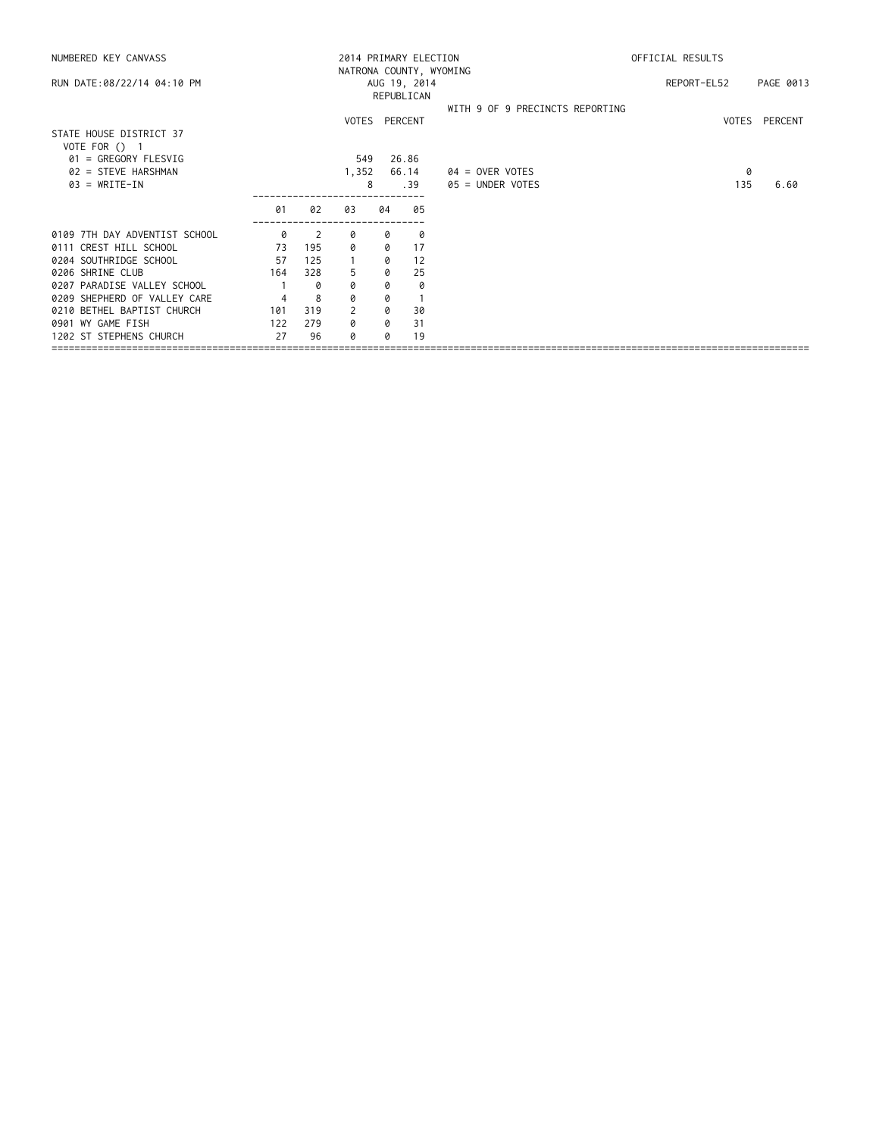| NUMBERED KEY CANVASS          |     |     |       |    | 2014 PRIMARY ELECTION   | OFFICIAL RESULTS                |             |               |
|-------------------------------|-----|-----|-------|----|-------------------------|---------------------------------|-------------|---------------|
|                               |     |     |       |    | NATRONA COUNTY, WYOMING |                                 |             |               |
| RUN DATE:08/22/14 04:10 PM    |     |     |       |    | AUG 19, 2014            |                                 | REPORT-EL52 | PAGE 0013     |
|                               |     |     |       |    | REPUBLICAN              |                                 |             |               |
|                               |     |     |       |    |                         | WITH 9 OF 9 PRECINCTS REPORTING |             |               |
|                               |     |     |       |    | VOTES PERCENT           |                                 |             | VOTES PERCENT |
| STATE HOUSE DISTRICT 37       |     |     |       |    |                         |                                 |             |               |
| VOTE FOR () 1                 |     |     |       |    |                         |                                 |             |               |
| 01 = GREGORY FLESVIG          |     |     | 549   |    | 26.86                   |                                 |             |               |
| 02 = STEVE HARSHMAN           |     |     | 1,352 |    | 66.14                   | 04 = OVER VOTES                 | 0           |               |
| $03 = WRITE-IN$               |     |     | 8     |    | .39                     | 05 = UNDER VOTES                | 135         | 6.60          |
|                               |     |     |       |    |                         |                                 |             |               |
|                               | 01  | 02  | 03    | 04 | 05                      |                                 |             |               |
| 0109 7TH DAY ADVENTIST SCHOOL | 0   | 2   | 0     | 0  | 0                       |                                 |             |               |
| 0111 CREST HILL SCHOOL        | 73  | 195 | ø     | 0  | 17                      |                                 |             |               |
| 0204 SOUTHRIDGE SCHOOL        | 57  | 125 |       | 0  | 12                      |                                 |             |               |
| 0206 SHRINE CLUB              | 164 | 328 | 5     | 0  | 25                      |                                 |             |               |
| 0207 PARADISE VALLEY SCHOOL   |     | 0   | 0     | 0  | 0                       |                                 |             |               |
| 0209 SHEPHERD OF VALLEY CARE  | 4   | 8   | 0     | 0  |                         |                                 |             |               |
| 0210 BETHEL BAPTIST CHURCH    | 101 | 319 | 2     | 0  | 30                      |                                 |             |               |
| 0901 WY GAME FISH             | 122 | 279 | 0     | 0  | 31                      |                                 |             |               |
| 1202 ST STEPHENS CHURCH       | 27  | 96  | Ø     | a  | 19                      |                                 |             |               |
|                               |     |     |       |    |                         |                                 |             |               |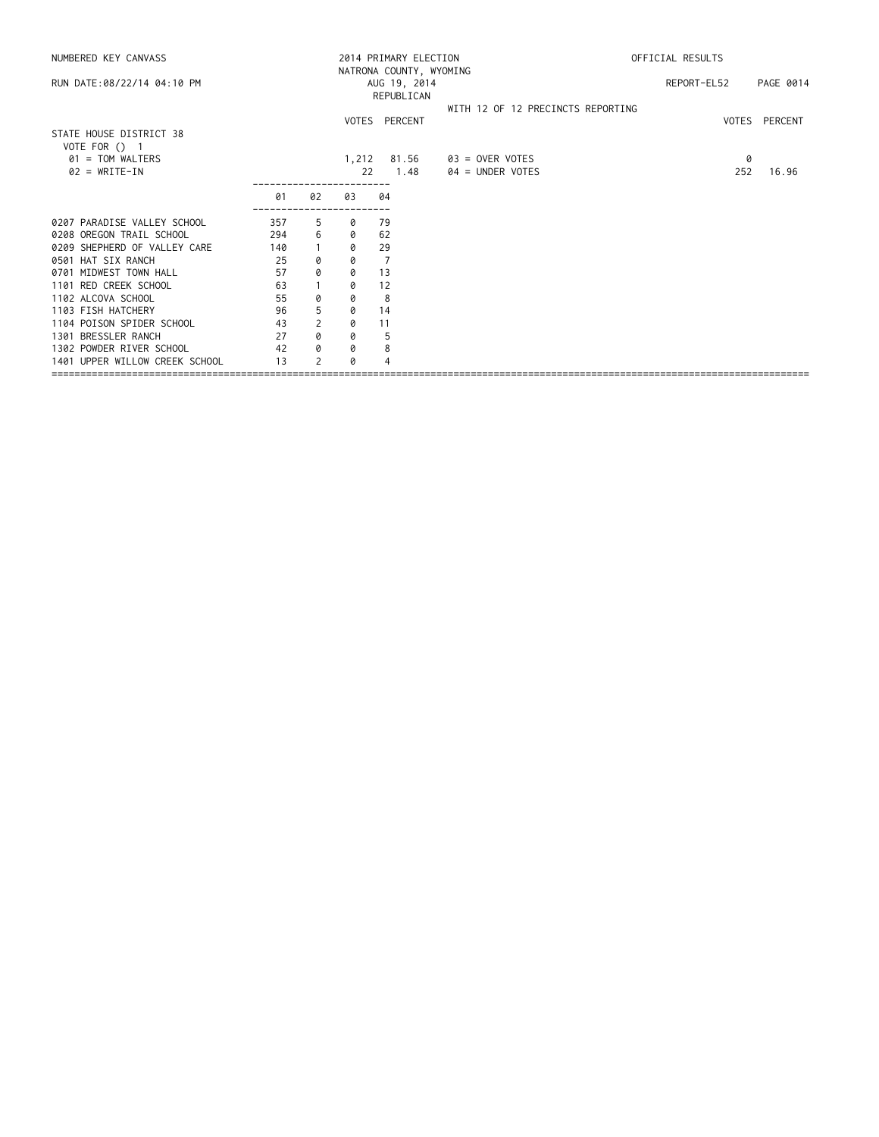| NUMBERED KEY CANVASS           |     |                |       | 2014 PRIMARY ELECTION   | OFFICIAL RESULTS                  |             |               |  |  |
|--------------------------------|-----|----------------|-------|-------------------------|-----------------------------------|-------------|---------------|--|--|
|                                |     |                |       | NATRONA COUNTY, WYOMING |                                   |             |               |  |  |
| RUN DATE:08/22/14 04:10 PM     |     |                |       | AUG 19, 2014            |                                   | REPORT-EL52 | PAGE 0014     |  |  |
|                                |     |                |       | REPUBLICAN              |                                   |             |               |  |  |
|                                |     |                |       |                         | WITH 12 OF 12 PRECINCTS REPORTING |             |               |  |  |
|                                |     |                |       | VOTES PERCENT           |                                   |             | VOTES PERCENT |  |  |
| STATE HOUSE DISTRICT 38        |     |                |       |                         |                                   |             |               |  |  |
| VOTE FOR () 1                  |     |                |       |                         |                                   |             |               |  |  |
| 01 = TOM WALTERS               |     |                | 1,212 | 81.56                   | 03 = OVER VOTES                   | 0           |               |  |  |
| $02 = WRITE-IN$                |     |                | 22    | 1.48                    | 04 = UNDER VOTES                  | 252         | 16.96         |  |  |
|                                | 01  | 02             | 03    | 04                      |                                   |             |               |  |  |
|                                |     |                |       |                         |                                   |             |               |  |  |
| 0207 PARADISE VALLEY SCHOOL    | 357 | -5             | 0     | 79                      |                                   |             |               |  |  |
| 0208 OREGON TRAIL SCHOOL       | 294 | 6              | 0     | 62                      |                                   |             |               |  |  |
| 0209 SHEPHERD OF VALLEY CARE   | 140 |                | 0     | 29                      |                                   |             |               |  |  |
| 0501 HAT SIX RANCH             | 25  | 0              | 0     | 7                       |                                   |             |               |  |  |
| 0701 MIDWEST TOWN HALL         | 57  | 0              | 0     | 13                      |                                   |             |               |  |  |
| 1101 RED CREEK SCHOOL          | 63  |                | 0     | 12                      |                                   |             |               |  |  |
| 1102 ALCOVA SCHOOL             | 55  | 0              | 0     | 8                       |                                   |             |               |  |  |
| 1103 FISH HATCHERY             | 96  | 5              | 0     | 14                      |                                   |             |               |  |  |
| 1104 POISON SPIDER SCHOOL      | 43  | $\overline{2}$ | 0     | 11                      |                                   |             |               |  |  |
| 1301 BRESSLER RANCH            | 27  | 0              | 0     | 5                       |                                   |             |               |  |  |
| 1302 POWDER RIVER SCHOOL       | 42  | 0              | 0     | 8                       |                                   |             |               |  |  |
| 1401 UPPER WILLOW CREEK SCHOOL | 13  | 2              | a     |                         |                                   |             |               |  |  |
|                                |     |                |       |                         |                                   |             |               |  |  |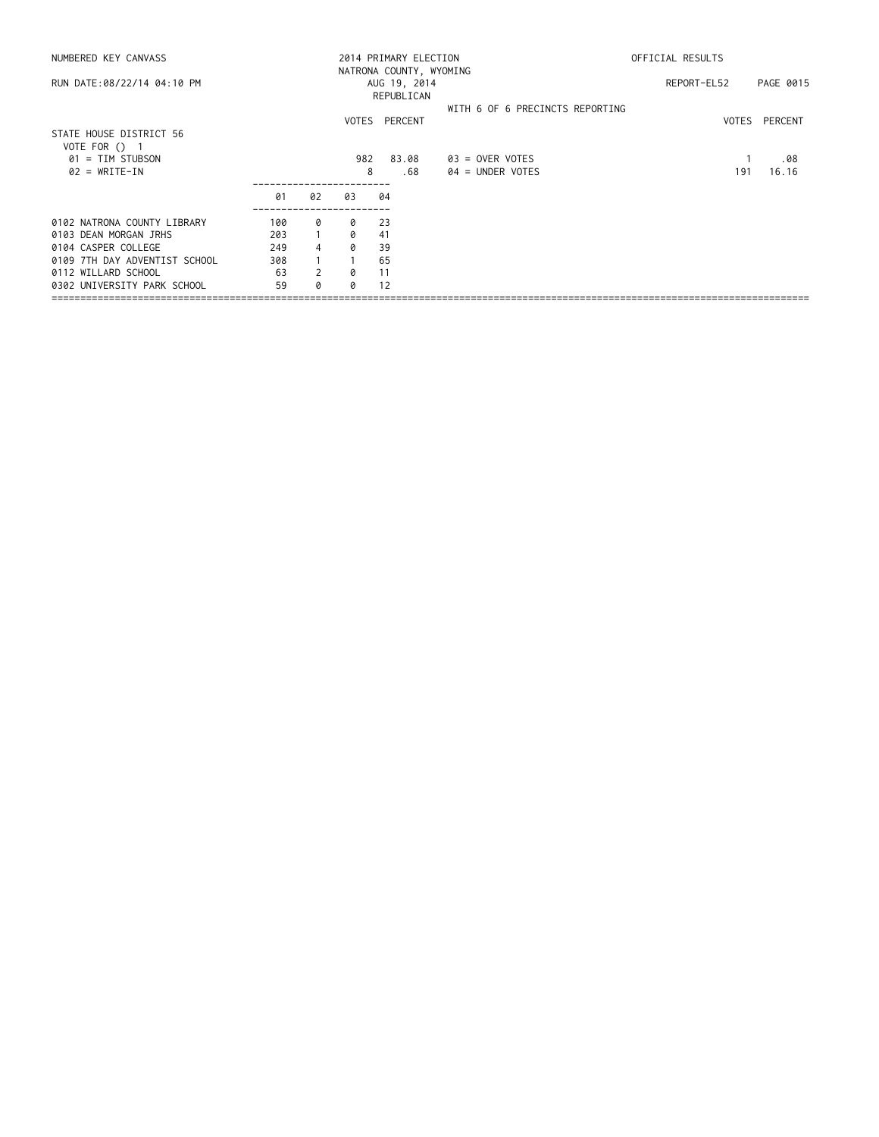| NUMBERED KEY CANVASS                                         |     |    |     | 2014 PRIMARY ELECTION                                 |                                 | OFFICIAL RESULTS |           |
|--------------------------------------------------------------|-----|----|-----|-------------------------------------------------------|---------------------------------|------------------|-----------|
| RUN DATE:08/22/14 04:10 PM                                   |     |    |     | NATRONA COUNTY, WYOMING<br>AUG 19, 2014<br>REPUBLICAN |                                 | REPORT-EL52      | PAGE 0015 |
|                                                              |     |    |     | VOTES PERCENT                                         | WITH 6 OF 6 PRECINCTS REPORTING | VOTES            | PERCENT   |
| STATE HOUSE DISTRICT 56<br>VOTE FOR () 1<br>01 = TIM STUBSON |     |    | 982 | 83.08                                                 | $03 =$ OVER VOTES               |                  | .08       |
| $02 = WRITE-IN$                                              |     |    |     | 8<br>.68                                              | $04 =$ UNDER VOTES              | 191              | 16.16     |
|                                                              | 01  | 02 | 03  | 04                                                    |                                 |                  |           |
| 0102 NATRONA COUNTY LIBRARY                                  | 100 | 0  | 0   | -23                                                   |                                 |                  |           |
| 0103 DEAN MORGAN JRHS                                        | 203 |    | a   | 41                                                    |                                 |                  |           |
| 0104 CASPER COLLEGE                                          | 249 | 4  | Ø   | 39                                                    |                                 |                  |           |
| 0109 7TH DAY ADVENTIST SCHOOL                                | 308 |    |     | 65                                                    |                                 |                  |           |
| 0112 WILLARD SCHOOL                                          | 63  | 2  | ø   | 11                                                    |                                 |                  |           |
| 0302 UNIVERSITY PARK SCHOOL                                  | 59  | Q  | Q   | 12                                                    |                                 |                  |           |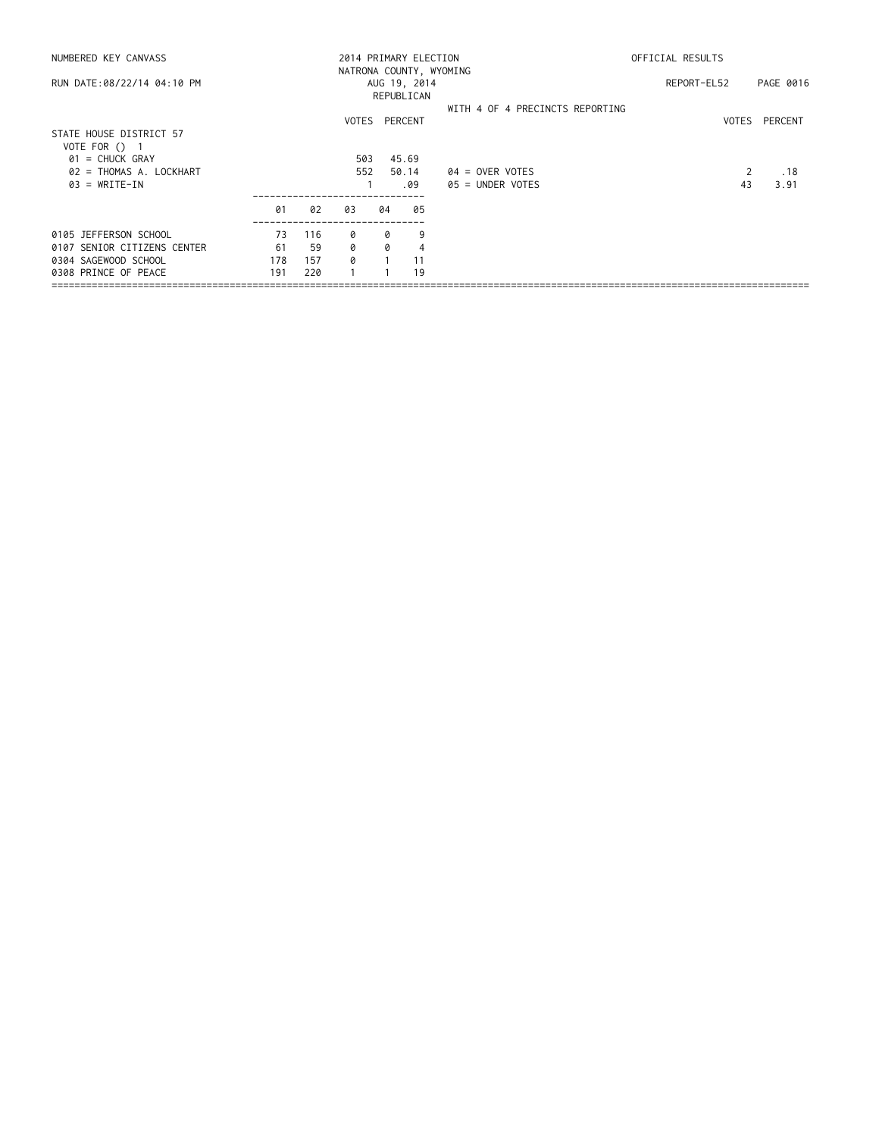| NUMBERED KEY CANVASS        |     |     |                                 |              | 2014 PRIMARY ELECTION   | OFFICIAL RESULTS   |           |         |  |  |
|-----------------------------|-----|-----|---------------------------------|--------------|-------------------------|--------------------|-----------|---------|--|--|
|                             |     |     |                                 |              | NATRONA COUNTY, WYOMING |                    |           |         |  |  |
| RUN DATE:08/22/14 04:10 PM  |     |     |                                 | AUG 19, 2014 |                         | REPORT-EL52        | PAGE 0016 |         |  |  |
|                             |     |     |                                 |              | REPUBLICAN              |                    |           |         |  |  |
|                             |     |     | WITH 4 OF 4 PRECINCTS REPORTING |              |                         |                    |           |         |  |  |
|                             |     |     |                                 |              | VOTES PERCENT           |                    | VOTES     | PERCENT |  |  |
| STATE HOUSE DISTRICT 57     |     |     |                                 |              |                         |                    |           |         |  |  |
| VOTE FOR () 1               |     |     |                                 |              |                         |                    |           |         |  |  |
| $01 =$ CHUCK GRAY           |     |     | 503                             |              | 45.69                   |                    |           |         |  |  |
| 02 = THOMAS A. LOCKHART     |     |     | 552                             |              | 50.14                   | $04 =$ OVER VOTES  |           | .18     |  |  |
| $03 = WRITE-IN$             |     |     |                                 |              | .09                     | $05 =$ UNDER VOTES | 43        | 3.91    |  |  |
|                             | 01  | 02  | 03                              | 04           | 05                      |                    |           |         |  |  |
| 0105 JEFFERSON SCHOOL       | 73  | 116 | 0                               | 0            | 9                       |                    |           |         |  |  |
| 0107 SENIOR CITIZENS CENTER | 61  | 59  | Q                               | 0            | $\overline{4}$          |                    |           |         |  |  |
| 0304 SAGEWOOD SCHOOL        | 178 | 157 | a                               |              | 11                      |                    |           |         |  |  |
| 0308 PRINCE OF PEACE        | 191 | 220 |                                 |              | 19                      |                    |           |         |  |  |
|                             |     |     |                                 |              |                         |                    |           |         |  |  |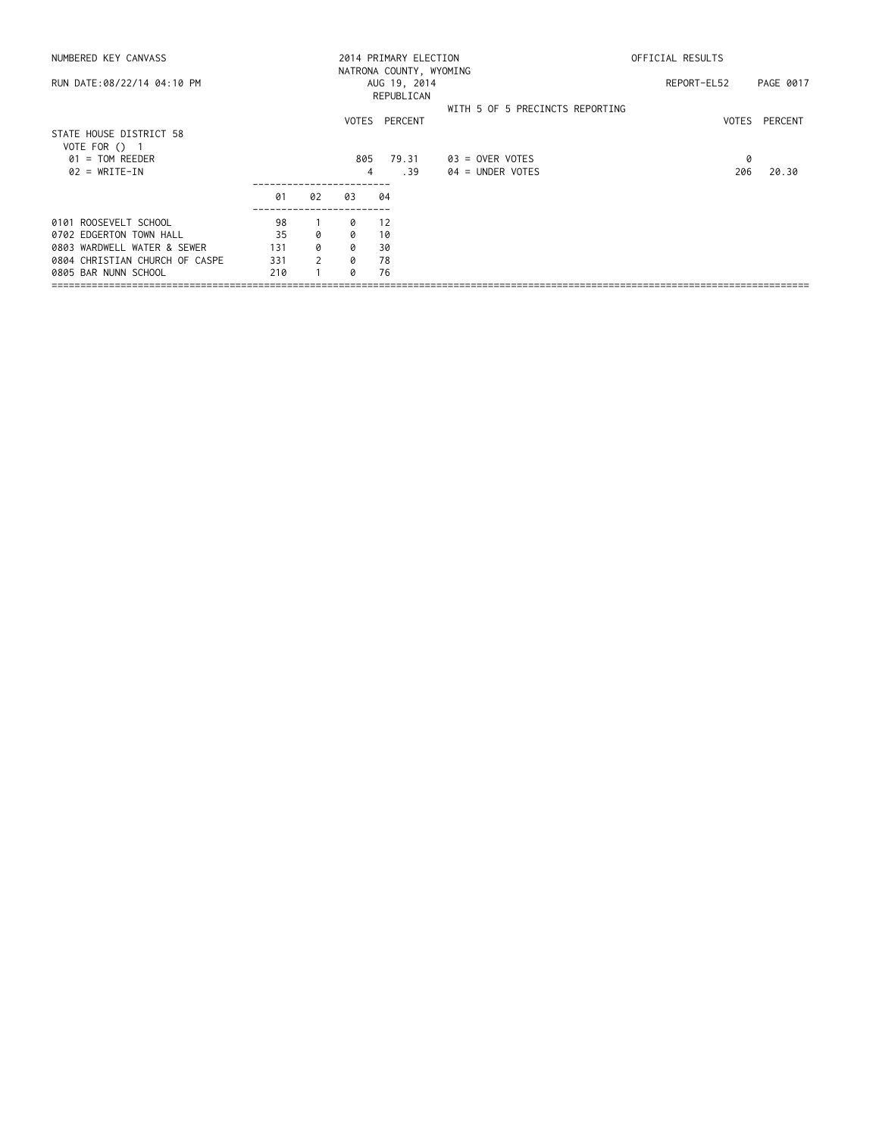|     |                |          |       |                                                | OFFICIAL RESULTS                                                                       |                                        |  |
|-----|----------------|----------|-------|------------------------------------------------|----------------------------------------------------------------------------------------|----------------------------------------|--|
|     |                |          |       |                                                | REPORT-EL52                                                                            | PAGE 0017                              |  |
|     |                |          |       |                                                |                                                                                        | VOTES PERCENT                          |  |
|     |                |          |       |                                                |                                                                                        |                                        |  |
|     |                |          | 79.31 | $03 =$ OVER VOTES                              | 0                                                                                      | 20.30                                  |  |
|     |                |          |       |                                                |                                                                                        |                                        |  |
| 01  | 02             | 03       | 04    |                                                |                                                                                        |                                        |  |
| 98  |                | 0        | 12    |                                                |                                                                                        |                                        |  |
| 35  | Ø              | $\Omega$ | 10    |                                                |                                                                                        |                                        |  |
| 131 | 0              | 0        | 30    |                                                |                                                                                        |                                        |  |
| 331 | $\overline{2}$ | 0        | 78    |                                                |                                                                                        |                                        |  |
| 210 |                | Ø        | 76    |                                                |                                                                                        |                                        |  |
|     |                |          |       | REPUBLICAN<br>VOTES PERCENT<br>805<br>.39<br>4 | 2014 PRIMARY ELECTION<br>NATRONA COUNTY, WYOMING<br>AUG 19, 2014<br>$04 =$ UNDER VOTES | WITH 5 OF 5 PRECINCTS REPORTING<br>206 |  |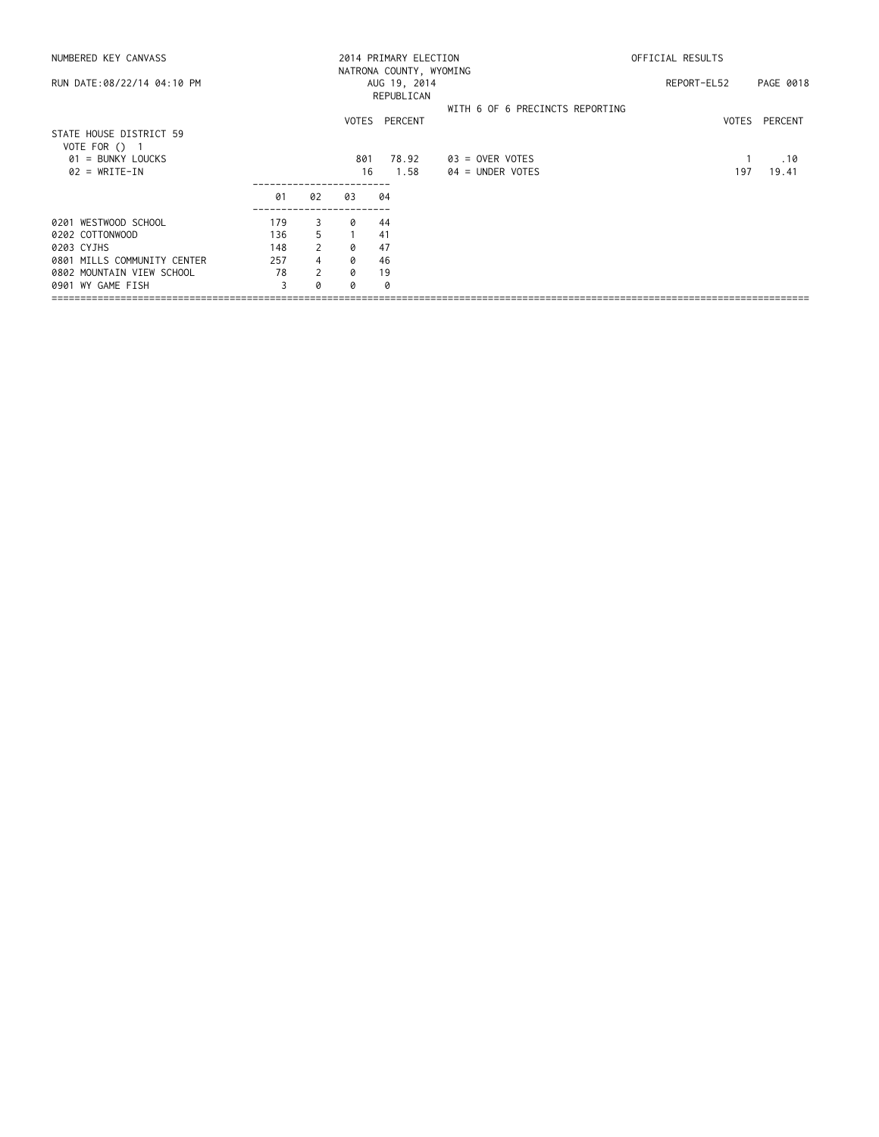| NUMBERED KEY CANVASS                       |     |                |           | 2014 PRIMARY ELECTION                                 |                                       | OFFICIAL RESULTS |                     |  |  |
|--------------------------------------------|-----|----------------|-----------|-------------------------------------------------------|---------------------------------------|------------------|---------------------|--|--|
| RUN DATE:08/22/14 04:10 PM                 |     |                |           | NATRONA COUNTY, WYOMING<br>AUG 19, 2014<br>REPUBLICAN |                                       | REPORT-EL52      | PAGE 0018           |  |  |
|                                            |     |                |           | VOTES PERCENT                                         | WITH 6 OF 6 PRECINCTS REPORTING       |                  | VOTES<br>PERCENT    |  |  |
| STATE HOUSE DISTRICT 59<br>VOTE FOR $()$ 1 |     |                |           |                                                       |                                       |                  |                     |  |  |
| $01 = BUNKY LOUCKS$<br>$02 = WRITE-IN$     |     |                | 801<br>16 | 78.92<br>1.58                                         | 03 = OVER VOTES<br>$04 =$ UNDER VOTES |                  | .10<br>197<br>19.41 |  |  |
|                                            | 01  | 02             | 03        | 04                                                    |                                       |                  |                     |  |  |
| 0201 WESTWOOD SCHOOL                       | 179 | 3              | ø         | 44                                                    |                                       |                  |                     |  |  |
| 0202 COTTONWOOD                            | 136 | 5              |           | 41                                                    |                                       |                  |                     |  |  |
| 0203 CYJHS                                 | 148 | $\overline{2}$ | 0         | 47                                                    |                                       |                  |                     |  |  |
| 0801 MILLS COMMUNITY CENTER                | 257 | 4              | 0         | 46                                                    |                                       |                  |                     |  |  |
| 0802 MOUNTAIN VIEW SCHOOL                  | 78  | 2              | 0         | 19                                                    |                                       |                  |                     |  |  |
| 0901 WY GAME FISH                          |     | Ø              | a         | ø                                                     |                                       |                  |                     |  |  |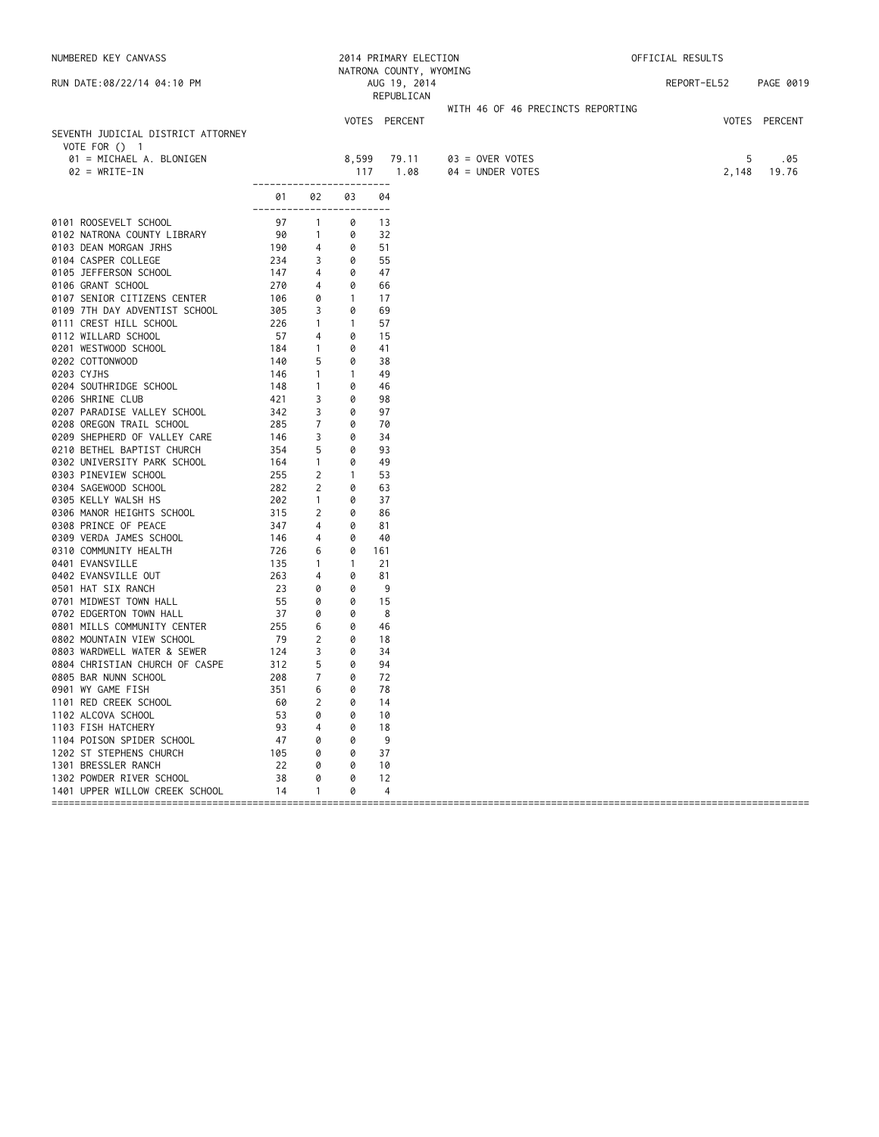| NUMBERED KEY CANVASS                                       |                                                            |                   |                   | 2014 PRIMARY ELECTION<br>NATRONA COUNTY, WYOMING |                                       | OFFICIAL RESULTS |                            |
|------------------------------------------------------------|------------------------------------------------------------|-------------------|-------------------|--------------------------------------------------|---------------------------------------|------------------|----------------------------|
| RUN DATE:08/22/14 04:10 PM                                 |                                                            |                   |                   | AUG 19, 2014<br>REPUBLICAN                       |                                       | REPORT-EL52      | PAGE 0019                  |
|                                                            |                                                            |                   |                   |                                                  | WITH 46 OF 46 PRECINCTS REPORTING     |                  |                            |
| SEVENTH JUDICIAL DISTRICT ATTORNEY                         |                                                            |                   |                   | VOTES PERCENT                                    |                                       |                  | VOTES PERCENT              |
| VOTE FOR () 1                                              |                                                            |                   |                   |                                                  |                                       |                  |                            |
| 01 = MICHAEL A. BLONIGEN<br>$02 = WRITE-IN$                |                                                            |                   | 8,599<br>117      | 79.11<br>1.08                                    | 03 = OVER VOTES<br>$04 = UNDER VOTES$ |                  | 5<br>.05<br>2,148<br>19.76 |
|                                                            | ------------------------<br>01<br>------------------------ | 02                | 03                | 04                                               |                                       |                  |                            |
| 0101 ROOSEVELT SCHOOL                                      | 97                                                         | $\overline{1}$    | 0                 | -13                                              |                                       |                  |                            |
| 0102 NATRONA COUNTY LIBRARY                                | 90                                                         | $\mathbf{1}$      | 0                 | 32                                               |                                       |                  |                            |
| 0103 DEAN MORGAN JRHS                                      | 190                                                        | 4                 | 0                 | 51                                               |                                       |                  |                            |
| 0104 CASPER COLLEGE                                        | 234                                                        | 3                 | 0                 | 55                                               |                                       |                  |                            |
| 0105 JEFFERSON SCHOOL                                      | 147                                                        | 4                 | 0                 | 47                                               |                                       |                  |                            |
| 0106 GRANT SCHOOL                                          | 270                                                        | 4                 | 0                 | 66                                               |                                       |                  |                            |
| 0107 SENIOR CITIZENS CENTER                                | 106                                                        | 0                 | $\mathbf{1}$      | 17                                               |                                       |                  |                            |
| 0109 7TH DAY ADVENTIST SCHOOL                              | 305                                                        | 3                 | 0                 | 69                                               |                                       |                  |                            |
| 0111 CREST HILL SCHOOL<br>0112 WILLARD SCHOOL              | 226<br>57                                                  | $\mathbf{1}$<br>4 | $\mathbf{1}$<br>0 | 57<br>15                                         |                                       |                  |                            |
| 0201 WESTWOOD SCHOOL                                       | 184                                                        | $\mathbf{1}$      | 0                 | 41                                               |                                       |                  |                            |
| 0202 COTTONWOOD                                            | 140                                                        | 5                 | 0                 | 38                                               |                                       |                  |                            |
| 0203 CYJHS                                                 | 146                                                        | $\mathbf{1}$      | $\mathbf{1}$      | 49                                               |                                       |                  |                            |
| 0204 SOUTHRIDGE SCHOOL                                     | 148                                                        | $\mathbf{1}$      | 0                 | 46                                               |                                       |                  |                            |
| 0206 SHRINE CLUB                                           | 421                                                        | 3                 | 0                 | 98                                               |                                       |                  |                            |
| 0207 PARADISE VALLEY SCHOOL                                | 342                                                        | 3                 | 0                 | 97                                               |                                       |                  |                            |
| 0208 OREGON TRAIL SCHOOL                                   | 285                                                        | $\overline{7}$    | 0                 | 70                                               |                                       |                  |                            |
| 0209 SHEPHERD OF VALLEY CARE                               | 146                                                        | 3                 | 0                 | 34                                               |                                       |                  |                            |
| 0210 BETHEL BAPTIST CHURCH                                 | 354                                                        | 5                 | 0                 | 93                                               |                                       |                  |                            |
| 0302 UNIVERSITY PARK SCHOOL                                | 164                                                        | $\mathbf{1}$      | 0                 | 49                                               |                                       |                  |                            |
| 0303 PINEVIEW SCHOOL                                       | 255                                                        | $\overline{2}$    | $\mathbf{1}$      | 53                                               |                                       |                  |                            |
| 0304 SAGEWOOD SCHOOL                                       | 282                                                        | 2                 | 0                 | 63                                               |                                       |                  |                            |
| 0305 KELLY WALSH HS                                        | 202                                                        | $\overline{1}$    | 0                 | 37                                               |                                       |                  |                            |
| 0306 MANOR HEIGHTS SCHOOL                                  | 315                                                        | 2                 | 0                 | 86                                               |                                       |                  |                            |
| 0308 PRINCE OF PEACE                                       | 347                                                        | 4                 | 0                 | 81                                               |                                       |                  |                            |
| 0309 VERDA JAMES SCHOOL                                    | 146<br>726                                                 | 4<br>6            | 0<br>0            | 40                                               |                                       |                  |                            |
| 0310 COMMUNITY HEALTH<br>0401 EVANSVILLE                   | 135                                                        | $\mathbf{1}$      | $\mathbf{1}$      | 161<br>21                                        |                                       |                  |                            |
| 0402 EVANSVILLE OUT                                        | 263                                                        | 4                 | 0                 | 81                                               |                                       |                  |                            |
| 0501 HAT SIX RANCH                                         | 23                                                         | 0                 | 0                 | 9                                                |                                       |                  |                            |
| 0701 MIDWEST TOWN HALL                                     | 55                                                         | 0                 | 0                 | 15                                               |                                       |                  |                            |
| 0702 EDGERTON TOWN HALL                                    | 37                                                         | 0                 | 0                 | 8                                                |                                       |                  |                            |
| 0801 MILLS COMMUNITY CENTER                                | 255                                                        | 6                 | 0                 | 46                                               |                                       |                  |                            |
| 0802 MOUNTAIN VIEW SCHOOL                                  | 79                                                         | $\overline{2}$    | 0                 | 18                                               |                                       |                  |                            |
| 0803 WARDWELL WATER & SEWER                                | 124                                                        | 3                 | 0                 | 34                                               |                                       |                  |                            |
| 0804 CHRISTIAN CHURCH OF CASPE                             | 312                                                        | 5                 | 0                 | 94                                               |                                       |                  |                            |
| 0805 BAR NUNN SCHOOL                                       | 208                                                        | $\overline{7}$    | 0                 | 72                                               |                                       |                  |                            |
| 0901 WY GAME FISH                                          | 351                                                        | 6                 | 0                 | 78                                               |                                       |                  |                            |
| 1101 RED CREEK SCHOOL                                      | 60                                                         | 2                 | 0                 | 14                                               |                                       |                  |                            |
| 1102 ALCOVA SCHOOL                                         | 53                                                         | 0                 | 0                 | 10                                               |                                       |                  |                            |
| 1103 FISH HATCHERY                                         | 93                                                         | 4                 | 0                 | 18                                               |                                       |                  |                            |
| 1104 POISON SPIDER SCHOOL                                  | 47                                                         | 0                 | 0                 | 9                                                |                                       |                  |                            |
| 1202 ST STEPHENS CHURCH                                    | 105                                                        | 0                 | 0                 | 37                                               |                                       |                  |                            |
| 1301 BRESSLER RANCH                                        | 22<br>38                                                   | 0<br>0            | 0<br>0            | 10                                               |                                       |                  |                            |
| 1302 POWDER RIVER SCHOOL<br>1401 UPPER WILLOW CREEK SCHOOL | 14                                                         | -1                | 0                 | 12<br>4                                          |                                       |                  |                            |
| ==============================                             |                                                            |                   |                   |                                                  |                                       |                  |                            |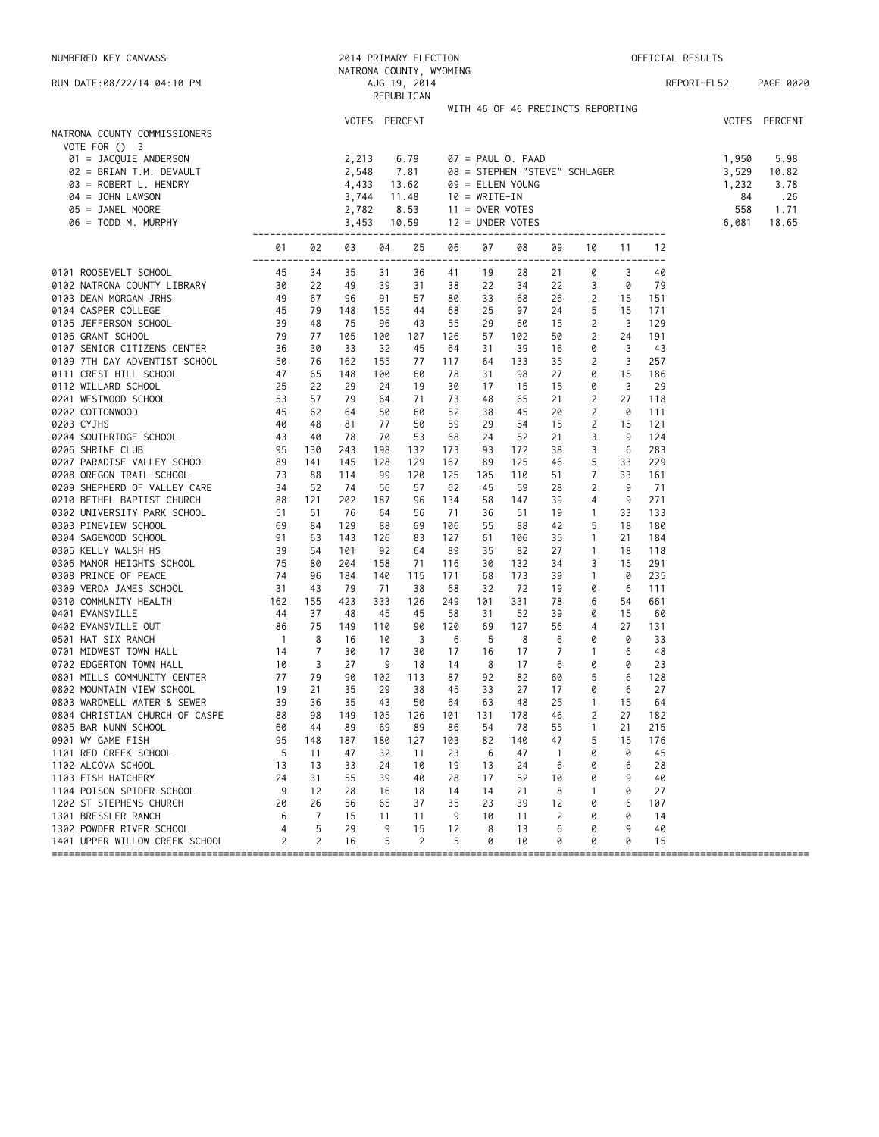| NUMBERED KEY CANVASS                                                                                                                                                                                                                                                      |                  |                |                |               | 2014 PRIMARY ELECTION                   |            |                   |                                                   |                    |                   |                         |            | OFFICIAL RESULTS |               |
|---------------------------------------------------------------------------------------------------------------------------------------------------------------------------------------------------------------------------------------------------------------------------|------------------|----------------|----------------|---------------|-----------------------------------------|------------|-------------------|---------------------------------------------------|--------------------|-------------------|-------------------------|------------|------------------|---------------|
| RUN DATE:08/22/14 04:10 PM                                                                                                                                                                                                                                                |                  |                |                |               | NATRONA COUNTY, WYOMING<br>AUG 19, 2014 |            |                   |                                                   |                    |                   |                         |            | REPORT-EL52      | PAGE 0020     |
|                                                                                                                                                                                                                                                                           |                  |                |                |               | REPUBLICAN                              |            |                   |                                                   |                    |                   |                         |            |                  |               |
|                                                                                                                                                                                                                                                                           |                  |                |                |               |                                         |            |                   | WITH 46 OF 46 PRECINCTS REPORTING                 |                    |                   |                         |            |                  |               |
|                                                                                                                                                                                                                                                                           |                  |                |                | VOTES PERCENT |                                         |            |                   |                                                   |                    |                   |                         |            |                  | VOTES PERCENT |
| NATRONA COUNTY COMMISSIONERS<br>VOTE FOR () 3                                                                                                                                                                                                                             |                  |                |                |               |                                         |            |                   |                                                   |                    |                   |                         |            |                  |               |
| 01 = JACQUIE ANDERSON                                                                                                                                                                                                                                                     |                  |                | 2,213          |               | 6.79                                    |            |                   |                                                   |                    |                   |                         |            | 1,950            | 5.98          |
| 02 = BRIAN T.M. DEVAULT                                                                                                                                                                                                                                                   |                  |                | 2,548          |               | 7.81                                    |            |                   | 08 = STEPHEN "STEVE" SCHLAGER<br>09 = ELLEN YOUNG |                    |                   |                         |            | 3,529            | 10.82         |
| 03 = ROBERT L. HENDRY                                                                                                                                                                                                                                                     |                  |                | 4,433          |               | 13.60                                   |            |                   |                                                   |                    |                   |                         |            | 1,232            | 3.78          |
| 04 = JOHN LAWSON                                                                                                                                                                                                                                                          |                  |                | 3,744          |               | 11.48                                   |            | $10 = WRITE-IN$   |                                                   |                    |                   |                         |            | 84               | .26           |
| 05 = JANEL MOORE<br>$06 = TODD M. MURPHY$                                                                                                                                                                                                                                 |                  |                | 2,782<br>3,453 |               | 8.53<br>10.59                           |            | $11 =$ OVER VOTES | $12 = UNDER VOTES$                                |                    |                   |                         |            | 558<br>6,081     | 1.71<br>18.65 |
|                                                                                                                                                                                                                                                                           | ---------------- |                |                |               |                                         |            |                   |                                                   |                    |                   |                         |            |                  |               |
|                                                                                                                                                                                                                                                                           | 01<br>---------  | 02             | 03             | 04            | 05                                      | 06         | 07                | 08                                                | 09                 | 10                | 11                      | 12<br>---  |                  |               |
| 0101 ROOSEVELT SCHOOL<br>0101 ROOSEVELT SCHOOL<br>0102 NATRONA COUNTY LIBRARY<br>0103 DEAN MORGAN JRHS<br>0103 DEAN MORGAN JRHS<br>0103 DEAN MORGAN JRHS<br>0104 CASPER COLLEGE<br>0105 JEFFERSON SCHOOL<br>0106 GRANT SCHOOL<br>0107 SENIOR CITIZENS CENTER<br>0107 SENI | 45               | 34             | 35             | 31            | 36                                      | 41         | 19                | 28                                                | 21                 | 0                 | 3                       | 40         |                  |               |
|                                                                                                                                                                                                                                                                           |                  | 22             | 49             | 39            | 31                                      | 38         | 22                | 34                                                | 22                 | 3                 | 0                       | 79         |                  |               |
|                                                                                                                                                                                                                                                                           |                  | 67             | 96             | 91            | 57                                      | 80         | 33                | 68                                                | 26                 | 2                 | 15                      | 151        |                  |               |
|                                                                                                                                                                                                                                                                           |                  | 79             | 148            | 155           | 44                                      | 68         | 25                | 97                                                | 24                 | 5                 | 15                      | 171        |                  |               |
|                                                                                                                                                                                                                                                                           |                  | 48             | 75             | 96            | 43                                      | 55         | 29                | 60                                                | 15                 | 2                 | $\overline{\mathbf{3}}$ | 129        |                  |               |
|                                                                                                                                                                                                                                                                           |                  | 77<br>30       | 105<br>33      | 100<br>32     | 107<br>45                               | 126<br>64  | 57<br>31          | 102<br>39                                         | 50<br>16           | 2<br>0            | 24<br>3                 | 191<br>43  |                  |               |
|                                                                                                                                                                                                                                                                           |                  | 76             | 162            | 155           | 77                                      | 117        | 64                | 133                                               | 35                 | 2                 | 3                       | 257        |                  |               |
|                                                                                                                                                                                                                                                                           |                  | 65             | 148            | 100           | 60                                      | 78         | 31                | 98                                                | 27                 | 0                 | 15                      | 186        |                  |               |
|                                                                                                                                                                                                                                                                           |                  | 22             | 29             | 24            | 19                                      | 30         | 17                | 15                                                | 15                 | 0                 | 3                       | 29         |                  |               |
|                                                                                                                                                                                                                                                                           |                  | 57             | 79             | 64            | 71                                      | 73         | 48                | 65                                                | 21                 | 2                 | 27                      | 118        |                  |               |
|                                                                                                                                                                                                                                                                           |                  | 62             | 64             | 50            | 60                                      | 52         | 38                | 45                                                | 20                 | 2                 | 0                       | 111        |                  |               |
|                                                                                                                                                                                                                                                                           |                  | 48<br>40       | 81             | 77<br>70      | 50<br>53                                | 59         | 29                | 54<br>52                                          | 15                 | 2<br>3            | 15<br>9                 | 121<br>124 |                  |               |
|                                                                                                                                                                                                                                                                           |                  | 130            | 78<br>243      | 198           | 132                                     | 68<br>173  | 24<br>93          | 172                                               | 21<br>38           | 3                 | 6                       | 283        |                  |               |
|                                                                                                                                                                                                                                                                           |                  | 141            | 145            | 128           | 129                                     | 167        | 89                | 125                                               | 46                 | 5                 | 33                      | 229        |                  |               |
|                                                                                                                                                                                                                                                                           |                  | 88             | 114            | 99            | 120                                     | 125        | 105               | 110                                               | 51                 | 7                 | 33                      | 161        |                  |               |
|                                                                                                                                                                                                                                                                           |                  | 52             | 74             | 56            | 57                                      | 62         | 45                | 59                                                | 28                 | $\overline{c}$    | 9                       | 71         |                  |               |
|                                                                                                                                                                                                                                                                           |                  | 121            | 202            | 187           | 96                                      | 134        | 58                | 147                                               | 39                 | 4                 | 9                       | 271        |                  |               |
|                                                                                                                                                                                                                                                                           |                  | 51             | 76             | 64            | 56                                      | -71        | 36                | 51                                                | 19                 | $\mathbf{1}$      | 33                      | 133        |                  |               |
|                                                                                                                                                                                                                                                                           |                  | 84<br>63       | 129<br>143     | 88<br>126     | 69<br>83                                | 106<br>127 | 55<br>61          | 88<br>106                                         | 42<br>35           | 5<br>$\mathbf{1}$ | 18<br>21                | 180<br>184 |                  |               |
|                                                                                                                                                                                                                                                                           |                  | 54             | 101            | 92            | 64                                      | 89         | 35                | 82                                                | 27                 | $\mathbf{1}$      | 18                      | 118        |                  |               |
|                                                                                                                                                                                                                                                                           |                  | 80             | 204            | 158           | 71                                      | 116        | 30                | 132                                               | 34                 | 3                 | 15                      | 291        |                  |               |
|                                                                                                                                                                                                                                                                           |                  | 96             | 184            | 140           | 115                                     | 171        | 68                | 173                                               | 39                 | $\mathbf{1}$      | 0                       | 235        |                  |               |
|                                                                                                                                                                                                                                                                           |                  | 43             | 79             | 71            | 38                                      | 68         | 32                | 72                                                | 19                 | 0                 | 6                       | 111        |                  |               |
|                                                                                                                                                                                                                                                                           |                  | 155            | 423            | 333           | 126                                     | 249        | 101               | 331                                               | 78                 | 6                 | 54                      | 661        |                  |               |
|                                                                                                                                                                                                                                                                           |                  | 37             | 48             | 45            | 45                                      | 58         | 31                | 52                                                | 39                 | 0                 | 15                      | 60         |                  |               |
| 0501 HAT SIX RANCH                                                                                                                                                                                                                                                        |                  | 75<br>8        | 149<br>16      | 110<br>10     | 90<br>3                                 | 120<br>6   | 69<br>5           | 127<br>8                                          | 56<br>6            | 4<br>0            | 27<br>0                 | 131<br>33  |                  |               |
| $\begin{array}{c} 1 \\ 14 \\ 10 \end{array}$<br>0701 MIDWEST TOWN HALL                                                                                                                                                                                                    |                  | $\overline{7}$ | 30             | 17            | 30                                      | 17         | 16                | 17                                                | 7                  | $\overline{1}$    | 6                       | 48         |                  |               |
| 0702 EDGERTON TOWN HALL                                                                                                                                                                                                                                                   |                  | 3              | 27             | 9             | 18                                      | 14         | 8                 | 17                                                | 6                  | 0                 | 0                       | 23         |                  |               |
| 0801 MILLS COMMUNITY CENTER                                                                                                                                                                                                                                               | 77               | 79             | 90             | 102           | 113                                     | 87         | 92                | 82                                                | 60                 | 5                 | 6                       | 128        |                  |               |
| 0802 MOUNTAIN VIEW SCHOOL                                                                                                                                                                                                                                                 | 19               | 21             | 35             | 29            | 38                                      | 45         | 33                | 27                                                | 17                 | 0                 | 6                       | 27         |                  |               |
| 0803 WARDWELL WATER & SEWER                                                                                                                                                                                                                                               | 39               | 36             | 35             | 43            | 50                                      | 64         | 63                | 48                                                | 25                 | -1                | 15                      | 64         |                  |               |
| 0804 CHRISTIAN CHURCH OF CASPE                                                                                                                                                                                                                                            | 88               | 98             | 149            | 105           | 126                                     | 101        | 131               | 178                                               | 46                 | 2                 | 27                      | 182        |                  |               |
| 0805 BAR NUNN SCHOOL<br>0901 WY GAME FISH                                                                                                                                                                                                                                 | 60<br>95         | 44             | 89             | 69            | 89                                      | 86         | 54                | 78                                                | 55                 | $\mathbf{1}$<br>5 | 21<br>15                | 215        |                  |               |
| 1101 RED CREEK SCHOOL                                                                                                                                                                                                                                                     | 5                | 148<br>11      | 187<br>47      | 180<br>32     | 127<br>11                               | 103<br>23  | 82<br>6           | 140<br>47                                         | 47<br>$\mathbf{1}$ | 0                 | 0                       | 176<br>45  |                  |               |
| 1102 ALCOVA SCHOOL                                                                                                                                                                                                                                                        | 13               | 13             | 33             | 24            | 10                                      | 19         | 13                | 24                                                | 6                  | 0                 | 6                       | 28         |                  |               |
| 1103 FISH HATCHERY                                                                                                                                                                                                                                                        | 24               | 31             | 55             | 39            | 40                                      | 28         | 17                | 52                                                | 10                 | 0                 | 9                       | 40         |                  |               |
| 1104 POISON SPIDER SCHOOL                                                                                                                                                                                                                                                 | 9                | 12             | 28             | 16            | 18                                      | 14         | 14                | 21                                                | 8                  | 1                 | 0                       | 27         |                  |               |
| 1202 ST STEPHENS CHURCH                                                                                                                                                                                                                                                   | 20               | 26             | 56             | 65            | 37                                      | 35         | 23                | 39                                                | 12                 | 0                 | 6                       | 107        |                  |               |
| 1301 BRESSLER RANCH                                                                                                                                                                                                                                                       | 6                | $\overline{7}$ | 15             | 11            | 11                                      | 9          | 10                | 11                                                | 2                  | 0                 | 0                       | 14         |                  |               |
| 1302 POWDER RIVER SCHOOL                                                                                                                                                                                                                                                  | 4                | 5              | 29             | 9             | 15                                      | 12         | 8                 | 13                                                | 6                  | 0                 | 9                       | 40         |                  |               |
| 1401 UPPER WILLOW CREEK SCHOOL                                                                                                                                                                                                                                            | 2                | $\overline{2}$ | 16             | 5             | $\overline{2}$                          | 5          | 0                 | 10                                                | 0                  | 0                 | 0                       | 15         |                  |               |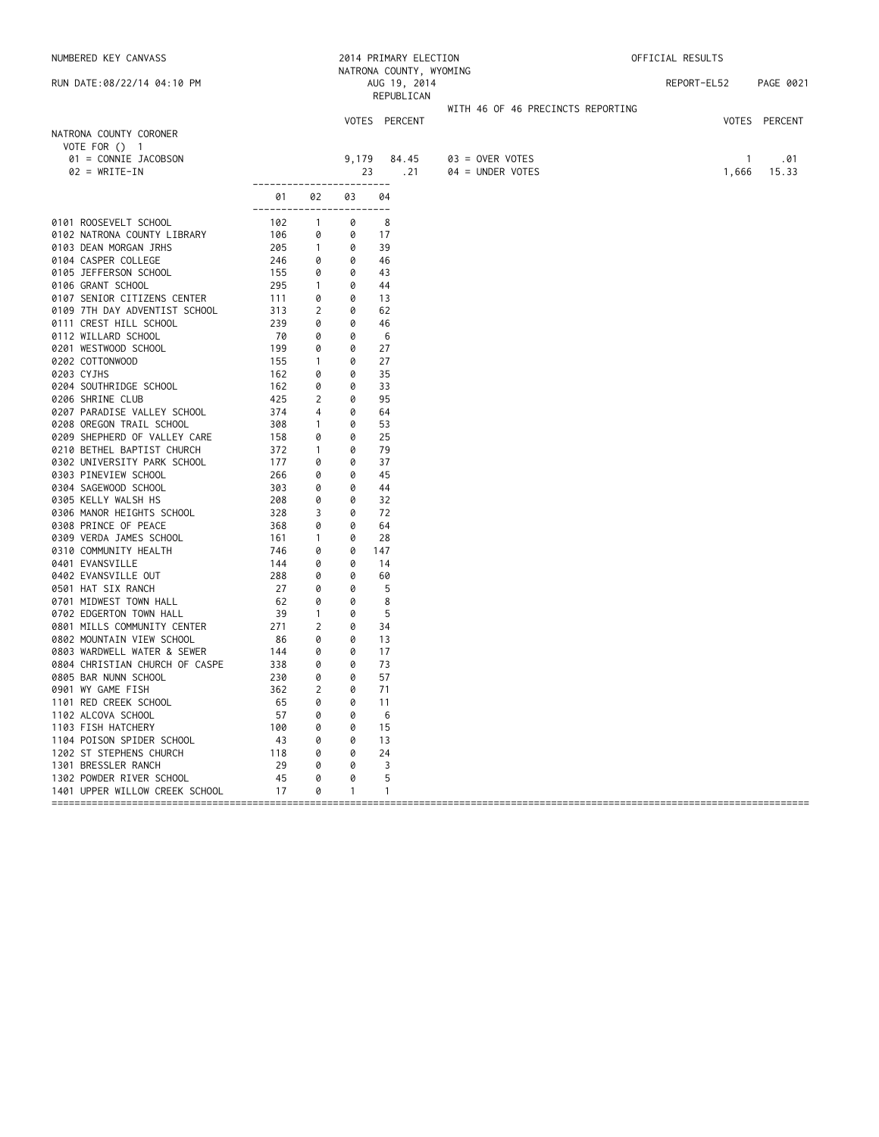NUMBERED KEY CANVASS 2014 PRIMARY ELECTION OFFICIAL RESULTS NATRONA COUNTY, WYOMING RUN DATE:08/22/14 04:10 PM AUG 19, 2014 REPORT-EL52 PAGE 0021 REPUBLICAN WITH 46 OF 46 PRECINCTS REPORTING VOTES PERCENT VOTES PERCENT NATRONA COUNTY CORONER VOTE FOR () 1 01 = CONNIE JACOBSON 9,179 84.45 03 = OVER VOTES 1 .01  $04 =$  UNDER VOTES ------------------------ 01 02 03 04 ------------------------ 0101 ROOSEVELT SCHOOL 102 1 0 8 0102 NATRONA COUNTY LIBRARY 106 0 0 17<br>0103 DEAN MORGAN JRHS 205 1 0 39 0103 DEAN MORGAN JRHS 205 1 0 39 0104 CASPER COLLEGE 246 0 0 46 0105 JEFFERSON SCHOOL 155 0 0 43 0106 GRANT SCHOOL 295 1 0 44 0107 SENIOR CITIZENS CENTER 111 0 0 13 0109 7TH DAY ADVENTIST SCHOOL 313 2 0 62<br>0111 CREST HILL SCHOOL 239 0 0 46 0111 CREST HILL SCHOOL 239 0 0 46 0112 WILLARD SCHOOL 70 0 0 6 0201 WESTWOOD SCHOOL 199 0 0 27 0202 COTTONWOOD 155 1 0<br>0203 CYJHS 162 0 0 0203 CYJHS 162 0 0 35 0204 SOUTHRIDGE SCHOOL 162 0 0 33 0206 SHRINE CLUB 425 2 0 95 0207 PARADISE VALLEY SCHOOL 374 4 0 64 0208 OREGON TRAIL SCHOOL 308 1 0 53 0209 SHEPHERD OF VALLEY CARE 158 0 0 25<br>0210 BETHEL BAPTIST CHURCH 372 1 0 79 0210 BETHEL BAPTIST CHURCH 372 1 0 79 0302 UNIVERSITY PARK SCHOOL 177 0 0 0303 PINEVIEW SCHOOL 266 0 0 45 0304 SAGEWOOD SCHOOL 303 0 0 44 0305 KELLY WALSH HS 208 0 0 32 0306 MANOR HEIGHTS SCHOOL 328 3 0 72 0308 PRINCE OF PEACE 368 0 0 64 0309 VERDA JAMES SCHOOL 161 1 0 28 0310 COMMUNITY HEALTH 746 0 0 147 0401 EVANSVILLE 144 0 0 14 0402 EVANSVILLE OUT 288 0 0 0501 HAT SIX RANCH 27 0 0 5 0701 MIDWEST TOWN HALL 62 0 0 8 0702 EDGERTON TOWN HALL 39 1 0 5 0801 MILLS COMMUNITY CENTER 271 2 0 34 0802 MOUNTAIN VIEW SCHOOL 86 0 0 13 0803 WARDWELL WATER & SEWER 144 0 0 17<br>0804 CHRISTIAN CHURCH OF CASPE 338 0 0 73 0804 CHRISTIAN CHURCH OF CASPE 338 0 0 73<br>0805 BAR NUNN SCHOOL 230 0 0 57 0805 BAR NUNN SCHOOL 230 0 0 57 0901 WY GAME FISH 362 2 0 71 1101 RED CREEK SCHOOL 65 0 0 11 1102 ALCOVA SCHOOL 57 0 0 6 1103 FISH HATCHERY 100 0 0 15 1104 POISON SPIDER SCHOOL 43 0 0 1202 ST STEPHENS CHURCH 118 0 0 24<br>1301 BRESSLER RANCH 29 0 0 3 1301 BRESSLER RANCH 29 0 0 3 1302 POWDER RIVER SCHOOL 45 0 0 5 1401 UPPER WILLOW CREEK SCHOOL 17 0 1 1 ====================================================================================================================================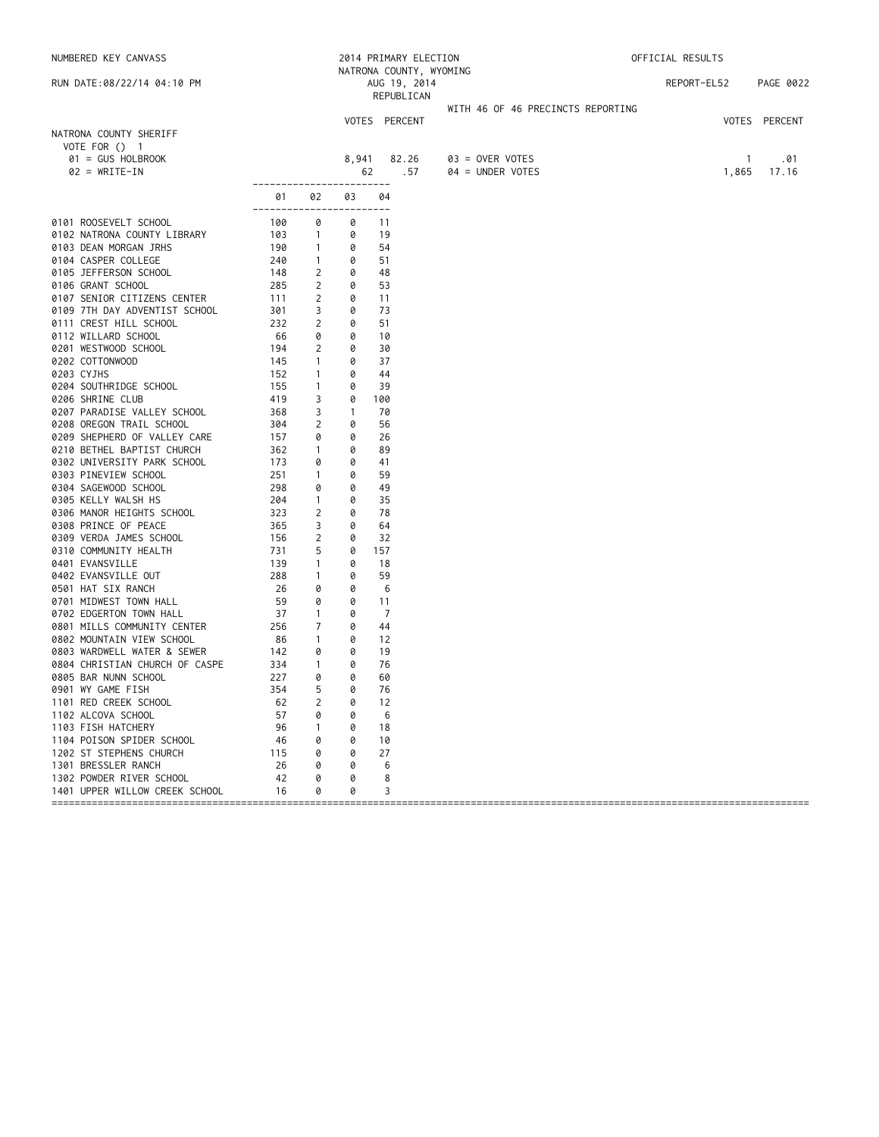NUMBERED KEY CANVASS 2014 PRIMARY ELECTION OFFICIAL RESULTS NATRONA COUNTY, WYOMING<br>AUG 19, 2014 RUN DATE:08/22/14 04:10 PM AUG 19, 2014 REPORT-EL52 PAGE 0022 REPUBLICAN WITH 46 OF 46 PRECINCTS REPORTING VOTES PERCENT VOTES PERCENT NATRONA COUNTY SHERIFF VOTE FOR () 1 01 = GUS HOLBROOK 8,941 82.26 03 = OVER VOTES 1 .01  $04 =$  UNDER VOTES ------------------------ 01 02 03 04 ------------------------ 0101 ROOSEVELT SCHOOL 100 0 0 11 0102 NATRONA COUNTY LIBRARY 103 1 0 19<br>0103 DEAN MORGAN JRHS 100 1 0 54 0103 DEAN MORGAN JRHS 190 1 0 54 0104 CASPER COLLEGE 240 1 0 51 0105 JEFFERSON SCHOOL 148 2 0 48 0104 CASPER COLLEGE 240 1 0 51<br>
0105 JEFFERSON SCHOOL 148 2 0 48<br>
0106 GRANT SCHOOL 285 2 0 53<br>
0107 SENIOR CITIZENS CENTER 111 2 0 11<br>
0109 7TH DAY ADVENTIST SCHOOL 301 3 0 73<br>
0111 CREST HILL SCHOOL 232 2 0 51 0107 SENIOR CITIZENS CENTER 111 2 0 11<br>0109 7TH DAY ADVENTIST SCHOOL 301 3 0 73 0109 7TH DAY ADVENTIST SCHOOL 301 3 0 73<br>0111 CREST HILL SCHOOL 232 2 0 51 0111 CREST HILL SCHOOL 232 2 0 51 0112 WILLARD SCHOOL 66 0 0 10 0201 WESTWOOD SCHOOL 194 2 0 30<br>0202 COTTONWOOD 145 1 0 37 0202 COTTONWOOD 145 1 0<br>0203 CYJHS 152 1 0 0203 CYJHS 152 1 0 44 0204 SOUTHRIDGE SCHOOL 155 1 0 39 0206 SHRINE CLUB 419 3 0 100 0207 PARADISE VALLEY SCHOOL 368 3 1 70 0208 OREGON TRAIL SCHOOL 304 2 0 56 0209 SHEPHERD OF VALLEY CARE 157 0 0 26<br>0210 BETHEL BAPTIST CHURCH 362 1 0 89 0210 BETHEL BAPTIST CHURCH 362 1 0 89 0302 UNIVERSITY PARK SCHOOL 173 0 0 41<br>0303 PINEVIEW SCHOOL 1251 1 0 59 0303 PINEVIEW SCHOOL 251 1 0 59 0304 SAGEWOOD SCHOOL 298 0 0 49 0305 KELLY WALSH HS 204 1 0 35 0306 MANOR HEIGHTS SCHOOL 323 2 0 78 0308 PRINCE OF PEACE 365 3 0 64 0309 VERDA JAMES SCHOOL 156 2 0 32 0310 COMMUNITY HEALTH 731 5 0<br>
0401 EVANSVILLE 139 1 0<br>
0402 EVANSVILLE OUT 288 1 0<br>
0501 HAT SIX RANCH 26 0 0 0401 EVANSVILLE 139 1 0 18 0402 EVANSVILLE OUT 288 1 0 0501 HAT SIX RANCH 26 0 0 6 0701 MIDWEST TOWN HALL 59 0 0 11<br>19702 EDGERTON TOWN HALL 37 1 0 7 0702 EDGERTON TOWN HALL 37 1 0 7 0801 MILLS COMMUNITY CENTER<br>
0801 MILLS COMMUNITY CENTER
0802 MOUNTAIN VIEW SCHOOL
080 1 0 12 0802 MOUNTAIN VIEW SCHOOL 86 1 0 12 0803 WARDWELL WATER & SEWER 142 0 0 19 0804 CHRISTIAN CHURCH OF CASPE 334 1 0 76 0805 BAR NUNN SCHOOL 227 0 0 60 0901 WY GAME FISH 354 5 0 76 1101 RED CREEK SCHOOL 62 2 0 12 1102 ALCOVA SCHOOL 57 0 0 6 1103 FISH HATCHERY 96 1 0 18 1104 POISON SPIDER SCHOOL 46 0 0 1202 ST STEPHENS CHURCH 115 0 0 27<br>1301 BRESSLER RANCH 26 0 0 6 1301 BRESSLER RANCH 26 0 0 6 1302 POWDER RIVER SCHOOL 42 0 0 8 1401 UPPER WILLOW CREEK SCHOOL 16 0 0 3 ====================================================================================================================================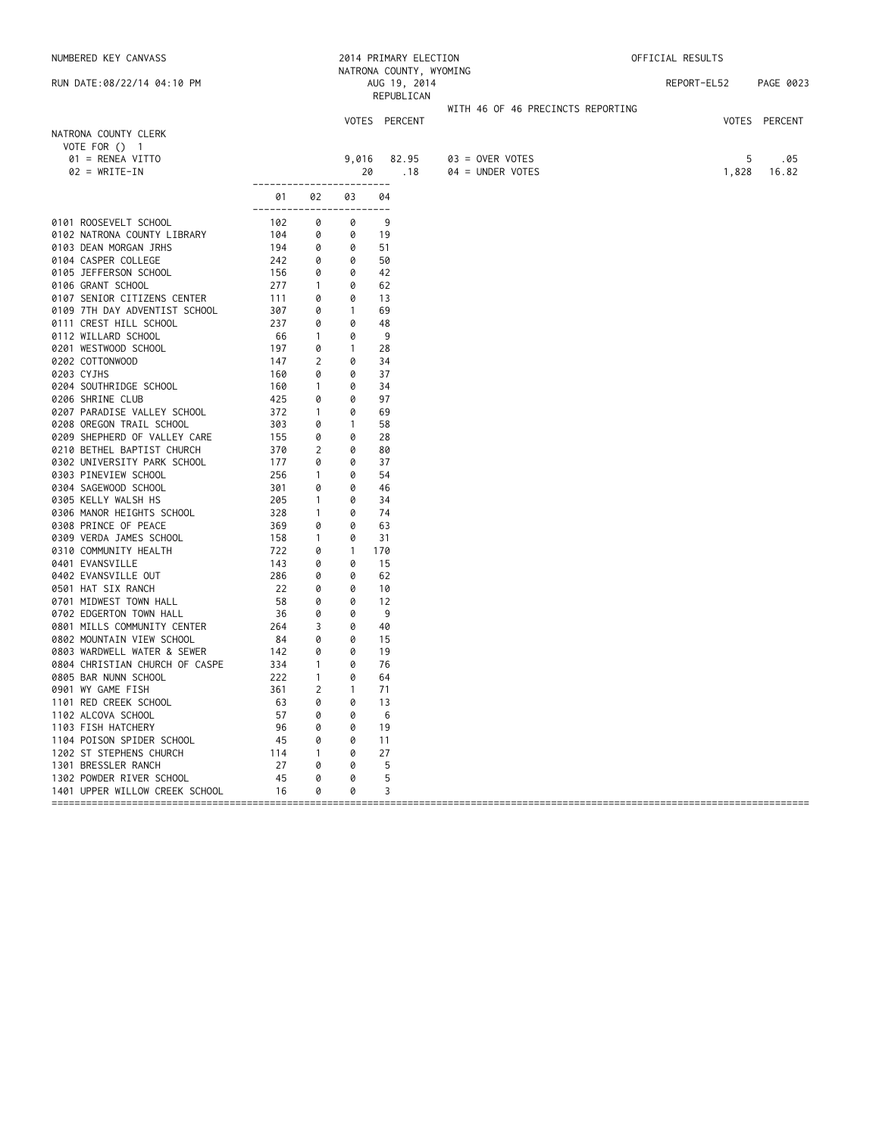| NUMBERED KEY CANVASS                    |               |                |                   | 2014 PRIMARY ELECTION      |                                   | OFFICIAL RESULTS |               |
|-----------------------------------------|---------------|----------------|-------------------|----------------------------|-----------------------------------|------------------|---------------|
|                                         |               |                |                   | NATRONA COUNTY, WYOMING    |                                   |                  |               |
| RUN DATE:08/22/14 04:10 PM              |               |                |                   | AUG 19, 2014<br>REPUBLICAN |                                   | REPORT-EL52      | PAGE 0023     |
|                                         |               |                |                   |                            | WITH 46 OF 46 PRECINCTS REPORTING |                  |               |
|                                         |               |                |                   | VOTES PERCENT              |                                   |                  | VOTES PERCENT |
| NATRONA COUNTY CLERK                    |               |                |                   |                            |                                   |                  |               |
| VOTE FOR $()$ 1                         |               |                |                   |                            |                                   |                  |               |
| 01 = RENEA VITTO                        |               |                | 9,016             | 82.95                      | $03 =$ OVER VOTES                 | 5                | .05           |
| $02 = WRITE-IN$                         |               |                | 20                | .18                        | 04 = UNDER VOTES                  | 1,828            | 16.82         |
|                                         |               |                |                   | $- - -$                    |                                   |                  |               |
|                                         | 01<br>------- | 02             | 03                | 04                         |                                   |                  |               |
| 0101 ROOSEVELT SCHOOL                   | 102           | 0              | 0                 | 9                          |                                   |                  |               |
| 0102 NATRONA COUNTY LIBRARY             | 104           | 0              | 0                 | 19                         |                                   |                  |               |
| 0103 DEAN MORGAN JRHS                   | 194           | 0              | 0                 | 51                         |                                   |                  |               |
| 0104 CASPER COLLEGE                     | 242           | 0              | 0                 | 50                         |                                   |                  |               |
| 0105 JEFFERSON SCHOOL                   | 156           | 0              | 0                 | 42                         |                                   |                  |               |
| 0106 GRANT SCHOOL                       | 277           | $\mathbf{1}$   | 0                 | 62                         |                                   |                  |               |
| 0107 SENIOR CITIZENS CENTER             | 111           | 0              | 0                 | 13                         |                                   |                  |               |
| 0109 7TH DAY ADVENTIST SCHOOL           | 307           | 0              | $\mathbf{1}$      | 69                         |                                   |                  |               |
| 0111 CREST HILL SCHOOL                  | 237           | 0              | 0                 | 48                         |                                   |                  |               |
| 0112 WILLARD SCHOOL                     | 66            | $\mathbf{1}$   | 0                 | 9<br>28                    |                                   |                  |               |
| 0201 WESTWOOD SCHOOL<br>0202 COTTONWOOD | 197<br>147    | 0<br>2         | $\mathbf{1}$<br>0 | 34                         |                                   |                  |               |
| 0203 CYJHS                              | 160           | 0              | 0                 | 37                         |                                   |                  |               |
| 0204 SOUTHRIDGE SCHOOL                  | 160           | $\overline{1}$ | 0                 | 34                         |                                   |                  |               |
| 0206 SHRINE CLUB                        | 425           | 0              | 0                 | 97                         |                                   |                  |               |
| 0207 PARADISE VALLEY SCHOOL             | 372           | $\overline{1}$ | 0                 | 69                         |                                   |                  |               |
| 0208 OREGON TRAIL SCHOOL                | 303           | 0              | $\mathbf{1}$      | 58                         |                                   |                  |               |
| 0209 SHEPHERD OF VALLEY CARE            | 155           | 0              | 0                 | 28                         |                                   |                  |               |
| 0210 BETHEL BAPTIST CHURCH              | 370           | 2              | 0                 | 80                         |                                   |                  |               |
| 0302 UNIVERSITY PARK SCHOOL             | 177           | 0              | 0                 | 37                         |                                   |                  |               |
| 0303 PINEVIEW SCHOOL                    | 256           | $\mathbf{1}$   | 0                 | 54                         |                                   |                  |               |
| 0304 SAGEWOOD SCHOOL                    | 301           | 0              | 0                 | 46                         |                                   |                  |               |
| 0305 KELLY WALSH HS                     | 205           | $\mathbf{1}$   | 0                 | 34                         |                                   |                  |               |
| 0306 MANOR HEIGHTS SCHOOL               | 328           | $\mathbf{1}$   | 0                 | 74                         |                                   |                  |               |
| 0308 PRINCE OF PEACE                    | 369           | 0              | 0                 | 63                         |                                   |                  |               |
| 0309 VERDA JAMES SCHOOL                 | 158           | $\overline{1}$ | 0                 | 31                         |                                   |                  |               |
| 0310 COMMUNITY HEALTH                   | 722           | 0              | $\mathbf{1}$      | 170                        |                                   |                  |               |
| 0401 EVANSVILLE<br>0402 EVANSVILLE OUT  | 143<br>286    | 0<br>0         | 0<br>0            | 15<br>62                   |                                   |                  |               |
| 0501 HAT SIX RANCH                      | 22            | 0              | 0                 | 10                         |                                   |                  |               |
| 0701 MIDWEST TOWN HALL                  | 58            | 0              | 0                 | 12                         |                                   |                  |               |
| 0702 EDGERTON TOWN HALL                 | 36            | 0              | 0                 | 9                          |                                   |                  |               |
| 0801 MILLS COMMUNITY CENTER             | 264           | 3              | 0                 | 40                         |                                   |                  |               |
| 0802 MOUNTAIN VIEW SCHOOL               | 84            | 0              | 0                 | 15                         |                                   |                  |               |
| 0803 WARDWELL WATER & SEWER             | 142           | 0              | 0                 | 19                         |                                   |                  |               |
| 0804 CHRISTIAN CHURCH OF CASPE          | 334           | $\mathbf{1}$   | 0                 | 76                         |                                   |                  |               |
| 0805 BAR NUNN SCHOOL                    | 222           | $\mathbf{1}$   | 0                 | 64                         |                                   |                  |               |
| 0901 WY GAME FISH                       | 361           | $\overline{2}$ | 1                 | 71                         |                                   |                  |               |
| 1101 RED CREEK SCHOOL                   | 63            | 0              | 0                 | 13                         |                                   |                  |               |
| 1102 ALCOVA SCHOOL                      | 57            | 0              | 0                 | 6                          |                                   |                  |               |
| 1103 FISH HATCHERY                      | 96            | 0              | 0                 | 19                         |                                   |                  |               |
| 1104 POISON SPIDER SCHOOL               | 45            | 0              | 0                 | 11                         |                                   |                  |               |
| 1202 ST STEPHENS CHURCH                 | 114           | $\mathbf{1}$   | 0                 | 27                         |                                   |                  |               |
| 1301 BRESSLER RANCH                     | 27            | 0              | 0                 | 5                          |                                   |                  |               |
| 1302 POWDER RIVER SCHOOL                | 45            | 0              | 0                 | 5                          |                                   |                  |               |
| 1401 UPPER WILLOW CREEK SCHOOL          | 16            | 0              | 0                 | 3                          |                                   |                  |               |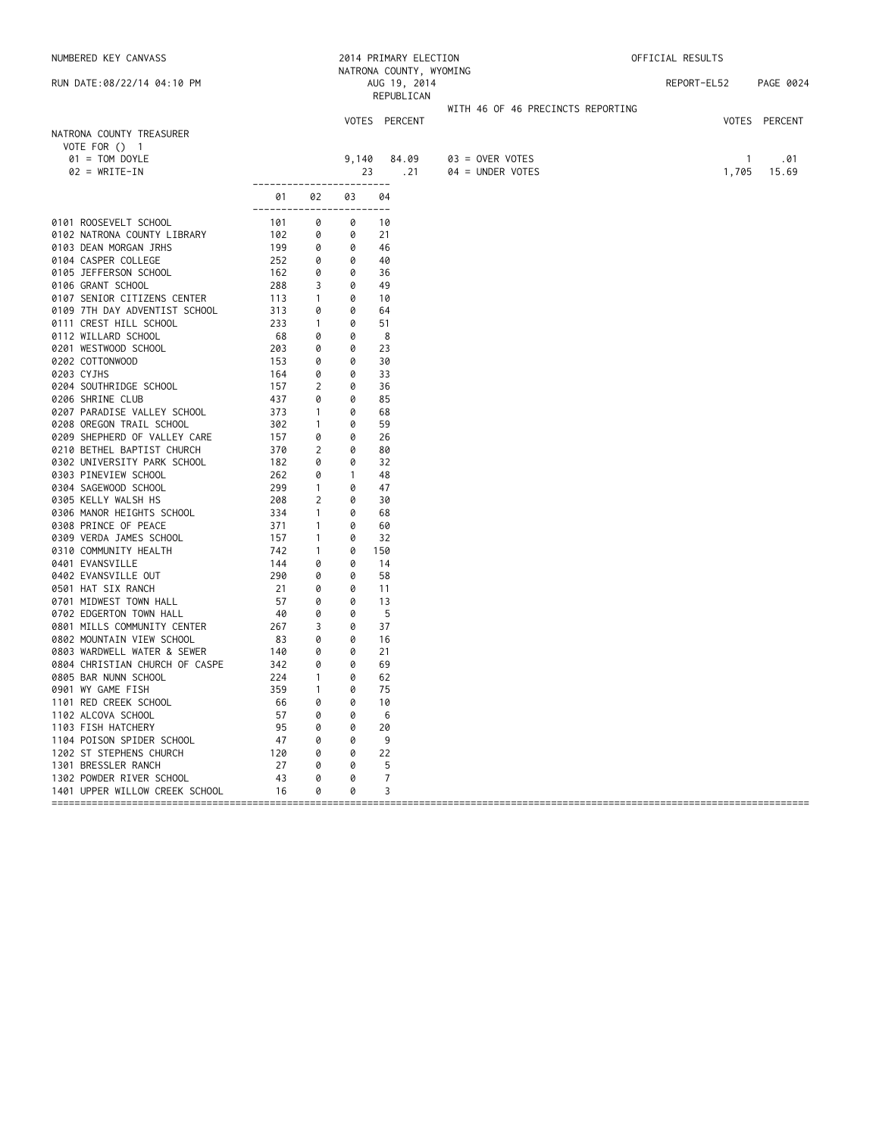|                    | NUMBERED KEY CANVASS                                         |                    |                              |                   | 2014 PRIMARY ELECTION                   |                                   | OFFICIAL RESULTS |              |               |  |
|--------------------|--------------------------------------------------------------|--------------------|------------------------------|-------------------|-----------------------------------------|-----------------------------------|------------------|--------------|---------------|--|
|                    | RUN DATE:08/22/14 04:10 PM                                   |                    |                              |                   | NATRONA COUNTY, WYOMING<br>AUG 19, 2014 |                                   | REPORT-EL52      |              | PAGE 0024     |  |
|                    |                                                              |                    |                              |                   | REPUBLICAN                              |                                   |                  |              |               |  |
|                    |                                                              |                    |                              |                   |                                         | WITH 46 OF 46 PRECINCTS REPORTING |                  |              |               |  |
|                    |                                                              |                    |                              |                   | VOTES PERCENT                           |                                   |                  |              | VOTES PERCENT |  |
| VOTE FOR () 1      | NATRONA COUNTY TREASURER                                     |                    |                              |                   |                                         |                                   |                  |              |               |  |
|                    | $01 = TOM DOYLE$                                             |                    |                              | 9,140             | 84.09                                   | $03 =$ OVER VOTES                 |                  | $\mathbf{1}$ | .01           |  |
|                    | $02 = WRITE-IN$                                              |                    |                              | 23                | . 21                                    | 04 = UNDER VOTES                  |                  | 1,705        | 15.69         |  |
|                    |                                                              |                    |                              |                   | $- - - -$                               |                                   |                  |              |               |  |
|                    |                                                              | 01<br>------------ | 02                           | 03<br>$- - - - -$ | 04                                      |                                   |                  |              |               |  |
|                    | 0101 ROOSEVELT SCHOOL                                        | 101                | 0                            | 0                 | 10                                      |                                   |                  |              |               |  |
|                    | 0102 NATRONA COUNTY LIBRARY                                  | 102                | 0                            | 0                 | 21                                      |                                   |                  |              |               |  |
|                    | 0103 DEAN MORGAN JRHS                                        | 199                | 0                            | 0                 | 46                                      |                                   |                  |              |               |  |
|                    | 0104 CASPER COLLEGE                                          | 252                | 0                            | 0                 | 40                                      |                                   |                  |              |               |  |
|                    | 0105 JEFFERSON SCHOOL                                        | 162                | 0                            | 0                 | 36                                      |                                   |                  |              |               |  |
| 0106 GRANT SCHOOL  |                                                              | 288                | 3                            | 0                 | 49                                      |                                   |                  |              |               |  |
|                    | 0107 SENIOR CITIZENS CENTER<br>0109 7TH DAY ADVENTIST SCHOOL | 113<br>313         | $\mathbf{1}$<br>0            | 0<br>0            | 10<br>64                                |                                   |                  |              |               |  |
|                    | 0111 CREST HILL SCHOOL                                       | 233                | $\mathbf{1}$                 | 0                 | 51                                      |                                   |                  |              |               |  |
|                    | 0112 WILLARD SCHOOL                                          | 68                 | 0                            | 0                 | 8                                       |                                   |                  |              |               |  |
|                    | 0201 WESTWOOD SCHOOL                                         | 203                | 0                            | 0                 | 23                                      |                                   |                  |              |               |  |
| 0202 COTTONWOOD    |                                                              | 153                | 0                            | 0                 | 30                                      |                                   |                  |              |               |  |
| 0203 CYJHS         |                                                              | 164                | 0                            | 0                 | 33                                      |                                   |                  |              |               |  |
|                    | 0204 SOUTHRIDGE SCHOOL                                       | 157                | 2                            | 0                 | 36                                      |                                   |                  |              |               |  |
| 0206 SHRINE CLUB   |                                                              | 437                | 0                            | 0                 | 85                                      |                                   |                  |              |               |  |
|                    | 0207 PARADISE VALLEY SCHOOL                                  | 373<br>302         | $\mathbf{1}$                 | 0<br>0            | 68<br>59                                |                                   |                  |              |               |  |
|                    | 0208 OREGON TRAIL SCHOOL<br>0209 SHEPHERD OF VALLEY CARE     | 157                | $\mathbf{1}$<br>0            | 0                 | 26                                      |                                   |                  |              |               |  |
|                    | 0210 BETHEL BAPTIST CHURCH                                   | 370                | 2                            | 0                 | 80                                      |                                   |                  |              |               |  |
|                    | 0302 UNIVERSITY PARK SCHOOL                                  | 182                | 0                            | 0                 | 32                                      |                                   |                  |              |               |  |
|                    | 0303 PINEVIEW SCHOOL                                         | 262                | 0                            | $\overline{1}$    | 48                                      |                                   |                  |              |               |  |
|                    | 0304 SAGEWOOD SCHOOL                                         | 299                | $\mathbf{1}$                 | 0                 | 47                                      |                                   |                  |              |               |  |
|                    | 0305 KELLY WALSH HS                                          | 208                | 2                            | 0                 | 30                                      |                                   |                  |              |               |  |
|                    | 0306 MANOR HEIGHTS SCHOOL                                    | 334                | $\mathbf{1}$                 | 0                 | 68                                      |                                   |                  |              |               |  |
|                    | 0308 PRINCE OF PEACE                                         | 371                | $\mathbf{1}$                 | 0                 | 60                                      |                                   |                  |              |               |  |
|                    | 0309 VERDA JAMES SCHOOL<br>0310 COMMUNITY HEALTH             | 157<br>742         | $\mathbf{1}$<br>$\mathbf{1}$ | 0<br>0            | 32<br>150                               |                                   |                  |              |               |  |
| 0401 EVANSVILLE    |                                                              | 144                | 0                            | 0                 | 14                                      |                                   |                  |              |               |  |
|                    | 0402 EVANSVILLE OUT                                          | 290                | 0                            | 0                 | 58                                      |                                   |                  |              |               |  |
| 0501 HAT SIX RANCH |                                                              | 21                 | 0                            | 0                 | 11                                      |                                   |                  |              |               |  |
|                    | 0701 MIDWEST TOWN HALL                                       | 57                 | 0                            | 0                 | 13                                      |                                   |                  |              |               |  |
|                    | 0702 EDGERTON TOWN HALL                                      | 40                 | 0                            | 0                 | -5                                      |                                   |                  |              |               |  |
|                    | 0801 MILLS COMMUNITY CENTER                                  | 267                | 3                            | 0                 | 37                                      |                                   |                  |              |               |  |
|                    | 0802 MOUNTAIN VIEW SCHOOL                                    | 83                 | 0                            | 0                 | 16                                      |                                   |                  |              |               |  |
|                    | 0803 WARDWELL WATER & SEWER                                  | 140<br>342         | 0<br>0                       | 0<br>0            | 21<br>69                                |                                   |                  |              |               |  |
|                    | 0804 CHRISTIAN CHURCH OF CASPE<br>0805 BAR NUNN SCHOOL       | 224                | $\mathbf{1}$                 | 0                 | 62                                      |                                   |                  |              |               |  |
| 0901 WY GAME FISH  |                                                              | 359                | $\mathbf{1}$                 | 0                 | 75                                      |                                   |                  |              |               |  |
|                    | 1101 RED CREEK SCHOOL                                        | 66                 | 0                            | 0                 | 10                                      |                                   |                  |              |               |  |
| 1102 ALCOVA SCHOOL |                                                              | 57                 | 0                            | 0                 | 6                                       |                                   |                  |              |               |  |
| 1103 FISH HATCHERY |                                                              | 95                 | 0                            | 0                 | 20                                      |                                   |                  |              |               |  |
|                    | 1104 POISON SPIDER SCHOOL                                    | 47                 | 0                            | 0                 | 9                                       |                                   |                  |              |               |  |
|                    | 1202 ST STEPHENS CHURCH                                      | 120                | 0                            | 0                 | 22                                      |                                   |                  |              |               |  |
|                    | 1301 BRESSLER RANCH                                          | 27                 | 0                            | 0                 | 5                                       |                                   |                  |              |               |  |
|                    | 1302 POWDER RIVER SCHOOL<br>1401 UPPER WILLOW CREEK SCHOOL   | 43<br>16           | 0<br>0                       | 0<br>0            | 7<br>3                                  |                                   |                  |              |               |  |
|                    |                                                              |                    |                              |                   |                                         |                                   |                  |              |               |  |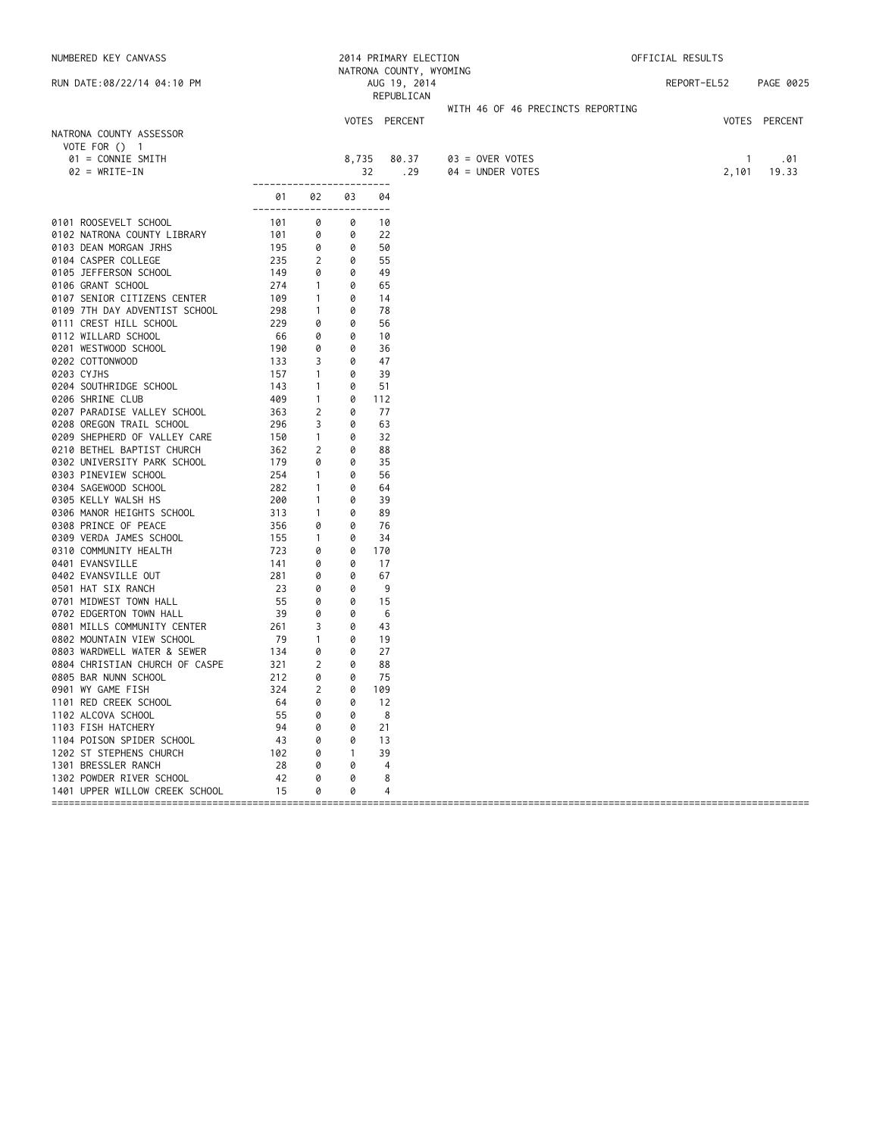NUMBERED KEY CANVASS 2014 PRIMARY ELECTION OFFICIAL RESULTS NATRONA COUNTY, WYOMING RUN DATE:08/22/14 04:10 PM AUG 19, 2014 REPORT-EL52 PAGE 0025 REPUBLICAN WITH 46 OF 46 PRECINCTS REPORTING VOTES PERCENT VOTES PERCENT NATRONA COUNTY ASSESSOR VOTE FOR () 1 01 = CONNIE SMITH 8,735 80.37 03 = OVER VOTES 1 .01 0 32 .29 ------------------------ 01 02 03 04 ------------------------ 0101 ROOSEVELT SCHOOL 101 0 0 10 0102 NATRONA COUNTY LIBRARY 101 0 0 22<br>10103 DEAN MORGAN JRHS 195 0 0 50 0103 DEAN MORGAN JRHS 195 0 0 50 0104 CASPER COLLEGE 235 2 0 55 0105 JEFFERSON SCHOOL 149 0 0 49 0106 GRANT SCHOOL 274 1 0 65 0107 SENIOR CITIZENS CENTER 109 1 0 14<br>0109 7TH DAY ADVENTIST SCHOOL 298 1 0 78 0109 7TH DAY ADVENTIST SCHOOL 298 1 0<br>0111 CREST HILL SCHOOL 229 0 0 0111 CREST HILL SCHOOL 229 0 0 56 0112 WILLARD SCHOOL 66 0 0 10 0201 WESTWOOD SCHOOL 190 0 0 36 0202 COTTONWOOD 133 3 0<br>0203 CYJHS 157 1 0 0203 CYJHS 157 1 0 39 0204 SOUTHRIDGE SCHOOL 143 1 0 51 0206 SHRINE CLUB 1 409 1 0 112 0207 PARADISE VALLEY SCHOOL 363 2 0 77 0208 OREGON TRAIL SCHOOL 296 3 0 63 0209 SHEPHERD OF VALLEY CARE 150 1 0 32 0210 BETHEL BAPTIST CHURCH 362 2 0 88 0302 UNIVERSITY PARK SCHOOL 179 0 0 35 0303 PINEVIEW SCHOOL 254 1 0 56 0304 SAGEWOOD SCHOOL 282 1 0 64 0305 KELLY WALSH HS 200 1 0 39 0306 MANOR HEIGHTS SCHOOL 313 1 0 89 0308 PRINCE OF PEACE 356 0 0 76 0309 VERDA JAMES SCHOOL 155 1 0 34 0310 COMMUNITY HEALTH 723 0<br>
0401 EVANSVILLE 141 0<br>
0402 EVANSVILLE OUT 281 0<br>
0501 HAT SIX RANCH 23 0 0401 EVANSVILLE 141 0 0 17 0402 EVANSVILLE OUT 281 0 0 0501 HAT SIX RANCH 23 0 0 9<br>15 0701 MIDWEST TOWN HALL 55 0 0 15 0701 MIDWEST TOWN HALL 55 0 0 15 0702 EDGERTON TOWN HALL 39 0 0 6 0801 MILLS COMMUNITY CENTER 261 3 0 43 0802 MOUNTAIN VIEW SCHOOL 79 1 0 19 0803 WARDWELL WATER & SEWER 134 0 0 27 0804 CHRISTIAN CHURCH OF CASPE 321 2 0 88<br>0805 BAR NUNN SCHOOL 212 0 0 75<br>0901 WY GAME FISH 324 2 0 190 0805 BAR NUNN SCHOOL 212 0 0 75 0901 WY GAME FISH 324 2 0 109 1101 RED CREEK SCHOOL 64 0 0 12 1102 ALCOVA SCHOOL 55 0 0 8 1103 FISH HATCHERY 94 0 0 21 1104 POISON SPIDER SCHOOL 43 0 0 13 1202 ST STEPHENS CHURCH 102 0 1 39<br>1301 BRESSLER RANCH 28 0 0 4 1301 BRESSLER RANCH 28 0 0 4 1302 POWDER RIVER SCHOOL 42 0 0 8 1401 UPPER WILLOW CREEK SCHOOL 15 0 0 4

====================================================================================================================================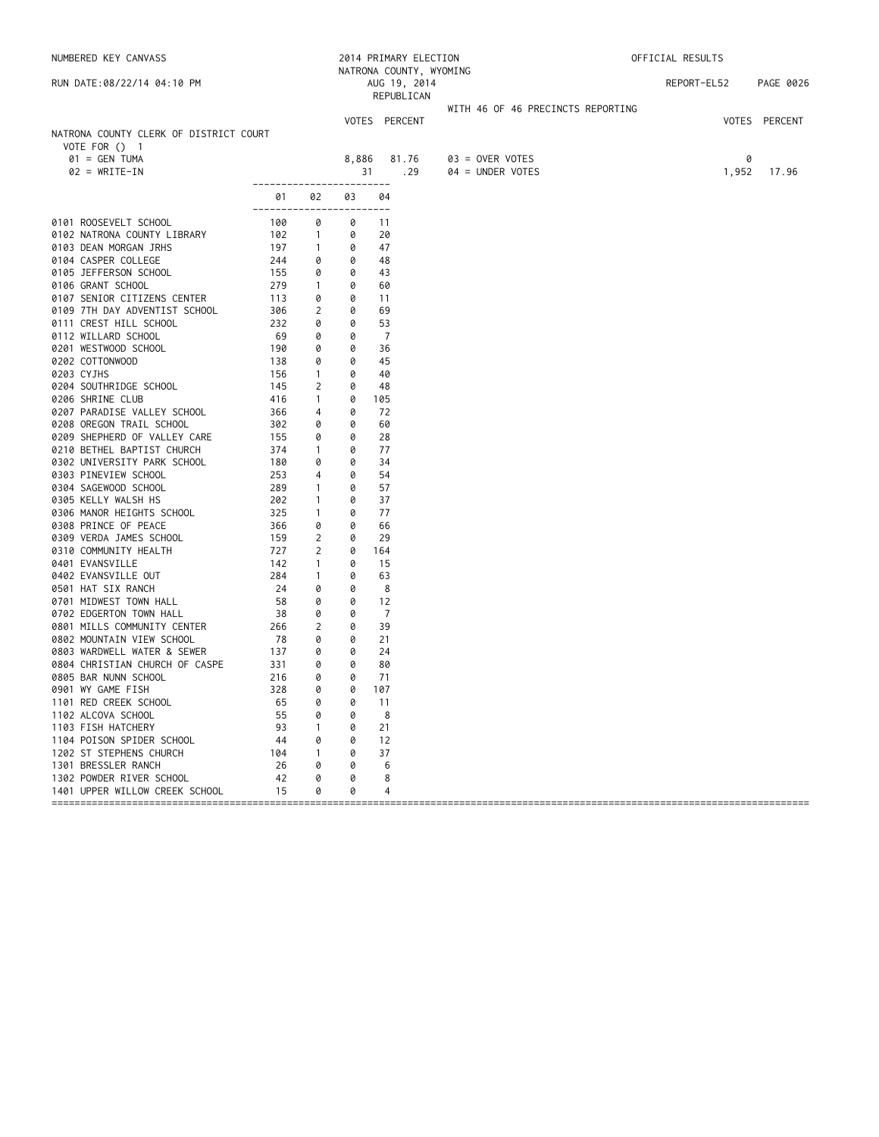| NUMBERED KEY CANVASS                                      |            |                   |        | 2014 PRIMARY ELECTION |                                       | OFFICIAL RESULTS |               |  |  |
|-----------------------------------------------------------|------------|-------------------|--------|-----------------------|---------------------------------------|------------------|---------------|--|--|
| RUN DATE:08/22/14 04:10 PM                                |            |                   |        | AUG 19, 2014          | NATRONA COUNTY, WYOMING               | REPORT-EL52      | PAGE 0026     |  |  |
|                                                           |            |                   |        | REPUBLICAN            |                                       |                  |               |  |  |
|                                                           |            |                   |        |                       | WITH 46 OF 46 PRECINCTS REPORTING     |                  |               |  |  |
|                                                           |            |                   |        | VOTES PERCENT         |                                       |                  | VOTES PERCENT |  |  |
| NATRONA COUNTY CLERK OF DISTRICT COURT                    |            |                   |        |                       |                                       |                  |               |  |  |
| VOTE FOR () 1                                             |            |                   |        |                       |                                       |                  |               |  |  |
| $01 = GEN TUMA$<br>$02 = WRITE-IN$                        |            |                   | 8,886  | 81.76<br>. 29<br>31   | $03 =$ OVER VOTES<br>04 = UNDER VOTES | 0<br>1,952       | 17.96         |  |  |
|                                                           |            |                   |        | ----                  |                                       |                  |               |  |  |
|                                                           | 01         | 02                | 03     | 04                    |                                       |                  |               |  |  |
|                                                           | -------    |                   |        | $- - -$               |                                       |                  |               |  |  |
| 0101 ROOSEVELT SCHOOL<br>0102 NATRONA COUNTY LIBRARY      | 100<br>102 | 0<br>$\mathbf{1}$ | 0<br>0 | 11<br>20              |                                       |                  |               |  |  |
| 0103 DEAN MORGAN JRHS                                     | 197        | $\mathbf{1}$      | 0      | 47                    |                                       |                  |               |  |  |
| 0104 CASPER COLLEGE                                       | 244        | 0                 | 0      | 48                    |                                       |                  |               |  |  |
| 0105 JEFFERSON SCHOOL                                     | 155        | 0                 | 0      | 43                    |                                       |                  |               |  |  |
| 0106 GRANT SCHOOL                                         | 279        | $\mathbf{1}$      | 0      | 60                    |                                       |                  |               |  |  |
| 0107 SENIOR CITIZENS CENTER                               | 113        | 0                 | 0      | 11                    |                                       |                  |               |  |  |
| 0109 7TH DAY ADVENTIST SCHOOL                             | 306        | 2                 | 0      | 69                    |                                       |                  |               |  |  |
| 0111 CREST HILL SCHOOL                                    | 232        | 0                 | 0      | 53                    |                                       |                  |               |  |  |
| 0112 WILLARD SCHOOL                                       | 69         | 0                 | 0      | 7                     |                                       |                  |               |  |  |
| 0201 WESTWOOD SCHOOL                                      | 190        | 0                 | 0      | 36                    |                                       |                  |               |  |  |
| 0202 COTTONWOOD                                           | 138        | 0                 | 0      | 45                    |                                       |                  |               |  |  |
| 0203 CYJHS                                                | 156        | $\mathbf{1}$      | 0      | 40                    |                                       |                  |               |  |  |
| 0204 SOUTHRIDGE SCHOOL                                    | 145        | 2                 | 0      | 48                    |                                       |                  |               |  |  |
| 0206 SHRINE CLUB                                          | 416        | $\mathbf{1}$      | 0      | 105                   |                                       |                  |               |  |  |
| 0207 PARADISE VALLEY SCHOOL                               | 366        | 4                 | 0      | 72                    |                                       |                  |               |  |  |
| 0208 OREGON TRAIL SCHOOL                                  | 302        | 0                 | 0      | 60                    |                                       |                  |               |  |  |
| 0209 SHEPHERD OF VALLEY CARE                              | 155        | 0                 | 0      | 28                    |                                       |                  |               |  |  |
| 0210 BETHEL BAPTIST CHURCH<br>0302 UNIVERSITY PARK SCHOOL | 374<br>180 | $\mathbf{1}$<br>0 | 0<br>0 | 77<br>34              |                                       |                  |               |  |  |
| 0303 PINEVIEW SCHOOL                                      | 253        | 4                 | 0      | 54                    |                                       |                  |               |  |  |
| 0304 SAGEWOOD SCHOOL                                      | 289        | $\mathbf{1}$      | 0      | 57                    |                                       |                  |               |  |  |
| 0305 KELLY WALSH HS                                       | 202        | $\mathbf{1}$      | 0      | 37                    |                                       |                  |               |  |  |
| 0306 MANOR HEIGHTS SCHOOL                                 | 325        | $\mathbf{1}$      | 0      | 77                    |                                       |                  |               |  |  |
| 0308 PRINCE OF PEACE                                      | 366        | 0                 | 0      | 66                    |                                       |                  |               |  |  |
| 0309 VERDA JAMES SCHOOL                                   | 159        | 2                 | 0      | 29                    |                                       |                  |               |  |  |
| 0310 COMMUNITY HEALTH                                     | 727        | 2                 | 0      | 164                   |                                       |                  |               |  |  |
| 0401 EVANSVILLE                                           | 142        | $\mathbf{1}$      | 0      | 15                    |                                       |                  |               |  |  |
| 0402 EVANSVILLE OUT                                       | 284        | $\mathbf{1}$      | 0      | 63                    |                                       |                  |               |  |  |
| 0501 HAT SIX RANCH                                        | 24         | 0                 | 0      | 8                     |                                       |                  |               |  |  |
| 0701 MIDWEST TOWN HALL                                    | 58         | 0                 | 0      | 12                    |                                       |                  |               |  |  |
| 0702 EDGERTON TOWN HALL                                   | 38         | 0                 | 0      | $\overline{7}$        |                                       |                  |               |  |  |
| 0801 MILLS COMMUNITY CENTER                               | 266        | 2                 | 0      | 39                    |                                       |                  |               |  |  |
| 0802 MOUNTAIN VIEW SCHOOL                                 | 78         | 0                 | 0      | 21                    |                                       |                  |               |  |  |
| 0803 WARDWELL WATER & SEWER                               | 137        | 0                 | 0      | 24                    |                                       |                  |               |  |  |
| 0804 CHRISTIAN CHURCH OF CASPE                            | 331        | 0                 | 0      | 80                    |                                       |                  |               |  |  |
| 0805 BAR NUNN SCHOOL                                      | 216<br>328 | 0<br>0            | 0<br>0 | 71<br>107             |                                       |                  |               |  |  |
| 0901 WY GAME FISH                                         |            |                   |        |                       |                                       |                  |               |  |  |
| 1101 RED CREEK SCHOOL<br>1102 ALCOVA SCHOOL               | 65<br>55   | 0<br>0            | 0<br>0 | 11<br>8               |                                       |                  |               |  |  |
| 1103 FISH HATCHERY                                        | 93         | 1                 | 0      | 21                    |                                       |                  |               |  |  |
| 1104 POISON SPIDER SCHOOL                                 | 44         | 0                 | 0      | 12                    |                                       |                  |               |  |  |
| 1202 ST STEPHENS CHURCH                                   | 104        | 1                 | 0      | 37                    |                                       |                  |               |  |  |
| 1301 BRESSLER RANCH                                       | 26         | 0                 | 0      | 6                     |                                       |                  |               |  |  |
| 1302 POWDER RIVER SCHOOL                                  | 42         | 0                 | 0      | 8                     |                                       |                  |               |  |  |
| 1401 UPPER WILLOW CREEK SCHOOL                            | 15         | 0                 | 0      | 4                     |                                       |                  |               |  |  |
|                                                           |            |                   |        |                       |                                       |                  |               |  |  |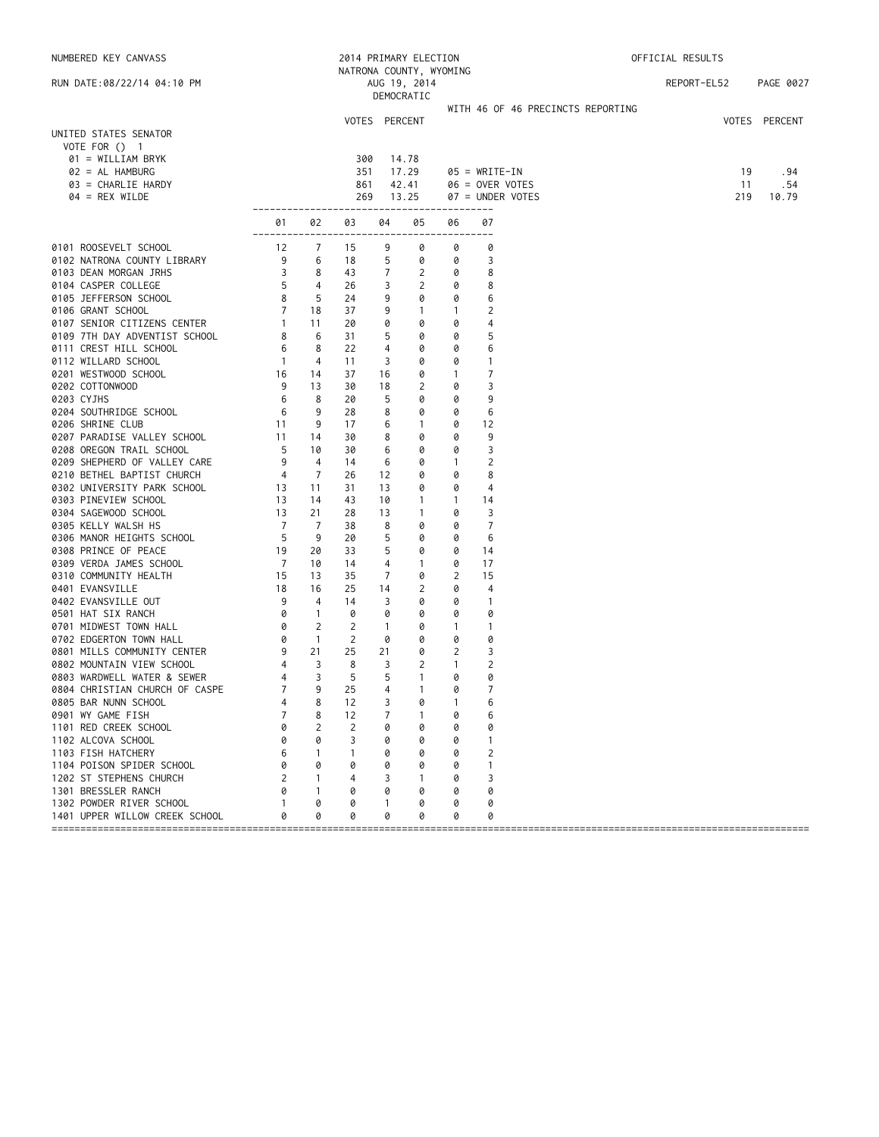| NUMBERED KEY CANVASS                                       |                 |                |          |                | 2014 PRIMARY ELECTION                   |              |                                   | OFFICIAL RESULTS |               |
|------------------------------------------------------------|-----------------|----------------|----------|----------------|-----------------------------------------|--------------|-----------------------------------|------------------|---------------|
| RUN DATE:08/22/14 04:10 PM                                 |                 |                |          |                | NATRONA COUNTY, WYOMING<br>AUG 19, 2014 |              |                                   | REPORT-EL52      | PAGE 0027     |
|                                                            |                 |                |          |                | DEMOCRATIC                              |              |                                   |                  |               |
|                                                            |                 |                |          |                |                                         |              | WITH 46 OF 46 PRECINCTS REPORTING |                  |               |
|                                                            |                 |                |          | VOTES PERCENT  |                                         |              |                                   |                  | VOTES PERCENT |
| UNITED STATES SENATOR<br>VOTE FOR () 1                     |                 |                |          |                |                                         |              |                                   |                  |               |
| 01 = WILLIAM BRYK                                          |                 |                | 300      |                | 14.78                                   |              |                                   |                  |               |
| 02 = AL HAMBURG                                            |                 |                | 351      |                | 17.29                                   |              | $05 = WRITE-IN$                   | 19               | .94           |
| 03 = CHARLIE HARDY                                         |                 |                | 861      |                | 42.41                                   |              | 06 = OVER VOTES                   | 11               | . 54          |
| $04 = REX$ WILDE                                           |                 |                | 269      |                | 13.25                                   |              | 07 = UNDER VOTES                  | 219              | 10.79         |
|                                                            |                 |                |          |                | ------------------                      |              |                                   |                  |               |
|                                                            | 01<br>--------- | 02             | 03       | 04             | 05                                      | 06           | 07<br>$---$                       |                  |               |
| 0101 ROOSEVELT SCHOOL                                      | 12              | $\overline{7}$ | 15       | 9              | 0                                       | 0            | 0                                 |                  |               |
| 0102 NATRONA COUNTY LIBRARY                                | 9               | 6              | 18       | 5              | 0                                       | 0            | 3                                 |                  |               |
| 0103 DEAN MORGAN JRHS                                      | 3               | 8              | 43       | 7              | 2                                       | 0            | 8                                 |                  |               |
| 0104 CASPER COLLEGE                                        | 5               | 4              | 26       | 3              | 2                                       | 0            | 8                                 |                  |               |
| 0105 JEFFERSON SCHOOL                                      | 8               | 5              | 24       | 9              | 0                                       | 0            | 6                                 |                  |               |
| 0106 GRANT SCHOOL                                          | $\overline{7}$  | 18             | 37       | 9              | $\mathbf{1}$                            | $\mathbf{1}$ | 2                                 |                  |               |
| 0107 SENIOR CITIZENS CENTER                                | $\overline{1}$  | 11             | 20       | 0              | 0                                       | 0            | 4                                 |                  |               |
| 0109 7TH DAY ADVENTIST SCHOOL                              | 8               | 6              | 31       | 5              | 0                                       | 0            | 5                                 |                  |               |
| 0111 CREST HILL SCHOOL                                     | 6               | 8              | 22       | 4              | 0                                       | 0            | 6                                 |                  |               |
| 0112 WILLARD SCHOOL                                        | $\overline{1}$  | 4              | 11       | 3              | 0                                       | 0            | $\mathbf{1}$                      |                  |               |
| 0201 WESTWOOD SCHOOL                                       | 16              | 14             | 37       | 16             | 0                                       | $\mathbf{1}$ | $\overline{7}$                    |                  |               |
| 0202 COTTONWOOD                                            | 9               | 13             | 30       | 18             | 2                                       | 0            | 3                                 |                  |               |
| 0203 CYJHS                                                 | 6               | 8<br>9         | 20       | 5              | 0                                       | 0            | 9                                 |                  |               |
| 0204 SOUTHRIDGE SCHOOL<br>0206 SHRINE CLUB                 | 6<br>11         | 9              | 28<br>17 | 8<br>6         | 0<br>$\mathbf{1}$                       | 0<br>0       | 6<br>12                           |                  |               |
| 0207 PARADISE VALLEY SCHOOL                                | 11              | 14             | 30       | 8              | 0                                       | 0            | 9                                 |                  |               |
| 0208 OREGON TRAIL SCHOOL                                   | 5               | 10             | 30       | 6              | 0                                       | 0            | 3                                 |                  |               |
| 0209 SHEPHERD OF VALLEY CARE                               | 9               | 4              | 14       | 6              | 0                                       | $\mathbf{1}$ | $\overline{2}$                    |                  |               |
| 0210 BETHEL BAPTIST CHURCH                                 | 4               | 7              | 26       | 12             | 0                                       | 0            | 8                                 |                  |               |
| 0302 UNIVERSITY PARK SCHOOL                                | 13              | 11             | 31       | 13             | 0                                       | 0            | 4                                 |                  |               |
| 0303 PINEVIEW SCHOOL                                       | 13              | 14             | 43       | 10             | $\mathbf{1}$                            | $\mathbf{1}$ | 14                                |                  |               |
| 0304 SAGEWOOD SCHOOL                                       | 13              | 21             | 28       | 13             | $\mathbf{1}$                            | 0            | 3                                 |                  |               |
| 0305 KELLY WALSH HS                                        | $\overline{7}$  | 7              | 38       | 8              | 0                                       | 0            | 7                                 |                  |               |
| 0306 MANOR HEIGHTS SCHOOL                                  | 5               | 9              | 20       | 5              | 0                                       | 0            | 6                                 |                  |               |
| 0308 PRINCE OF PEACE                                       | 19              | 20             | 33       | 5              | 0                                       | 0            | 14                                |                  |               |
| 0309 VERDA JAMES SCHOOL                                    | $\overline{7}$  | 10             | 14       | 4              | $\mathbf{1}$                            | 0            | 17                                |                  |               |
| 0310 COMMUNITY HEALTH                                      | 15              | 13             | 35       | 7              | 0                                       | 2            | 15                                |                  |               |
| 0401 EVANSVILLE                                            | 18              | 16             | 25       | 14             | 2                                       | 0            | 4                                 |                  |               |
| 0402 EVANSVILLE OUT                                        | 9               | 4              | 14       | 3              | 0                                       | 0            | $\overline{1}$                    |                  |               |
| 0501 HAT SIX RANCH                                         | 0               | $\overline{1}$ | 0        | 0              | 0                                       | 0            | 0                                 |                  |               |
| 0701 MIDWEST TOWN HALL                                     | 0               | 2              | 2        | $\overline{1}$ | 0                                       | $\mathbf{1}$ | $\overline{1}$                    |                  |               |
| 0702 EDGERTON TOWN HALL                                    | 0               | $\overline{1}$ | 2        | 0              | 0                                       | 0            | 0                                 |                  |               |
| 0801 MILLS COMMUNITY CENTER                                | 9               | 21             | 25       | 21             | 0                                       | 2            | 3                                 |                  |               |
| 0802 MOUNTAIN VIEW SCHOOL                                  | 4               | 3              | 8        | 3              | 2                                       | 1            | 2                                 |                  |               |
| 0803 WARDWELL WATER & SEWER                                | 4               | 3              | 5        | 5              | $\overline{1}$                          | 0            | 0                                 |                  |               |
| 0804 CHRISTIAN CHURCH OF CASPE                             | $\overline{7}$  | 9              | 25       | 4              | $\mathbf{1}$                            | 0            | 7                                 |                  |               |
| 0805 BAR NUNN SCHOOL                                       | 4               | 8              | 12       | 3              | 0                                       | -1           | 6                                 |                  |               |
| 0901 WY GAME FISH                                          | 7               | 8              | 12       | 7              | $\mathbf{1}$                            | 0            | 6                                 |                  |               |
| 1101 RED CREEK SCHOOL                                      | Ø               | 2              | 2        | 0              | 0                                       | 0            | 0                                 |                  |               |
| 1102 ALCOVA SCHOOL                                         | 0               | 0              | 3        |                | 0                                       | 0            | 1                                 |                  |               |
| 1103 FISH HATCHERY                                         | 6               | 1              |          |                | 0                                       | 0            | 2                                 |                  |               |
| 1104 POISON SPIDER SCHOOL                                  | 0               | 0              | 0        | Ø              | 0                                       | 0            | 1                                 |                  |               |
| 1202 ST STEPHENS CHURCH                                    | 2               | 1              | 4        | 3              | -1                                      | 0            | 3                                 |                  |               |
| 1301 BRESSLER RANCH                                        | 0               | -1             | 0        |                | 0                                       | 0            | 0                                 |                  |               |
| 1302 POWDER RIVER SCHOOL<br>1401 UPPER WILLOW CREEK SCHOOL |                 | 0<br>0         | 0<br>0   | 0              | 0<br>0                                  | 0<br>0       | 0<br>0                            |                  |               |
|                                                            |                 |                |          |                |                                         |              |                                   |                  |               |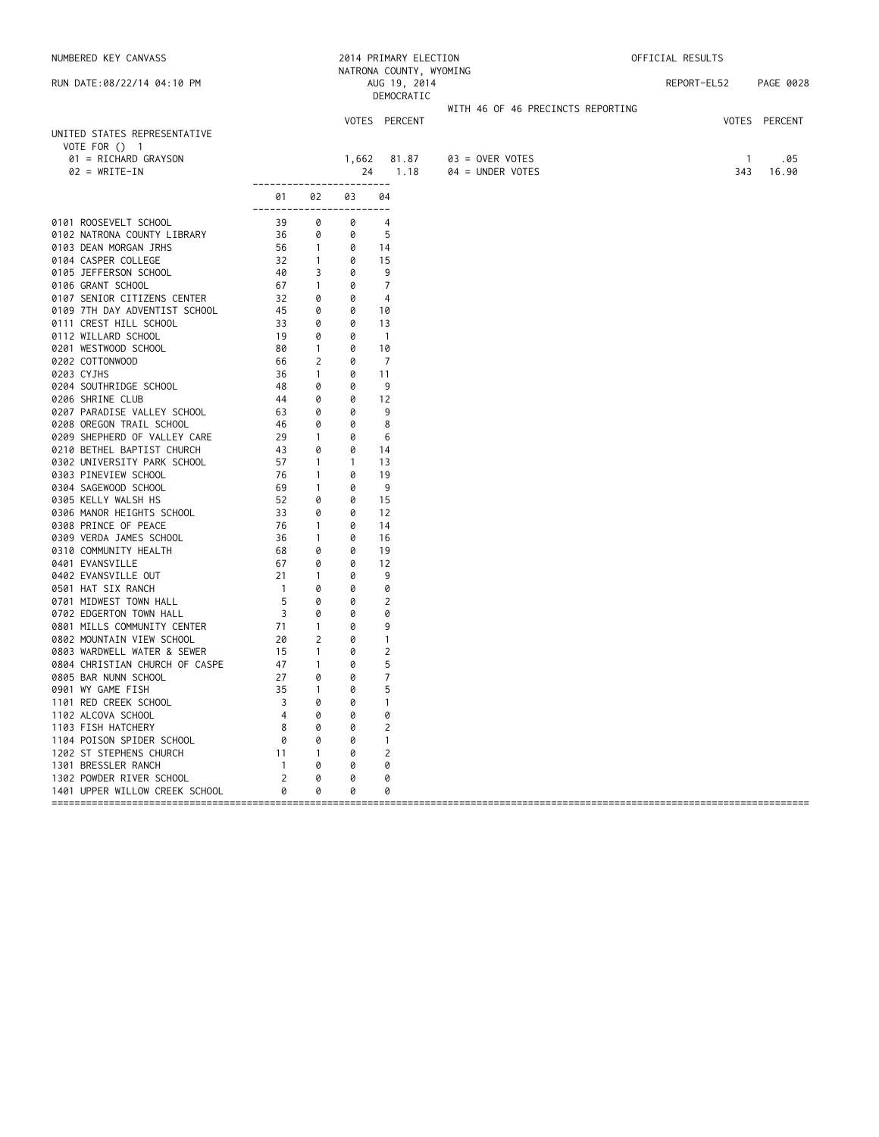| NUMBERED KEY CANVASS                                                  |                                                            |                |              | 2014 PRIMARY ELECTION<br>NATRONA COUNTY, WYOMING |                                   | OFFICIAL RESULTS |                      |  |  |
|-----------------------------------------------------------------------|------------------------------------------------------------|----------------|--------------|--------------------------------------------------|-----------------------------------|------------------|----------------------|--|--|
| RUN DATE:08/22/14 04:10 PM                                            |                                                            |                |              | AUG 19, 2014<br>DEMOCRATIC                       |                                   | REPORT-EL52      | PAGE 0028            |  |  |
|                                                                       |                                                            |                |              |                                                  | WITH 46 OF 46 PRECINCTS REPORTING |                  |                      |  |  |
| UNITED STATES REPRESENTATIVE<br>VOTE FOR () 1<br>01 = RICHARD GRAYSON |                                                            |                | 1,662        | VOTES PERCENT<br>81.87                           | $03 =$ OVER VOTES                 | $\overline{1}$   | VOTES PERCENT<br>.05 |  |  |
| $02 = WRITE-IN$                                                       |                                                            |                | 24           | 1.18                                             | $04 = UNDER VOTES$                | 343              | 16.90                |  |  |
|                                                                       | ------------------------<br>01<br>------------------------ | 02             | 03           | 04                                               |                                   |                  |                      |  |  |
| 0101 ROOSEVELT SCHOOL                                                 | 39                                                         | 0              | 0            | $\overline{4}$                                   |                                   |                  |                      |  |  |
| 0102 NATRONA COUNTY LIBRARY                                           | 36                                                         | 0              | 0            | -5                                               |                                   |                  |                      |  |  |
| 0103 DEAN MORGAN JRHS                                                 | 56                                                         | $\overline{1}$ | 0            | 14                                               |                                   |                  |                      |  |  |
| 0104 CASPER COLLEGE                                                   | 32                                                         | $\overline{1}$ | 0            | 15                                               |                                   |                  |                      |  |  |
| 0105 JEFFERSON SCHOOL                                                 | 40                                                         | 3              | 0            | 9                                                |                                   |                  |                      |  |  |
| 0106 GRANT SCHOOL                                                     | 67                                                         | $\overline{1}$ | 0            | 7                                                |                                   |                  |                      |  |  |
| 0107 SENIOR CITIZENS CENTER                                           | 32                                                         | 0              | 0            | $\overline{4}$                                   |                                   |                  |                      |  |  |
| 0109 7TH DAY ADVENTIST SCHOOL                                         | 45                                                         | 0              | 0            | 10                                               |                                   |                  |                      |  |  |
| 0111 CREST HILL SCHOOL                                                | 33                                                         | 0              | 0            | 13                                               |                                   |                  |                      |  |  |
| 0112 WILLARD SCHOOL                                                   | 19                                                         | 0              | 0            | $\overline{1}$                                   |                                   |                  |                      |  |  |
| 0201 WESTWOOD SCHOOL                                                  | 80                                                         | $\overline{1}$ | 0            | 10                                               |                                   |                  |                      |  |  |
| 0202 COTTONWOOD                                                       | 66                                                         | 2              | 0            | $\overline{7}$                                   |                                   |                  |                      |  |  |
| 0203 CYJHS                                                            | 36                                                         | $\overline{1}$ | 0            | -11                                              |                                   |                  |                      |  |  |
| 0204 SOUTHRIDGE SCHOOL                                                | 48                                                         | 0              | 0            | 9                                                |                                   |                  |                      |  |  |
| 0206 SHRINE CLUB                                                      | 44                                                         | 0              | 0            | 12                                               |                                   |                  |                      |  |  |
| 0207 PARADISE VALLEY SCHOOL                                           | 63                                                         | 0              | 0            | 9                                                |                                   |                  |                      |  |  |
| 0208 OREGON TRAIL SCHOOL                                              | 46                                                         | 0              | 0            | 8                                                |                                   |                  |                      |  |  |
| 0209 SHEPHERD OF VALLEY CARE                                          | 29                                                         | $\overline{1}$ | 0            | 6                                                |                                   |                  |                      |  |  |
| 0210 BETHEL BAPTIST CHURCH                                            | 43                                                         | 0              | 0            | 14                                               |                                   |                  |                      |  |  |
| 0302 UNIVERSITY PARK SCHOOL                                           | 57                                                         | $\overline{1}$ | $\mathbf{1}$ | 13                                               |                                   |                  |                      |  |  |
| 0303 PINEVIEW SCHOOL                                                  | 76                                                         | $\overline{1}$ | 0            | 19                                               |                                   |                  |                      |  |  |
| 0304 SAGEWOOD SCHOOL                                                  | 69                                                         | $\overline{1}$ | 0            | 9                                                |                                   |                  |                      |  |  |
| 0305 KELLY WALSH HS                                                   | 52                                                         | 0              | 0            | 15                                               |                                   |                  |                      |  |  |
| 0306 MANOR HEIGHTS SCHOOL                                             | 33                                                         | 0              | 0            | 12                                               |                                   |                  |                      |  |  |
| 0308 PRINCE OF PEACE                                                  | 76                                                         | $\overline{1}$ | 0            | 14                                               |                                   |                  |                      |  |  |
| 0309 VERDA JAMES SCHOOL                                               | 36                                                         | $\overline{1}$ | 0            | 16                                               |                                   |                  |                      |  |  |
| 0310 COMMUNITY HEALTH                                                 | 68                                                         | 0              | 0            | 19                                               |                                   |                  |                      |  |  |
| 0401 EVANSVILLE                                                       | 67                                                         | 0              | 0            | 12                                               |                                   |                  |                      |  |  |
| 0402 EVANSVILLE OUT                                                   | 21                                                         | $\overline{1}$ | 0            | 9                                                |                                   |                  |                      |  |  |
| 0501 HAT SIX RANCH                                                    | $\overline{1}$                                             | 0              | 0            | 0                                                |                                   |                  |                      |  |  |
| 0701 MIDWEST TOWN HALL                                                | 5                                                          | 0              | 0            | $\overline{c}$                                   |                                   |                  |                      |  |  |
| 0702 EDGERTON TOWN HALL                                               | $\overline{3}$                                             | 0              | 0            | 0                                                |                                   |                  |                      |  |  |
| 0801 MILLS COMMUNITY CENTER                                           | 71                                                         | $\overline{1}$ | 0            | 9                                                |                                   |                  |                      |  |  |
| 0802 MOUNTAIN VIEW SCHOOL                                             | 20                                                         | 2              | 0            | $\mathbf{1}$                                     |                                   |                  |                      |  |  |
| 0803 WARDWELL WATER & SEWER                                           | 15                                                         | $\overline{1}$ | 0            | $\overline{c}$                                   |                                   |                  |                      |  |  |
| 0804 CHRISTIAN CHURCH OF CASPE                                        | 47                                                         | $\overline{1}$ | 0            | 5                                                |                                   |                  |                      |  |  |
| 0805 BAR NUNN SCHOOL                                                  | 27                                                         | 0              | 0            | $\overline{7}$                                   |                                   |                  |                      |  |  |
| 0901 WY GAME FISH                                                     | 35                                                         | $\sim$ 1       | 0            | 5                                                |                                   |                  |                      |  |  |
| 1101 RED CREEK SCHOOL                                                 |                                                            | 0              | 0            | -1                                               |                                   |                  |                      |  |  |
| 1102 ALCOVA SCHOOL                                                    |                                                            | 0              | 0            | 0                                                |                                   |                  |                      |  |  |
| 1103 FISH HATCHERY                                                    | 8                                                          | 0              | 0            | 2                                                |                                   |                  |                      |  |  |
| 1104 POISON SPIDER SCHOOL                                             | 0                                                          | 0              | 0            | -1                                               |                                   |                  |                      |  |  |
| 1202 ST STEPHENS CHURCH                                               | 11                                                         | 1              | 0            | 2                                                |                                   |                  |                      |  |  |
| 1301 BRESSLER RANCH                                                   | $\mathbf{1}$                                               | 0              | 0            | 0                                                |                                   |                  |                      |  |  |
| 1302 POWDER RIVER SCHOOL                                              | 2                                                          | 0              | 0            | 0                                                |                                   |                  |                      |  |  |
| 1401 UPPER WILLOW CREEK SCHOOL                                        | 0                                                          | 0              | 0            | 0                                                |                                   |                  |                      |  |  |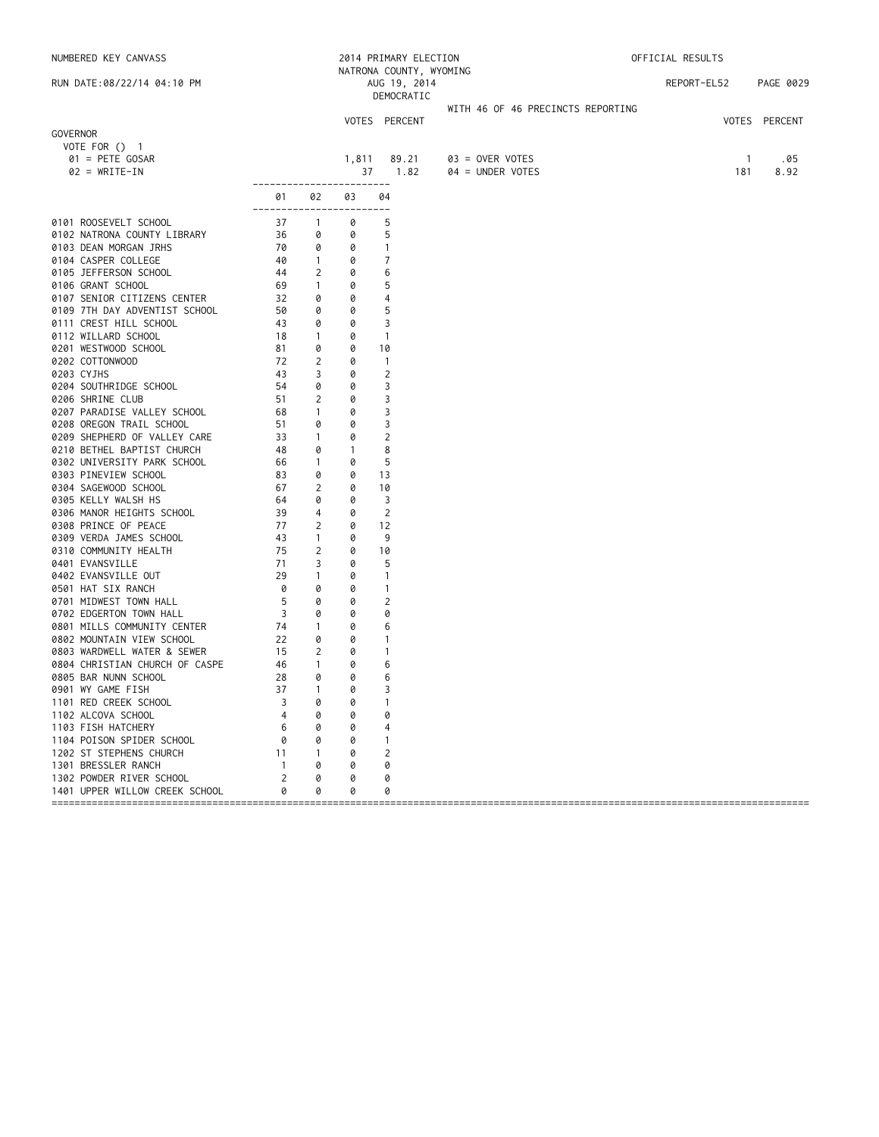| NUMBERED KEY CANVASS                                   |                         |                   |              | 2014 PRIMARY ELECTION                   |                                   | OFFICIAL RESULTS |               |  |  |
|--------------------------------------------------------|-------------------------|-------------------|--------------|-----------------------------------------|-----------------------------------|------------------|---------------|--|--|
| RUN DATE:08/22/14 04:10 PM                             |                         |                   |              | NATRONA COUNTY, WYOMING<br>AUG 19, 2014 |                                   | REPORT-EL52      | PAGE 0029     |  |  |
|                                                        |                         |                   |              | DEMOCRATIC                              |                                   |                  |               |  |  |
|                                                        |                         |                   |              |                                         | WITH 46 OF 46 PRECINCTS REPORTING |                  |               |  |  |
| GOVERNOR                                               |                         |                   |              | VOTES PERCENT                           |                                   |                  | VOTES PERCENT |  |  |
| VOTE FOR $()$ 1                                        |                         |                   |              |                                         |                                   |                  |               |  |  |
| $01 = PETE GOSAR$                                      |                         |                   | 1,811        | 89.21                                   | 03 = OVER VOTES                   | $\mathbf{1}$     | .05           |  |  |
| $02 = WRITE-IN$                                        |                         |                   | 37           | 1.82                                    | $04 = UNDER VOTES$                | 181              | 8.92          |  |  |
|                                                        | -------------           |                   |              | $- - - - - -$                           |                                   |                  |               |  |  |
|                                                        | 01<br>-----------       | 02                | 03           | 04                                      |                                   |                  |               |  |  |
| 0101 ROOSEVELT SCHOOL                                  | 37                      | $\mathbf{1}$      | 0            | 5                                       |                                   |                  |               |  |  |
| 0102 NATRONA COUNTY LIBRARY                            | 36                      | 0                 | 0            | 5                                       |                                   |                  |               |  |  |
| 0103 DEAN MORGAN JRHS                                  | 70                      | 0                 | 0            | $\mathbf{1}$                            |                                   |                  |               |  |  |
| 0104 CASPER COLLEGE                                    | 40                      | $\mathbf{1}$      | 0            | 7                                       |                                   |                  |               |  |  |
| 0105 JEFFERSON SCHOOL                                  | 44                      | 2                 | 0            | 6                                       |                                   |                  |               |  |  |
| 0106 GRANT SCHOOL<br>0107 SENIOR CITIZENS CENTER       | 69<br>32                | $\mathbf{1}$<br>0 | 0<br>0       | 5<br>4                                  |                                   |                  |               |  |  |
| 0109 7TH DAY ADVENTIST SCHOOL                          | 50                      | 0                 | 0            | 5                                       |                                   |                  |               |  |  |
| 0111 CREST HILL SCHOOL                                 | 43                      | 0                 | 0            | 3                                       |                                   |                  |               |  |  |
| 0112 WILLARD SCHOOL                                    | 18                      | $\mathbf{1}$      | 0            | $\overline{1}$                          |                                   |                  |               |  |  |
| 0201 WESTWOOD SCHOOL                                   | 81                      | 0                 | 0            | 10                                      |                                   |                  |               |  |  |
| 0202 COTTONWOOD                                        | 72                      | 2                 | 0            | $\overline{1}$                          |                                   |                  |               |  |  |
| 0203 CYJHS                                             | 43                      | 3                 | 0            | $\overline{c}$                          |                                   |                  |               |  |  |
| 0204 SOUTHRIDGE SCHOOL                                 | 54                      | 0                 | 0<br>0       | 3                                       |                                   |                  |               |  |  |
| 0206 SHRINE CLUB<br>0207 PARADISE VALLEY SCHOOL        | 51<br>68                | 2<br>$\mathbf{1}$ | 0            | 3<br>3                                  |                                   |                  |               |  |  |
| 0208 OREGON TRAIL SCHOOL                               | 51                      | 0                 | 0            | 3                                       |                                   |                  |               |  |  |
| 0209 SHEPHERD OF VALLEY CARE                           | 33                      | $\mathbf{1}$      | 0            | $\overline{2}$                          |                                   |                  |               |  |  |
| 0210 BETHEL BAPTIST CHURCH                             | 48                      | 0                 | $\mathbf{1}$ | 8                                       |                                   |                  |               |  |  |
| 0302 UNIVERSITY PARK SCHOOL                            | 66                      | $\mathbf{1}$      | 0            | 5                                       |                                   |                  |               |  |  |
| 0303 PINEVIEW SCHOOL                                   | 83                      | 0                 | 0            | 13                                      |                                   |                  |               |  |  |
| 0304 SAGEWOOD SCHOOL                                   | 67                      | 2                 | 0            | 10                                      |                                   |                  |               |  |  |
| 0305 KELLY WALSH HS                                    | 64                      | 0                 | 0            | 3                                       |                                   |                  |               |  |  |
| 0306 MANOR HEIGHTS SCHOOL<br>0308 PRINCE OF PEACE      | 39<br>77                | 4<br>2            | 0<br>0       | 2<br>12                                 |                                   |                  |               |  |  |
| 0309 VERDA JAMES SCHOOL                                | 43                      | $\mathbf{1}$      | 0            | 9                                       |                                   |                  |               |  |  |
| 0310 COMMUNITY HEALTH                                  | 75                      | 2                 | 0            | 10                                      |                                   |                  |               |  |  |
| 0401 EVANSVILLE                                        | 71                      | 3                 | 0            | 5                                       |                                   |                  |               |  |  |
| 0402 EVANSVILLE OUT                                    | 29                      | $\mathbf{1}$      | 0            | $\overline{1}$                          |                                   |                  |               |  |  |
| 0501 HAT SIX RANCH                                     | 0                       | 0                 | 0            | $\mathbf{1}$                            |                                   |                  |               |  |  |
| 0701 MIDWEST TOWN HALL                                 | 5                       | 0                 | 0            | $\overline{2}$                          |                                   |                  |               |  |  |
| 0702 EDGERTON TOWN HALL<br>0801 MILLS COMMUNITY CENTER | 3<br>74                 | 0<br>$\mathbf{1}$ | 0<br>0       | 0<br>6                                  |                                   |                  |               |  |  |
| 0802 MOUNTAIN VIEW SCHOOL                              | 22                      | 0                 | 0            | $\mathbf{1}$                            |                                   |                  |               |  |  |
| 0803 WARDWELL WATER & SEWER                            | 15                      | 2                 | 0            | $\mathbf{1}$                            |                                   |                  |               |  |  |
| 0804 CHRISTIAN CHURCH OF CASPE                         | 46                      | $\mathbf{1}$      | 0            | 6                                       |                                   |                  |               |  |  |
| 0805 BAR NUNN SCHOOL                                   | 28                      | 0                 | 0            | 6                                       |                                   |                  |               |  |  |
| 0901 WY GAME FISH                                      | 37                      | $\mathbf{1}$      | 0            | 3                                       |                                   |                  |               |  |  |
| 1101 RED CREEK SCHOOL                                  | 3                       | 0                 | 0            | -1                                      |                                   |                  |               |  |  |
| 1102 ALCOVA SCHOOL                                     | 4                       | 0                 | 0            | 0                                       |                                   |                  |               |  |  |
| 1103 FISH HATCHERY<br>1104 POISON SPIDER SCHOOL        | 6<br>0                  | 0<br>0            | Ø<br>Ø       | -1                                      |                                   |                  |               |  |  |
| 1202 ST STEPHENS CHURCH                                | 11                      | 1                 | Ø            | 2                                       |                                   |                  |               |  |  |
| 1301 BRESSLER RANCH                                    | 1                       | Ø                 | Ø            | 0                                       |                                   |                  |               |  |  |
| 1302 POWDER RIVER SCHOOL                               | $\overline{\mathbf{c}}$ | 0                 |              | 0                                       |                                   |                  |               |  |  |
| 1401 UPPER WILLOW CREEK SCHOOL                         | 0                       | 0                 | 0            | 0                                       |                                   |                  |               |  |  |
| =====================================                  |                         |                   |              |                                         |                                   |                  |               |  |  |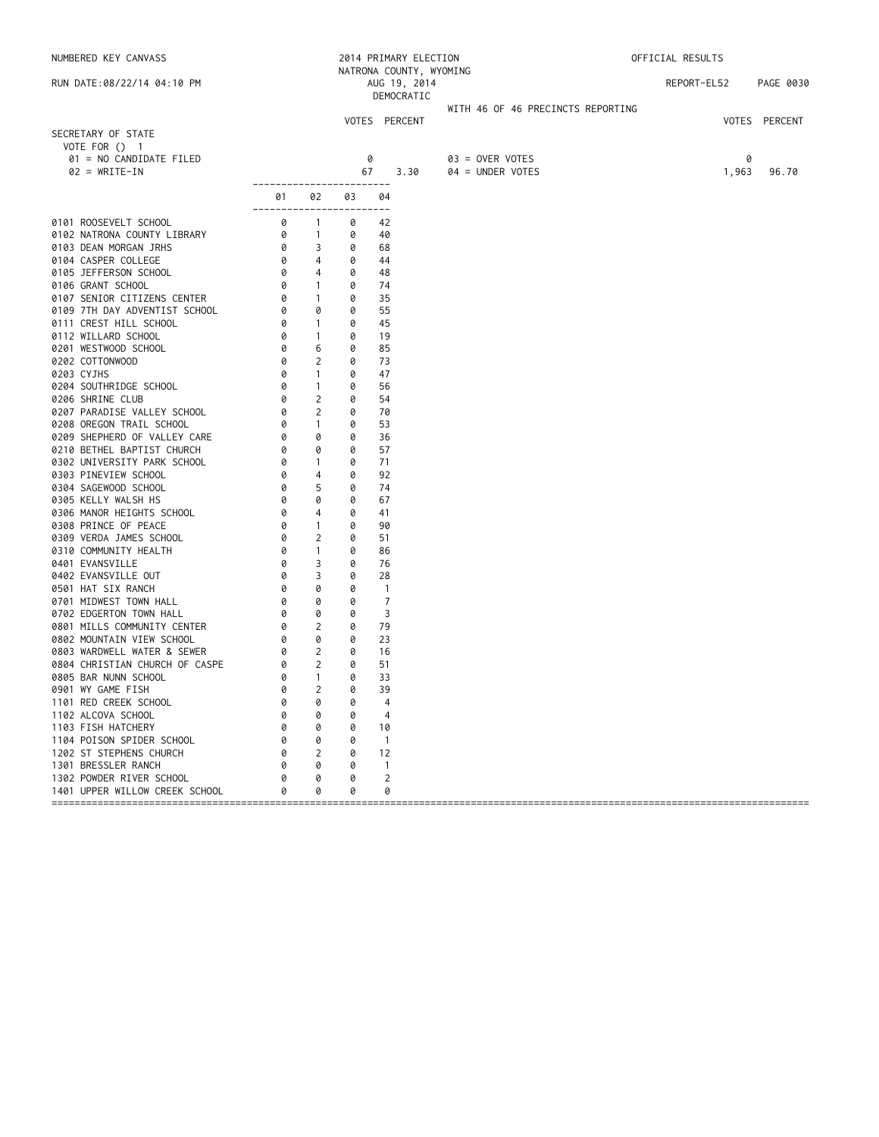| NUMBERED KEY CANVASS                            |                                      |                                     |        | 2014 PRIMARY ELECTION<br>NATRONA COUNTY, WYOMING |                                   | OFFICIAL RESULTS |       |               |
|-------------------------------------------------|--------------------------------------|-------------------------------------|--------|--------------------------------------------------|-----------------------------------|------------------|-------|---------------|
| RUN DATE:08/22/14 04:10 PM                      |                                      |                                     |        | AUG 19, 2014<br>DEMOCRATIC                       |                                   | REPORT-EL52      |       | PAGE 0030     |
|                                                 |                                      |                                     |        |                                                  | WITH 46 OF 46 PRECINCTS REPORTING |                  |       |               |
|                                                 |                                      |                                     |        | VOTES PERCENT                                    |                                   |                  |       | VOTES PERCENT |
| SECRETARY OF STATE                              |                                      |                                     |        |                                                  |                                   |                  |       |               |
| VOTE FOR () 1<br>01 = NO CANDIDATE FILED        |                                      |                                     |        | 0                                                | 03 = OVER VOTES                   |                  | 0     |               |
| $02 = WRITE-IN$                                 |                                      |                                     | 67     | 3.30                                             | 04 = UNDER VOTES                  |                  | 1,963 | 96.70         |
|                                                 | ------------------------             |                                     |        |                                                  |                                   |                  |       |               |
|                                                 | 01<br>------------------------       | 02                                  | 03     | 04                                               |                                   |                  |       |               |
| 0101 ROOSEVELT SCHOOL                           | 0                                    | $\overline{1}$                      | 0      | 42                                               |                                   |                  |       |               |
| 0102 NATRONA COUNTY LIBRARY                     | 0                                    | $\overline{1}$                      | 0      | 40                                               |                                   |                  |       |               |
| 0103 DEAN MORGAN JRHS                           | 0                                    | 3                                   | 0      | 68                                               |                                   |                  |       |               |
| 0104 CASPER COLLEGE                             | 0                                    | $\overline{4}$                      | 0      | 44                                               |                                   |                  |       |               |
| 0105 JEFFERSON SCHOOL                           | 0                                    | 4                                   | 0      | 48                                               |                                   |                  |       |               |
| 0106 GRANT SCHOOL                               | 0                                    | $\sim$ 1                            | 0      | 74                                               |                                   |                  |       |               |
| 0107 SENIOR CITIZENS CENTER                     | $\circ$                              | $\sim$ 1                            | 0      | 35                                               |                                   |                  |       |               |
| 0109 7TH DAY ADVENTIST SCHOOL                   |                                      | 0                                   | 0      | 55                                               |                                   |                  |       |               |
| 0111 CREST HILL SCHOOL<br>0112 WILLARD SCHOOL   | $\begin{matrix} 0 \\ 0 \end{matrix}$ | $\sim$ 1<br>$\overline{1}$          | 0<br>0 | 45<br>19                                         |                                   |                  |       |               |
| 0201 WESTWOOD SCHOOL                            | 0                                    | 6                                   | 0      | 85                                               |                                   |                  |       |               |
| 0202 COTTONWOOD                                 | 0                                    | $\overline{2}$                      | 0      | 73                                               |                                   |                  |       |               |
| 0203 CYJHS                                      | 0                                    | $\mathbf{1}$                        | 0      | 47                                               |                                   |                  |       |               |
| 0204 SOUTHRIDGE SCHOOL                          | 0                                    | $\overline{1}$                      | 0      | 56                                               |                                   |                  |       |               |
| 0206 SHRINE CLUB                                | 0                                    | 2                                   | 0      | 54                                               |                                   |                  |       |               |
| 0207 PARADISE VALLEY SCHOOL                     | 0                                    | 2                                   | 0      | 70                                               |                                   |                  |       |               |
| 0208 OREGON TRAIL SCHOOL                        | 0                                    | $\mathbf{1}$                        | 0      | 53                                               |                                   |                  |       |               |
| 0209 SHEPHERD OF VALLEY CARE                    | 0                                    | 0                                   | 0      | 36                                               |                                   |                  |       |               |
| 0210 BETHEL BAPTIST CHURCH                      | 0                                    | 0                                   | 0      | 57                                               |                                   |                  |       |               |
| 0302 UNIVERSITY PARK SCHOOL                     | 0                                    | $\sim$ 1                            | 0      | 71                                               |                                   |                  |       |               |
| 0303 PINEVIEW SCHOOL                            | 0                                    | 4                                   | 0      | 92                                               |                                   |                  |       |               |
| 0304 SAGEWOOD SCHOOL                            | 0                                    | 5                                   | 0      | 74                                               |                                   |                  |       |               |
| 0305 KELLY WALSH HS                             | 0                                    | 0                                   | 0      | 67                                               |                                   |                  |       |               |
| 0306 MANOR HEIGHTS SCHOOL                       | 0                                    | 4                                   | 0      | 41                                               |                                   |                  |       |               |
| 0308 PRINCE OF PEACE<br>0309 VERDA JAMES SCHOOL | 0<br>0                               | $\overline{1}$<br>2                 | 0<br>0 | 90                                               |                                   |                  |       |               |
| 0310 COMMUNITY HEALTH                           | 0                                    | $\mathbf{1}$                        | 0      | 51<br>86                                         |                                   |                  |       |               |
| 0401 EVANSVILLE                                 | 0                                    | 3                                   | 0      | 76                                               |                                   |                  |       |               |
| 0402 EVANSVILLE OUT                             | 0                                    | 3                                   | 0      | 28                                               |                                   |                  |       |               |
| 0501 HAT SIX RANCH                              | 0                                    | 0                                   | 0      | $\overline{1}$                                   |                                   |                  |       |               |
| 0701 MIDWEST TOWN HALL                          | 0                                    | 0                                   | 0      | $\overline{7}$                                   |                                   |                  |       |               |
| 0702 EDGERTON TOWN HALL                         | 0                                    | 0                                   | 0      | 3                                                |                                   |                  |       |               |
| 0801 MILLS COMMUNITY CENTER                     | 0                                    | $\overline{2}$                      | 0      | 79                                               |                                   |                  |       |               |
| 0802 MOUNTAIN VIEW SCHOOL                       | 0                                    | 0                                   | 0      | 23                                               |                                   |                  |       |               |
| 0803 WARDWELL WATER & SEWER                     |                                      | $\begin{matrix} 0 & 2 \end{matrix}$ | 0      | 16                                               |                                   |                  |       |               |
| 0804 CHRISTIAN CHURCH OF CASPE                  | 0                                    | $\overline{\phantom{a}}$            | 0      | 51                                               |                                   |                  |       |               |
| 0805 BAR NUNN SCHOOL                            | 0                                    | $\overline{1}$                      | 0      | 33                                               |                                   |                  |       |               |
| 0901 WY GAME FISH                               | 0                                    | $\overline{2}$                      | 0      | 39                                               |                                   |                  |       |               |
| 1101 RED CREEK SCHOOL                           |                                      | 0                                   | 0      | 4                                                |                                   |                  |       |               |
| 1102 ALCOVA SCHOOL                              |                                      | 0                                   | 0      | 4                                                |                                   |                  |       |               |
| 1103 FISH HATCHERY                              |                                      | 0                                   | 0      | 10                                               |                                   |                  |       |               |
| 1104 POISON SPIDER SCHOOL                       |                                      | 0                                   | 0      | $\overline{1}$                                   |                                   |                  |       |               |
| 1202 ST STEPHENS CHURCH<br>1301 BRESSLER RANCH  | Ø                                    | 2<br>0                              | 0<br>0 | 12<br>$\mathbf{1}$                               |                                   |                  |       |               |
| 1302 POWDER RIVER SCHOOL                        |                                      | 0                                   | 0      | 2                                                |                                   |                  |       |               |
| 1401 UPPER WILLOW CREEK SCHOOL                  |                                      | 0                                   | 0      | 0                                                |                                   |                  |       |               |
|                                                 |                                      |                                     |        |                                                  |                                   |                  |       |               |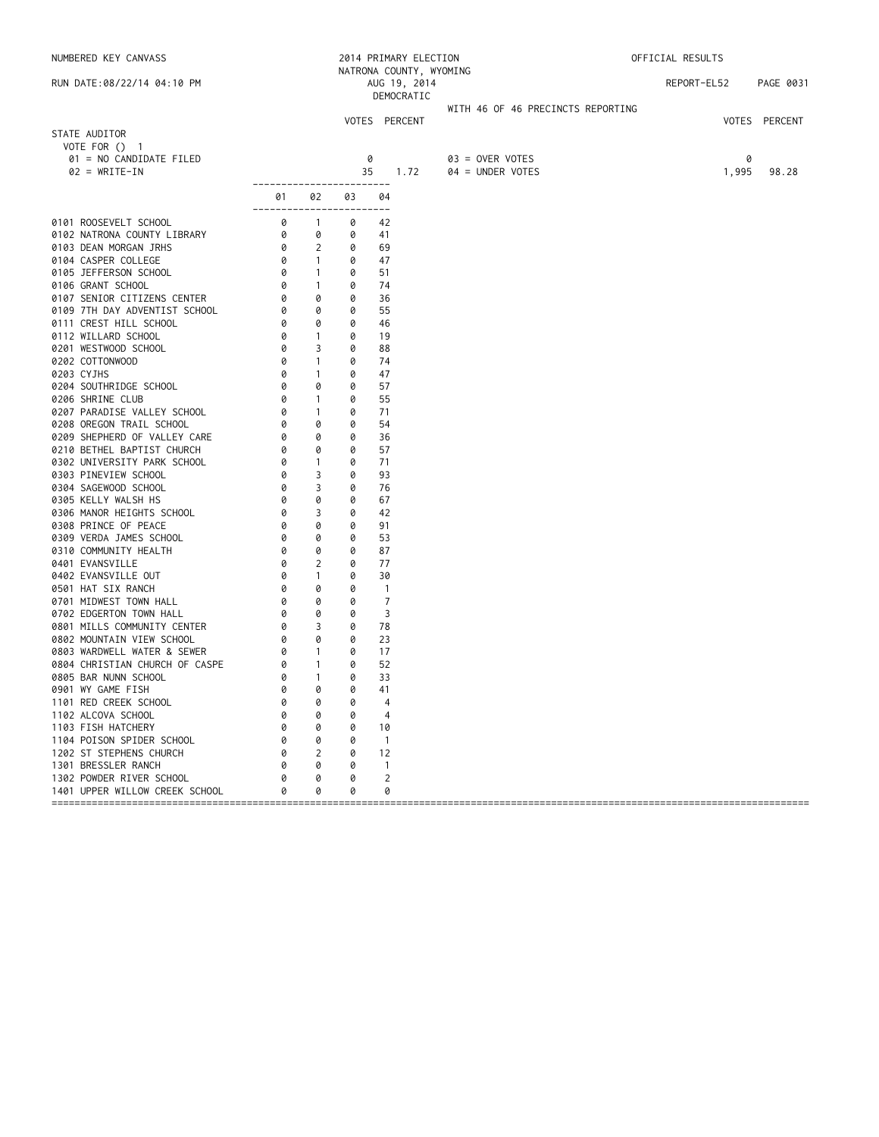| NUMBERED KEY CANVASS                                                                                                                                                                                                                                                                                                                                                           |                                |                                                 |        | 2014 PRIMARY ELECTION                                 |                                   | OFFICIAL RESULTS |       |               |  |
|--------------------------------------------------------------------------------------------------------------------------------------------------------------------------------------------------------------------------------------------------------------------------------------------------------------------------------------------------------------------------------|--------------------------------|-------------------------------------------------|--------|-------------------------------------------------------|-----------------------------------|------------------|-------|---------------|--|
| RUN DATE:08/22/14 04:10 PM                                                                                                                                                                                                                                                                                                                                                     |                                |                                                 |        | NATRONA COUNTY, WYOMING<br>AUG 19, 2014<br>DEMOCRATIC |                                   | REPORT-EL52      |       | PAGE 0031     |  |
|                                                                                                                                                                                                                                                                                                                                                                                |                                |                                                 |        |                                                       | WITH 46 OF 46 PRECINCTS REPORTING |                  |       |               |  |
|                                                                                                                                                                                                                                                                                                                                                                                |                                |                                                 |        | VOTES PERCENT                                         |                                   |                  |       | VOTES PERCENT |  |
| STATE AUDITOR<br>VOTE FOR $()$ 1                                                                                                                                                                                                                                                                                                                                               |                                |                                                 |        |                                                       |                                   |                  |       |               |  |
| 01 = NO CANDIDATE FILED                                                                                                                                                                                                                                                                                                                                                        |                                |                                                 |        | 0                                                     | $03 =$ OVER VOTES                 |                  | 0     |               |  |
| $02 = WRITE-IN$                                                                                                                                                                                                                                                                                                                                                                |                                |                                                 |        | 35<br>1.72                                            | 04 = UNDER VOTES                  |                  | 1,995 | 98.28         |  |
|                                                                                                                                                                                                                                                                                                                                                                                | ------------------------<br>01 | 02                                              | 03     | 04                                                    |                                   |                  |       |               |  |
|                                                                                                                                                                                                                                                                                                                                                                                | ------------------------       |                                                 |        |                                                       |                                   |                  |       |               |  |
| 0101 ROOSEVELT SCHOOL                                                                                                                                                                                                                                                                                                                                                          | 0                              | $\overline{1}$                                  | 0      | 42                                                    |                                   |                  |       |               |  |
| 0102 NATRONA COUNTY LIBRARY<br>0103 DEAN MORGAN JRHS                                                                                                                                                                                                                                                                                                                           | 0                              | 0                                               | 0      | 41                                                    |                                   |                  |       |               |  |
| 0104 CASPER COLLEGE                                                                                                                                                                                                                                                                                                                                                            | 0                              | $\begin{matrix} 0 & 2 \end{matrix}$<br>$\sim$ 1 | 0<br>0 | 69                                                    |                                   |                  |       |               |  |
| 0105 JEFFERSON SCHOOL                                                                                                                                                                                                                                                                                                                                                          |                                | $\sim$ 1                                        | 0      | 47<br>51                                              |                                   |                  |       |               |  |
| 0106 GRANT SCHOOL                                                                                                                                                                                                                                                                                                                                                              |                                | $\sim$ 1                                        | 0      | 74                                                    |                                   |                  |       |               |  |
| 0107 SENIOR CITIZENS CENTER                                                                                                                                                                                                                                                                                                                                                    |                                | 0                                               | 0      | 36                                                    |                                   |                  |       |               |  |
| 0109 7TH DAY ADVENTIST SCHOOL                                                                                                                                                                                                                                                                                                                                                  |                                | 0                                               | 0      | 55                                                    |                                   |                  |       |               |  |
| $\frac{1}{2}$<br>$\frac{1}{2}$<br>$\frac{1}{2}$<br>$\frac{1}{2}$<br>$\frac{1}{2}$<br>$\frac{1}{2}$<br>$\frac{1}{2}$<br>$\frac{1}{2}$<br>$\frac{1}{2}$<br>$\frac{1}{2}$<br>$\frac{1}{2}$<br>$\frac{1}{2}$<br>$\frac{1}{2}$<br>$\frac{1}{2}$<br>$\frac{1}{2}$<br>$\frac{1}{2}$<br>$\frac{1}{2}$<br>$\frac{1}{2}$<br>$\frac{1}{2}$<br>$\frac{1}{2}$<br><br>0111 CREST HILL SCHOOL |                                | 0                                               | 0      | 46                                                    |                                   |                  |       |               |  |
| 0112 WILLARD SCHOOL                                                                                                                                                                                                                                                                                                                                                            |                                | $\sim$ 1                                        | 0      | 19                                                    |                                   |                  |       |               |  |
| 0201 WESTWOOD SCHOOL                                                                                                                                                                                                                                                                                                                                                           |                                | 3                                               | 0      | 88                                                    |                                   |                  |       |               |  |
| 0202 COTTONWOOD                                                                                                                                                                                                                                                                                                                                                                |                                | $\mathbf{1}$                                    | 0      | 74                                                    |                                   |                  |       |               |  |
| 0203 CYJHS                                                                                                                                                                                                                                                                                                                                                                     | 0                              | $\mathbf{1}$                                    | 0      | 47                                                    |                                   |                  |       |               |  |
| 0204 SOUTHRIDGE SCHOOL                                                                                                                                                                                                                                                                                                                                                         | 0                              | 0                                               | 0      | 57                                                    |                                   |                  |       |               |  |
| 0206 SHRINE CLUB                                                                                                                                                                                                                                                                                                                                                               | 0                              | $\mathbf{1}$                                    | 0      | 55                                                    |                                   |                  |       |               |  |
| 0207 PARADISE VALLEY SCHOOL                                                                                                                                                                                                                                                                                                                                                    | 0                              | $\overline{1}$                                  | 0      | 71                                                    |                                   |                  |       |               |  |
| 0208 OREGON TRAIL SCHOOL                                                                                                                                                                                                                                                                                                                                                       | 0                              | 0                                               | 0      | 54                                                    |                                   |                  |       |               |  |
| 0209 SHEPHERD OF VALLEY CARE                                                                                                                                                                                                                                                                                                                                                   | 0                              | 0                                               | 0      | 36                                                    |                                   |                  |       |               |  |
| 0210 BETHEL BAPTIST CHURCH                                                                                                                                                                                                                                                                                                                                                     | 0                              | 0                                               | 0      | 57                                                    |                                   |                  |       |               |  |
| 0302 UNIVERSITY PARK SCHOOL                                                                                                                                                                                                                                                                                                                                                    | 0<br>0                         | $\sim$ 1<br>3                                   | 0<br>0 | 71                                                    |                                   |                  |       |               |  |
| 0303 PINEVIEW SCHOOL                                                                                                                                                                                                                                                                                                                                                           | 0                              | 3                                               | 0      | 93<br>76                                              |                                   |                  |       |               |  |
| 0304 SAGEWOOD SCHOOL<br>0305 KELLY WALSH HS                                                                                                                                                                                                                                                                                                                                    | 0                              | 0                                               | 0      | 67                                                    |                                   |                  |       |               |  |
| 0306 MANOR HEIGHTS SCHOOL                                                                                                                                                                                                                                                                                                                                                      | 0                              | 3                                               | 0      | 42                                                    |                                   |                  |       |               |  |
| 0308 PRINCE OF PEACE                                                                                                                                                                                                                                                                                                                                                           | 0                              | 0                                               | 0      | 91                                                    |                                   |                  |       |               |  |
| 0309 VERDA JAMES SCHOOL                                                                                                                                                                                                                                                                                                                                                        | 0                              | 0                                               | 0      | 53                                                    |                                   |                  |       |               |  |
| 0310 COMMUNITY HEALTH                                                                                                                                                                                                                                                                                                                                                          | 0                              | 0                                               | 0      | 87                                                    |                                   |                  |       |               |  |
| 0401 EVANSVILLE                                                                                                                                                                                                                                                                                                                                                                | 0                              | 2                                               | 0      | 77                                                    |                                   |                  |       |               |  |
| 0402 EVANSVILLE OUT                                                                                                                                                                                                                                                                                                                                                            | 0                              | $\mathbf{1}$                                    | 0      | 30                                                    |                                   |                  |       |               |  |
| 0501 HAT SIX RANCH                                                                                                                                                                                                                                                                                                                                                             | 0                              | 0                                               | 0      | $\overline{1}$                                        |                                   |                  |       |               |  |
| 0701 MIDWEST TOWN HALL                                                                                                                                                                                                                                                                                                                                                         | 0                              | 0                                               | 0      | $\overline{7}$                                        |                                   |                  |       |               |  |
| 0702 EDGERTON TOWN HALL                                                                                                                                                                                                                                                                                                                                                        | 0                              | 0                                               | 0      | 3                                                     |                                   |                  |       |               |  |
| 0801 MILLS COMMUNITY CENTER                                                                                                                                                                                                                                                                                                                                                    | 0                              | $\overline{\phantom{a}}$                        | 0      | 78                                                    |                                   |                  |       |               |  |
| 0802 MOUNTAIN VIEW SCHOOL                                                                                                                                                                                                                                                                                                                                                      | 0                              | 0                                               | 0      | 23                                                    |                                   |                  |       |               |  |
| 0803 WARDWELL WATER & SEWER                                                                                                                                                                                                                                                                                                                                                    | PE<br>0                        | $\sim$ 1                                        | 0      | 17                                                    |                                   |                  |       |               |  |
| 0804 CHRISTIAN CHURCH OF CASPE<br>0805 BAR NUNN SCHOOL                                                                                                                                                                                                                                                                                                                         | 0                              | $\sim$ 1                                        | 0      | 52                                                    |                                   |                  |       |               |  |
| 0805 BAR NUNN SCHOOL                                                                                                                                                                                                                                                                                                                                                           | 0                              | $\overline{1}$<br>0                             | 0      | 33                                                    |                                   |                  |       |               |  |
| 0901 WY GAME FISH                                                                                                                                                                                                                                                                                                                                                              | Ø                              |                                                 | 0      | 41                                                    |                                   |                  |       |               |  |
| 1101 RED CREEK SCHOOL<br>1102 ALCOVA SCHOOL                                                                                                                                                                                                                                                                                                                                    |                                | 0<br>0                                          | 0<br>0 | 4<br>4                                                |                                   |                  |       |               |  |
| 1103 FISH HATCHERY                                                                                                                                                                                                                                                                                                                                                             |                                | 0                                               | 0      | 10                                                    |                                   |                  |       |               |  |
| 1104 POISON SPIDER SCHOOL                                                                                                                                                                                                                                                                                                                                                      | 0                              | 0                                               | 0      | $\overline{1}$                                        |                                   |                  |       |               |  |
| 1202 ST STEPHENS CHURCH                                                                                                                                                                                                                                                                                                                                                        | 0                              | 2                                               | 0      | 12                                                    |                                   |                  |       |               |  |
| 1301 BRESSLER RANCH                                                                                                                                                                                                                                                                                                                                                            |                                | 0                                               | 0      | -1                                                    |                                   |                  |       |               |  |
| 1302 POWDER RIVER SCHOOL                                                                                                                                                                                                                                                                                                                                                       |                                | 0                                               | 0      | $\overline{c}$                                        |                                   |                  |       |               |  |
| 1401 UPPER WILLOW CREEK SCHOOL                                                                                                                                                                                                                                                                                                                                                 |                                | 0                                               | 0      | 0                                                     |                                   |                  |       |               |  |
|                                                                                                                                                                                                                                                                                                                                                                                |                                |                                                 |        |                                                       |                                   |                  |       | ============  |  |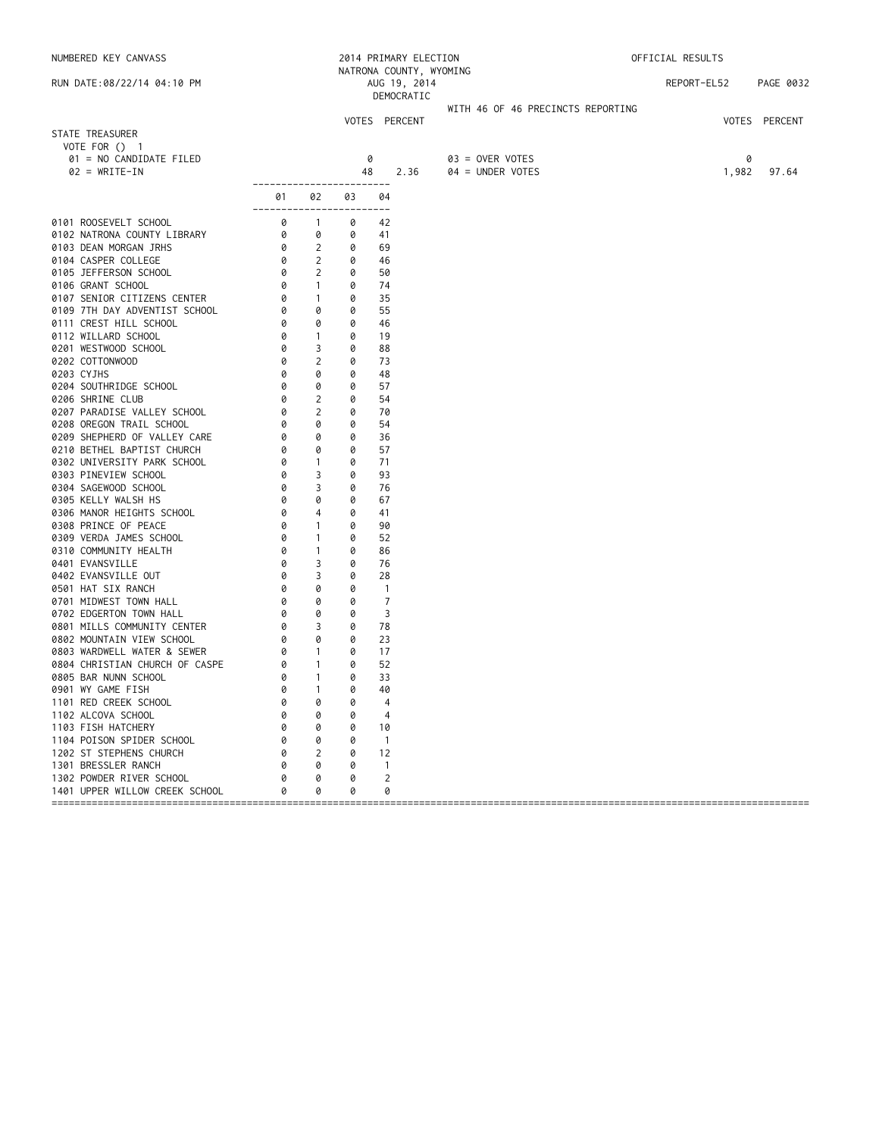| NUMBERED KEY CANVASS                        |                                                       |                                            |        | 2014 PRIMARY ELECTION                                 |                                     | OFFICIAL RESULTS |               |
|---------------------------------------------|-------------------------------------------------------|--------------------------------------------|--------|-------------------------------------------------------|-------------------------------------|------------------|---------------|
| RUN DATE:08/22/14 04:10 PM                  |                                                       |                                            |        | NATRONA COUNTY, WYOMING<br>AUG 19, 2014<br>DEMOCRATIC |                                     | REPORT-EL52      | PAGE 0032     |
|                                             |                                                       |                                            |        |                                                       | WITH 46 OF 46 PRECINCTS REPORTING   |                  |               |
| STATE TREASURER                             |                                                       |                                            |        | VOTES PERCENT                                         |                                     |                  | VOTES PERCENT |
| VOTE FOR () 1                               |                                                       |                                            |        |                                                       |                                     |                  |               |
| 01 = NO CANDIDATE FILED<br>$02 = WRITE-IN$  |                                                       |                                            | 48     | 0<br>2.36                                             | 03 = OVER VOTES<br>04 = UNDER VOTES | 1,982            | 0<br>97.64    |
|                                             | ------------------------                              |                                            |        |                                                       |                                     |                  |               |
|                                             | 01<br>-------------------------                       | 02                                         | 03     | 04                                                    |                                     |                  |               |
| 0101 ROOSEVELT SCHOOL                       | $\begin{bmatrix} 0 \\ 0 \\ 0 \\ 0 \end{bmatrix}$      | $\overline{1}$                             | 0      | 42                                                    |                                     |                  |               |
| 0102 NATRONA COUNTY LIBRARY                 |                                                       | 0                                          | 0      | 41                                                    |                                     |                  |               |
| 0103 DEAN MORGAN JRHS                       | $\circ$                                               | 2                                          | 0      | 69                                                    |                                     |                  |               |
| 0104 CASPER COLLEGE                         |                                                       | $\overline{2}$<br>$\overline{\phantom{a}}$ | 0      | 46                                                    |                                     |                  |               |
| 0105 JEFFERSON SCHOOL<br>0106 GRANT SCHOOL  | 0<br>0                                                | $\sim$ 1                                   | 0<br>0 | 50<br>74                                              |                                     |                  |               |
| 0107 SENIOR CITIZENS CENTER                 |                                                       | $\sim$ 1                                   | 0      | 35                                                    |                                     |                  |               |
| 0109 7TH DAY ADVENTIST SCHOOL               |                                                       | 0                                          | 0      | 55                                                    |                                     |                  |               |
| 0111 CREST HILL SCHOOL                      |                                                       | 0                                          | 0      | 46                                                    |                                     |                  |               |
| 0112 WILLARD SCHOOL                         | $\begin{bmatrix} 6 \\ 0 \\ 0 \\ 0 \\ 0 \end{bmatrix}$ | $\overline{1}$                             | 0      | 19                                                    |                                     |                  |               |
| 0201 WESTWOOD SCHOOL                        |                                                       | 3                                          | 0      | 88                                                    |                                     |                  |               |
| 0202 COTTONWOOD                             | 0                                                     | 2                                          | 0      | 73                                                    |                                     |                  |               |
| 0203 CYJHS                                  | 0                                                     | 0                                          | 0      | 48                                                    |                                     |                  |               |
| 0204 SOUTHRIDGE SCHOOL                      | 0                                                     | 0                                          | 0      | 57                                                    |                                     |                  |               |
| 0206 SHRINE CLUB                            | 0                                                     | $\overline{2}$                             | 0      | 54                                                    |                                     |                  |               |
| 0207 PARADISE VALLEY SCHOOL                 | 0                                                     | $\overline{2}$                             | 0      | 70                                                    |                                     |                  |               |
| 0208 OREGON TRAIL SCHOOL                    | 0                                                     | 0                                          | 0      | 54                                                    |                                     |                  |               |
| 0209 SHEPHERD OF VALLEY CARE                | 0                                                     | 0                                          | 0      | 36                                                    |                                     |                  |               |
| 0210 BETHEL BAPTIST CHURCH                  | 0                                                     | 0                                          | 0      | 57                                                    |                                     |                  |               |
| 0302 UNIVERSITY PARK SCHOOL                 | 0                                                     | $\sim$ 1                                   | 0      | 71                                                    |                                     |                  |               |
| 0303 PINEVIEW SCHOOL                        | 0                                                     | 3                                          | 0      | 93                                                    |                                     |                  |               |
| 0304 SAGEWOOD SCHOOL<br>0305 KELLY WALSH HS | 0<br>0                                                | 3<br>0                                     | 0<br>0 | 76<br>67                                              |                                     |                  |               |
| 0306 MANOR HEIGHTS SCHOOL                   | 0                                                     | 4                                          | 0      | 41                                                    |                                     |                  |               |
| 0308 PRINCE OF PEACE                        | 0                                                     | $\overline{1}$                             | 0      | 90                                                    |                                     |                  |               |
| 0309 VERDA JAMES SCHOOL                     | 0                                                     | $\mathbf{1}$                               | 0      | 52                                                    |                                     |                  |               |
| 0310 COMMUNITY HEALTH                       | 0                                                     | $\mathbf{1}$                               | 0      | 86                                                    |                                     |                  |               |
| 0401 EVANSVILLE                             | 0                                                     | 3                                          | 0      | 76                                                    |                                     |                  |               |
| 0402 EVANSVILLE OUT                         | 0                                                     | 3                                          | 0      | 28                                                    |                                     |                  |               |
| 0501 HAT SIX RANCH                          | 0                                                     | 0                                          | 0      | $\overline{1}$                                        |                                     |                  |               |
| 0701 MIDWEST TOWN HALL                      | 0                                                     | 0                                          | 0      | $\overline{7}$                                        |                                     |                  |               |
| 0702 EDGERTON TOWN HALL                     | 0                                                     | 0                                          | 0      | 3                                                     |                                     |                  |               |
| 0801 MILLS COMMUNITY CENTER                 | 0                                                     | $\overline{\phantom{a}}$                   | 0      | 78                                                    |                                     |                  |               |
| 0802 MOUNTAIN VIEW SCHOOL                   | 0                                                     | $\circ$                                    | 0      | 23                                                    |                                     |                  |               |
| 0803 WARDWELL WATER & SEWER                 | 0                                                     | $\sim$ 1                                   | 0      | 17                                                    |                                     |                  |               |
| 0804 CHRISTIAN CHURCH OF CASPE              | 0                                                     | $\sim$ 1                                   | 0      | 52                                                    |                                     |                  |               |
| 0805 BAR NUNN SCHOOL                        | 0<br>0 1                                              | $\overline{1}$                             | 0      | 33                                                    |                                     |                  |               |
| 0901 WY GAME FISH                           |                                                       |                                            | 0      | 40                                                    |                                     |                  |               |
| 1101 RED CREEK SCHOOL<br>1102 ALCOVA SCHOOL |                                                       | 0<br>0                                     | 0<br>0 | 4<br>4                                                |                                     |                  |               |
| 1103 FISH HATCHERY                          |                                                       | 0                                          | 0      | 10                                                    |                                     |                  |               |
| 1104 POISON SPIDER SCHOOL                   |                                                       | 0                                          | 0      | $\overline{1}$                                        |                                     |                  |               |
| 1202 ST STEPHENS CHURCH                     | Ø                                                     | 2                                          | 0      | 12                                                    |                                     |                  |               |
| 1301 BRESSLER RANCH                         |                                                       | 0                                          | 0      | $\mathbf{1}$                                          |                                     |                  |               |
| 1302 POWDER RIVER SCHOOL                    |                                                       | 0                                          | 0      | 2                                                     |                                     |                  |               |
| 1401 UPPER WILLOW CREEK SCHOOL              |                                                       | 0                                          | 0      | 0                                                     |                                     |                  |               |
|                                             |                                                       |                                            |        |                                                       |                                     |                  |               |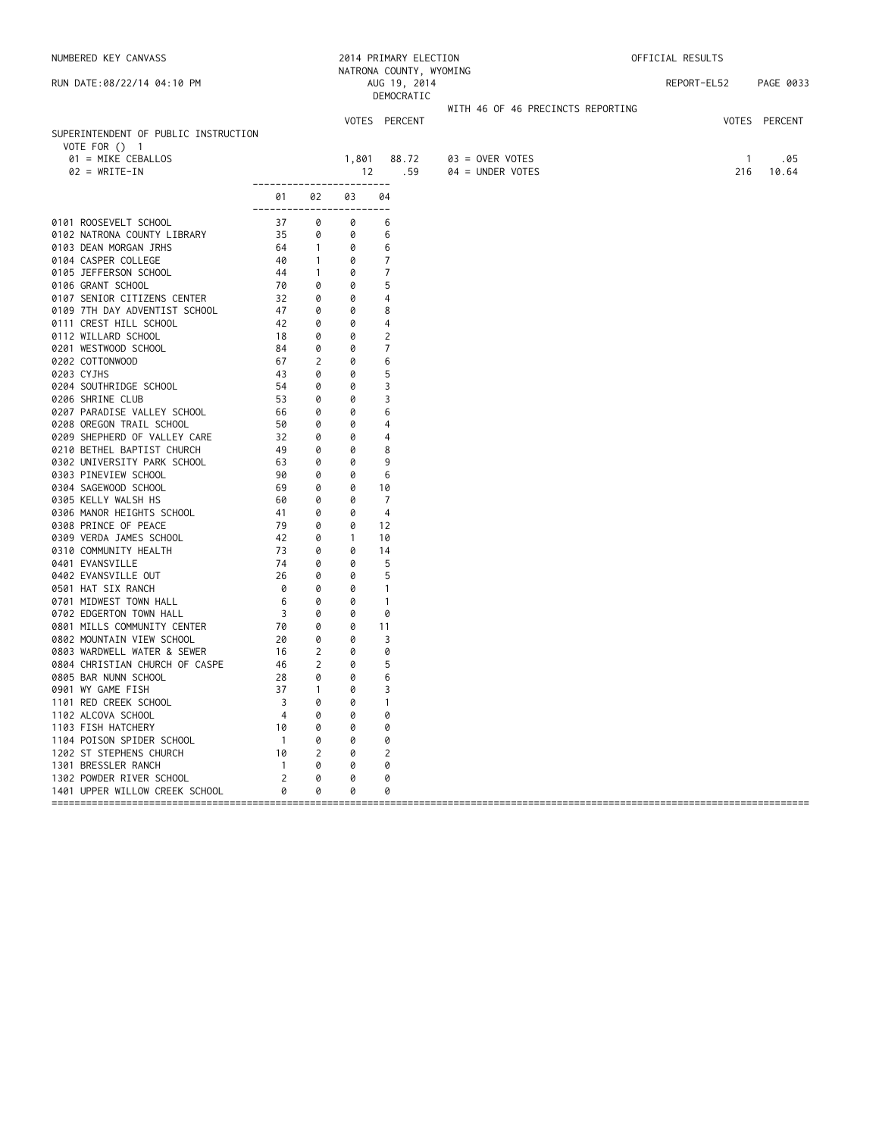| NATRONA COUNTY, WYOMING<br>REPORT-EL52<br>PAGE 0033<br>RUN DATE:08/22/14 04:10 PM<br>AUG 19, 2014<br>DEMOCRATIC<br>WITH 46 OF 46 PRECINCTS REPORTING<br>VOTES PERCENT<br>VOTES PERCENT<br>SUPERINTENDENT OF PUBLIC INSTRUCTION<br>VOTE FOR $()$ 1<br>01 = MIKE CEBALLOS<br>88.72<br>1,801<br>$03 =$ OVER VOTES<br>$\overline{1}$<br>.05<br>$02 = WRITE-IN$<br>.59<br>216<br>12<br>04 = UNDER VOTES<br>10.64<br>-------<br>01<br>02<br>03<br>04<br>0101 ROOSEVELT SCHOOL<br>37<br>0<br>6<br>0<br>35<br>0102 NATRONA COUNTY LIBRARY<br>0<br>6<br>0<br>6<br>0103 DEAN MORGAN JRHS<br>64<br>$\overline{1}$<br>0<br>0104 CASPER COLLEGE<br>7<br>40<br>$\overline{1}$<br>0<br>0105 JEFFERSON SCHOOL<br>44<br>0<br>7<br>$\overline{1}$<br>0106 GRANT SCHOOL<br>5<br>70<br>0<br>0<br>0107 SENIOR CITIZENS CENTER<br>32<br>0<br>0<br>4<br>0109 7TH DAY ADVENTIST SCHOOL<br>47<br>0<br>0<br>8<br>0111 CREST HILL SCHOOL<br>42<br>0<br>0<br>4<br>0112 WILLARD SCHOOL<br>0<br>0<br>2<br>18<br>7<br>0201 WESTWOOD SCHOOL<br>84<br>0<br>0<br>0202 COTTONWOOD<br>2<br>0<br>67<br>6<br>0203 CYJHS<br>43<br>5<br>0<br>0<br>0<br>3<br>0204 SOUTHRIDGE SCHOOL<br>54<br>0<br>0206 SHRINE CLUB<br>53<br>0<br>0<br>3<br>0<br>6<br>0207 PARADISE VALLEY SCHOOL<br>66<br>0<br>0208 OREGON TRAIL SCHOOL<br>50<br>0<br>0<br>4<br>0209 SHEPHERD OF VALLEY CARE<br>32<br>0<br>0<br>4<br>0210 BETHEL BAPTIST CHURCH<br>49<br>8<br>0<br>0<br>0302 UNIVERSITY PARK SCHOOL<br>63<br>9<br>0<br>0<br>0303 PINEVIEW SCHOOL<br>90<br>0<br>0<br>6<br>0304 SAGEWOOD SCHOOL<br>69<br>0<br>0<br>10<br>0<br>0305 KELLY WALSH HS<br>60<br>0<br>7<br>0306 MANOR HEIGHTS SCHOOL<br>0<br>41<br>0<br>4<br>0308 PRINCE OF PEACE<br>79<br>0<br>0<br>12<br>42<br>0309 VERDA JAMES SCHOOL<br>0<br>$\mathbf{1}$<br>10<br>0310 COMMUNITY HEALTH<br>73<br>0<br>0<br>14<br>0401 EVANSVILLE<br>74<br>0<br>5<br>0<br>26<br>0<br>5<br>0402 EVANSVILLE OUT<br>0<br>0501 HAT SIX RANCH<br>0<br>0<br>0<br>$\mathbf{1}$<br>6<br>0<br>0701 MIDWEST TOWN HALL<br>0<br>$\mathbf{1}$<br>$\overline{3}$<br>0<br>0<br>0702 EDGERTON TOWN HALL<br>0<br>70<br>0<br>0<br>0801 MILLS COMMUNITY CENTER<br>11<br>20<br>3<br>0802 MOUNTAIN VIEW SCHOOL<br>0<br>0<br>$\overline{2}$<br>0803 WARDWELL WATER & SEWER<br>16<br>0<br>0<br>$\overline{2}$<br>5<br>0804 CHRISTIAN CHURCH OF CASPE<br>46<br>0<br>0<br>0<br>6<br>0805 BAR NUNN SCHOOL<br>28<br>37<br>0<br>3<br>0901 WY GAME FISH<br>$\mathbf{1}$<br>1101 RED CREEK SCHOOL<br>0<br>0<br>3<br>1102 ALCOVA SCHOOL<br>0<br>0<br>4<br>0<br>1103 FISH HATCHERY<br>10<br>0<br>0<br>0<br>1104 POISON SPIDER SCHOOL<br>$\overline{1}$<br>0<br>0<br>0<br>1202 ST STEPHENS CHURCH<br>10<br>2<br>2<br>0<br>1301 BRESSLER RANCH<br>$\overline{1}$<br>0<br>0<br>0<br>1302 POWDER RIVER SCHOOL<br>2<br>0<br>0<br>0<br>1401 UPPER WILLOW CREEK SCHOOL<br>0<br>0<br>0<br>0 | NUMBERED KEY CANVASS |  | 2014 PRIMARY ELECTION | OFFICIAL RESULTS |  |  |  |
|----------------------------------------------------------------------------------------------------------------------------------------------------------------------------------------------------------------------------------------------------------------------------------------------------------------------------------------------------------------------------------------------------------------------------------------------------------------------------------------------------------------------------------------------------------------------------------------------------------------------------------------------------------------------------------------------------------------------------------------------------------------------------------------------------------------------------------------------------------------------------------------------------------------------------------------------------------------------------------------------------------------------------------------------------------------------------------------------------------------------------------------------------------------------------------------------------------------------------------------------------------------------------------------------------------------------------------------------------------------------------------------------------------------------------------------------------------------------------------------------------------------------------------------------------------------------------------------------------------------------------------------------------------------------------------------------------------------------------------------------------------------------------------------------------------------------------------------------------------------------------------------------------------------------------------------------------------------------------------------------------------------------------------------------------------------------------------------------------------------------------------------------------------------------------------------------------------------------------------------------------------------------------------------------------------------------------------------------------------------------------------------------------------------------------------------------------------------------------------------------------------------------------------------------------------------------------------------------------------------------------------------------------------------------------------------------------------------------------------------------------------------------------------------------------------------------------------------|----------------------|--|-----------------------|------------------|--|--|--|
|                                                                                                                                                                                                                                                                                                                                                                                                                                                                                                                                                                                                                                                                                                                                                                                                                                                                                                                                                                                                                                                                                                                                                                                                                                                                                                                                                                                                                                                                                                                                                                                                                                                                                                                                                                                                                                                                                                                                                                                                                                                                                                                                                                                                                                                                                                                                                                                                                                                                                                                                                                                                                                                                                                                                                                                                                                        |                      |  |                       |                  |  |  |  |
|                                                                                                                                                                                                                                                                                                                                                                                                                                                                                                                                                                                                                                                                                                                                                                                                                                                                                                                                                                                                                                                                                                                                                                                                                                                                                                                                                                                                                                                                                                                                                                                                                                                                                                                                                                                                                                                                                                                                                                                                                                                                                                                                                                                                                                                                                                                                                                                                                                                                                                                                                                                                                                                                                                                                                                                                                                        |                      |  |                       |                  |  |  |  |
|                                                                                                                                                                                                                                                                                                                                                                                                                                                                                                                                                                                                                                                                                                                                                                                                                                                                                                                                                                                                                                                                                                                                                                                                                                                                                                                                                                                                                                                                                                                                                                                                                                                                                                                                                                                                                                                                                                                                                                                                                                                                                                                                                                                                                                                                                                                                                                                                                                                                                                                                                                                                                                                                                                                                                                                                                                        |                      |  |                       |                  |  |  |  |
|                                                                                                                                                                                                                                                                                                                                                                                                                                                                                                                                                                                                                                                                                                                                                                                                                                                                                                                                                                                                                                                                                                                                                                                                                                                                                                                                                                                                                                                                                                                                                                                                                                                                                                                                                                                                                                                                                                                                                                                                                                                                                                                                                                                                                                                                                                                                                                                                                                                                                                                                                                                                                                                                                                                                                                                                                                        |                      |  |                       |                  |  |  |  |
|                                                                                                                                                                                                                                                                                                                                                                                                                                                                                                                                                                                                                                                                                                                                                                                                                                                                                                                                                                                                                                                                                                                                                                                                                                                                                                                                                                                                                                                                                                                                                                                                                                                                                                                                                                                                                                                                                                                                                                                                                                                                                                                                                                                                                                                                                                                                                                                                                                                                                                                                                                                                                                                                                                                                                                                                                                        |                      |  |                       |                  |  |  |  |
|                                                                                                                                                                                                                                                                                                                                                                                                                                                                                                                                                                                                                                                                                                                                                                                                                                                                                                                                                                                                                                                                                                                                                                                                                                                                                                                                                                                                                                                                                                                                                                                                                                                                                                                                                                                                                                                                                                                                                                                                                                                                                                                                                                                                                                                                                                                                                                                                                                                                                                                                                                                                                                                                                                                                                                                                                                        |                      |  |                       |                  |  |  |  |
|                                                                                                                                                                                                                                                                                                                                                                                                                                                                                                                                                                                                                                                                                                                                                                                                                                                                                                                                                                                                                                                                                                                                                                                                                                                                                                                                                                                                                                                                                                                                                                                                                                                                                                                                                                                                                                                                                                                                                                                                                                                                                                                                                                                                                                                                                                                                                                                                                                                                                                                                                                                                                                                                                                                                                                                                                                        |                      |  |                       |                  |  |  |  |
|                                                                                                                                                                                                                                                                                                                                                                                                                                                                                                                                                                                                                                                                                                                                                                                                                                                                                                                                                                                                                                                                                                                                                                                                                                                                                                                                                                                                                                                                                                                                                                                                                                                                                                                                                                                                                                                                                                                                                                                                                                                                                                                                                                                                                                                                                                                                                                                                                                                                                                                                                                                                                                                                                                                                                                                                                                        |                      |  |                       |                  |  |  |  |
|                                                                                                                                                                                                                                                                                                                                                                                                                                                                                                                                                                                                                                                                                                                                                                                                                                                                                                                                                                                                                                                                                                                                                                                                                                                                                                                                                                                                                                                                                                                                                                                                                                                                                                                                                                                                                                                                                                                                                                                                                                                                                                                                                                                                                                                                                                                                                                                                                                                                                                                                                                                                                                                                                                                                                                                                                                        |                      |  |                       |                  |  |  |  |
|                                                                                                                                                                                                                                                                                                                                                                                                                                                                                                                                                                                                                                                                                                                                                                                                                                                                                                                                                                                                                                                                                                                                                                                                                                                                                                                                                                                                                                                                                                                                                                                                                                                                                                                                                                                                                                                                                                                                                                                                                                                                                                                                                                                                                                                                                                                                                                                                                                                                                                                                                                                                                                                                                                                                                                                                                                        |                      |  |                       |                  |  |  |  |
|                                                                                                                                                                                                                                                                                                                                                                                                                                                                                                                                                                                                                                                                                                                                                                                                                                                                                                                                                                                                                                                                                                                                                                                                                                                                                                                                                                                                                                                                                                                                                                                                                                                                                                                                                                                                                                                                                                                                                                                                                                                                                                                                                                                                                                                                                                                                                                                                                                                                                                                                                                                                                                                                                                                                                                                                                                        |                      |  |                       |                  |  |  |  |
|                                                                                                                                                                                                                                                                                                                                                                                                                                                                                                                                                                                                                                                                                                                                                                                                                                                                                                                                                                                                                                                                                                                                                                                                                                                                                                                                                                                                                                                                                                                                                                                                                                                                                                                                                                                                                                                                                                                                                                                                                                                                                                                                                                                                                                                                                                                                                                                                                                                                                                                                                                                                                                                                                                                                                                                                                                        |                      |  |                       |                  |  |  |  |
|                                                                                                                                                                                                                                                                                                                                                                                                                                                                                                                                                                                                                                                                                                                                                                                                                                                                                                                                                                                                                                                                                                                                                                                                                                                                                                                                                                                                                                                                                                                                                                                                                                                                                                                                                                                                                                                                                                                                                                                                                                                                                                                                                                                                                                                                                                                                                                                                                                                                                                                                                                                                                                                                                                                                                                                                                                        |                      |  |                       |                  |  |  |  |
|                                                                                                                                                                                                                                                                                                                                                                                                                                                                                                                                                                                                                                                                                                                                                                                                                                                                                                                                                                                                                                                                                                                                                                                                                                                                                                                                                                                                                                                                                                                                                                                                                                                                                                                                                                                                                                                                                                                                                                                                                                                                                                                                                                                                                                                                                                                                                                                                                                                                                                                                                                                                                                                                                                                                                                                                                                        |                      |  |                       |                  |  |  |  |
|                                                                                                                                                                                                                                                                                                                                                                                                                                                                                                                                                                                                                                                                                                                                                                                                                                                                                                                                                                                                                                                                                                                                                                                                                                                                                                                                                                                                                                                                                                                                                                                                                                                                                                                                                                                                                                                                                                                                                                                                                                                                                                                                                                                                                                                                                                                                                                                                                                                                                                                                                                                                                                                                                                                                                                                                                                        |                      |  |                       |                  |  |  |  |
|                                                                                                                                                                                                                                                                                                                                                                                                                                                                                                                                                                                                                                                                                                                                                                                                                                                                                                                                                                                                                                                                                                                                                                                                                                                                                                                                                                                                                                                                                                                                                                                                                                                                                                                                                                                                                                                                                                                                                                                                                                                                                                                                                                                                                                                                                                                                                                                                                                                                                                                                                                                                                                                                                                                                                                                                                                        |                      |  |                       |                  |  |  |  |
|                                                                                                                                                                                                                                                                                                                                                                                                                                                                                                                                                                                                                                                                                                                                                                                                                                                                                                                                                                                                                                                                                                                                                                                                                                                                                                                                                                                                                                                                                                                                                                                                                                                                                                                                                                                                                                                                                                                                                                                                                                                                                                                                                                                                                                                                                                                                                                                                                                                                                                                                                                                                                                                                                                                                                                                                                                        |                      |  |                       |                  |  |  |  |
|                                                                                                                                                                                                                                                                                                                                                                                                                                                                                                                                                                                                                                                                                                                                                                                                                                                                                                                                                                                                                                                                                                                                                                                                                                                                                                                                                                                                                                                                                                                                                                                                                                                                                                                                                                                                                                                                                                                                                                                                                                                                                                                                                                                                                                                                                                                                                                                                                                                                                                                                                                                                                                                                                                                                                                                                                                        |                      |  |                       |                  |  |  |  |
|                                                                                                                                                                                                                                                                                                                                                                                                                                                                                                                                                                                                                                                                                                                                                                                                                                                                                                                                                                                                                                                                                                                                                                                                                                                                                                                                                                                                                                                                                                                                                                                                                                                                                                                                                                                                                                                                                                                                                                                                                                                                                                                                                                                                                                                                                                                                                                                                                                                                                                                                                                                                                                                                                                                                                                                                                                        |                      |  |                       |                  |  |  |  |
|                                                                                                                                                                                                                                                                                                                                                                                                                                                                                                                                                                                                                                                                                                                                                                                                                                                                                                                                                                                                                                                                                                                                                                                                                                                                                                                                                                                                                                                                                                                                                                                                                                                                                                                                                                                                                                                                                                                                                                                                                                                                                                                                                                                                                                                                                                                                                                                                                                                                                                                                                                                                                                                                                                                                                                                                                                        |                      |  |                       |                  |  |  |  |
|                                                                                                                                                                                                                                                                                                                                                                                                                                                                                                                                                                                                                                                                                                                                                                                                                                                                                                                                                                                                                                                                                                                                                                                                                                                                                                                                                                                                                                                                                                                                                                                                                                                                                                                                                                                                                                                                                                                                                                                                                                                                                                                                                                                                                                                                                                                                                                                                                                                                                                                                                                                                                                                                                                                                                                                                                                        |                      |  |                       |                  |  |  |  |
|                                                                                                                                                                                                                                                                                                                                                                                                                                                                                                                                                                                                                                                                                                                                                                                                                                                                                                                                                                                                                                                                                                                                                                                                                                                                                                                                                                                                                                                                                                                                                                                                                                                                                                                                                                                                                                                                                                                                                                                                                                                                                                                                                                                                                                                                                                                                                                                                                                                                                                                                                                                                                                                                                                                                                                                                                                        |                      |  |                       |                  |  |  |  |
|                                                                                                                                                                                                                                                                                                                                                                                                                                                                                                                                                                                                                                                                                                                                                                                                                                                                                                                                                                                                                                                                                                                                                                                                                                                                                                                                                                                                                                                                                                                                                                                                                                                                                                                                                                                                                                                                                                                                                                                                                                                                                                                                                                                                                                                                                                                                                                                                                                                                                                                                                                                                                                                                                                                                                                                                                                        |                      |  |                       |                  |  |  |  |
|                                                                                                                                                                                                                                                                                                                                                                                                                                                                                                                                                                                                                                                                                                                                                                                                                                                                                                                                                                                                                                                                                                                                                                                                                                                                                                                                                                                                                                                                                                                                                                                                                                                                                                                                                                                                                                                                                                                                                                                                                                                                                                                                                                                                                                                                                                                                                                                                                                                                                                                                                                                                                                                                                                                                                                                                                                        |                      |  |                       |                  |  |  |  |
|                                                                                                                                                                                                                                                                                                                                                                                                                                                                                                                                                                                                                                                                                                                                                                                                                                                                                                                                                                                                                                                                                                                                                                                                                                                                                                                                                                                                                                                                                                                                                                                                                                                                                                                                                                                                                                                                                                                                                                                                                                                                                                                                                                                                                                                                                                                                                                                                                                                                                                                                                                                                                                                                                                                                                                                                                                        |                      |  |                       |                  |  |  |  |
|                                                                                                                                                                                                                                                                                                                                                                                                                                                                                                                                                                                                                                                                                                                                                                                                                                                                                                                                                                                                                                                                                                                                                                                                                                                                                                                                                                                                                                                                                                                                                                                                                                                                                                                                                                                                                                                                                                                                                                                                                                                                                                                                                                                                                                                                                                                                                                                                                                                                                                                                                                                                                                                                                                                                                                                                                                        |                      |  |                       |                  |  |  |  |
|                                                                                                                                                                                                                                                                                                                                                                                                                                                                                                                                                                                                                                                                                                                                                                                                                                                                                                                                                                                                                                                                                                                                                                                                                                                                                                                                                                                                                                                                                                                                                                                                                                                                                                                                                                                                                                                                                                                                                                                                                                                                                                                                                                                                                                                                                                                                                                                                                                                                                                                                                                                                                                                                                                                                                                                                                                        |                      |  |                       |                  |  |  |  |
|                                                                                                                                                                                                                                                                                                                                                                                                                                                                                                                                                                                                                                                                                                                                                                                                                                                                                                                                                                                                                                                                                                                                                                                                                                                                                                                                                                                                                                                                                                                                                                                                                                                                                                                                                                                                                                                                                                                                                                                                                                                                                                                                                                                                                                                                                                                                                                                                                                                                                                                                                                                                                                                                                                                                                                                                                                        |                      |  |                       |                  |  |  |  |
|                                                                                                                                                                                                                                                                                                                                                                                                                                                                                                                                                                                                                                                                                                                                                                                                                                                                                                                                                                                                                                                                                                                                                                                                                                                                                                                                                                                                                                                                                                                                                                                                                                                                                                                                                                                                                                                                                                                                                                                                                                                                                                                                                                                                                                                                                                                                                                                                                                                                                                                                                                                                                                                                                                                                                                                                                                        |                      |  |                       |                  |  |  |  |
|                                                                                                                                                                                                                                                                                                                                                                                                                                                                                                                                                                                                                                                                                                                                                                                                                                                                                                                                                                                                                                                                                                                                                                                                                                                                                                                                                                                                                                                                                                                                                                                                                                                                                                                                                                                                                                                                                                                                                                                                                                                                                                                                                                                                                                                                                                                                                                                                                                                                                                                                                                                                                                                                                                                                                                                                                                        |                      |  |                       |                  |  |  |  |
|                                                                                                                                                                                                                                                                                                                                                                                                                                                                                                                                                                                                                                                                                                                                                                                                                                                                                                                                                                                                                                                                                                                                                                                                                                                                                                                                                                                                                                                                                                                                                                                                                                                                                                                                                                                                                                                                                                                                                                                                                                                                                                                                                                                                                                                                                                                                                                                                                                                                                                                                                                                                                                                                                                                                                                                                                                        |                      |  |                       |                  |  |  |  |
|                                                                                                                                                                                                                                                                                                                                                                                                                                                                                                                                                                                                                                                                                                                                                                                                                                                                                                                                                                                                                                                                                                                                                                                                                                                                                                                                                                                                                                                                                                                                                                                                                                                                                                                                                                                                                                                                                                                                                                                                                                                                                                                                                                                                                                                                                                                                                                                                                                                                                                                                                                                                                                                                                                                                                                                                                                        |                      |  |                       |                  |  |  |  |
|                                                                                                                                                                                                                                                                                                                                                                                                                                                                                                                                                                                                                                                                                                                                                                                                                                                                                                                                                                                                                                                                                                                                                                                                                                                                                                                                                                                                                                                                                                                                                                                                                                                                                                                                                                                                                                                                                                                                                                                                                                                                                                                                                                                                                                                                                                                                                                                                                                                                                                                                                                                                                                                                                                                                                                                                                                        |                      |  |                       |                  |  |  |  |
|                                                                                                                                                                                                                                                                                                                                                                                                                                                                                                                                                                                                                                                                                                                                                                                                                                                                                                                                                                                                                                                                                                                                                                                                                                                                                                                                                                                                                                                                                                                                                                                                                                                                                                                                                                                                                                                                                                                                                                                                                                                                                                                                                                                                                                                                                                                                                                                                                                                                                                                                                                                                                                                                                                                                                                                                                                        |                      |  |                       |                  |  |  |  |
|                                                                                                                                                                                                                                                                                                                                                                                                                                                                                                                                                                                                                                                                                                                                                                                                                                                                                                                                                                                                                                                                                                                                                                                                                                                                                                                                                                                                                                                                                                                                                                                                                                                                                                                                                                                                                                                                                                                                                                                                                                                                                                                                                                                                                                                                                                                                                                                                                                                                                                                                                                                                                                                                                                                                                                                                                                        |                      |  |                       |                  |  |  |  |
|                                                                                                                                                                                                                                                                                                                                                                                                                                                                                                                                                                                                                                                                                                                                                                                                                                                                                                                                                                                                                                                                                                                                                                                                                                                                                                                                                                                                                                                                                                                                                                                                                                                                                                                                                                                                                                                                                                                                                                                                                                                                                                                                                                                                                                                                                                                                                                                                                                                                                                                                                                                                                                                                                                                                                                                                                                        |                      |  |                       |                  |  |  |  |
|                                                                                                                                                                                                                                                                                                                                                                                                                                                                                                                                                                                                                                                                                                                                                                                                                                                                                                                                                                                                                                                                                                                                                                                                                                                                                                                                                                                                                                                                                                                                                                                                                                                                                                                                                                                                                                                                                                                                                                                                                                                                                                                                                                                                                                                                                                                                                                                                                                                                                                                                                                                                                                                                                                                                                                                                                                        |                      |  |                       |                  |  |  |  |
|                                                                                                                                                                                                                                                                                                                                                                                                                                                                                                                                                                                                                                                                                                                                                                                                                                                                                                                                                                                                                                                                                                                                                                                                                                                                                                                                                                                                                                                                                                                                                                                                                                                                                                                                                                                                                                                                                                                                                                                                                                                                                                                                                                                                                                                                                                                                                                                                                                                                                                                                                                                                                                                                                                                                                                                                                                        |                      |  |                       |                  |  |  |  |
|                                                                                                                                                                                                                                                                                                                                                                                                                                                                                                                                                                                                                                                                                                                                                                                                                                                                                                                                                                                                                                                                                                                                                                                                                                                                                                                                                                                                                                                                                                                                                                                                                                                                                                                                                                                                                                                                                                                                                                                                                                                                                                                                                                                                                                                                                                                                                                                                                                                                                                                                                                                                                                                                                                                                                                                                                                        |                      |  |                       |                  |  |  |  |
|                                                                                                                                                                                                                                                                                                                                                                                                                                                                                                                                                                                                                                                                                                                                                                                                                                                                                                                                                                                                                                                                                                                                                                                                                                                                                                                                                                                                                                                                                                                                                                                                                                                                                                                                                                                                                                                                                                                                                                                                                                                                                                                                                                                                                                                                                                                                                                                                                                                                                                                                                                                                                                                                                                                                                                                                                                        |                      |  |                       |                  |  |  |  |
|                                                                                                                                                                                                                                                                                                                                                                                                                                                                                                                                                                                                                                                                                                                                                                                                                                                                                                                                                                                                                                                                                                                                                                                                                                                                                                                                                                                                                                                                                                                                                                                                                                                                                                                                                                                                                                                                                                                                                                                                                                                                                                                                                                                                                                                                                                                                                                                                                                                                                                                                                                                                                                                                                                                                                                                                                                        |                      |  |                       |                  |  |  |  |
|                                                                                                                                                                                                                                                                                                                                                                                                                                                                                                                                                                                                                                                                                                                                                                                                                                                                                                                                                                                                                                                                                                                                                                                                                                                                                                                                                                                                                                                                                                                                                                                                                                                                                                                                                                                                                                                                                                                                                                                                                                                                                                                                                                                                                                                                                                                                                                                                                                                                                                                                                                                                                                                                                                                                                                                                                                        |                      |  |                       |                  |  |  |  |
|                                                                                                                                                                                                                                                                                                                                                                                                                                                                                                                                                                                                                                                                                                                                                                                                                                                                                                                                                                                                                                                                                                                                                                                                                                                                                                                                                                                                                                                                                                                                                                                                                                                                                                                                                                                                                                                                                                                                                                                                                                                                                                                                                                                                                                                                                                                                                                                                                                                                                                                                                                                                                                                                                                                                                                                                                                        |                      |  |                       |                  |  |  |  |
|                                                                                                                                                                                                                                                                                                                                                                                                                                                                                                                                                                                                                                                                                                                                                                                                                                                                                                                                                                                                                                                                                                                                                                                                                                                                                                                                                                                                                                                                                                                                                                                                                                                                                                                                                                                                                                                                                                                                                                                                                                                                                                                                                                                                                                                                                                                                                                                                                                                                                                                                                                                                                                                                                                                                                                                                                                        |                      |  |                       |                  |  |  |  |
|                                                                                                                                                                                                                                                                                                                                                                                                                                                                                                                                                                                                                                                                                                                                                                                                                                                                                                                                                                                                                                                                                                                                                                                                                                                                                                                                                                                                                                                                                                                                                                                                                                                                                                                                                                                                                                                                                                                                                                                                                                                                                                                                                                                                                                                                                                                                                                                                                                                                                                                                                                                                                                                                                                                                                                                                                                        |                      |  |                       |                  |  |  |  |
|                                                                                                                                                                                                                                                                                                                                                                                                                                                                                                                                                                                                                                                                                                                                                                                                                                                                                                                                                                                                                                                                                                                                                                                                                                                                                                                                                                                                                                                                                                                                                                                                                                                                                                                                                                                                                                                                                                                                                                                                                                                                                                                                                                                                                                                                                                                                                                                                                                                                                                                                                                                                                                                                                                                                                                                                                                        |                      |  |                       |                  |  |  |  |
|                                                                                                                                                                                                                                                                                                                                                                                                                                                                                                                                                                                                                                                                                                                                                                                                                                                                                                                                                                                                                                                                                                                                                                                                                                                                                                                                                                                                                                                                                                                                                                                                                                                                                                                                                                                                                                                                                                                                                                                                                                                                                                                                                                                                                                                                                                                                                                                                                                                                                                                                                                                                                                                                                                                                                                                                                                        |                      |  |                       |                  |  |  |  |
|                                                                                                                                                                                                                                                                                                                                                                                                                                                                                                                                                                                                                                                                                                                                                                                                                                                                                                                                                                                                                                                                                                                                                                                                                                                                                                                                                                                                                                                                                                                                                                                                                                                                                                                                                                                                                                                                                                                                                                                                                                                                                                                                                                                                                                                                                                                                                                                                                                                                                                                                                                                                                                                                                                                                                                                                                                        |                      |  |                       |                  |  |  |  |
|                                                                                                                                                                                                                                                                                                                                                                                                                                                                                                                                                                                                                                                                                                                                                                                                                                                                                                                                                                                                                                                                                                                                                                                                                                                                                                                                                                                                                                                                                                                                                                                                                                                                                                                                                                                                                                                                                                                                                                                                                                                                                                                                                                                                                                                                                                                                                                                                                                                                                                                                                                                                                                                                                                                                                                                                                                        |                      |  |                       |                  |  |  |  |
|                                                                                                                                                                                                                                                                                                                                                                                                                                                                                                                                                                                                                                                                                                                                                                                                                                                                                                                                                                                                                                                                                                                                                                                                                                                                                                                                                                                                                                                                                                                                                                                                                                                                                                                                                                                                                                                                                                                                                                                                                                                                                                                                                                                                                                                                                                                                                                                                                                                                                                                                                                                                                                                                                                                                                                                                                                        |                      |  |                       |                  |  |  |  |
|                                                                                                                                                                                                                                                                                                                                                                                                                                                                                                                                                                                                                                                                                                                                                                                                                                                                                                                                                                                                                                                                                                                                                                                                                                                                                                                                                                                                                                                                                                                                                                                                                                                                                                                                                                                                                                                                                                                                                                                                                                                                                                                                                                                                                                                                                                                                                                                                                                                                                                                                                                                                                                                                                                                                                                                                                                        |                      |  |                       |                  |  |  |  |
|                                                                                                                                                                                                                                                                                                                                                                                                                                                                                                                                                                                                                                                                                                                                                                                                                                                                                                                                                                                                                                                                                                                                                                                                                                                                                                                                                                                                                                                                                                                                                                                                                                                                                                                                                                                                                                                                                                                                                                                                                                                                                                                                                                                                                                                                                                                                                                                                                                                                                                                                                                                                                                                                                                                                                                                                                                        |                      |  |                       |                  |  |  |  |
|                                                                                                                                                                                                                                                                                                                                                                                                                                                                                                                                                                                                                                                                                                                                                                                                                                                                                                                                                                                                                                                                                                                                                                                                                                                                                                                                                                                                                                                                                                                                                                                                                                                                                                                                                                                                                                                                                                                                                                                                                                                                                                                                                                                                                                                                                                                                                                                                                                                                                                                                                                                                                                                                                                                                                                                                                                        |                      |  |                       |                  |  |  |  |
|                                                                                                                                                                                                                                                                                                                                                                                                                                                                                                                                                                                                                                                                                                                                                                                                                                                                                                                                                                                                                                                                                                                                                                                                                                                                                                                                                                                                                                                                                                                                                                                                                                                                                                                                                                                                                                                                                                                                                                                                                                                                                                                                                                                                                                                                                                                                                                                                                                                                                                                                                                                                                                                                                                                                                                                                                                        |                      |  |                       |                  |  |  |  |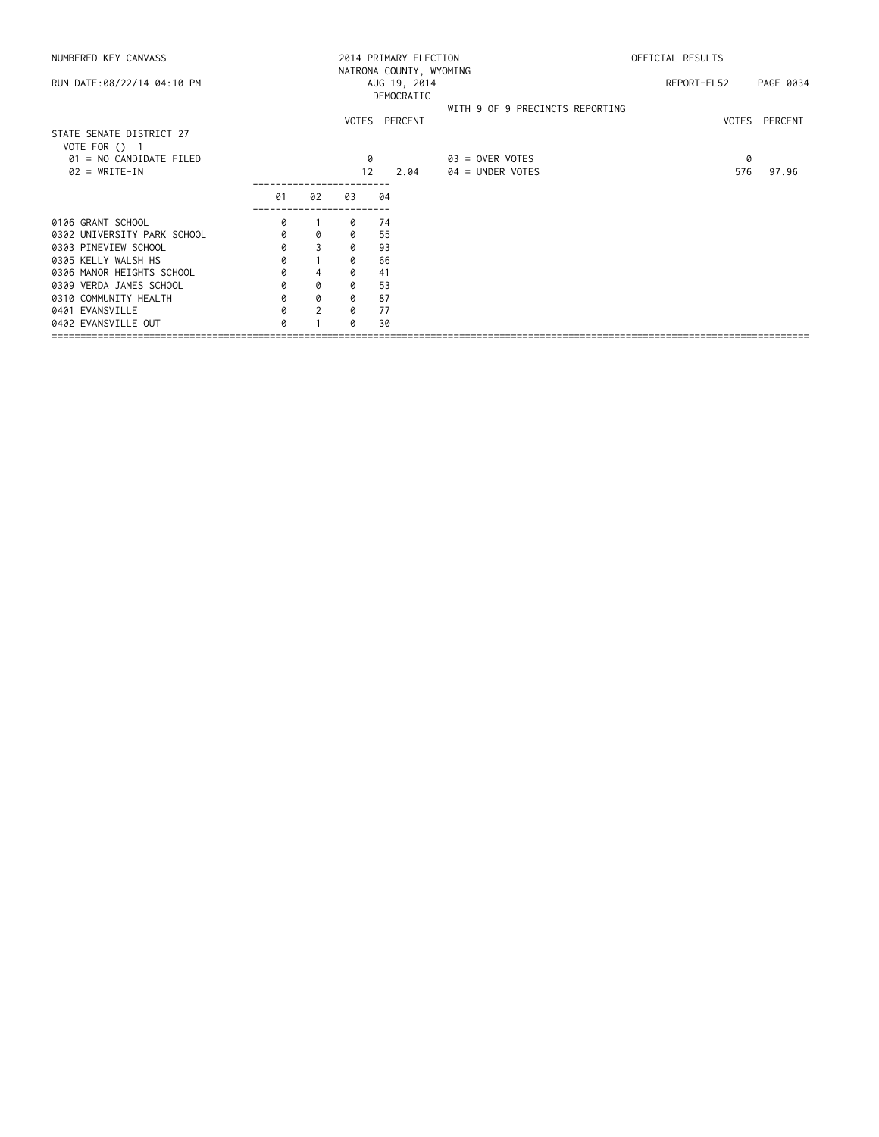|                            |                |    |    |         |                  | OFFICIAL RESULTS                                 |                                 |                    |  |
|----------------------------|----------------|----|----|---------|------------------|--------------------------------------------------|---------------------------------|--------------------|--|
| AUG 19, 2014<br>DEMOCRATIC |                |    |    |         |                  |                                                  |                                 | PAGE 0034          |  |
|                            |                |    |    |         |                  |                                                  |                                 | VOTES PERCENT      |  |
|                            |                |    |    |         |                  |                                                  |                                 |                    |  |
|                            |                |    |    |         | 03 = OVER VOTES  |                                                  | 0                               |                    |  |
|                            |                |    |    | 2.04    | 04 = UNDER VOTES |                                                  |                                 | 97.96              |  |
| 01                         | 02             | 03 | 04 |         |                  |                                                  |                                 |                    |  |
| 0                          |                | 0  | 74 |         |                  |                                                  |                                 |                    |  |
| 0                          | 0              | 0  | 55 |         |                  |                                                  |                                 |                    |  |
| 0                          | 3              | 0  | 93 |         |                  |                                                  |                                 |                    |  |
| 0                          |                | 0  | 66 |         |                  |                                                  |                                 |                    |  |
| 0                          | $\overline{4}$ | 0  | 41 |         |                  |                                                  |                                 |                    |  |
| 0                          | 0              | 0  | 53 |         |                  |                                                  |                                 |                    |  |
| 0                          | 0              | 0  | 87 |         |                  |                                                  |                                 |                    |  |
|                            | $\mathcal{P}$  | 0  | 77 |         |                  |                                                  |                                 |                    |  |
| 0                          |                | Q  | 30 |         |                  |                                                  |                                 |                    |  |
|                            |                |    |    | 0<br>12 | VOTES PERCENT    | 2014 PRIMARY ELECTION<br>NATRONA COUNTY, WYOMING | WITH 9 OF 9 PRECINCTS REPORTING | REPORT-EL52<br>576 |  |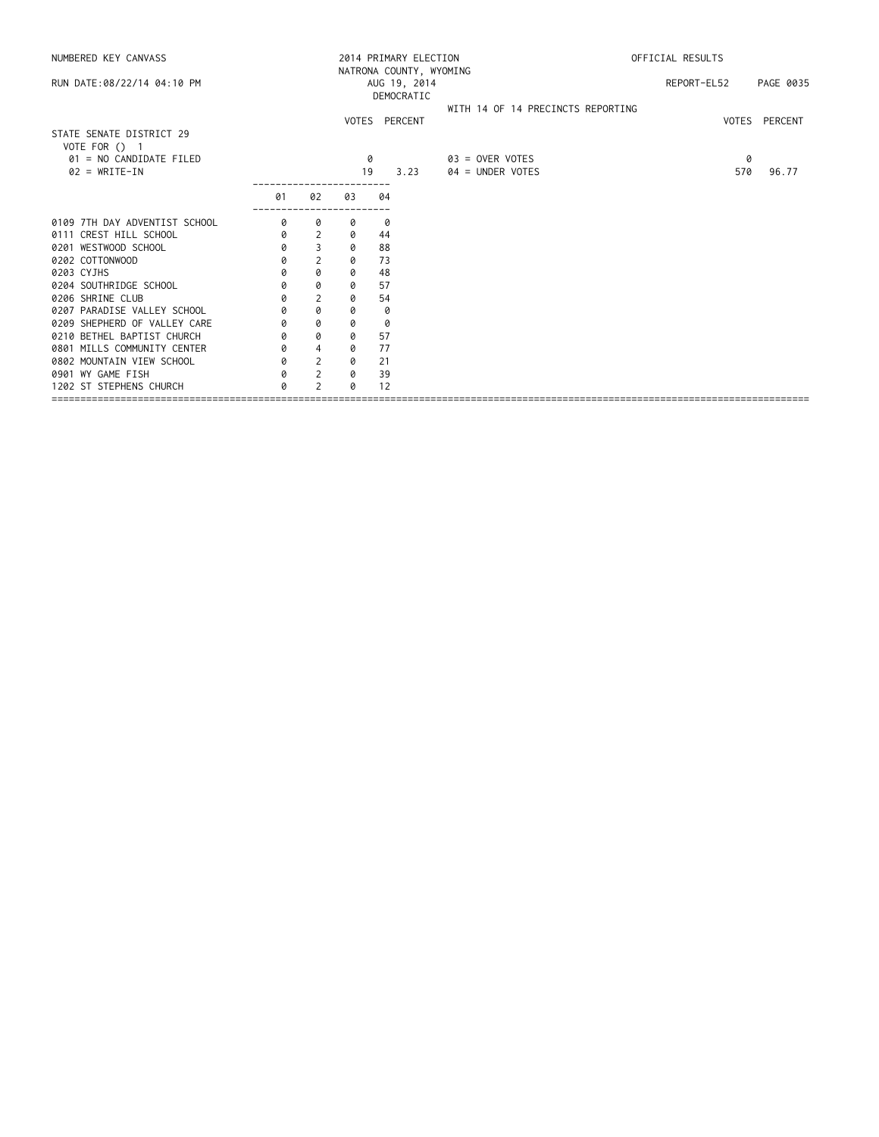|                            |                |    |      | OFFICIAL RESULTS         |                                                  |                                   |
|----------------------------|----------------|----|------|--------------------------|--------------------------------------------------|-----------------------------------|
| AUG 19, 2014<br>DEMOCRATIC |                |    |      |                          | REPORT-EL52                                      | PAGE 0035                         |
|                            |                |    |      |                          |                                                  | VOTES PERCENT                     |
|                            |                |    |      |                          |                                                  |                                   |
|                            |                |    |      | $03 =$ OVER VOTES        | 0                                                |                                   |
|                            |                |    | 3.23 | $04 =$ UNDER VOTES       | 570                                              | 96.77                             |
| 01                         | 02             | 03 | 04   |                          |                                                  |                                   |
| 0                          | 0              | 0  | 0    |                          |                                                  |                                   |
| 0                          | 2              | 0  | 44   |                          |                                                  |                                   |
| 0                          | 3              | 0  | 88   |                          |                                                  |                                   |
| 0                          | $\overline{2}$ | 0  | 73   |                          |                                                  |                                   |
| 0                          | 0              | 0  | 48   |                          |                                                  |                                   |
| 0                          | 0              | 0  | 57   |                          |                                                  |                                   |
| 0                          | 2              | 0  | 54   |                          |                                                  |                                   |
| 0                          | 0              | 0  | 0    |                          |                                                  |                                   |
| 0                          | 0              | 0  | 0    |                          |                                                  |                                   |
| 0                          | 0              | 0  | 57   |                          |                                                  |                                   |
| 0                          | $\overline{4}$ | 0  | 77   |                          |                                                  |                                   |
| 0                          | 2              | 0  | 21   |                          |                                                  |                                   |
| 0                          | 2              | 0  | 39   |                          |                                                  |                                   |
| Ø                          | 2              | Ø  | 12   |                          |                                                  |                                   |
|                            |                |    |      | VOTES PERCENT<br>0<br>19 | 2014 PRIMARY ELECTION<br>NATRONA COUNTY, WYOMING | WITH 14 OF 14 PRECINCTS REPORTING |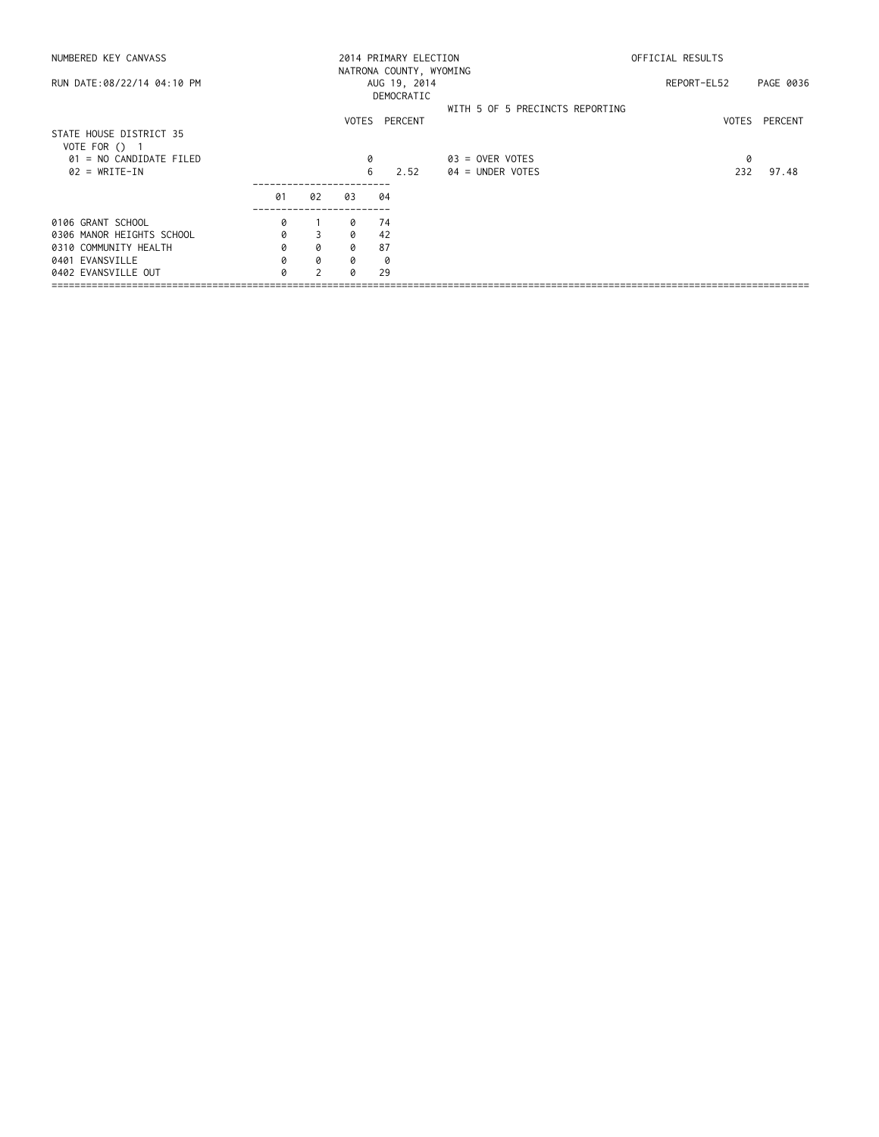| NUMBERED KEY CANVASS                       |    |               |          | 2014 PRIMARY ELECTION<br>NATRONA COUNTY, WYOMING |                                 | OFFICIAL RESULTS |               |  |
|--------------------------------------------|----|---------------|----------|--------------------------------------------------|---------------------------------|------------------|---------------|--|
| RUN DATE:08/22/14 04:10 PM                 |    |               |          | AUG 19, 2014<br>DEMOCRATIC                       |                                 | REPORT-EL52      | PAGE 0036     |  |
|                                            |    |               |          | VOTES PERCENT                                    | WITH 5 OF 5 PRECINCTS REPORTING |                  | VOTES PERCENT |  |
| STATE HOUSE DISTRICT 35<br>VOTE FOR $()$ 1 |    |               |          |                                                  |                                 |                  |               |  |
| 01 = NO CANDIDATE FILED                    |    |               |          |                                                  | $03 =$ OVER VOTES               | 0                |               |  |
| $02 = WRITE-IN$                            |    |               |          | 6<br>2.52                                        | $04 =$ UNDER VOTES              | 232              | 97.48         |  |
|                                            | 01 | 02            | 03       | 04                                               |                                 |                  |               |  |
| 0106 GRANT SCHOOL                          | 0  |               | 0        | 74                                               |                                 |                  |               |  |
| 0306 MANOR HEIGHTS SCHOOL                  | 0  | 3             | $\Omega$ | 42                                               |                                 |                  |               |  |
| 0310 COMMUNITY HEALTH                      | 0  | 0             | 0        | 87                                               |                                 |                  |               |  |
| 0401 EVANSVILLE                            | 0  | 0             | 0        | 0                                                |                                 |                  |               |  |
| 0402 EVANSVILLE OUT                        |    | $\mathcal{D}$ | a        | 29                                               |                                 |                  |               |  |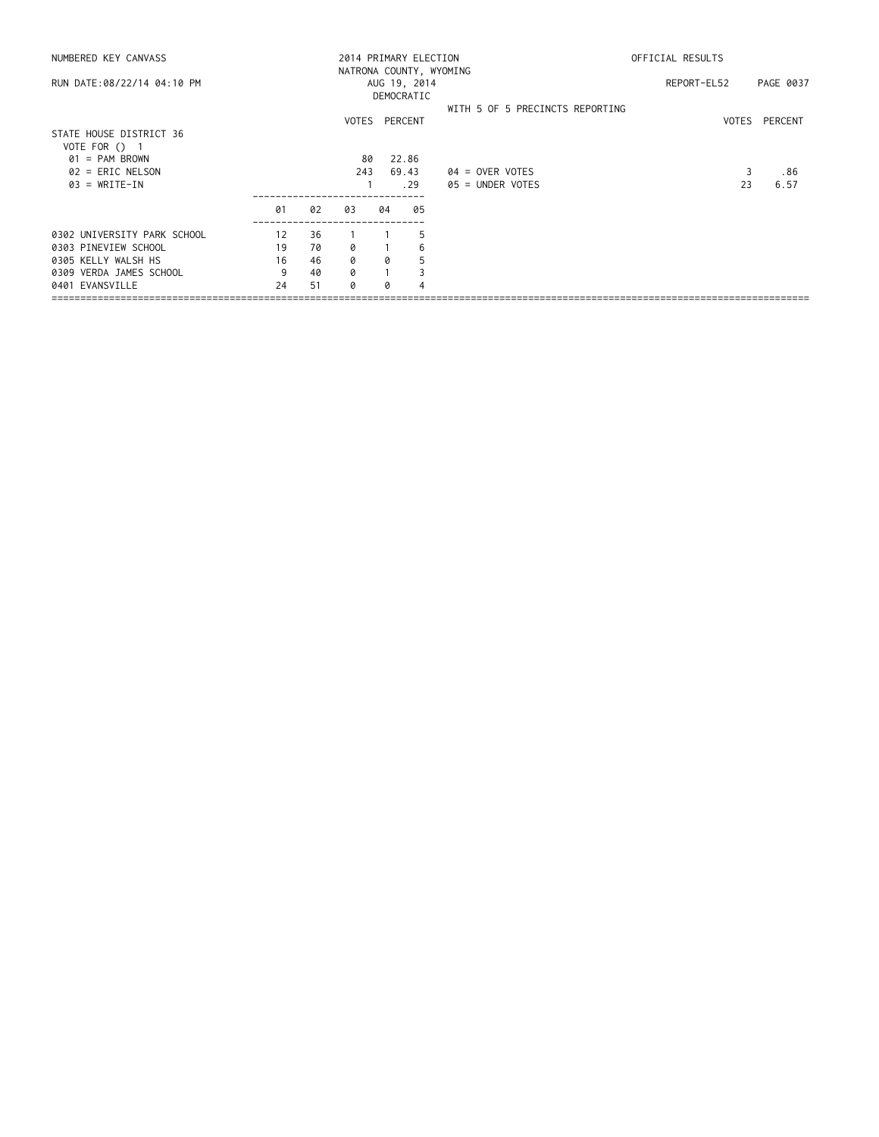| NUMBERED KEY CANVASS        |    |      |     |    | 2014 PRIMARY ELECTION   | OFFICIAL RESULTS                |             |       |           |
|-----------------------------|----|------|-----|----|-------------------------|---------------------------------|-------------|-------|-----------|
|                             |    |      |     |    | NATRONA COUNTY, WYOMING |                                 |             |       |           |
| RUN DATE:08/22/14 04:10 PM  |    |      |     |    | AUG 19, 2014            |                                 | REPORT-EL52 |       | PAGE 0037 |
|                             |    |      |     |    | DEMOCRATIC              |                                 |             |       |           |
|                             |    |      |     |    |                         | WITH 5 OF 5 PRECINCTS REPORTING |             |       |           |
|                             |    |      |     |    | VOTES PERCENT           |                                 |             | VOTES | PERCENT   |
| STATE HOUSE DISTRICT 36     |    |      |     |    |                         |                                 |             |       |           |
| VOTE FOR () 1               |    |      |     |    |                         |                                 |             |       |           |
| $01 = PAM BROWN$            |    |      | 80  |    | 22.86                   |                                 |             |       |           |
| $02$ = ERIC NELSON          |    |      | 243 |    | 69.43                   | $04 =$ OVER VOTES               |             |       | .86       |
| $03 = WRITE-IN$             |    | . 29 |     |    |                         | $05 =$ UNDER VOTES              |             | 23    | 6.57      |
|                             | 01 | 02   | 03  | 04 | 05                      |                                 |             |       |           |
| 0302 UNIVERSITY PARK SCHOOL | 12 | 36   |     |    | 5                       |                                 |             |       |           |
|                             |    |      |     |    |                         |                                 |             |       |           |
| 0303 PINEVIEW SCHOOL        | 19 | 70   | ø   |    | 6                       |                                 |             |       |           |
| 0305 KELLY WALSH HS         | 16 | 46   | 0   | 0  | 5                       |                                 |             |       |           |
| 0309 VERDA JAMES SCHOOL     | 9  | 40   | 0   |    |                         |                                 |             |       |           |
| 0401 EVANSVILLE             | 24 | 51   | Q   |    |                         |                                 |             |       |           |
|                             |    |      |     |    |                         |                                 |             |       |           |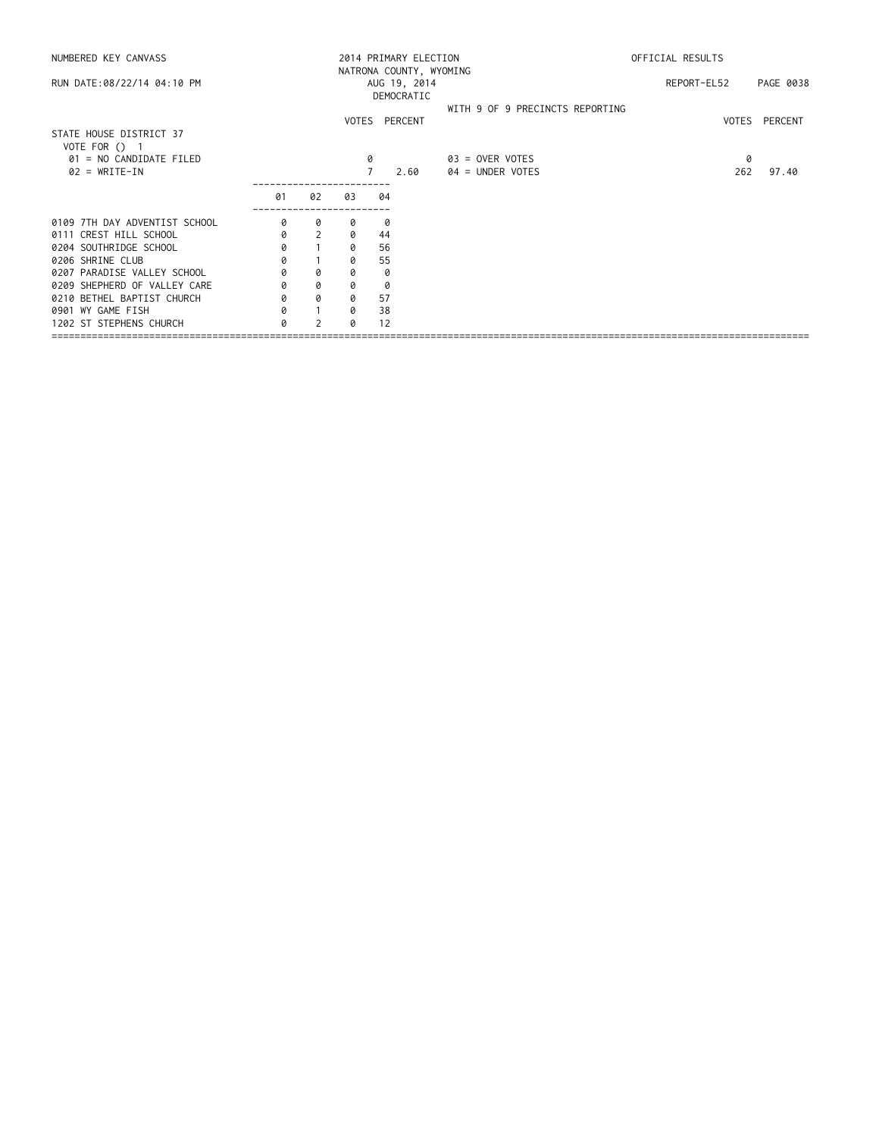| NUMBERED KEY CANVASS                       |                                                       |                |    |    | 2014 PRIMARY ELECTION |                                         | OFFICIAL RESULTS |          |               |  |
|--------------------------------------------|-------------------------------------------------------|----------------|----|----|-----------------------|-----------------------------------------|------------------|----------|---------------|--|
| RUN DATE:08/22/14 04:10 PM                 | NATRONA COUNTY, WYOMING<br>AUG 19, 2014<br>DEMOCRATIC |                |    |    |                       |                                         | REPORT-EL52      |          | PAGE 0038     |  |
|                                            |                                                       |                |    |    | VOTES PERCENT         | WITH 9 OF 9 PRECINCTS REPORTING         |                  |          | VOTES PERCENT |  |
| STATE HOUSE DISTRICT 37<br>VOTE FOR () 1   |                                                       |                |    |    |                       |                                         |                  |          |               |  |
| 01 = NO CANDIDATE FILED<br>$02 = WRITE-IN$ |                                                       |                |    | 0  | 2.60                  | $03 =$ OVER VOTES<br>$04 =$ UNDER VOTES |                  | 0<br>262 | 97.40         |  |
|                                            | 01                                                    | 02             | 03 | 04 |                       |                                         |                  |          |               |  |
| 0109 7TH DAY ADVENTIST SCHOOL              | 0                                                     | 0              | 0  | 0  |                       |                                         |                  |          |               |  |
| 0111 CREST HILL SCHOOL                     | 0                                                     | $\overline{2}$ | 0  | 44 |                       |                                         |                  |          |               |  |
| 0204 SOUTHRIDGE SCHOOL                     | 0                                                     |                | 0  | 56 |                       |                                         |                  |          |               |  |
| 0206 SHRINE CLUB                           | 0                                                     |                | 0  | 55 |                       |                                         |                  |          |               |  |
| 0207 PARADISE VALLEY SCHOOL                | 0                                                     | 0              | 0  | 0  |                       |                                         |                  |          |               |  |
| 0209 SHEPHERD OF VALLEY CARE               | 0                                                     | 0              | 0  | 0  |                       |                                         |                  |          |               |  |
| 0210 BETHEL BAPTIST CHURCH                 | 0                                                     | 0              | 0  | 57 |                       |                                         |                  |          |               |  |
| 0901 WY GAME FISH                          |                                                       |                | 0  | 38 |                       |                                         |                  |          |               |  |
| 1202 ST STEPHENS CHURCH                    | 0                                                     | $\mathcal{P}$  | 0  | 12 |                       |                                         |                  |          |               |  |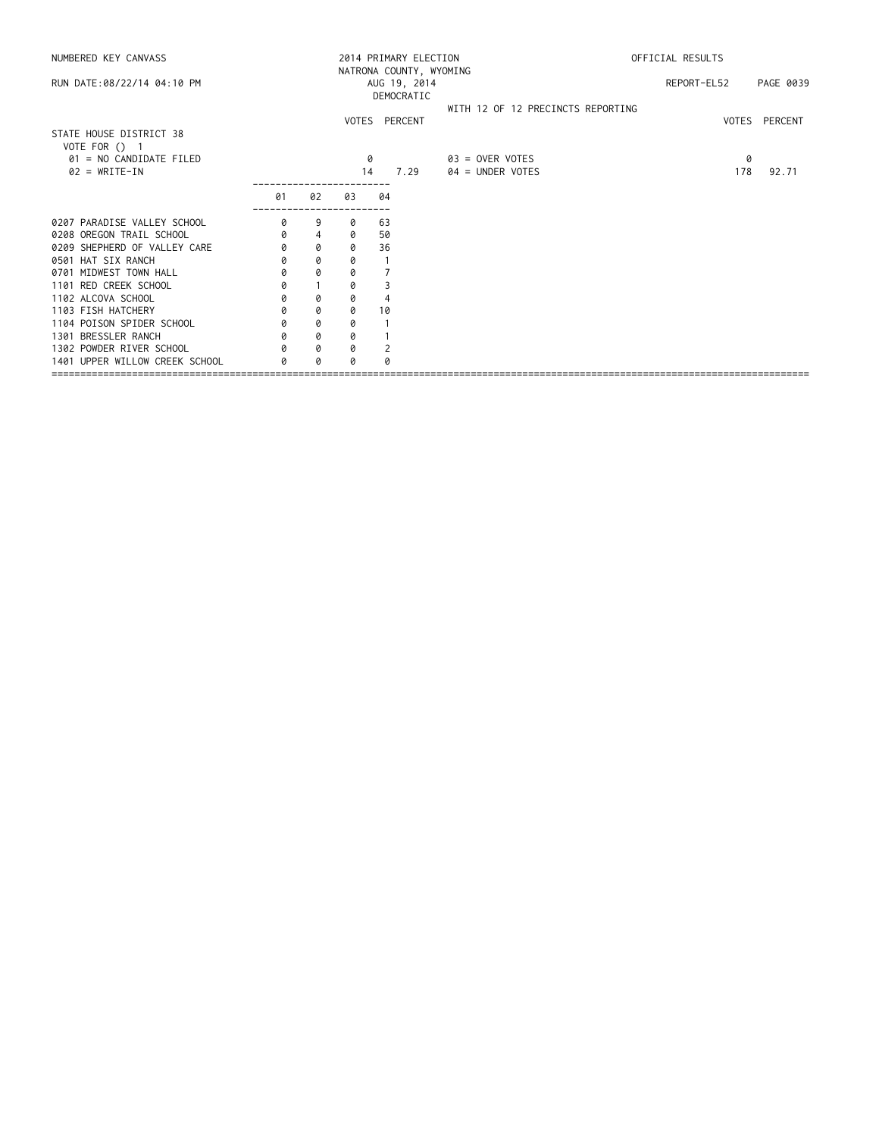| NUMBERED KEY CANVASS                     |    |                |    | 2014 PRIMARY ELECTION   | OFFICIAL RESULTS                  |             |               |  |
|------------------------------------------|----|----------------|----|-------------------------|-----------------------------------|-------------|---------------|--|
|                                          |    |                |    | NATRONA COUNTY, WYOMING |                                   |             |               |  |
| RUN DATE:08/22/14 04:10 PM               |    |                |    | AUG 19, 2014            |                                   | REPORT-EL52 | PAGE 0039     |  |
|                                          |    |                |    | DEMOCRATIC              |                                   |             |               |  |
|                                          |    |                |    |                         | WITH 12 OF 12 PRECINCTS REPORTING |             |               |  |
|                                          |    |                |    | VOTES PERCENT           |                                   |             | VOTES PERCENT |  |
| STATE HOUSE DISTRICT 38                  |    |                |    |                         |                                   |             |               |  |
| VOTE FOR () 1<br>01 = NO CANDIDATE FILED |    |                |    |                         |                                   |             |               |  |
|                                          |    |                | 0  |                         | 03 = OVER VOTES                   | 0           |               |  |
| $02 = WRITE-IN$                          |    |                | 14 | 7.29                    | 04 = UNDER VOTES                  | 178         | 92.71         |  |
|                                          | 01 | 02             | 03 | 04                      |                                   |             |               |  |
|                                          |    |                |    |                         |                                   |             |               |  |
| 0207 PARADISE VALLEY SCHOOL              | 0  | 9              | 0  | 63                      |                                   |             |               |  |
| 0208 OREGON TRAIL SCHOOL                 | 0  | $\overline{4}$ | 0  | 50                      |                                   |             |               |  |
| 0209 SHEPHERD OF VALLEY CARE             | 0  | 0              | 0  | 36                      |                                   |             |               |  |
| 0501 HAT SIX RANCH                       | 0  | 0              | 0  |                         |                                   |             |               |  |
| 0701 MIDWEST TOWN HALL                   | 0  | 0              | 0  |                         |                                   |             |               |  |
| 1101 RED CREEK SCHOOL                    | 0  |                | 0  |                         |                                   |             |               |  |
| 1102 ALCOVA SCHOOL                       | 0  | 0              | 0  |                         |                                   |             |               |  |
| 1103 FISH HATCHERY                       | 0  | 0              | 0  | 10                      |                                   |             |               |  |
| 1104 POISON SPIDER SCHOOL                | 0  | 0              | 0  |                         |                                   |             |               |  |
| 1301 BRESSLER RANCH                      | 0  | 0              | 0  |                         |                                   |             |               |  |
| 1302 POWDER RIVER SCHOOL                 | Q  | 0              | 0  |                         |                                   |             |               |  |
| 1401 UPPER WILLOW CREEK SCHOOL           | a  | 0              |    |                         |                                   |             |               |  |
|                                          |    |                |    |                         |                                   |             |               |  |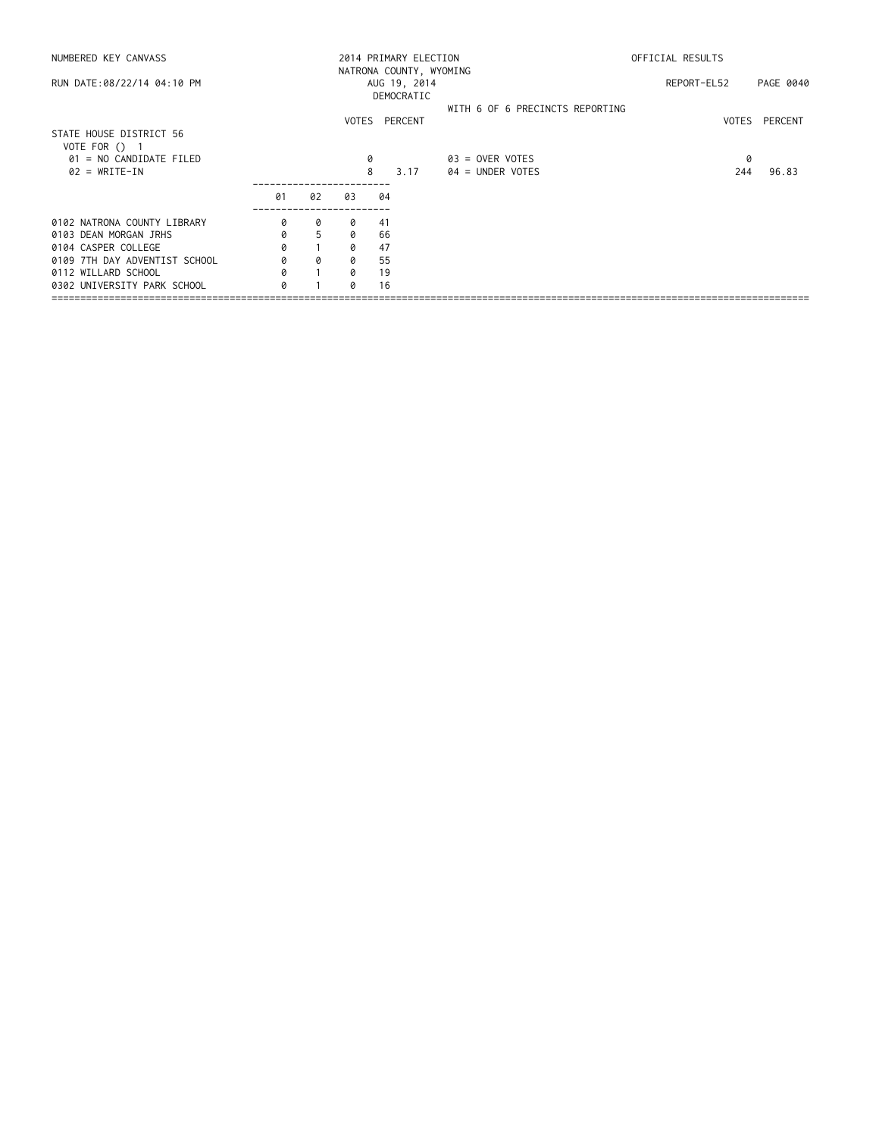| NUMBERED KEY CANVASS                       |    |    |    | 2014 PRIMARY ELECTION                                 |                                       | OFFICIAL RESULTS |               |  |  |
|--------------------------------------------|----|----|----|-------------------------------------------------------|---------------------------------------|------------------|---------------|--|--|
| RUN DATE:08/22/14 04:10 PM                 |    |    |    | NATRONA COUNTY, WYOMING<br>AUG 19, 2014<br>DEMOCRATIC |                                       | REPORT-EL52      | PAGE 0040     |  |  |
|                                            |    |    |    | VOTES PERCENT                                         | WITH 6 OF 6 PRECINCTS REPORTING       |                  | VOTES PERCENT |  |  |
| STATE HOUSE DISTRICT 56<br>VOTE FOR () 1   |    |    |    |                                                       |                                       |                  |               |  |  |
| 01 = NO CANDIDATE FILED<br>$02 = WRITE-IN$ |    |    |    | 8<br>3.17                                             | 03 = OVER VOTES<br>$04 =$ UNDER VOTES | 0<br>244         | 96.83         |  |  |
|                                            | 01 | 02 | 03 | 04                                                    |                                       |                  |               |  |  |
| 0102 NATRONA COUNTY LIBRARY                | 0  | 0  | 0  | 41                                                    |                                       |                  |               |  |  |
| 0103 DEAN MORGAN JRHS                      | 0  | 5  | 0  | 66                                                    |                                       |                  |               |  |  |
| 0104 CASPER COLLEGE                        | 0  |    | a  | 47                                                    |                                       |                  |               |  |  |
| 0109 7TH DAY ADVENTIST SCHOOL              |    | 0  | 0  | 55                                                    |                                       |                  |               |  |  |
| 0112 WILLARD SCHOOL                        | 0  |    | 0  | 19                                                    |                                       |                  |               |  |  |
| 0302 UNIVERSITY PARK SCHOOL                | 0  |    | Q  | 16                                                    |                                       |                  |               |  |  |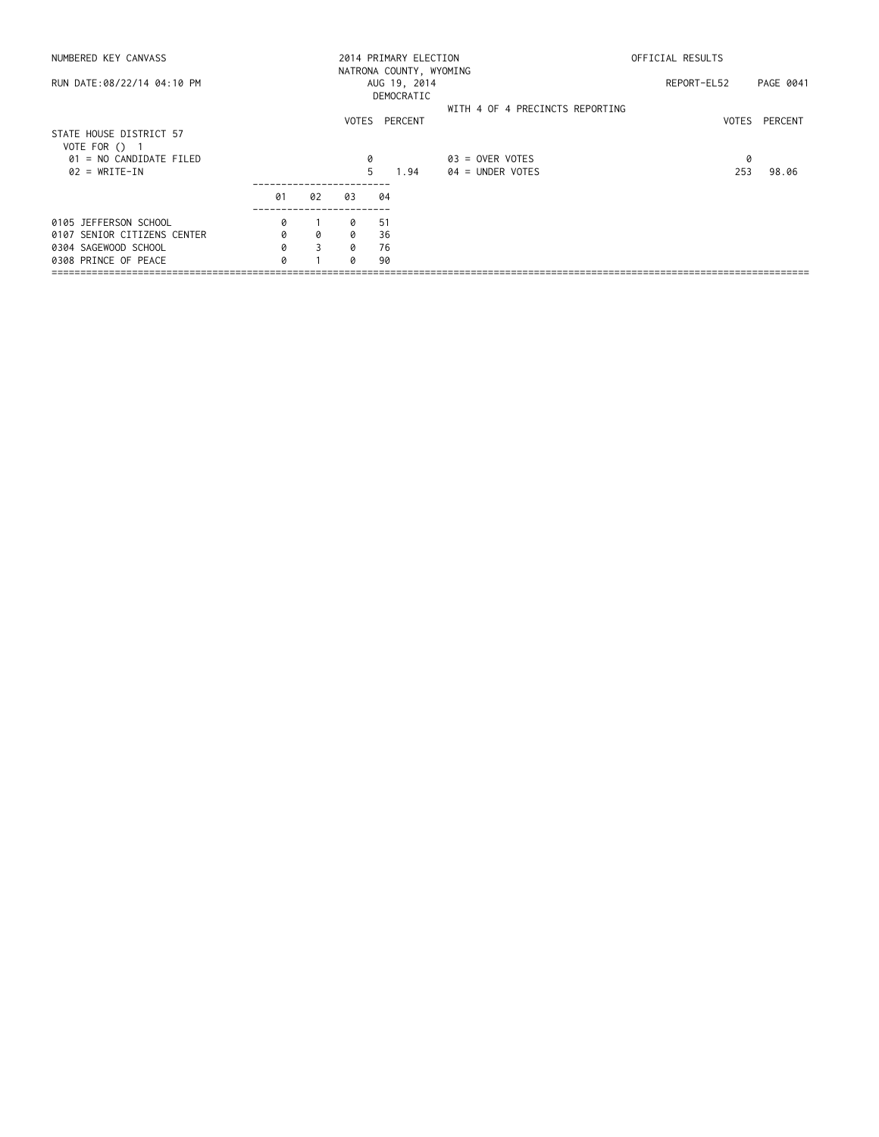| NUMBERED KEY CANVASS                     |    |    |    | 2014 PRIMARY ELECTION      | OFFICIAL RESULTS                |             |               |
|------------------------------------------|----|----|----|----------------------------|---------------------------------|-------------|---------------|
| RUN DATE:08/22/14 04:10 PM               |    |    |    | AUG 19, 2014<br>DEMOCRATIC | NATRONA COUNTY, WYOMING         | REPORT-EL52 | PAGE 0041     |
|                                          |    |    |    | VOTES PERCENT              | WITH 4 OF 4 PRECINCTS REPORTING |             | VOTES PERCENT |
| STATE HOUSE DISTRICT 57<br>VOTE FOR () 1 |    |    |    |                            |                                 |             |               |
| 01 = NO CANDIDATE FILED                  |    |    | 0  |                            | $03 =$ OVER VOTES               | 0           |               |
| $02 = WRITE-IN$                          |    |    | 5  | 1.94                       | $04 =$ UNDER VOTES              | 253         | 98.06         |
|                                          | 01 | 02 | 03 | 04                         |                                 |             |               |
| 0105 JEFFERSON SCHOOL                    | 0  |    | 0  | -51                        |                                 |             |               |
| 0107 SENIOR CITIZENS CENTER              | 0  | 0  | 0  | 36                         |                                 |             |               |
| 0304 SAGEWOOD SCHOOL                     | 0  | 3  | Q  | 76                         |                                 |             |               |
| 0308 PRINCE OF PEACE                     | 0  |    | Q  | 90                         |                                 |             |               |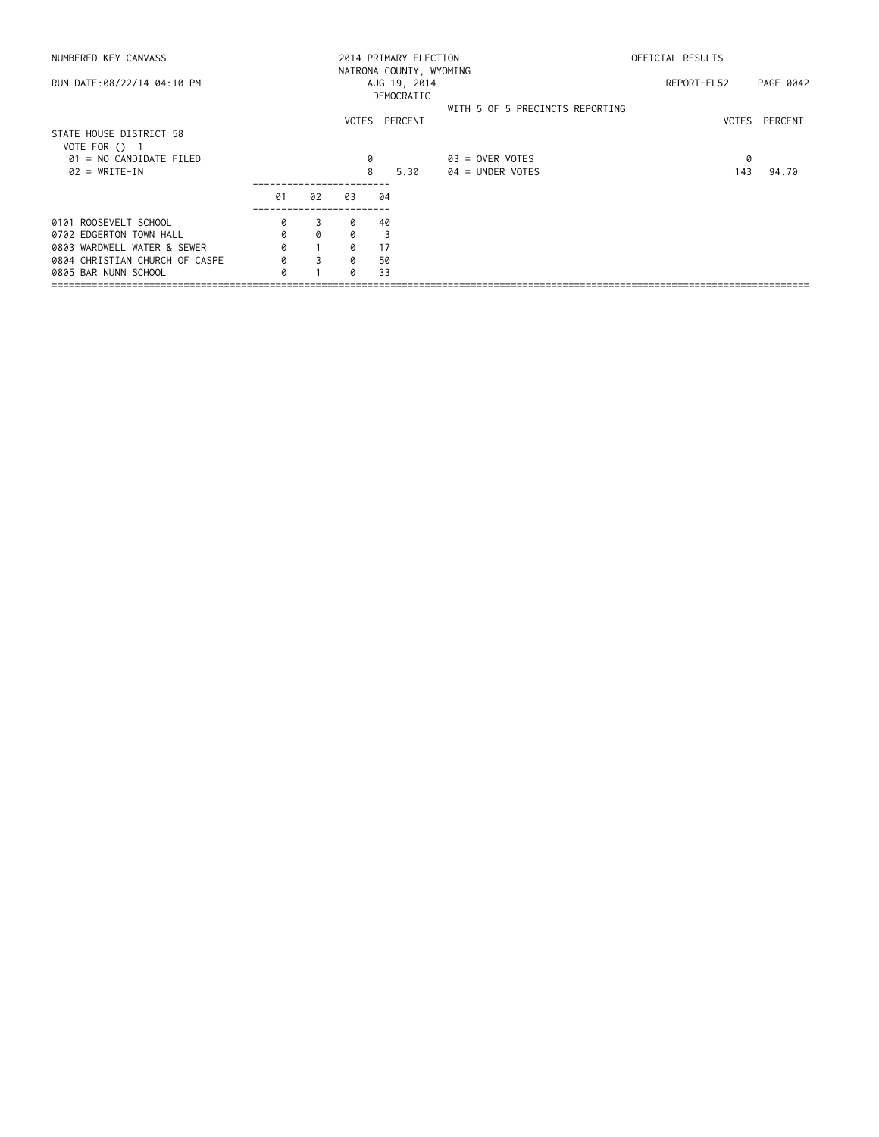| NUMBERED KEY CANVASS                       |    |          |    | 2014 PRIMARY ELECTION<br>NATRONA COUNTY, WYOMING |                                 | OFFICIAL RESULTS |           |  |
|--------------------------------------------|----|----------|----|--------------------------------------------------|---------------------------------|------------------|-----------|--|
| RUN DATE:08/22/14 04:10 PM                 |    |          |    | AUG 19, 2014<br>DEMOCRATIC                       |                                 | REPORT-EL52      | PAGE 0042 |  |
|                                            |    |          |    | VOTES PERCENT                                    | WITH 5 OF 5 PRECINCTS REPORTING | VOTES            | PERCENT   |  |
| STATE HOUSE DISTRICT 58<br>VOTE FOR $()$ 1 |    |          |    |                                                  |                                 |                  |           |  |
| 01 = NO CANDIDATE FILED                    |    |          |    |                                                  | $03 =$ OVER VOTES               | 0                |           |  |
| $02 = WRITE-IN$                            |    |          |    | 8<br>5.30                                        | $04 =$ UNDER VOTES              | 143              | 94.70     |  |
|                                            | 01 | 02       | 03 | 04                                               |                                 |                  |           |  |
| 0101 ROOSEVELT SCHOOL                      | 0  | 3        | 0  | 40                                               |                                 |                  |           |  |
| 0702 EDGERTON TOWN HALL                    | 0  | $\Omega$ | Q  | 3                                                |                                 |                  |           |  |
| 0803 WARDWELL WATER & SEWER                | 0  |          | a  | 17                                               |                                 |                  |           |  |
| 0804 CHRISTIAN CHURCH OF CASPE             | 0  | 3        | 0  | 50                                               |                                 |                  |           |  |
| 0805 BAR NUNN SCHOOL                       | a  |          | a  | 33                                               |                                 |                  |           |  |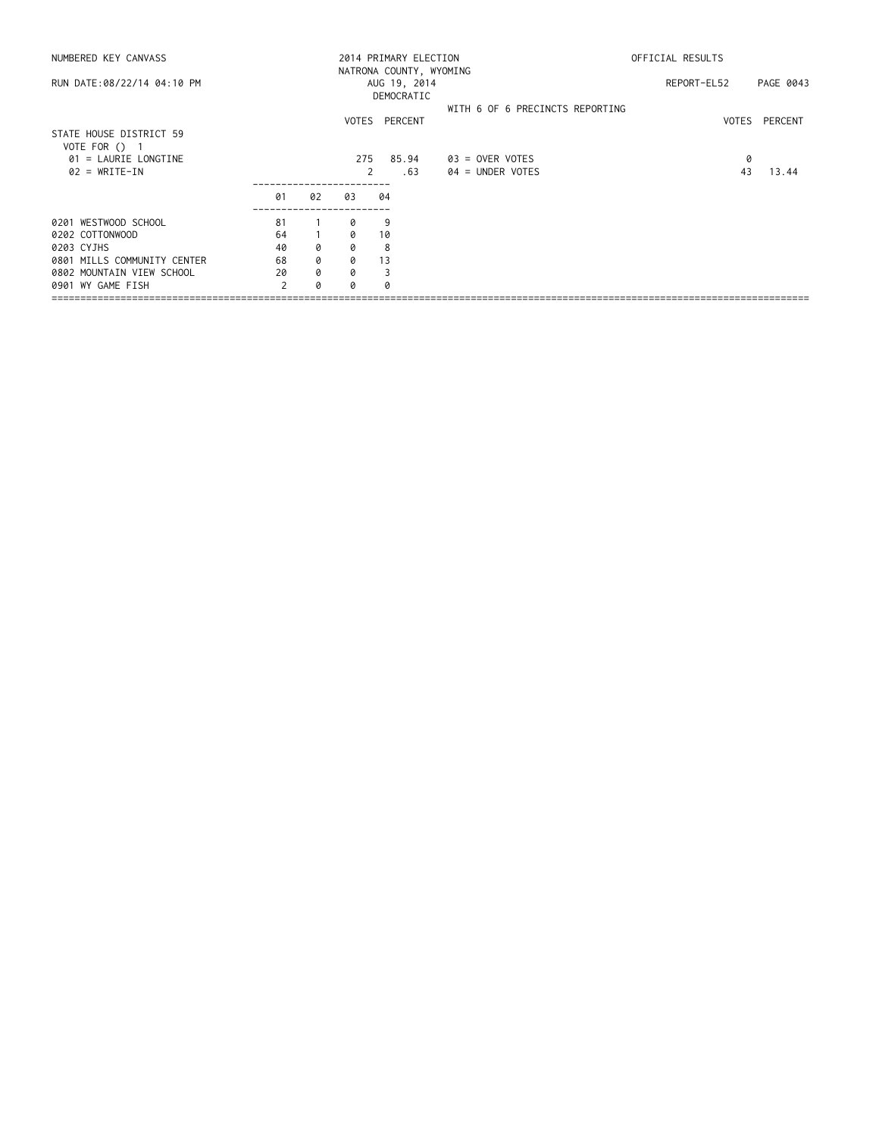| NUMBERED KEY CANVASS        |     |    |     | 2014 PRIMARY ELECTION   |                                 | OFFICIAL RESULTS |           |  |  |
|-----------------------------|-----|----|-----|-------------------------|---------------------------------|------------------|-----------|--|--|
|                             |     |    |     | NATRONA COUNTY, WYOMING |                                 |                  |           |  |  |
| RUN DATE:08/22/14 04:10 PM  |     |    |     | AUG 19, 2014            |                                 | REPORT-EL52      | PAGE 0043 |  |  |
|                             |     |    |     | DEMOCRATIC              |                                 |                  |           |  |  |
|                             |     |    |     |                         | WITH 6 OF 6 PRECINCTS REPORTING |                  |           |  |  |
|                             |     |    |     | VOTES PERCENT           |                                 | VOTES            | PERCENT   |  |  |
| STATE HOUSE DISTRICT 59     |     |    |     |                         |                                 |                  |           |  |  |
| VOTE FOR () 1               |     |    |     |                         |                                 |                  |           |  |  |
| $01$ = LAURIE LONGTINE      |     |    | 275 | 85.94                   | 03 = OVER VOTES                 | 0                |           |  |  |
| $02 = WRITE-IN$             |     |    | 2   | .63                     | $04 =$ UNDER VOTES              | 43               | 13.44     |  |  |
|                             |     |    |     |                         |                                 |                  |           |  |  |
|                             | 01  | 02 | 03  | 04                      |                                 |                  |           |  |  |
| 0201 WESTWOOD SCHOOL        | -81 |    | ø   | 9                       |                                 |                  |           |  |  |
| 0202 COTTONWOOD             | 64  |    | Q   | 10                      |                                 |                  |           |  |  |
| 0203 CYJHS                  | 40  | 0  | 0   | 8                       |                                 |                  |           |  |  |
| 0801 MILLS COMMUNITY CENTER | 68  | 0  | 0   | 13                      |                                 |                  |           |  |  |
| 0802 MOUNTAIN VIEW SCHOOL   | 20  | 0  | 0   |                         |                                 |                  |           |  |  |
| 0901 WY GAME FISH           |     | ø  | a   |                         |                                 |                  |           |  |  |
|                             |     |    |     |                         |                                 |                  |           |  |  |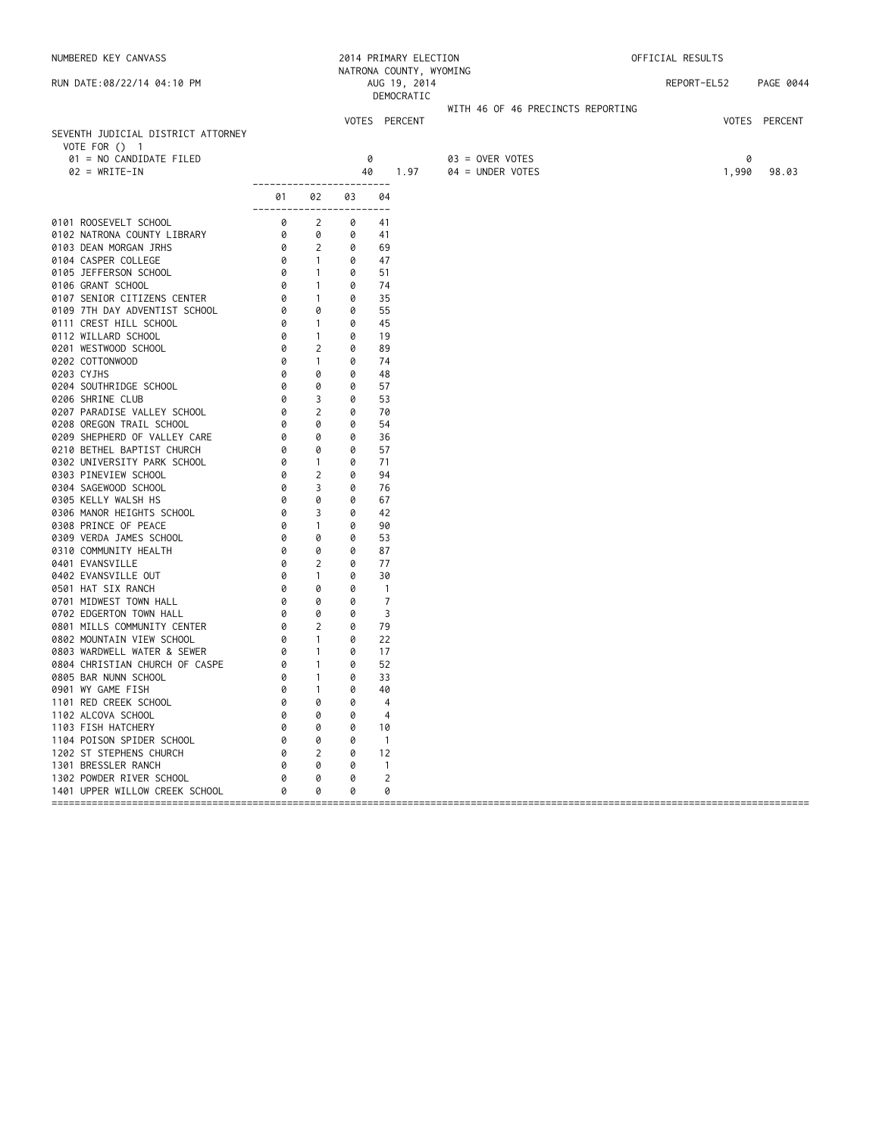| NUMBERED KEY CANVASS                                                   |                                                              |                     |        | 2014 PRIMARY ELECTION<br>NATRONA COUNTY, WYOMING |                                     | OFFICIAL RESULTS |               |
|------------------------------------------------------------------------|--------------------------------------------------------------|---------------------|--------|--------------------------------------------------|-------------------------------------|------------------|---------------|
| RUN DATE:08/22/14 04:10 PM                                             |                                                              |                     |        | AUG 19, 2014<br>DEMOCRATIC                       |                                     | REPORT-EL52      | PAGE 0044     |
|                                                                        |                                                              |                     |        |                                                  | WITH 46 OF 46 PRECINCTS REPORTING   |                  |               |
| SEVENTH JUDICIAL DISTRICT ATTORNEY<br>VOTE FOR () 1                    |                                                              |                     |        | VOTES PERCENT                                    |                                     |                  | VOTES PERCENT |
| 01 = NO CANDIDATE FILED<br>$02 = WRITE-IN$                             |                                                              |                     | 40     | 0<br>1.97                                        | 03 = OVER VOTES<br>04 = UNDER VOTES | 1,990            | 0<br>98.03    |
|                                                                        | ------------------------<br>01 —<br>------------------------ | 02                  | 03     | 04                                               |                                     |                  |               |
| 0101 ROOSEVELT SCHOOL                                                  |                                                              | 2                   | 0      | 41                                               |                                     |                  |               |
| 0102 NATRONA COUNTY LIBRARY                                            | $\begin{bmatrix} 0 \ 0 \ 0 \end{bmatrix}$                    | 0                   | 0      | 41                                               |                                     |                  |               |
| 0103 DEAN MORGAN JRHS                                                  |                                                              | $\overline{2}$      | 0      | 69                                               |                                     |                  |               |
| 0104 CASPER COLLEGE                                                    |                                                              | $\sim$ 1            | 0      | 47                                               |                                     |                  |               |
| 0105 JEFFERSON SCHOOL                                                  | 0                                                            | $\sim$ 1            | 0      | 51                                               |                                     |                  |               |
| 0106 GRANT SCHOOL                                                      | 0                                                            | $\sim$ 1            | 0      | 74                                               |                                     |                  |               |
| 0107 SENIOR CITIZENS CENTER                                            |                                                              | $\sim$ 1            | 0      | 35                                               |                                     |                  |               |
| 0109 7TH DAY ADVENTIST SCHOOL                                          |                                                              | 0                   | 0      | 55                                               |                                     |                  |               |
| $rac{6}{6}$<br>$rac{6}{6}$<br>$rac{1001}{6}$<br>0111 CREST HILL SCHOOL |                                                              | $\sim$ 1            | 0      | 45                                               |                                     |                  |               |
| 0112 WILLARD SCHOOL                                                    |                                                              | $\overline{1}$      | 0      | 19                                               |                                     |                  |               |
| 0201 WESTWOOD SCHOOL                                                   |                                                              | 2                   | 0      | 89                                               |                                     |                  |               |
| 0202 COTTONWOOD                                                        |                                                              | $\mathbf{1}$        | 0      | 74                                               |                                     |                  |               |
| 0203 CYJHS                                                             | 0                                                            | 0                   | 0      | 48                                               |                                     |                  |               |
| 0204 SOUTHRIDGE SCHOOL                                                 | 0                                                            | 0                   | 0      | 57                                               |                                     |                  |               |
| 0206 SHRINE CLUB                                                       | 0                                                            | 3                   | 0      | 53                                               |                                     |                  |               |
| 0207 PARADISE VALLEY SCHOOL                                            | 0                                                            | $\overline{2}$      | 0      | 70                                               |                                     |                  |               |
| 0208 OREGON TRAIL SCHOOL                                               | 0                                                            | 0                   | 0      | 54                                               |                                     |                  |               |
| 0209 SHEPHERD OF VALLEY CARE                                           | 0                                                            | 0                   | 0      | 36                                               |                                     |                  |               |
| 0210 BETHEL BAPTIST CHURCH                                             | 0                                                            | 0                   | 0      | 57                                               |                                     |                  |               |
| 0302 UNIVERSITY PARK SCHOOL                                            | 0                                                            | $\sim$ 1            | 0      | 71                                               |                                     |                  |               |
| 0303 PINEVIEW SCHOOL                                                   | 0                                                            | 2                   | 0      | 94                                               |                                     |                  |               |
| 0304 SAGEWOOD SCHOOL                                                   | 0                                                            | 3                   | 0      | 76                                               |                                     |                  |               |
| 0305 KELLY WALSH HS                                                    | 0                                                            | 0                   | 0      | 67                                               |                                     |                  |               |
| 0306 MANOR HEIGHTS SCHOOL                                              | 0                                                            | 3                   | 0      | 42                                               |                                     |                  |               |
| 0308 PRINCE OF PEACE                                                   | 0<br>0                                                       | $\overline{1}$<br>0 | 0<br>0 | 90                                               |                                     |                  |               |
| 0309 VERDA JAMES SCHOOL                                                | 0                                                            | 0                   | 0      | 53<br>87                                         |                                     |                  |               |
| 0310 COMMUNITY HEALTH<br>0401 EVANSVILLE                               | 0                                                            | $\overline{2}$      | 0      | 77                                               |                                     |                  |               |
| 0402 EVANSVILLE OUT                                                    | 0                                                            | $\mathbf{1}$        | 0      | 30                                               |                                     |                  |               |
| 0501 HAT SIX RANCH                                                     | 0                                                            | 0                   | 0      | $\overline{1}$                                   |                                     |                  |               |
| 0701 MIDWEST TOWN HALL                                                 | 0                                                            | 0                   | 0      | $\overline{7}$                                   |                                     |                  |               |
| 0702 EDGERTON TOWN HALL                                                | 0                                                            | 0                   | 0      | 3                                                |                                     |                  |               |
| 0801 MILLS COMMUNITY CENTER                                            | 0                                                            | 2                   | 0      | 79                                               |                                     |                  |               |
| 0802 MOUNTAIN VIEW SCHOOL                                              | 0                                                            | $\sim$ 1            | 0      | 22                                               |                                     |                  |               |
| 0803 WARDWELL WATER & SEWER                                            | 0                                                            | $\sim$ 1            | 0      | 17                                               |                                     |                  |               |
| 0804 CHRISTIAN CHURCH OF CASPE                                         | 0                                                            | $\sim$ 1            | 0      | 52                                               |                                     |                  |               |
| 0805 BAR NUNN SCHOOL                                                   | 0                                                            | $\overline{1}$      | 0      | 33                                               |                                     |                  |               |
| 0901 WY GAME FISH                                                      |                                                              | 0 1                 | 0      | 40                                               |                                     |                  |               |
| 1101 RED CREEK SCHOOL                                                  |                                                              | 0                   | 0      | 4                                                |                                     |                  |               |
| 1102 ALCOVA SCHOOL                                                     |                                                              | 0                   | 0      | 4                                                |                                     |                  |               |
| 1103 FISH HATCHERY                                                     |                                                              | 0                   | 0      | 10                                               |                                     |                  |               |
| 1104 POISON SPIDER SCHOOL                                              |                                                              | 0                   | 0      | $\overline{1}$                                   |                                     |                  |               |
| 1202 ST STEPHENS CHURCH                                                | Ø                                                            | 2                   | 0      | 12                                               |                                     |                  |               |
| 1301 BRESSLER RANCH                                                    |                                                              | 0                   | 0      | $\mathbf{1}$                                     |                                     |                  |               |
| 1302 POWDER RIVER SCHOOL                                               |                                                              | 0                   | 0      | 2                                                |                                     |                  |               |
| 1401 UPPER WILLOW CREEK SCHOOL                                         |                                                              | 0                   | 0      | 0                                                |                                     |                  |               |
|                                                                        |                                                              |                     |        |                                                  |                                     |                  |               |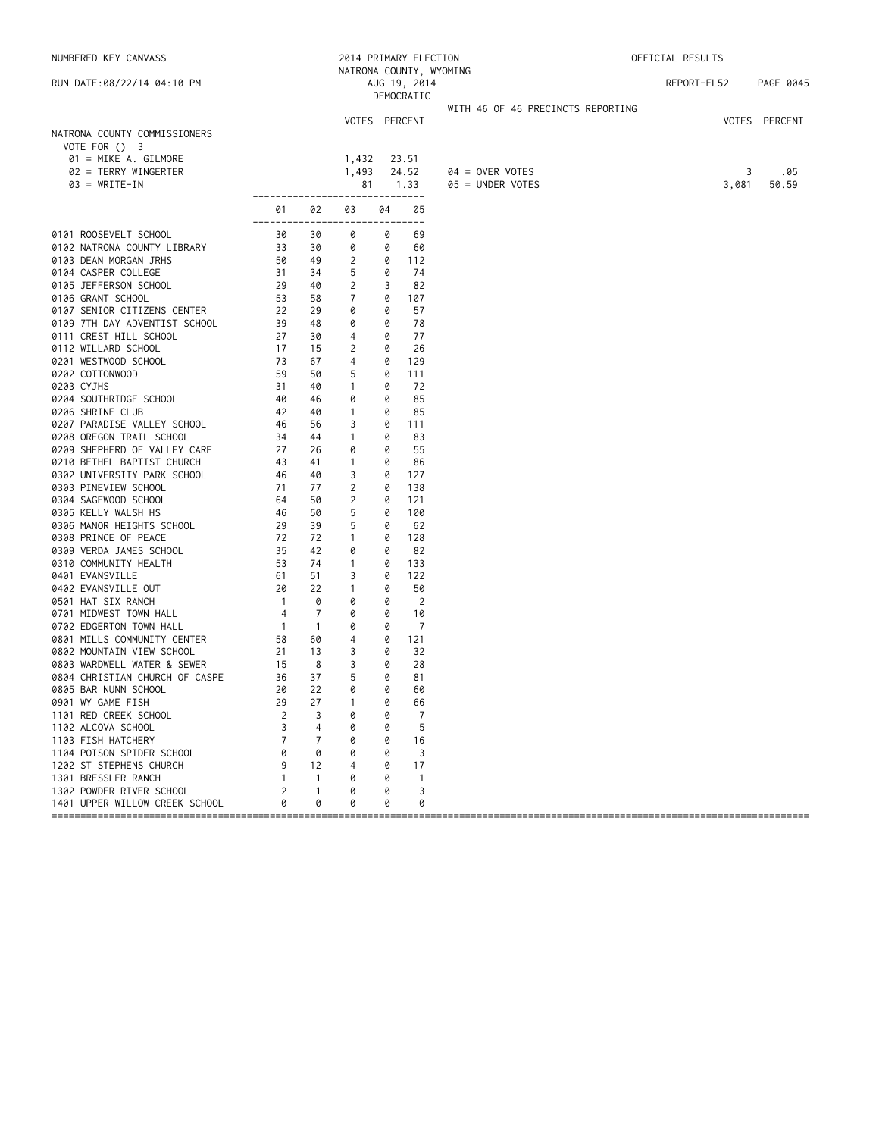| NATRONA COUNTY, WYOMING<br>REPORT-EL52<br>PAGE 0045<br>RUN DATE:08/22/14 04:10 PM<br>AUG 19, 2014<br>DEMOCRATIC<br>WITH 46 OF 46 PRECINCTS REPORTING<br>VOTES PERCENT<br>VOTES PERCENT<br>NATRONA COUNTY COMMISSIONERS<br>VOTE FOR () 3<br>01 = MIKE A. GILMORE<br>1,432<br>23.51<br>1,493<br>02 = TERRY WINGERTER<br>24.52<br>$04 =$ OVER VOTES<br>3<br>1.33<br>3,081<br>$03 = WRITE-IN$<br>81<br>05 = UNDER VOTES<br>50.59<br>-------------------------------<br>02<br>03<br>04<br>05<br>01<br>---------<br>---<br>0101 ROOSEVELT SCHOOL<br>30<br>30<br>0<br>69<br>0<br>33<br>0102 NATRONA COUNTY LIBRARY<br>30<br>0<br>0<br>60 | .05 |
|-----------------------------------------------------------------------------------------------------------------------------------------------------------------------------------------------------------------------------------------------------------------------------------------------------------------------------------------------------------------------------------------------------------------------------------------------------------------------------------------------------------------------------------------------------------------------------------------------------------------------------------|-----|
|                                                                                                                                                                                                                                                                                                                                                                                                                                                                                                                                                                                                                                   |     |
|                                                                                                                                                                                                                                                                                                                                                                                                                                                                                                                                                                                                                                   |     |
|                                                                                                                                                                                                                                                                                                                                                                                                                                                                                                                                                                                                                                   |     |
|                                                                                                                                                                                                                                                                                                                                                                                                                                                                                                                                                                                                                                   |     |
|                                                                                                                                                                                                                                                                                                                                                                                                                                                                                                                                                                                                                                   |     |
|                                                                                                                                                                                                                                                                                                                                                                                                                                                                                                                                                                                                                                   |     |
|                                                                                                                                                                                                                                                                                                                                                                                                                                                                                                                                                                                                                                   |     |
|                                                                                                                                                                                                                                                                                                                                                                                                                                                                                                                                                                                                                                   |     |
|                                                                                                                                                                                                                                                                                                                                                                                                                                                                                                                                                                                                                                   |     |
|                                                                                                                                                                                                                                                                                                                                                                                                                                                                                                                                                                                                                                   |     |
|                                                                                                                                                                                                                                                                                                                                                                                                                                                                                                                                                                                                                                   |     |
|                                                                                                                                                                                                                                                                                                                                                                                                                                                                                                                                                                                                                                   |     |
| 0103 DEAN MORGAN JRHS<br>50<br>49<br>2<br>112<br>0                                                                                                                                                                                                                                                                                                                                                                                                                                                                                                                                                                                |     |
| 0104 CASPER COLLEGE<br>31<br>34<br>5<br>74<br>0                                                                                                                                                                                                                                                                                                                                                                                                                                                                                                                                                                                   |     |
| 0105 JEFFERSON SCHOOL<br>29<br>40<br>2<br>3<br>82                                                                                                                                                                                                                                                                                                                                                                                                                                                                                                                                                                                 |     |
| 0106 GRANT SCHOOL<br>7<br>53<br>58<br>0<br>107                                                                                                                                                                                                                                                                                                                                                                                                                                                                                                                                                                                    |     |
| 0107 SENIOR CITIZENS CENTER<br>22<br>29<br>0<br>57<br>0                                                                                                                                                                                                                                                                                                                                                                                                                                                                                                                                                                           |     |
| 0109 7TH DAY ADVENTIST SCHOOL<br>39<br>48<br>0<br>0<br>78                                                                                                                                                                                                                                                                                                                                                                                                                                                                                                                                                                         |     |
| 0111 CREST HILL SCHOOL<br>27<br>30<br>4<br>0<br>77                                                                                                                                                                                                                                                                                                                                                                                                                                                                                                                                                                                |     |
| 2<br>26<br>0112 WILLARD SCHOOL<br>17<br>15<br>0                                                                                                                                                                                                                                                                                                                                                                                                                                                                                                                                                                                   |     |
| 0201 WESTWOOD SCHOOL<br>73<br>67<br>4<br>0<br>129                                                                                                                                                                                                                                                                                                                                                                                                                                                                                                                                                                                 |     |
| 0202 COTTONWOOD<br>59<br>50<br>5<br>0<br>111                                                                                                                                                                                                                                                                                                                                                                                                                                                                                                                                                                                      |     |
| 0203 CYJHS<br>$\mathbf{1}$<br>31<br>40<br>0<br>72                                                                                                                                                                                                                                                                                                                                                                                                                                                                                                                                                                                 |     |
| 85<br>0204 SOUTHRIDGE SCHOOL<br>40<br>46<br>0<br>0                                                                                                                                                                                                                                                                                                                                                                                                                                                                                                                                                                                |     |
| $\mathbf{1}$<br>85<br>0206 SHRINE CLUB<br>42<br>40<br>0                                                                                                                                                                                                                                                                                                                                                                                                                                                                                                                                                                           |     |
| 0207 PARADISE VALLEY SCHOOL<br>46<br>56<br>3<br>111<br>0                                                                                                                                                                                                                                                                                                                                                                                                                                                                                                                                                                          |     |
| 0208 OREGON TRAIL SCHOOL<br>34<br>44<br>$\overline{1}$<br>83<br>0                                                                                                                                                                                                                                                                                                                                                                                                                                                                                                                                                                 |     |
| 0209 SHEPHERD OF VALLEY CARE<br>27<br>55<br>26<br>0<br>0                                                                                                                                                                                                                                                                                                                                                                                                                                                                                                                                                                          |     |
| 0210 BETHEL BAPTIST CHURCH<br>43<br>41<br>$\mathbf{1}$<br>0<br>86                                                                                                                                                                                                                                                                                                                                                                                                                                                                                                                                                                 |     |
| 0302 UNIVERSITY PARK SCHOOL<br>46<br>40<br>3<br>127<br>0                                                                                                                                                                                                                                                                                                                                                                                                                                                                                                                                                                          |     |
| 0303 PINEVIEW SCHOOL<br>2<br>71<br>77<br>138<br>0                                                                                                                                                                                                                                                                                                                                                                                                                                                                                                                                                                                 |     |
| 2<br>0304 SAGEWOOD SCHOOL<br>64<br>50<br>121<br>0                                                                                                                                                                                                                                                                                                                                                                                                                                                                                                                                                                                 |     |
| 5<br>0305 KELLY WALSH HS<br>46<br>50<br>0<br>100                                                                                                                                                                                                                                                                                                                                                                                                                                                                                                                                                                                  |     |
| 0306 MANOR HEIGHTS SCHOOL<br>5<br>29<br>39<br>0<br>62                                                                                                                                                                                                                                                                                                                                                                                                                                                                                                                                                                             |     |
| 0308 PRINCE OF PEACE<br>72<br>72<br>$\overline{1}$<br>128<br>0                                                                                                                                                                                                                                                                                                                                                                                                                                                                                                                                                                    |     |
| 0309 VERDA JAMES SCHOOL<br>35<br>42<br>0<br>0<br>82                                                                                                                                                                                                                                                                                                                                                                                                                                                                                                                                                                               |     |
| 0310 COMMUNITY HEALTH<br>53<br>74<br>133<br>$\mathbf{1}$<br>0                                                                                                                                                                                                                                                                                                                                                                                                                                                                                                                                                                     |     |
| 0401 EVANSVILLE<br>61<br>51<br>3<br>122<br>0                                                                                                                                                                                                                                                                                                                                                                                                                                                                                                                                                                                      |     |
| 0402 EVANSVILLE OUT<br>20<br>22<br>$\mathbf{1}$<br>50<br>0                                                                                                                                                                                                                                                                                                                                                                                                                                                                                                                                                                        |     |
| $\overline{1}$<br>$\overline{2}$<br>0501 HAT SIX RANCH<br>0<br>0<br>0                                                                                                                                                                                                                                                                                                                                                                                                                                                                                                                                                             |     |
| $\overline{7}$<br>0701 MIDWEST TOWN HALL<br>4<br>0<br>10<br>0                                                                                                                                                                                                                                                                                                                                                                                                                                                                                                                                                                     |     |
| $\overline{1}$<br>0<br>$\overline{7}$<br>0702 EDGERTON TOWN HALL<br>$\overline{1}$<br>0                                                                                                                                                                                                                                                                                                                                                                                                                                                                                                                                           |     |
| 0801 MILLS COMMUNITY CENTER<br>121<br>58<br>60<br>4<br>0                                                                                                                                                                                                                                                                                                                                                                                                                                                                                                                                                                          |     |
| 21<br>3<br>32<br>0802 MOUNTAIN VIEW SCHOOL<br>13<br>0                                                                                                                                                                                                                                                                                                                                                                                                                                                                                                                                                                             |     |
| 0803 WARDWELL WATER & SEWER<br>15<br>8<br>3<br>28<br>0                                                                                                                                                                                                                                                                                                                                                                                                                                                                                                                                                                            |     |
| 37<br>5<br>0804 CHRISTIAN CHURCH OF CASPE<br>36<br>0<br>81                                                                                                                                                                                                                                                                                                                                                                                                                                                                                                                                                                        |     |
| 22<br>0<br>0805 BAR NUNN SCHOOL<br>20<br>0<br>60                                                                                                                                                                                                                                                                                                                                                                                                                                                                                                                                                                                  |     |
| 0901 WY GAME FISH<br>27<br>29<br>66<br>J.<br>Ø                                                                                                                                                                                                                                                                                                                                                                                                                                                                                                                                                                                    |     |
| 1101 RED CREEK SCHOOL<br>2<br>3<br>7<br>0<br>0                                                                                                                                                                                                                                                                                                                                                                                                                                                                                                                                                                                    |     |
| 5<br>1102 ALCOVA SCHOOL<br>3<br>4<br>0<br>0                                                                                                                                                                                                                                                                                                                                                                                                                                                                                                                                                                                       |     |
| 7<br>1103 FISH HATCHERY<br>7<br>0<br>16<br>0                                                                                                                                                                                                                                                                                                                                                                                                                                                                                                                                                                                      |     |
| 1104 POISON SPIDER SCHOOL<br>0<br>3<br>0<br>0                                                                                                                                                                                                                                                                                                                                                                                                                                                                                                                                                                                     |     |
| 1202 ST STEPHENS CHURCH<br>9<br>12<br>17<br>4<br>0                                                                                                                                                                                                                                                                                                                                                                                                                                                                                                                                                                                |     |
| 1301 BRESSLER RANCH<br>-1<br>-1<br>0<br>$\overline{1}$<br>Ø                                                                                                                                                                                                                                                                                                                                                                                                                                                                                                                                                                       |     |
| 3<br>1302 POWDER RIVER SCHOOL<br>2<br>$\mathbf{1}$<br>0<br>0                                                                                                                                                                                                                                                                                                                                                                                                                                                                                                                                                                      |     |
| 1401 UPPER WILLOW CREEK SCHOOL<br>0<br>0<br>0<br>0<br>0                                                                                                                                                                                                                                                                                                                                                                                                                                                                                                                                                                           |     |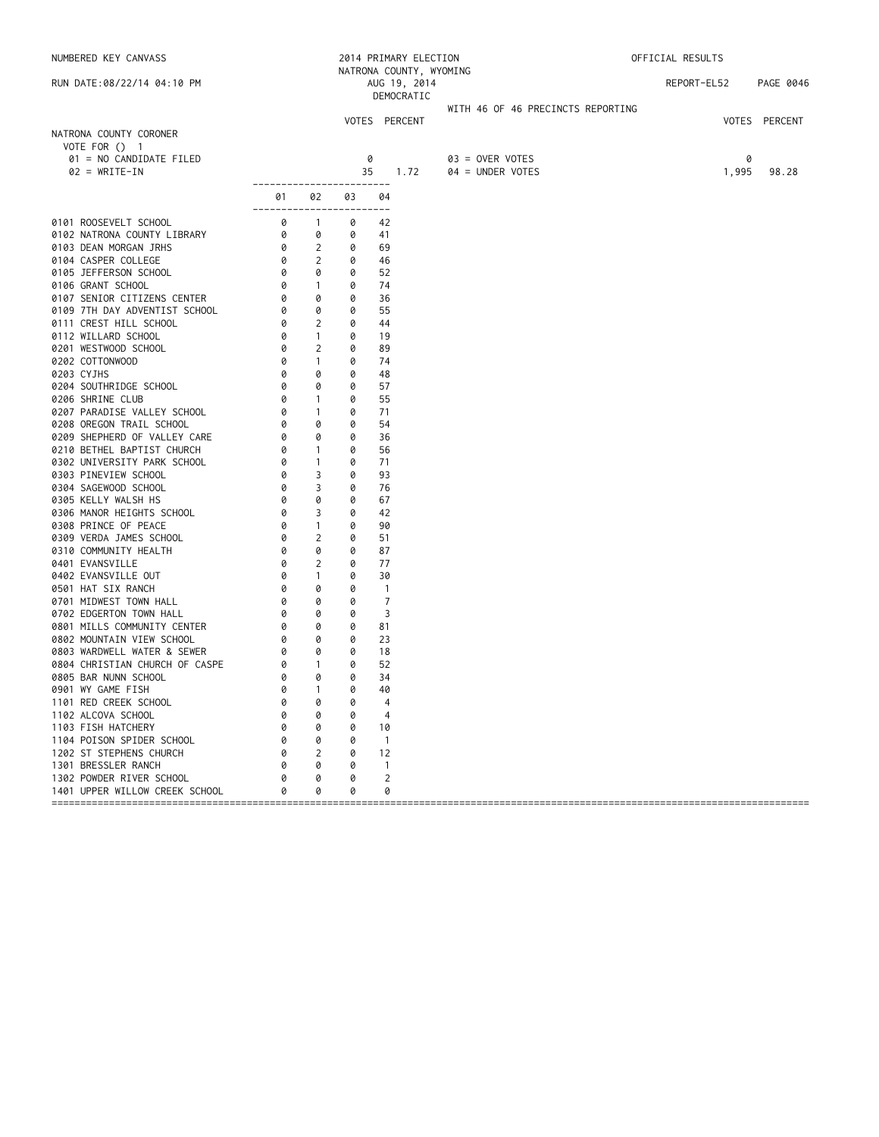| NUMBERED KEY CANVASS                                                                                                          |                                                                                     |                          |        | 2014 PRIMARY ELECTION<br>NATRONA COUNTY, WYOMING |                                   | OFFICIAL RESULTS |               |           |
|-------------------------------------------------------------------------------------------------------------------------------|-------------------------------------------------------------------------------------|--------------------------|--------|--------------------------------------------------|-----------------------------------|------------------|---------------|-----------|
| RUN DATE:08/22/14 04:10 PM                                                                                                    |                                                                                     |                          |        | AUG 19, 2014<br>DEMOCRATIC                       |                                   | REPORT-EL52      |               | PAGE 0046 |
|                                                                                                                               |                                                                                     |                          |        |                                                  | WITH 46 OF 46 PRECINCTS REPORTING |                  |               |           |
|                                                                                                                               |                                                                                     |                          |        | VOTES PERCENT                                    |                                   |                  | VOTES PERCENT |           |
| NATRONA COUNTY CORONER<br>VOTE FOR () 1                                                                                       |                                                                                     |                          |        |                                                  |                                   |                  |               |           |
| 01 = NO CANDIDATE FILED                                                                                                       |                                                                                     |                          |        | 0                                                | $03 =$ OVER VOTES                 |                  | 0             |           |
| $02 = WRITE-IN$                                                                                                               |                                                                                     |                          | 35     | 1.72                                             | 04 = UNDER VOTES                  |                  | 1,995         | 98.28     |
|                                                                                                                               | -------------------------                                                           |                          |        |                                                  |                                   |                  |               |           |
|                                                                                                                               | 01 —<br>------------------------                                                    | 02                       | 03     | 04                                               |                                   |                  |               |           |
| 0101 ROOSEVELT SCHOOL                                                                                                         |                                                                                     |                          | 0      | 42                                               |                                   |                  |               |           |
| 0102 NATRONA COUNTY LIBRARY                                                                                                   | $\begin{array}{ccc} 0 & 1 \\ 0 & 0 \\ 0 & 2 \\ 0 & 2 \\ 0 & 0 \\ 0 & 1 \end{array}$ |                          | 0      | 41                                               |                                   |                  |               |           |
| 0103 DEAN MORGAN JRHS                                                                                                         |                                                                                     |                          | 0      | 69                                               |                                   |                  |               |           |
| 0104 CASPER COLLEGE                                                                                                           |                                                                                     |                          | 0      | 46                                               |                                   |                  |               |           |
| 0105 JEFFERSON SCHOOL                                                                                                         |                                                                                     |                          | 0      | 52                                               |                                   |                  |               |           |
| 0106 GRANT SCHOOL                                                                                                             |                                                                                     |                          | 0      | 74                                               |                                   |                  |               |           |
| 0107 SENIOR CITIZENS CENTER                                                                                                   |                                                                                     |                          | 0      | 36                                               |                                   |                  |               |           |
| 0109 7TH DAY ADVENTIST SCHOOL                                                                                                 |                                                                                     |                          | 0      | 55                                               |                                   |                  |               |           |
| 0111 CREST HILL SCHOOL                                                                                                        |                                                                                     |                          | 0      | 44                                               |                                   |                  |               |           |
| 0112 WILLARD SCHOOL                                                                                                           |                                                                                     |                          | 0<br>0 | 19                                               |                                   |                  |               |           |
| 0201 WESTWOOD SCHOOL                                                                                                          |                                                                                     |                          | 0      | 89                                               |                                   |                  |               |           |
| 0202 COTTONWOOD<br>0203 CYJHS                                                                                                 | 0                                                                                   | 0                        | 0      | 74<br>48                                         |                                   |                  |               |           |
| 0204 SOUTHRIDGE SCHOOL                                                                                                        | 0                                                                                   | 0                        | 0      | 57                                               |                                   |                  |               |           |
| 0206 SHRINE CLUB                                                                                                              | 0                                                                                   | $\mathbf{1}$             | 0      | 55                                               |                                   |                  |               |           |
|                                                                                                                               | 0                                                                                   | $\overline{1}$           | 0      | 71                                               |                                   |                  |               |           |
| 0207 PARADISE VALLEY SCHOOL<br>0208 OREGON TRAIL SCHOOL                                                                       | 0                                                                                   | 0                        | 0      | 54                                               |                                   |                  |               |           |
| 0209 SHEPHERD OF VALLEY CARE                                                                                                  |                                                                                     | 0                        | 0      | 36                                               |                                   |                  |               |           |
| 0210 BETHEL BAPTIST CHURCH                                                                                                    |                                                                                     | $\overline{1}$           | 0      | 56                                               |                                   |                  |               |           |
| 0302 UNIVERSITY PARK SCHOOL                                                                                                   | $\begin{bmatrix} 0 \\ 0 \\ 0 \\ 0 \\ 0 \end{bmatrix}$                               | $\sim$ 1                 | 0      | 71                                               |                                   |                  |               |           |
| 0303 PINEVIEW SCHOOL                                                                                                          |                                                                                     | 3                        | 0      | 93                                               |                                   |                  |               |           |
| 0304 SAGEWOOD SCHOOL<br>0305 KELLY WALSH HS<br>0306 MANOR HEIGHTS SCHOOL<br>0306 MANOR HEIGHTS SCHOOL<br>0308 PDTNCE OF PEACE |                                                                                     | 3                        | 0      | 76                                               |                                   |                  |               |           |
|                                                                                                                               |                                                                                     | 0                        | 0      | 67                                               |                                   |                  |               |           |
|                                                                                                                               |                                                                                     | $\overline{3}$           | 0      | 42                                               |                                   |                  |               |           |
| 0308 PRINCE OF PEACE                                                                                                          | 0                                                                                   | $\overline{1}$           | 0      | 90                                               |                                   |                  |               |           |
| 0309 VERDA JAMES SCHOOL                                                                                                       | 0                                                                                   | $\overline{2}$           | 0      | 51                                               |                                   |                  |               |           |
| 0310 COMMUNITY HEALTH                                                                                                         | 0                                                                                   | 0                        | 0      | 87                                               |                                   |                  |               |           |
| 0401 EVANSVILLE                                                                                                               | 0<br>0                                                                              | 2<br>$\overline{1}$      | 0<br>0 | 77<br>30                                         |                                   |                  |               |           |
| 0402 EVANSVILLE OUT<br>0501 HAT SIX RANCH                                                                                     | 0                                                                                   | 0                        | 0      | $\overline{1}$                                   |                                   |                  |               |           |
| 0701 MIDWEST TOWN HALL                                                                                                        | 0                                                                                   | 0                        | 0      | $\overline{7}$                                   |                                   |                  |               |           |
| 0702 EDGERTON TOWN HALL                                                                                                       | 0                                                                                   | 0                        | 0      | 3                                                |                                   |                  |               |           |
| 0801 MILLS COMMUNITY CENTER                                                                                                   | 0                                                                                   | 0                        | 0      | 81                                               |                                   |                  |               |           |
| 0802 MOUNTAIN VIEW SCHOOL                                                                                                     | 0                                                                                   | 0                        | 0      | 23                                               |                                   |                  |               |           |
| 0803 WARDWELL WATER & SEWER                                                                                                   | 0                                                                                   | $\overline{\mathcal{O}}$ | 0      | 18                                               |                                   |                  |               |           |
| 0804 CHRISTIAN CHURCH OF CASPE                                                                                                | 0                                                                                   | $\sim$ 1                 | 0      | 52                                               |                                   |                  |               |           |
| 0805 BAR NUNN SCHOOL                                                                                                          | 0                                                                                   | 0                        | 0      | 34                                               |                                   |                  |               |           |
| 0901 WY GAME FISH                                                                                                             | 0                                                                                   | $\sim$ 1                 | 0      | 40                                               |                                   |                  |               |           |
| 1101 RED CREEK SCHOOL                                                                                                         |                                                                                     | 0                        | 0      | 4                                                |                                   |                  |               |           |
| 1102 ALCOVA SCHOOL                                                                                                            |                                                                                     | 0                        | 0      | 4                                                |                                   |                  |               |           |
| 1103 FISH HATCHERY                                                                                                            |                                                                                     | 0                        | 0      | 10                                               |                                   |                  |               |           |
| 1104 POISON SPIDER SCHOOL                                                                                                     |                                                                                     | 0                        | 0      | $\overline{1}$                                   |                                   |                  |               |           |
| 1202 ST STEPHENS CHURCH                                                                                                       |                                                                                     | 2                        | 0      | 12                                               |                                   |                  |               |           |
| 1301 BRESSLER RANCH                                                                                                           |                                                                                     | 0                        | 0      | $\mathbf{1}$                                     |                                   |                  |               |           |
| 1302 POWDER RIVER SCHOOL                                                                                                      |                                                                                     | 0                        | 0      | 2                                                |                                   |                  |               |           |
| 1401 UPPER WILLOW CREEK SCHOOL                                                                                                |                                                                                     | 0                        | 0      | 0                                                |                                   |                  |               |           |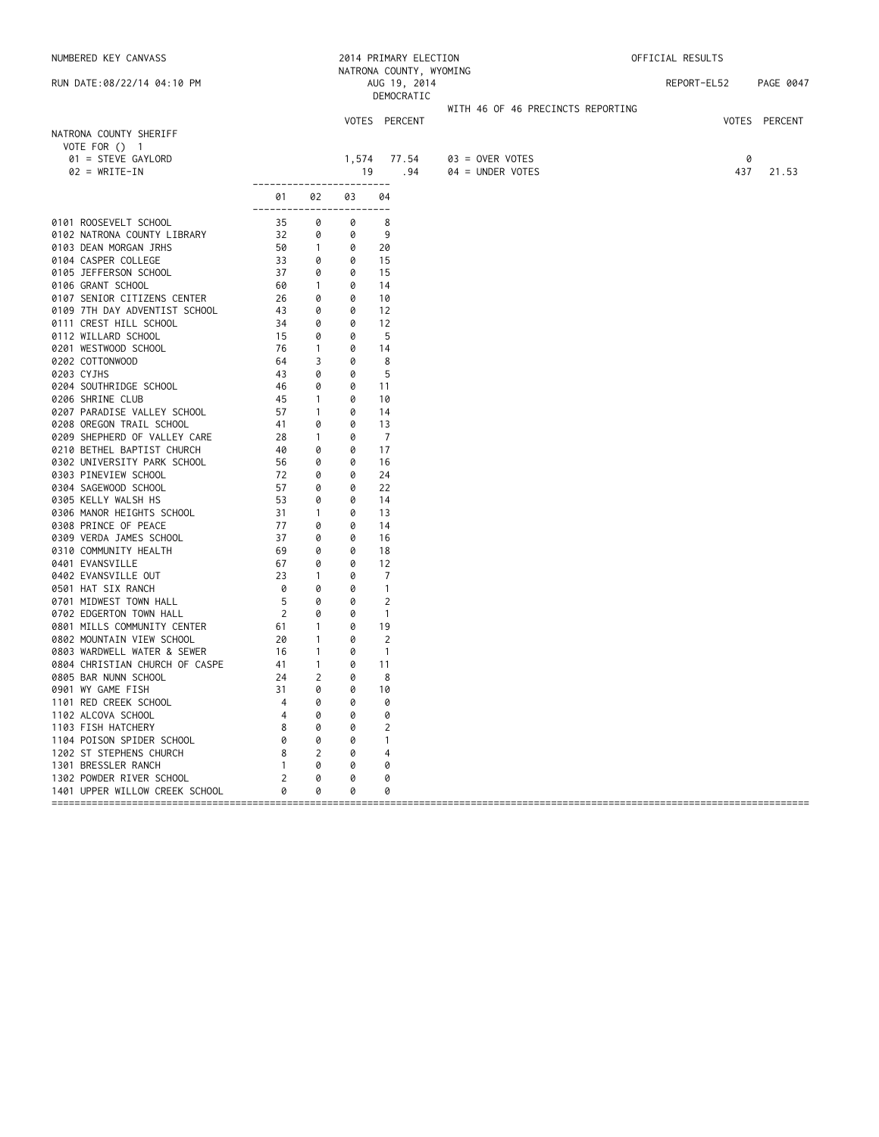| NUMBERED KEY CANVASS                                                                                                                                                    |                                                            |                            |        | 2014 PRIMARY ELECTION<br>NATRONA COUNTY, WYOMING |                                   | OFFICIAL RESULTS |                    |
|-------------------------------------------------------------------------------------------------------------------------------------------------------------------------|------------------------------------------------------------|----------------------------|--------|--------------------------------------------------|-----------------------------------|------------------|--------------------|
| RUN DATE:08/22/14 04:10 PM                                                                                                                                              |                                                            |                            |        | AUG 19, 2014<br>DEMOCRATIC                       |                                   | REPORT-EL52      | PAGE 0047          |
|                                                                                                                                                                         |                                                            |                            |        |                                                  | WITH 46 OF 46 PRECINCTS REPORTING |                  |                    |
| NATRONA COUNTY SHERIFF<br>VOTE FOR () 1<br>01 = STEVE GAYLORD                                                                                                           |                                                            |                            |        | VOTES PERCENT<br>1,574 77.54                     | 03 = OVER VOTES                   |                  | VOTES PERCENT<br>0 |
| $02 = WRITE-IN$                                                                                                                                                         |                                                            |                            | 19     | .94                                              | $04 = UNDER VOTES$                | 437              | 21.53              |
|                                                                                                                                                                         | ------------------------<br>01<br>------------------------ | 02                         | 03     | 04                                               |                                   |                  |                    |
| 0101 ROOSEVELT SCHOOL                                                                                                                                                   |                                                            | 0                          | 0      | 8                                                |                                   |                  |                    |
| 0102 NATRONA COUNTY LIBRARY                                                                                                                                             | $\begin{array}{r} 35 \\ 32 \\ 50 \\ \hline \end{array}$    | 0                          | 0      | 9                                                |                                   |                  |                    |
| 0103 DEAN MORGAN JRHS                                                                                                                                                   |                                                            | $\overline{1}$             | 0      | 20                                               |                                   |                  |                    |
| 0104 CASPER COLLEGE                                                                                                                                                     | 33                                                         | 0                          | 0      | 15                                               |                                   |                  |                    |
| 0105 JEFFERSON SCHOOL                                                                                                                                                   | 37                                                         | 0                          | 0      | 15                                               |                                   |                  |                    |
|                                                                                                                                                                         |                                                            | $\overline{\phantom{0}}$ 1 | 0      | 14                                               |                                   |                  |                    |
|                                                                                                                                                                         |                                                            | 0                          | 0      | 10                                               |                                   |                  |                    |
| 0106 GRANT SCHUUL<br>0107 SENIOR CITIZENS CENTER<br>13 - 2711 DAY ADVENTIST SCHOOL 43<br>0109 7TH DAY ADVENTIST SCHOOL<br>0111 CREST HILL SCHOOL<br>0112 WILLARD SCHOOL |                                                            | 0                          | 0      | 12                                               |                                   |                  |                    |
|                                                                                                                                                                         | $\frac{34}{1}$                                             | 0                          | 0      | 12                                               |                                   |                  |                    |
| 0112 WILLARD SCHOOL<br>0201 WESTWOOD SCHOOL                                                                                                                             | 15<br>76                                                   | 0<br>$\mathbf{1}$          | 0<br>0 | 5<br>14                                          |                                   |                  |                    |
| 0202 COTTONWOOD                                                                                                                                                         | 64                                                         | 3                          | 0      | 8                                                |                                   |                  |                    |
| 0203 CYJHS                                                                                                                                                              | 43                                                         | 0                          | 0      | 5                                                |                                   |                  |                    |
| 0204 SOUTHRIDGE SCHOOL                                                                                                                                                  | 46                                                         | 0                          | 0      | 11                                               |                                   |                  |                    |
| 0206 SHRINE CLUB                                                                                                                                                        | 45                                                         | $\mathbf{1}$               | 0      | 10                                               |                                   |                  |                    |
| 0207 PARADISE VALLEY SCHOOL                                                                                                                                             | 57                                                         | $\overline{1}$             | 0      | 14                                               |                                   |                  |                    |
| 0208 OREGON TRAIL SCHOOL                                                                                                                                                | 41                                                         | 0                          | 0      | 13                                               |                                   |                  |                    |
| 0209 SHEPHERD OF VALLEY CARE                                                                                                                                            | 28                                                         | $\overline{1}$             | 0      | $\overline{7}$                                   |                                   |                  |                    |
| 0210 BETHEL BAPTIST CHURCH                                                                                                                                              | 40                                                         | 0                          | 0      | 17                                               |                                   |                  |                    |
| 0302 UNIVERSITY PARK SCHOOL                                                                                                                                             | 56                                                         | 0                          | 0      | 16                                               |                                   |                  |                    |
| 0303 PINEVIEW SCHOOL                                                                                                                                                    | 72                                                         | 0                          | 0      | 24                                               |                                   |                  |                    |
| 0304 SAGEWOOD SCHOOL                                                                                                                                                    | 57                                                         | 0                          | 0      | 22                                               |                                   |                  |                    |
| 0305 KELLY WALSH HS                                                                                                                                                     | 53                                                         | 0                          | 0      | 14                                               |                                   |                  |                    |
| 0306 MANOR HEIGHTS SCHOOL<br>0308 PRINCE OF PEACE                                                                                                                       | 31                                                         | $\overline{1}$             | 0      | 13                                               |                                   |                  |                    |
| 0308 PRINCE OF PEACE                                                                                                                                                    | 77                                                         | 0                          | 0      | 14                                               |                                   |                  |                    |
| 0309 VERDA JAMES SCHOOL                                                                                                                                                 | 37                                                         | 0                          | 0      | 16                                               |                                   |                  |                    |
| 0310 COMMUNITY HEALTH                                                                                                                                                   | 69<br>67                                                   | 0<br>0                     | 0<br>0 | 18<br>12                                         |                                   |                  |                    |
| 0401 EVANSVILLE<br>0402 EVANSVILLE OUT                                                                                                                                  | 23                                                         | $\overline{1}$             | 0      | 7                                                |                                   |                  |                    |
| 0501 HAT SIX RANCH                                                                                                                                                      | 0                                                          | 0                          | 0      | $\overline{1}$                                   |                                   |                  |                    |
| 0701 MIDWEST TOWN HALL                                                                                                                                                  | 5                                                          | 0                          | 0      | $\overline{2}$                                   |                                   |                  |                    |
| 0702 EDGERTON TOWN HALL                                                                                                                                                 | 2                                                          | 0                          | 0      | $\mathbf{1}$                                     |                                   |                  |                    |
| 0801 MILLS COMMUNITY CENTER                                                                                                                                             | 61                                                         | $\overline{1}$             | 0      | 19                                               |                                   |                  |                    |
| 0802 MOUNTAIN VIEW SCHOOL                                                                                                                                               | 20                                                         | $\overline{1}$             | 0      | 2                                                |                                   |                  |                    |
| 0803 WARDWELL WATER & SEWER                                                                                                                                             | 16                                                         | $\overline{1}$             | 0      | $\overline{1}$                                   |                                   |                  |                    |
| 0804 CHRISTIAN CHURCH OF CASPE                                                                                                                                          | 41                                                         | $\overline{1}$             | 0      | 11                                               |                                   |                  |                    |
| 0805 BAR NUNN SCHOOL                                                                                                                                                    | 24                                                         | 2                          | 0      | 8                                                |                                   |                  |                    |
| 0901 WY GAME FISH                                                                                                                                                       | $\overline{31}$                                            | 0                          | 0      | 10                                               |                                   |                  |                    |
| 1101 RED CREEK SCHOOL                                                                                                                                                   |                                                            | 0                          | 0      | 0                                                |                                   |                  |                    |
| 1102 ALCOVA SCHOOL                                                                                                                                                      |                                                            | 0                          | 0      | 0                                                |                                   |                  |                    |
| 1103 FISH HATCHERY                                                                                                                                                      |                                                            | 0                          | 0      | 2                                                |                                   |                  |                    |
| 1104 POISON SPIDER SCHOOL                                                                                                                                               |                                                            | 0                          | 0      | -1                                               |                                   |                  |                    |
| 1202 ST STEPHENS CHURCH                                                                                                                                                 | 8                                                          | 2                          | 0      | 4                                                |                                   |                  |                    |
| 1301 BRESSLER RANCH<br>1302 POWDER RIVER SCHOOL                                                                                                                         |                                                            | 0<br>0                     | 0<br>0 | 0<br>0                                           |                                   |                  |                    |
| 1401 UPPER WILLOW CREEK SCHOOL                                                                                                                                          | 0                                                          | 0                          | 0      | 0                                                |                                   |                  |                    |
| ===============================                                                                                                                                         |                                                            |                            |        |                                                  |                                   |                  |                    |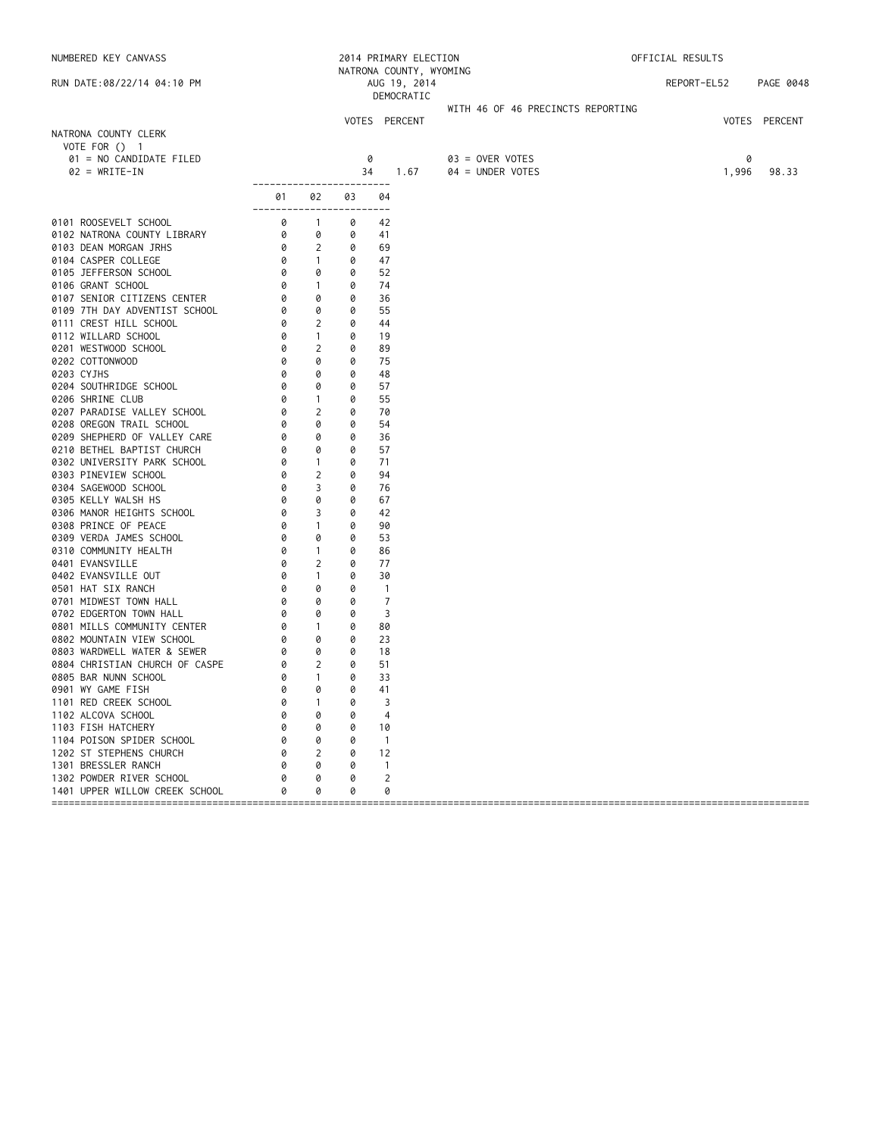| NUMBERED KEY CANVASS                             |                                                                 |                                  |        | 2014 PRIMARY ELECTION                                 |                                     | OFFICIAL RESULTS |       |               |
|--------------------------------------------------|-----------------------------------------------------------------|----------------------------------|--------|-------------------------------------------------------|-------------------------------------|------------------|-------|---------------|
| RUN DATE:08/22/14 04:10 PM                       |                                                                 |                                  |        | NATRONA COUNTY, WYOMING<br>AUG 19, 2014<br>DEMOCRATIC |                                     | REPORT-EL52      |       | PAGE 0048     |
|                                                  |                                                                 |                                  |        |                                                       | WITH 46 OF 46 PRECINCTS REPORTING   |                  |       |               |
|                                                  |                                                                 |                                  |        | VOTES PERCENT                                         |                                     |                  |       | VOTES PERCENT |
| NATRONA COUNTY CLERK                             |                                                                 |                                  |        |                                                       |                                     |                  |       |               |
| VOTE FOR $()$ 1                                  |                                                                 |                                  |        |                                                       |                                     |                  | 0     |               |
| 01 = NO CANDIDATE FILED<br>$02 = WRITE-IN$       |                                                                 |                                  | 34     | 0<br>1.67                                             | 03 = OVER VOTES<br>04 = UNDER VOTES |                  | 1,996 | 98.33         |
|                                                  | ------------------------                                        |                                  |        |                                                       |                                     |                  |       |               |
|                                                  | 01 —<br>------------------------                                | 02                               | 03     | 04                                                    |                                     |                  |       |               |
| 0101 ROOSEVELT SCHOOL                            |                                                                 | $\overline{1}$                   | 0      | 42                                                    |                                     |                  |       |               |
| 0102 NATRONA COUNTY LIBRARY                      | $\begin{bmatrix} 0 \\ 0 \\ 0 \\ 0 \\ 0 \\ 0 \\ 0 \end{bmatrix}$ | 0                                | 0      | 41                                                    |                                     |                  |       |               |
| 0103 DEAN MORGAN JRHS                            |                                                                 | 2                                | 0      | 69                                                    |                                     |                  |       |               |
| 0104 CASPER COLLEGE                              |                                                                 | $\sim$ 1                         | 0      | 47                                                    |                                     |                  |       |               |
| 0105 JEFFERSON SCHOOL                            | 0                                                               | 0                                | 0      | 52                                                    |                                     |                  |       |               |
| 0106 GRANT SCHOOL                                | 0                                                               | $\sim$ 1                         | 0      | 74                                                    |                                     |                  |       |               |
| 0107 SENIOR CITIZENS CENTER                      |                                                                 | 0                                | 0      | 36                                                    |                                     |                  |       |               |
| 0109 7TH DAY ADVENTIST SCHOOL                    |                                                                 | $\overline{\mathbf{0}}$          | 0      | 55                                                    |                                     |                  |       |               |
| 0111 CREST HILL SCHOOL                           | $\begin{bmatrix} 0 \\ 0 \\ 0 \\ 0 \\ 0 \end{bmatrix}$           | $\overline{2}$<br>$\overline{1}$ | 0<br>0 | 44<br>19                                              |                                     |                  |       |               |
| 0112 WILLARD SCHOOL<br>0201 WESTWOOD SCHOOL      |                                                                 | 2                                | 0      | 89                                                    |                                     |                  |       |               |
| 0202 COTTONWOOD                                  | 0                                                               | 0                                | 0      | 75                                                    |                                     |                  |       |               |
| 0203 CYJHS                                       | 0                                                               | 0                                | 0      | 48                                                    |                                     |                  |       |               |
| 0204 SOUTHRIDGE SCHOOL                           | 0                                                               | 0                                | 0      | 57                                                    |                                     |                  |       |               |
| 0206 SHRINE CLUB                                 | 0                                                               | $\mathbf{1}$                     | 0      | 55                                                    |                                     |                  |       |               |
| 0207 PARADISE VALLEY SCHOOL                      | 0                                                               | $\overline{2}$                   | 0      | 70                                                    |                                     |                  |       |               |
| 0208 OREGON TRAIL SCHOOL                         | 0                                                               | 0                                | 0      | 54                                                    |                                     |                  |       |               |
| 0209 SHEPHERD OF VALLEY CARE                     | 0                                                               | 0                                | 0      | 36                                                    |                                     |                  |       |               |
| 0210 BETHEL BAPTIST CHURCH                       | 0                                                               | 0                                | 0      | 57                                                    |                                     |                  |       |               |
| 0302 UNIVERSITY PARK SCHOOL                      | 0                                                               | $\sim$ 1                         | 0      | 71                                                    |                                     |                  |       |               |
| 0303 PINEVIEW SCHOOL                             | 0                                                               | $\overline{2}$                   | 0      | 94                                                    |                                     |                  |       |               |
| 0304 SAGEWOOD SCHOOL                             | 0                                                               | 3                                | 0      | 76                                                    |                                     |                  |       |               |
| 0305 KELLY WALSH HS                              | 0                                                               | 0                                | 0      | 67                                                    |                                     |                  |       |               |
| 0306 MANOR HEIGHTS SCHOOL                        | 0                                                               | 3                                | 0      | 42                                                    |                                     |                  |       |               |
| 0308 PRINCE OF PEACE                             | 0<br>0                                                          | $\overline{1}$<br>0              | 0<br>0 | 90                                                    |                                     |                  |       |               |
| 0309 VERDA JAMES SCHOOL<br>0310 COMMUNITY HEALTH | 0                                                               | $\mathbf{1}$                     | 0      | 53<br>86                                              |                                     |                  |       |               |
| 0401 EVANSVILLE                                  | 0                                                               | 2                                | 0      | 77                                                    |                                     |                  |       |               |
| 0402 EVANSVILLE OUT                              | 0                                                               | $\overline{1}$                   | 0      | 30                                                    |                                     |                  |       |               |
| 0501 HAT SIX RANCH                               | 0                                                               | 0                                | 0      | $\overline{1}$                                        |                                     |                  |       |               |
| 0701 MIDWEST TOWN HALL                           | 0                                                               | 0                                | 0      | $\overline{7}$                                        |                                     |                  |       |               |
| 0702 EDGERTON TOWN HALL                          | 0                                                               | 0                                | 0      | 3                                                     |                                     |                  |       |               |
| 0801 MILLS COMMUNITY CENTER                      | 0                                                               | $\sim$ 1                         | 0      | 80                                                    |                                     |                  |       |               |
| 0802 MOUNTAIN VIEW SCHOOL                        | 0                                                               | 0                                | 0      | 23                                                    |                                     |                  |       |               |
| 0803 WARDWELL WATER & SEWER                      | 0                                                               | $\overline{\mathcal{O}}$         | 0      | 18                                                    |                                     |                  |       |               |
| 0804 CHRISTIAN CHURCH OF CASPE                   | 0                                                               | $\overline{\phantom{a}}$         | 0      | 51                                                    |                                     |                  |       |               |
| 0805 BAR NUNN SCHOOL                             | 0                                                               | $\sim$ 1                         | 0      | 33                                                    |                                     |                  |       |               |
| 0901 WY GAME FISH                                | 0                                                               | 0                                | 0      | 41                                                    |                                     |                  |       |               |
| 1101 RED CREEK SCHOOL                            |                                                                 | -1                               | 0      | 3                                                     |                                     |                  |       |               |
| 1102 ALCOVA SCHOOL                               |                                                                 | 0                                | 0      | 4                                                     |                                     |                  |       |               |
| 1103 FISH HATCHERY                               |                                                                 | 0                                | 0      | 10                                                    |                                     |                  |       |               |
| 1104 POISON SPIDER SCHOOL                        |                                                                 | 0                                | 0      | $\overline{1}$                                        |                                     |                  |       |               |
| 1202 ST STEPHENS CHURCH                          | Ø                                                               | 2<br>0                           | 0<br>0 | 12                                                    |                                     |                  |       |               |
| 1301 BRESSLER RANCH<br>1302 POWDER RIVER SCHOOL  |                                                                 | 0                                | 0      | $\overline{1}$<br>2                                   |                                     |                  |       |               |
| 1401 UPPER WILLOW CREEK SCHOOL                   |                                                                 | 0                                | 0      | 0                                                     |                                     |                  |       |               |
|                                                  |                                                                 |                                  |        |                                                       |                                     |                  |       |               |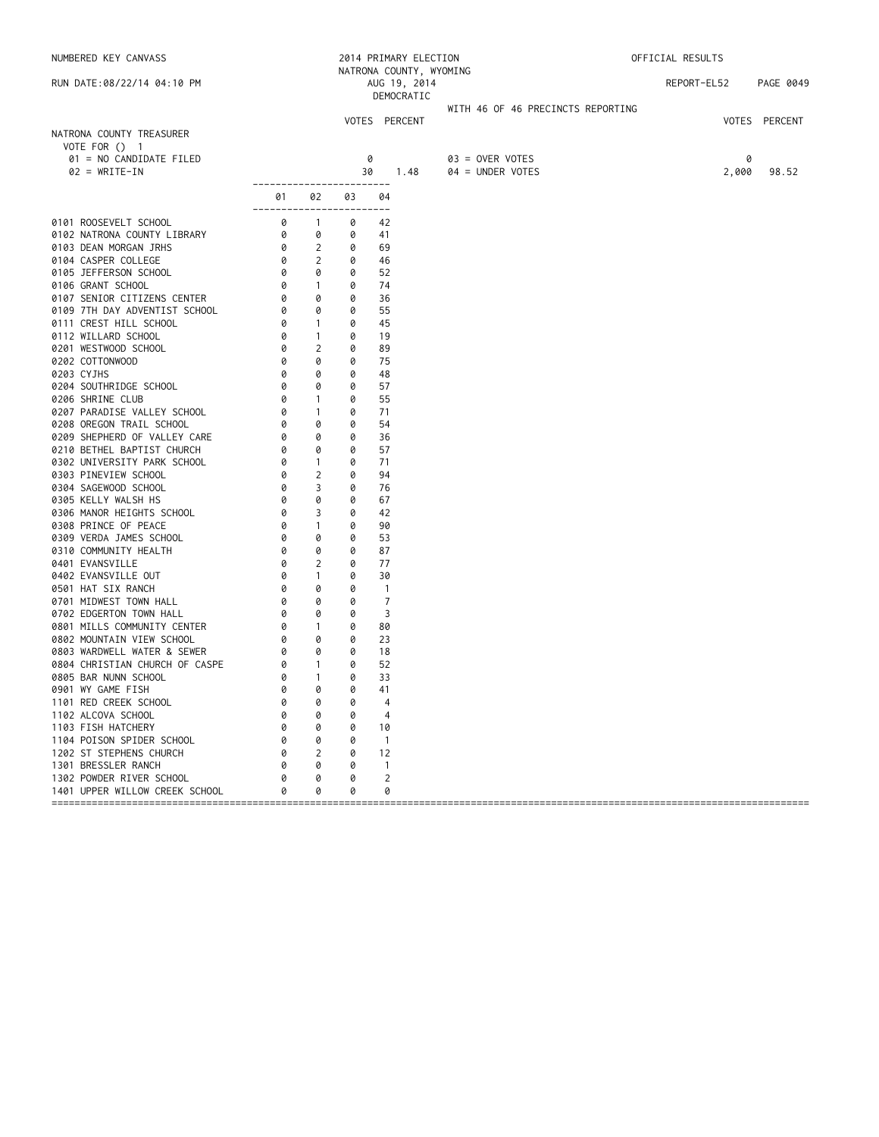| NUMBERED KEY CANVASS                             |                                                       |                            |        | 2014 PRIMARY ELECTION<br>NATRONA COUNTY, WYOMING |                                   | OFFICIAL RESULTS |       |               |
|--------------------------------------------------|-------------------------------------------------------|----------------------------|--------|--------------------------------------------------|-----------------------------------|------------------|-------|---------------|
| RUN DATE:08/22/14 04:10 PM                       |                                                       |                            |        | AUG 19, 2014<br>DEMOCRATIC                       |                                   | REPORT-EL52      |       | PAGE 0049     |
|                                                  |                                                       |                            |        |                                                  | WITH 46 OF 46 PRECINCTS REPORTING |                  |       |               |
|                                                  |                                                       |                            |        | VOTES PERCENT                                    |                                   |                  |       | VOTES PERCENT |
| NATRONA COUNTY TREASURER                         |                                                       |                            |        |                                                  |                                   |                  |       |               |
| VOTE FOR () 1<br>01 = NO CANDIDATE FILED         |                                                       |                            |        | 0                                                | 03 = OVER VOTES                   |                  | 0     |               |
| $02 = WRITE-IN$                                  |                                                       |                            | 30     | 1.48                                             | 04 = UNDER VOTES                  |                  | 2,000 | 98.52         |
|                                                  | ------------------------                              |                            |        |                                                  |                                   |                  |       |               |
|                                                  | 01 —<br>------------------------                      | 02                         | 03     | 04                                               |                                   |                  |       |               |
| 0101 ROOSEVELT SCHOOL                            |                                                       | $\overline{1}$             | 0      | 42                                               |                                   |                  |       |               |
| 0102 NATRONA COUNTY LIBRARY                      | $\begin{bmatrix} 0 \ 0 \ 0 \ 0 \end{bmatrix}$         | 0                          | 0      | 41                                               |                                   |                  |       |               |
| 0103 DEAN MORGAN JRHS                            |                                                       | $\overline{2}$             | 0      | 69                                               |                                   |                  |       |               |
| 0104 CASPER COLLEGE                              |                                                       | $\overline{\phantom{a}}$   | 0      | 46                                               |                                   |                  |       |               |
| 0105 JEFFERSON SCHOOL                            | 0                                                     | 0                          | 0      | 52                                               |                                   |                  |       |               |
| 0106 GRANT SCHOOL                                | 0                                                     | $\sim$ 1                   | 0      | 74                                               |                                   |                  |       |               |
| 0107 SENIOR CITIZENS CENTER                      | $\circ$                                               | 0                          | 0      | 36                                               |                                   |                  |       |               |
| 0109 7TH DAY ADVENTIST SCHOOL                    | $\begin{bmatrix} 0 \\ 0 \\ 0 \\ 0 \\ 0 \end{bmatrix}$ | $\circ$                    | 0      | 55                                               |                                   |                  |       |               |
| 0111 CREST HILL SCHOOL<br>0112 WILLARD SCHOOL    |                                                       | $\sim$ 1<br>$\overline{1}$ | 0<br>0 | 45<br>19                                         |                                   |                  |       |               |
| 0201 WESTWOOD SCHOOL                             |                                                       | 2                          | 0      | 89                                               |                                   |                  |       |               |
| 0202 COTTONWOOD                                  | 0                                                     | 0                          | 0      | 75                                               |                                   |                  |       |               |
| 0203 CYJHS                                       | 0                                                     | 0                          | 0      | 48                                               |                                   |                  |       |               |
| 0204 SOUTHRIDGE SCHOOL                           | 0                                                     | 0                          | 0      | 57                                               |                                   |                  |       |               |
| 0206 SHRINE CLUB                                 | 0                                                     | $\mathbf{1}$               | 0      | 55                                               |                                   |                  |       |               |
| 0207 PARADISE VALLEY SCHOOL                      | 0                                                     | $\mathbf{1}$               | 0      | 71                                               |                                   |                  |       |               |
| 0208 OREGON TRAIL SCHOOL                         | 0                                                     | 0                          | 0      | 54                                               |                                   |                  |       |               |
| 0209 SHEPHERD OF VALLEY CARE                     | 0                                                     | 0                          | 0      | 36                                               |                                   |                  |       |               |
| 0210 BETHEL BAPTIST CHURCH                       | 0                                                     | 0                          | 0      | 57                                               |                                   |                  |       |               |
| 0302 UNIVERSITY PARK SCHOOL                      | 0                                                     | $\sim$ 1                   | 0      | 71                                               |                                   |                  |       |               |
| 0303 PINEVIEW SCHOOL                             | 0                                                     | $\overline{2}$             | 0      | 94                                               |                                   |                  |       |               |
| 0304 SAGEWOOD SCHOOL                             | 0                                                     | 3                          | 0      | 76                                               |                                   |                  |       |               |
| 0305 KELLY WALSH HS                              | 0                                                     | 0                          | 0      | 67                                               |                                   |                  |       |               |
| 0306 MANOR HEIGHTS SCHOOL                        | 0                                                     | 3                          | 0      | 42                                               |                                   |                  |       |               |
| 0308 PRINCE OF PEACE                             | 0                                                     | $\overline{1}$             | 0<br>0 | 90                                               |                                   |                  |       |               |
| 0309 VERDA JAMES SCHOOL<br>0310 COMMUNITY HEALTH | 0<br>0                                                | 0<br>0                     | 0      | 53<br>87                                         |                                   |                  |       |               |
| 0401 EVANSVILLE                                  | 0                                                     | 2                          | 0      | 77                                               |                                   |                  |       |               |
| 0402 EVANSVILLE OUT                              | 0                                                     | $\overline{1}$             | 0      | 30                                               |                                   |                  |       |               |
| 0501 HAT SIX RANCH                               | 0                                                     | 0                          | 0      | $\overline{1}$                                   |                                   |                  |       |               |
| 0701 MIDWEST TOWN HALL                           | 0                                                     | 0                          | 0      | $\overline{7}$                                   |                                   |                  |       |               |
| 0702 EDGERTON TOWN HALL                          | 0                                                     | 0                          | 0      | 3                                                |                                   |                  |       |               |
| 0801 MILLS COMMUNITY CENTER                      | 0                                                     | $\sim$ 1                   | 0      | 80                                               |                                   |                  |       |               |
| 0802 MOUNTAIN VIEW SCHOOL                        | 0                                                     | 0                          | 0      | 23                                               |                                   |                  |       |               |
| 0803 WARDWELL WATER & SEWER                      | 0                                                     | $\overline{\mathcal{O}}$   | 0      | 18                                               |                                   |                  |       |               |
| 0804 CHRISTIAN CHURCH OF CASPE                   | 0                                                     | $\sim$ 1                   | 0      | 52                                               |                                   |                  |       |               |
| 0805 BAR NUNN SCHOOL                             | 0                                                     | $\overline{1}$             | 0      | 33                                               |                                   |                  |       |               |
| 0901 WY GAME FISH                                | 0                                                     | 0                          | 0      | 41                                               |                                   |                  |       |               |
| 1101 RED CREEK SCHOOL                            |                                                       | 0                          | 0      | 4                                                |                                   |                  |       |               |
| 1102 ALCOVA SCHOOL                               |                                                       | 0                          | 0      | 4                                                |                                   |                  |       |               |
| 1103 FISH HATCHERY                               |                                                       | 0                          | 0      | 10                                               |                                   |                  |       |               |
| 1104 POISON SPIDER SCHOOL                        |                                                       | 0                          | 0      | $\overline{1}$                                   |                                   |                  |       |               |
| 1202 ST STEPHENS CHURCH<br>1301 BRESSLER RANCH   | Ø                                                     | 2<br>0                     | 0<br>0 | 12<br>$\mathbf{1}$                               |                                   |                  |       |               |
| 1302 POWDER RIVER SCHOOL                         |                                                       | 0                          | 0      | 2                                                |                                   |                  |       |               |
| 1401 UPPER WILLOW CREEK SCHOOL                   |                                                       | 0                          | 0      | 0                                                |                                   |                  |       |               |
|                                                  |                                                       |                            |        |                                                  |                                   |                  |       |               |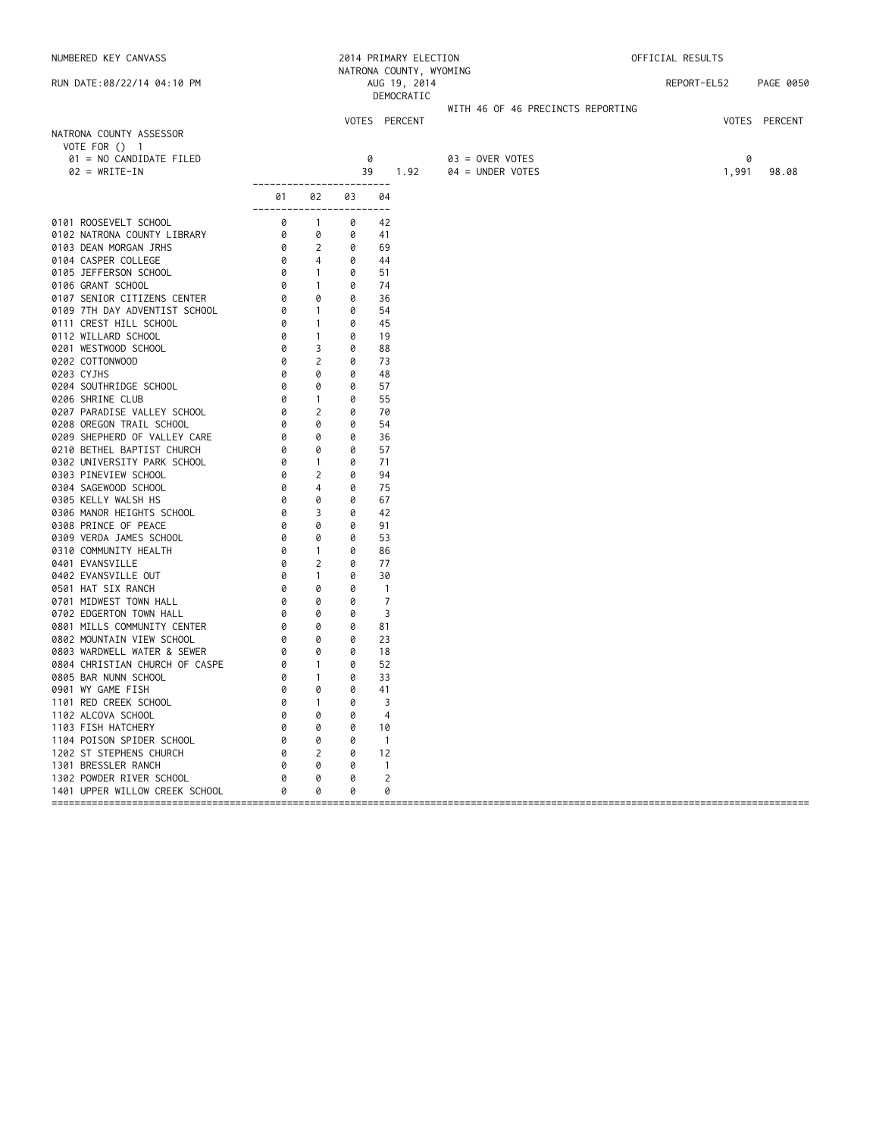| NUMBERED KEY CANVASS                            |                                                                 |                          |        | 2014 PRIMARY ELECTION                   |                                   | OFFICIAL RESULTS |       |               |
|-------------------------------------------------|-----------------------------------------------------------------|--------------------------|--------|-----------------------------------------|-----------------------------------|------------------|-------|---------------|
| RUN DATE:08/22/14 04:10 PM                      |                                                                 |                          |        | NATRONA COUNTY, WYOMING<br>AUG 19, 2014 |                                   | REPORT-EL52      |       | PAGE 0050     |
|                                                 |                                                                 |                          |        | DEMOCRATIC                              | WITH 46 OF 46 PRECINCTS REPORTING |                  |       |               |
|                                                 |                                                                 |                          |        | VOTES PERCENT                           |                                   |                  |       | VOTES PERCENT |
| NATRONA COUNTY ASSESSOR                         |                                                                 |                          |        |                                         |                                   |                  |       |               |
| VOTE FOR () 1                                   |                                                                 |                          |        |                                         |                                   |                  |       |               |
| 01 = NO CANDIDATE FILED                         |                                                                 |                          |        | 0                                       | 03 = OVER VOTES                   |                  | 0     |               |
| $02 = WRITE-IN$                                 |                                                                 |                          | 39     | 1.92                                    | 04 = UNDER VOTES                  |                  | 1,991 | 98.08         |
|                                                 | ------------------------                                        |                          |        | 04                                      |                                   |                  |       |               |
|                                                 | 01 —<br>------------------------                                | 02                       | 03     |                                         |                                   |                  |       |               |
| 0101 ROOSEVELT SCHOOL                           |                                                                 | $\overline{1}$           | 0      | 42                                      |                                   |                  |       |               |
| 0102 NATRONA COUNTY LIBRARY                     | $\begin{bmatrix} 0 \\ 0 \\ 0 \\ 0 \\ 0 \\ 0 \\ 0 \end{bmatrix}$ | 0                        | 0      | 41                                      |                                   |                  |       |               |
| 0103 DEAN MORGAN JRHS                           |                                                                 | 2                        | 0      | 69                                      |                                   |                  |       |               |
| 0104 CASPER COLLEGE                             |                                                                 | $\overline{4}$           | 0      | 44                                      |                                   |                  |       |               |
| 0105 JEFFERSON SCHOOL                           | 0                                                               | $\sim$ 1                 | 0      | 51                                      |                                   |                  |       |               |
| 0106 GRANT SCHOOL                               | 0                                                               | $\sim$ 1                 | 0      | 74                                      |                                   |                  |       |               |
| 0107 SENIOR CITIZENS CENTER                     | $\begin{bmatrix} 0 \\ 0 \\ 0 \\ 0 \\ 0 \end{bmatrix}$           | 0                        | 0      | 36                                      |                                   |                  |       |               |
| 0109 7TH DAY ADVENTIST SCHOOL                   |                                                                 | $\sim$ 1                 | 0      | 54                                      |                                   |                  |       |               |
| 0111 CREST HILL SCHOOL                          |                                                                 | $\sim$ 1                 | 0      | 45                                      |                                   |                  |       |               |
| 0112 WILLARD SCHOOL                             |                                                                 | $\overline{1}$           | 0      | 19                                      |                                   |                  |       |               |
| 0201 WESTWOOD SCHOOL                            |                                                                 | 3                        | 0      | 88                                      |                                   |                  |       |               |
| 0202 COTTONWOOD                                 | 0                                                               | 2                        | 0      | 73                                      |                                   |                  |       |               |
| 0203 CYJHS                                      | 0                                                               | 0                        | 0      | 48                                      |                                   |                  |       |               |
| 0204 SOUTHRIDGE SCHOOL                          | 0                                                               | 0                        | 0      | 57                                      |                                   |                  |       |               |
| 0206 SHRINE CLUB                                | 0                                                               | $\mathbf{1}$             | 0      | 55                                      |                                   |                  |       |               |
| 0207 PARADISE VALLEY SCHOOL                     | 0                                                               | $\overline{2}$           | 0      | 70                                      |                                   |                  |       |               |
| 0208 OREGON TRAIL SCHOOL                        | 0                                                               | 0                        | 0      | 54                                      |                                   |                  |       |               |
| 0209 SHEPHERD OF VALLEY CARE                    | 0                                                               | 0                        | 0      | 36                                      |                                   |                  |       |               |
| 0210 BETHEL BAPTIST CHURCH                      | 0                                                               | 0                        | 0      | 57                                      |                                   |                  |       |               |
| 0302 UNIVERSITY PARK SCHOOL                     | 0                                                               | $\sim$ 1                 | 0      | 71                                      |                                   |                  |       |               |
| 0303 PINEVIEW SCHOOL                            | 0                                                               | 2                        | 0      | 94                                      |                                   |                  |       |               |
| 0304 SAGEWOOD SCHOOL                            | 0                                                               | 4                        | 0      | 75                                      |                                   |                  |       |               |
| 0305 KELLY WALSH HS                             | 0                                                               | 0                        | 0      | 67                                      |                                   |                  |       |               |
| 0306 MANOR HEIGHTS SCHOOL                       | 0                                                               | 3                        | 0      | 42                                      |                                   |                  |       |               |
| 0308 PRINCE OF PEACE                            | 0                                                               | 0                        | 0      | 91                                      |                                   |                  |       |               |
| 0309 VERDA JAMES SCHOOL                         | 0                                                               | 0                        | 0      | 53                                      |                                   |                  |       |               |
| 0310 COMMUNITY HEALTH                           | 0                                                               | $\mathbf{1}$             | 0      | 86                                      |                                   |                  |       |               |
| 0401 EVANSVILLE                                 | 0                                                               | 2                        | 0      | 77                                      |                                   |                  |       |               |
| 0402 EVANSVILLE OUT                             | 0                                                               | $\overline{1}$           | 0      | 30                                      |                                   |                  |       |               |
| 0501 HAT SIX RANCH                              | 0                                                               | 0                        | 0      | $\overline{1}$                          |                                   |                  |       |               |
| 0701 MIDWEST TOWN HALL                          | 0                                                               | 0                        | 0      | $\overline{7}$                          |                                   |                  |       |               |
| 0702 EDGERTON TOWN HALL                         | 0                                                               | 0                        | 0      | 3                                       |                                   |                  |       |               |
| 0801 MILLS COMMUNITY CENTER                     | 0                                                               | $\circ$                  | 0      | 81                                      |                                   |                  |       |               |
| 0802 MOUNTAIN VIEW SCHOOL                       | 0                                                               | 0                        | 0      | 23                                      |                                   |                  |       |               |
| 0803 WARDWELL WATER & SEWER                     | 0                                                               | $\overline{\mathcal{O}}$ | 0      | 18                                      |                                   |                  |       |               |
| 0804 CHRISTIAN CHURCH OF CASPE                  | 0                                                               | $\sim$ 1                 | 0      | 52                                      |                                   |                  |       |               |
| 0805 BAR NUNN SCHOOL                            | 0                                                               | $\overline{1}$           | 0      | 33                                      |                                   |                  |       |               |
| 0901 WY GAME FISH                               | 0                                                               | 0                        | 0      | 41                                      |                                   |                  |       |               |
| 1101 RED CREEK SCHOOL                           |                                                                 | $\mathbf{1}$             | 0      | 3                                       |                                   |                  |       |               |
| 1102 ALCOVA SCHOOL                              |                                                                 | 0                        | 0      | 4                                       |                                   |                  |       |               |
| 1103 FISH HATCHERY                              | 0                                                               | 0                        | 0      | 10                                      |                                   |                  |       |               |
| 1104 POISON SPIDER SCHOOL                       | 0                                                               | 0                        | 0      | $\overline{1}$                          |                                   |                  |       |               |
| 1202 ST STEPHENS CHURCH                         | Ø                                                               | 2                        | 0      | 12                                      |                                   |                  |       |               |
| 1301 BRESSLER RANCH<br>1302 POWDER RIVER SCHOOL |                                                                 | 0<br>0                   | 0<br>0 | $\overline{1}$<br>2                     |                                   |                  |       |               |
| 1401 UPPER WILLOW CREEK SCHOOL                  |                                                                 | 0                        | 0      | 0                                       |                                   |                  |       |               |
|                                                 |                                                                 |                          |        |                                         |                                   |                  |       |               |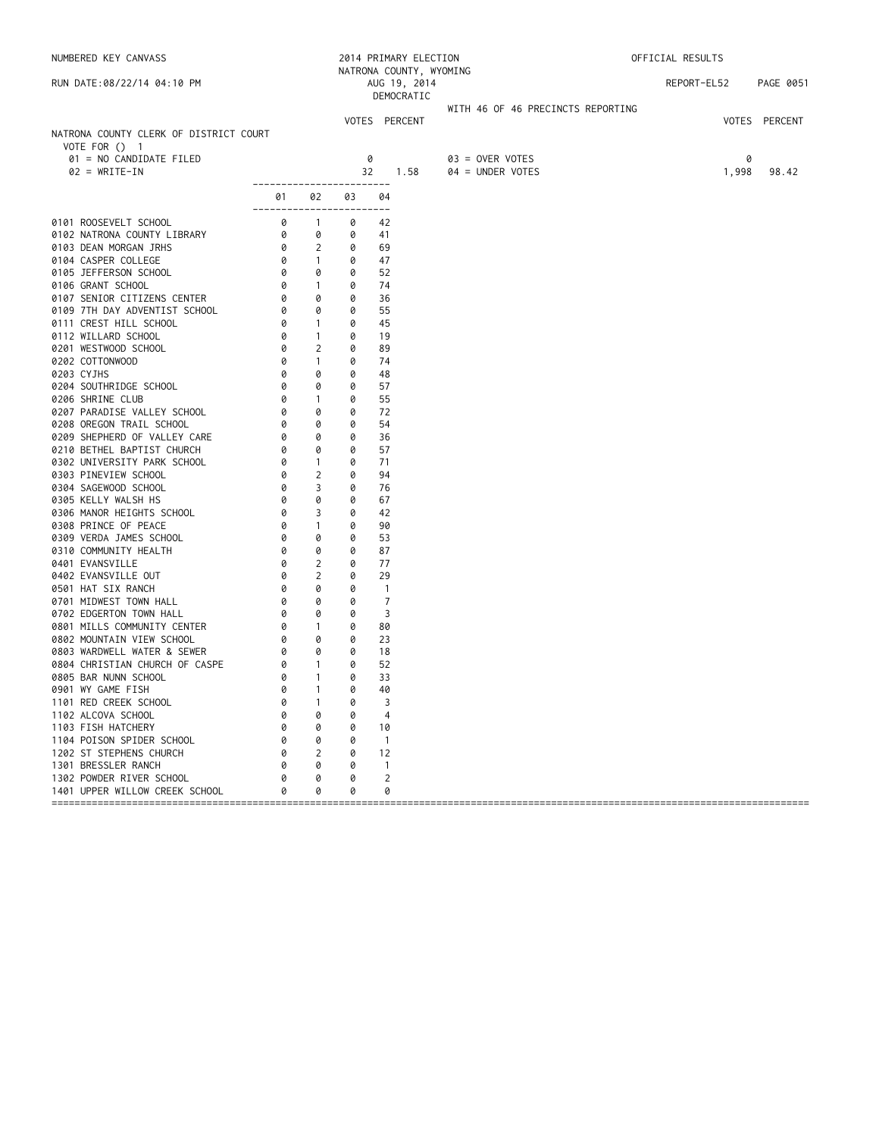| NUMBERED KEY CANVASS<br>RUN DATE:08/22/14 04:10 PM |                                                                 |                |    | 2014 PRIMARY ELECTION      |                                   | OFFICIAL RESULTS |               |
|----------------------------------------------------|-----------------------------------------------------------------|----------------|----|----------------------------|-----------------------------------|------------------|---------------|
|                                                    |                                                                 |                |    | NATRONA COUNTY, WYOMING    |                                   |                  |               |
|                                                    |                                                                 |                |    | AUG 19, 2014<br>DEMOCRATIC |                                   | REPORT-EL52      | PAGE 0051     |
|                                                    |                                                                 |                |    |                            | WITH 46 OF 46 PRECINCTS REPORTING |                  |               |
|                                                    |                                                                 |                |    | VOTES PERCENT              |                                   |                  | VOTES PERCENT |
| NATRONA COUNTY CLERK OF DISTRICT COURT             |                                                                 |                |    |                            |                                   |                  |               |
| VOTE FOR () 1                                      |                                                                 |                |    |                            |                                   |                  |               |
| 01 = NO CANDIDATE FILED                            |                                                                 |                | 0  |                            | 03 = OVER VOTES                   |                  | 0             |
| $02 = WRITE-IN$                                    |                                                                 |                | 32 | 1.58                       | 04 = UNDER VOTES                  | 1,998            | 98.42         |
|                                                    |                                                                 |                |    |                            |                                   |                  |               |
|                                                    |                                                                 |                | 03 | 04<br>$- - - - -$          |                                   |                  |               |
|                                                    |                                                                 |                | 0  | 42                         |                                   |                  |               |
|                                                    |                                                                 |                | 0  | 41                         |                                   |                  |               |
|                                                    |                                                                 |                | 0  | 69                         |                                   |                  |               |
|                                                    |                                                                 |                | 0  | 47                         |                                   |                  |               |
|                                                    |                                                                 |                | 0  | 52                         |                                   |                  |               |
|                                                    |                                                                 |                | 0  | 74                         |                                   |                  |               |
|                                                    |                                                                 |                | 0  | 36                         |                                   |                  |               |
|                                                    |                                                                 |                | 0  | 55                         |                                   |                  |               |
|                                                    |                                                                 |                | 0  | 45                         |                                   |                  |               |
|                                                    |                                                                 |                | 0  | 19                         |                                   |                  |               |
|                                                    |                                                                 |                | 0  | 89                         |                                   |                  |               |
| 0202 COTTONWOOD                                    | 0                                                               | $\mathbf{1}$   | 0  | 74                         |                                   |                  |               |
| 0203 CYJHS                                         | 0                                                               | 0              | 0  | 48                         |                                   |                  |               |
| 0204 SOUTHRIDGE SCHOOL                             | 0                                                               | 0              | 0  | 57                         |                                   |                  |               |
| 0206 SHRINE CLUB                                   |                                                                 | $\overline{1}$ | 0  | 55                         |                                   |                  |               |
| 0207 PARADISE VALLEY SCHOOL                        |                                                                 | 0              | 0  | 72                         |                                   |                  |               |
| 0208 OREGON TRAIL SCHOOL                           |                                                                 | 0              | 0  | 54                         |                                   |                  |               |
| 0209 SHEPHERD OF VALLEY CARE                       |                                                                 | 0              | 0  | 36                         |                                   |                  |               |
| 0210 BETHEL BAPTIST CHURCH                         |                                                                 | 0              | 0  | 57                         |                                   |                  |               |
| 0302 UNIVERSITY PARK SCHOOL                        |                                                                 | $\sim$ 1       | 0  | 71                         |                                   |                  |               |
| 0303 PINEVIEW SCHOOL                               |                                                                 | $\overline{2}$ | 0  | 94                         |                                   |                  |               |
| 0304 SAGEWOOD SCHOOL                               |                                                                 | 3              | 0  | 76                         |                                   |                  |               |
| 0305 KELLY WALSH HS                                |                                                                 | 0              | 0  | 67                         |                                   |                  |               |
| 0306 MANOR HEIGHTS SCHOOL                          |                                                                 | 3              | 0  | 42                         |                                   |                  |               |
| 0308 PRINCE OF PEACE                               |                                                                 | $\overline{1}$ | 0  | 90                         |                                   |                  |               |
| 0309 VERDA JAMES SCHOOL                            |                                                                 | 0              | 0  | 53                         |                                   |                  |               |
| 0310 COMMUNITY HEALTH                              | 0                                                               | 0              | 0  | 87                         |                                   |                  |               |
| 0401 EVANSVILLE                                    | 0                                                               | 2              | 0  | 77                         |                                   |                  |               |
| 0402 EVANSVILLE OUT                                | 0                                                               | 2              | 0  | 29                         |                                   |                  |               |
| 0501 HAT SIX RANCH                                 | 0                                                               | 0              | 0  | $\overline{1}$             |                                   |                  |               |
| 0701 MIDWEST TOWN HALL                             | 0                                                               | 0              | 0  | $\overline{7}$             |                                   |                  |               |
| 0702 EDGERTON TOWN HALL                            | $\begin{bmatrix} 0 \\ 0 \\ 0 \\ 0 \\ 0 \\ 0 \\ 0 \end{bmatrix}$ | 0              | 0  | 3                          |                                   |                  |               |
| 0801 MILLS COMMUNITY CENTER                        |                                                                 | $\sim$ 1       | 0  | 80                         |                                   |                  |               |
| 0802 MOUNTAIN VIEW SCHOOL                          |                                                                 | 0              | 0  | 23                         |                                   |                  |               |
| 0803 WARDWELL WATER & SEWER                        |                                                                 | 0              | 0  | 18                         |                                   |                  |               |
| 0804 CHRISTIAN CHURCH OF CASPE                     | 0                                                               | $\overline{1}$ | 0  | 52                         |                                   |                  |               |
| 0805 BAR NUNN SCHOOL                               | 0                                                               | $\overline{1}$ | 0  | 33                         |                                   |                  |               |
| 0901 WY GAME FISH                                  | 0                                                               | $\mathbf{1}$   | 0  | 40                         |                                   |                  |               |
| 1101 RED CREEK SCHOOL                              | Ø                                                               | $\mathbf{I}$   | 0  | 3                          |                                   |                  |               |
| 1102 ALCOVA SCHOOL                                 |                                                                 | 0              | 0  | 4                          |                                   |                  |               |
| 1103 FISH HATCHERY                                 |                                                                 | 0              | 0  | 10                         |                                   |                  |               |
| 1104 POISON SPIDER SCHOOL                          |                                                                 | 0              | 0  | $\mathbf{1}$               |                                   |                  |               |
| 1202 ST STEPHENS CHURCH                            |                                                                 | 2              | 0  | 12                         |                                   |                  |               |
| 1301 BRESSLER RANCH                                |                                                                 | 0              | 0  | $\mathbf{1}$               |                                   |                  |               |
| 1302 POWDER RIVER SCHOOL                           |                                                                 | 0              | 0  | 2                          |                                   |                  |               |
| 1401 UPPER WILLOW CREEK SCHOOL                     |                                                                 | 0              | 0  | 0                          |                                   |                  |               |
|                                                    |                                                                 |                |    |                            |                                   |                  |               |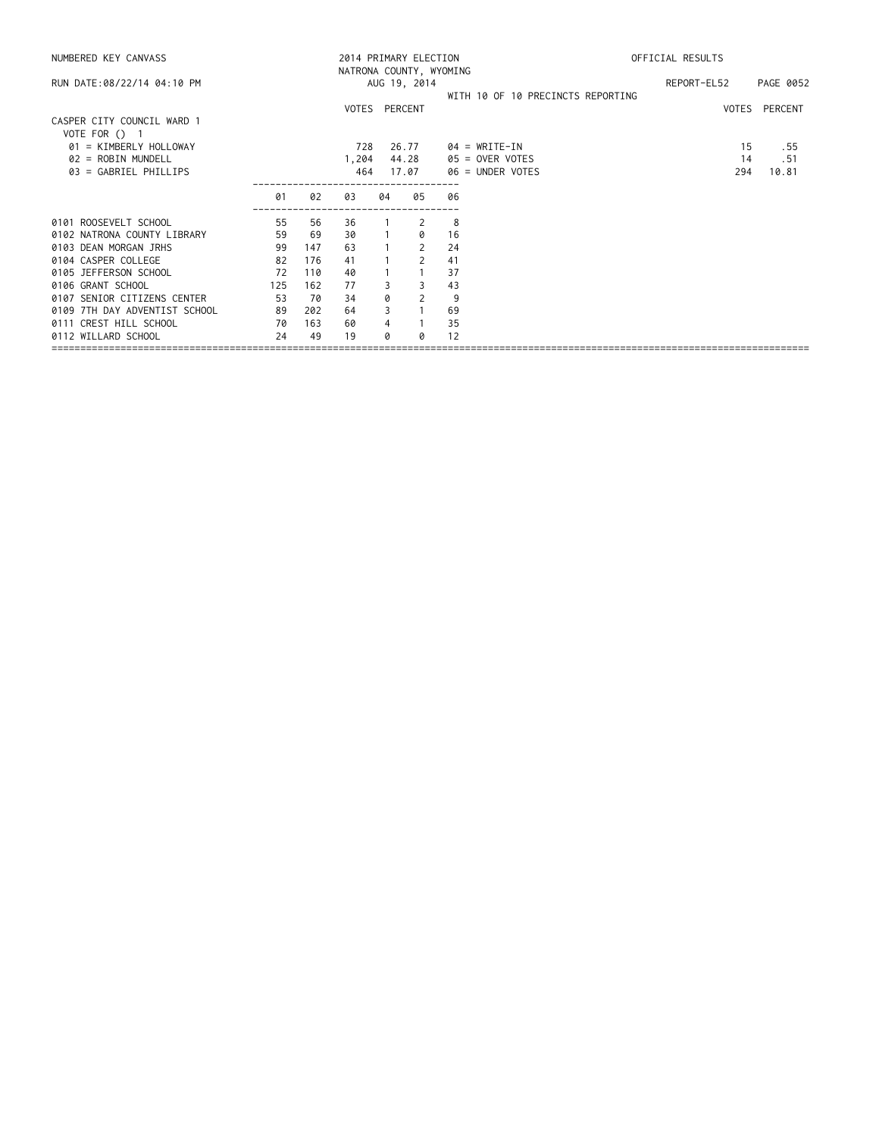| NUMBERED KEY CANVASS                          |     |     | 2014 PRIMARY ELECTION<br>NATRONA COUNTY, WYOMING |    |                           |                                   | OFFICIAL RESULTS |               |  |
|-----------------------------------------------|-----|-----|--------------------------------------------------|----|---------------------------|-----------------------------------|------------------|---------------|--|
| RUN DATE:08/22/14 04:10 PM                    |     |     |                                                  |    | AUG 19, 2014              |                                   | REPORT-EL52      | PAGE 0052     |  |
|                                               |     |     | VOTES PERCENT                                    |    |                           | WITH 10 OF 10 PRECINCTS REPORTING |                  | VOTES PERCENT |  |
| CASPER CITY COUNCIL WARD 1<br>VOTE FOR $()$ 1 |     |     |                                                  |    |                           |                                   |                  |               |  |
| 01 = KIMBERLY HOLLOWAY                        |     |     | 728                                              |    | 26.77                     | 04 = WRITE-IN                     | 15               | . 55          |  |
| $02 = ROBIN MUNDEL$                           |     |     | 1,204                                            |    | 44.28                     | 05 = OVER VOTES                   | 14               | . 51          |  |
| 03 = GABRIEL PHILLIPS                         |     |     | 464                                              |    | 17.07<br>06 = UNDER VOTES |                                   | 294              | 10.81         |  |
|                                               | 01  | 02  | 03                                               | 04 | 05                        | 06                                |                  |               |  |
| 0101 ROOSEVELT SCHOOL                         | 55  | 56  | 36                                               |    | 2                         | 8                                 |                  |               |  |
| 0102 NATRONA COUNTY LIBRARY                   | 59  | 69  | 30                                               |    | 0                         | 16                                |                  |               |  |
| 0103 DEAN MORGAN JRHS                         | 99  | 147 | 63                                               |    | 2                         | 24                                |                  |               |  |
| 0104 CASPER COLLEGE                           | 82  | 176 | 41                                               |    | $\overline{2}$            | 41                                |                  |               |  |
| 0105 JEFFERSON SCHOOL                         | 72  | 110 | 40                                               |    |                           | 37                                |                  |               |  |
| 0106 GRANT SCHOOL                             | 125 | 162 | 77                                               | 3  | 3                         | 43                                |                  |               |  |
| 0107 SENIOR CITIZENS CENTER                   | 53  | 70  | 34                                               | 0  | 2                         | 9                                 |                  |               |  |
| 0109 7TH DAY ADVENTIST SCHOOL                 | 89  | 202 | 64                                               |    |                           | 69                                |                  |               |  |
| 0111 CREST HILL SCHOOL                        | 70  | 163 | 60                                               | 4  |                           | 35                                |                  |               |  |
| 0112 WILLARD SCHOOL                           | 24  | 49  | 19                                               | Q  | Q                         | 12                                |                  |               |  |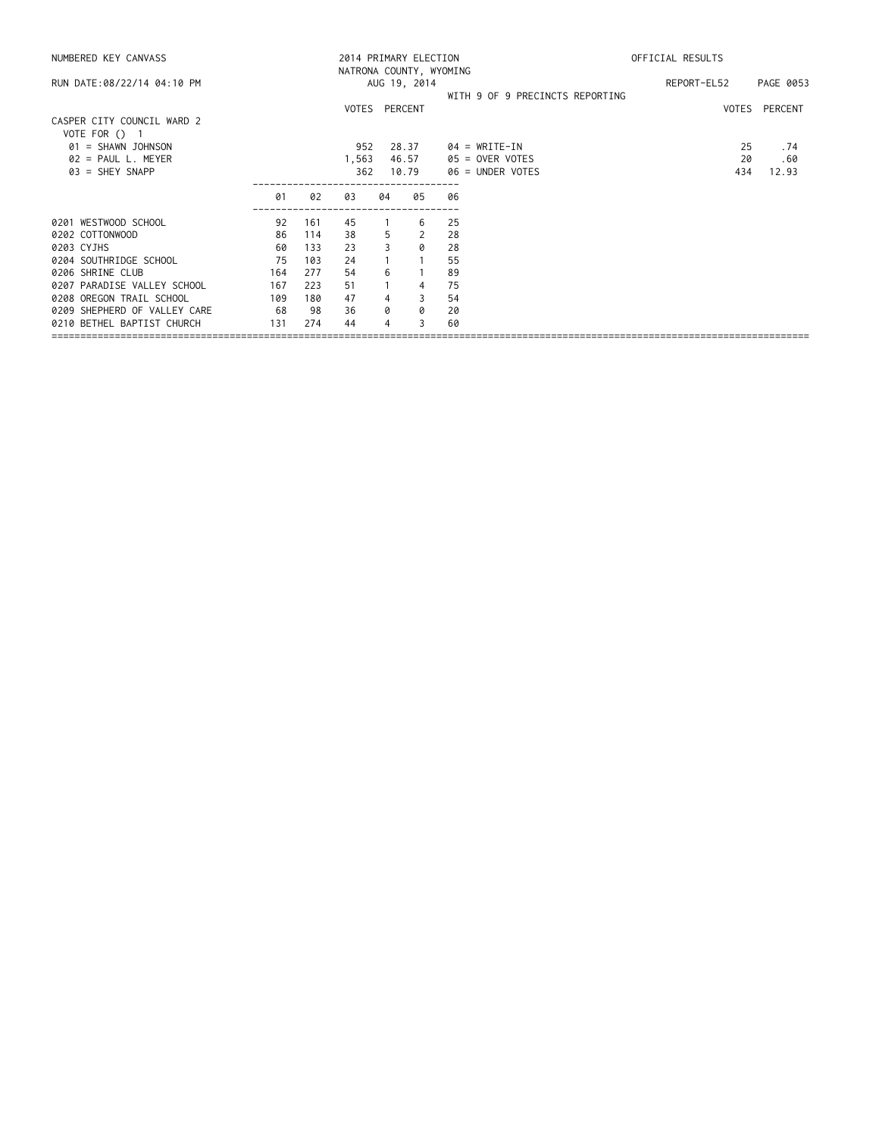| NUMBERED KEY CANVASS                        |     |     | NATRONA COUNTY, WYOMING |                | 2014 PRIMARY ELECTION |                                 | OFFICIAL RESULTS |               |  |
|---------------------------------------------|-----|-----|-------------------------|----------------|-----------------------|---------------------------------|------------------|---------------|--|
| RUN DATE:08/22/14 04:10 PM                  |     |     |                         |                | AUG 19, 2014          |                                 | REPORT-EL52      | PAGE 0053     |  |
|                                             |     |     | VOTES PERCENT           |                |                       | WITH 9 OF 9 PRECINCTS REPORTING |                  | VOTES PERCENT |  |
| CASPER CITY COUNCIL WARD 2<br>VOTE FOR () 1 |     |     |                         |                |                       |                                 |                  |               |  |
| $01 = SHAWN$ JOHNSON                        |     |     | 952                     |                | 28.37                 | $04 = WRITE-IN$                 | 25               | . 74          |  |
| $02$ = PAUL L. MEYER                        |     |     | 1,563                   |                | 46.57                 | 05 = OVER VOTES                 | 20               | .60           |  |
| $03 = SHEY SNAPP$                           |     |     | 362                     |                | 10.79                 | 06 = UNDER VOTES                | 434              | 12.93         |  |
|                                             | 01  | 02  | 03                      | 04             | 05                    | 06                              |                  |               |  |
| 0201 WESTWOOD SCHOOL                        | 92  | 161 | 45                      | $\overline{1}$ | 6                     | 25                              |                  |               |  |
| 0202 COTTONWOOD                             | 86  | 114 | 38                      | 5              | 2                     | 28                              |                  |               |  |
| 0203 CYJHS                                  | 60  | 133 | 23                      | 3              | 0                     | 28                              |                  |               |  |
| 0204 SOUTHRIDGE SCHOOL                      | 75  | 103 | 24                      |                | $\overline{1}$        | 55                              |                  |               |  |
| 0206 SHRINE CLUB                            | 164 | 277 | 54                      | 6              |                       | 89                              |                  |               |  |
| 0207 PARADISE VALLEY SCHOOL                 | 167 | 223 | 51                      |                | 4                     | 75                              |                  |               |  |
| 0208 OREGON TRAIL SCHOOL                    | 109 | 180 | 47                      | 4              | 3                     | 54                              |                  |               |  |
| 0209 SHEPHERD OF VALLEY CARE                | 68  | 98  | 36                      | 0              | 0                     | 20                              |                  |               |  |
| 0210 BETHEL BAPTIST CHURCH                  | 131 | 274 | 44                      | 4              | 3                     | 60                              |                  |               |  |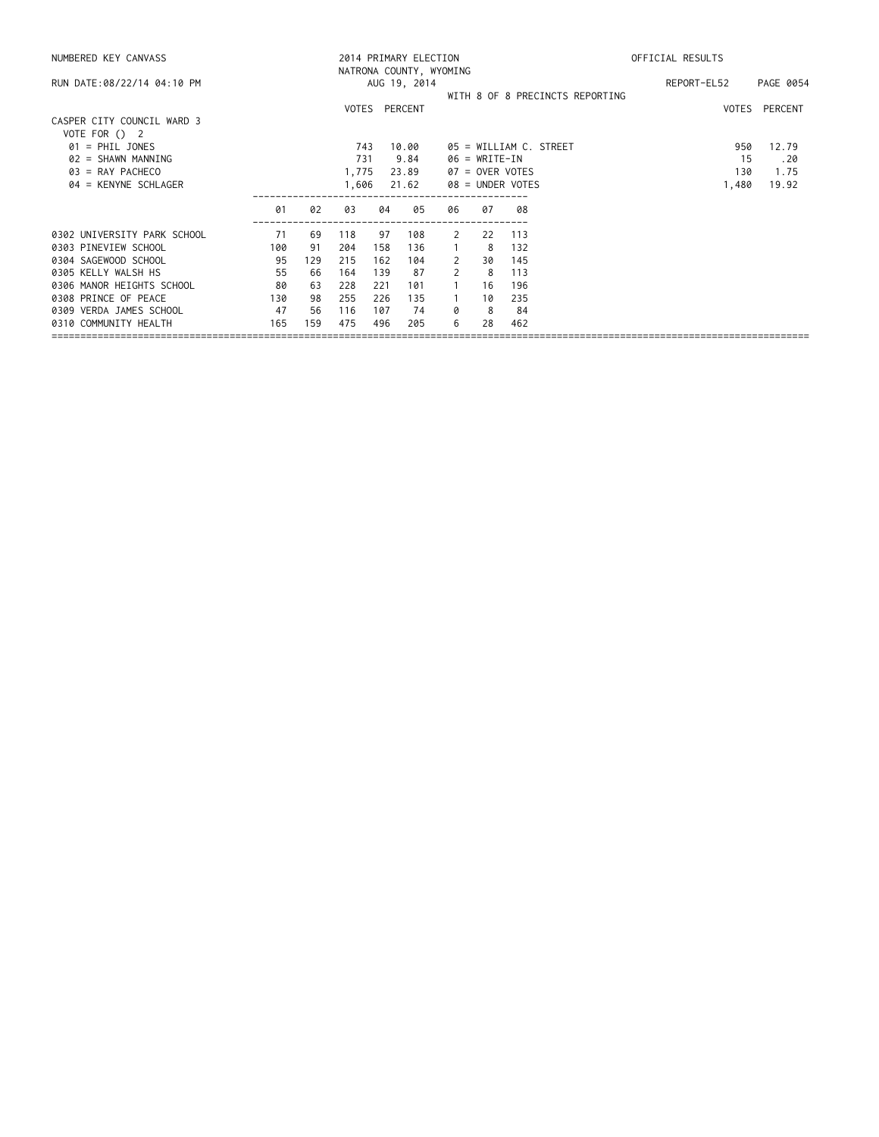| NUMBERED KEY CANVASS                        |     |     | 2014 PRIMARY ELECTION<br>NATRONA COUNTY, WYOMING | OFFICIAL RESULTS |               |              |                  |     |                                 |             |               |
|---------------------------------------------|-----|-----|--------------------------------------------------|------------------|---------------|--------------|------------------|-----|---------------------------------|-------------|---------------|
| RUN DATE:08/22/14 04:10 PM                  |     |     |                                                  |                  | AUG 19, 2014  |              |                  |     |                                 | REPORT-EL52 | PAGE 0054     |
|                                             |     |     |                                                  |                  | VOTES PERCENT |              |                  |     | WITH 8 OF 8 PRECINCTS REPORTING |             | VOTES PERCENT |
| CASPER CITY COUNCIL WARD 3<br>VOTE FOR () 2 |     |     |                                                  |                  |               |              |                  |     |                                 |             |               |
| $01$ = PHIL JONES                           |     |     | 743                                              |                  | 10.00         |              |                  |     | 05 = WILLIAM C. STREET          | 950         | 12.79         |
| $02 = SHAWN MANNING$                        |     |     | 731                                              |                  | 9.84          |              | $06 = WRITE-IN$  |     |                                 | 15          | .20           |
| $03 = RAY$ PACHECO                          |     |     | 1,775                                            |                  | 23.89         |              | 07 = OVER VOTES  |     |                                 | 130         | 1.75          |
| $04$ = KENYNE SCHLAGER                      |     |     |                                                  |                  | 21.62         |              | 08 = UNDER VOTES |     |                                 | 1,480       | 19.92         |
|                                             | 01  | 02  | 03                                               | 04               | 05            | 06           | 07               | 08  |                                 |             |               |
| 0302 UNIVERSITY PARK SCHOOL                 | 71  | 69  | 118                                              | 97               | 108           | 2            | 22               | 113 |                                 |             |               |
| 0303 PINEVIEW SCHOOL                        | 100 | 91  | 204                                              | 158              | 136           | $\mathbf{1}$ | -8               | 132 |                                 |             |               |
| 0304 SAGEWOOD SCHOOL                        | 95  | 129 | 215                                              | 162              | 104           | 2            | 30               | 145 |                                 |             |               |
| 0305 KELLY WALSH HS                         | 55  | 66  | 164                                              | 139              | 87            | 2            | -8               | 113 |                                 |             |               |
| 0306 MANOR HEIGHTS SCHOOL                   | 80  | 63  | 228                                              | 221              | 101           |              | 16               | 196 |                                 |             |               |
| 0308 PRINCE OF PEACE                        | 130 | 98  | 255                                              | 226              | 135           |              | 10               | 235 |                                 |             |               |
| 0309 VERDA JAMES SCHOOL                     | 47  | 56  | 116                                              | 107              | 74            | 0            | 8                | -84 |                                 |             |               |
| 0310 COMMUNITY HEALTH                       | 165 | 159 | 475                                              | 496              | 205           | 6            | 28               | 462 |                                 |             |               |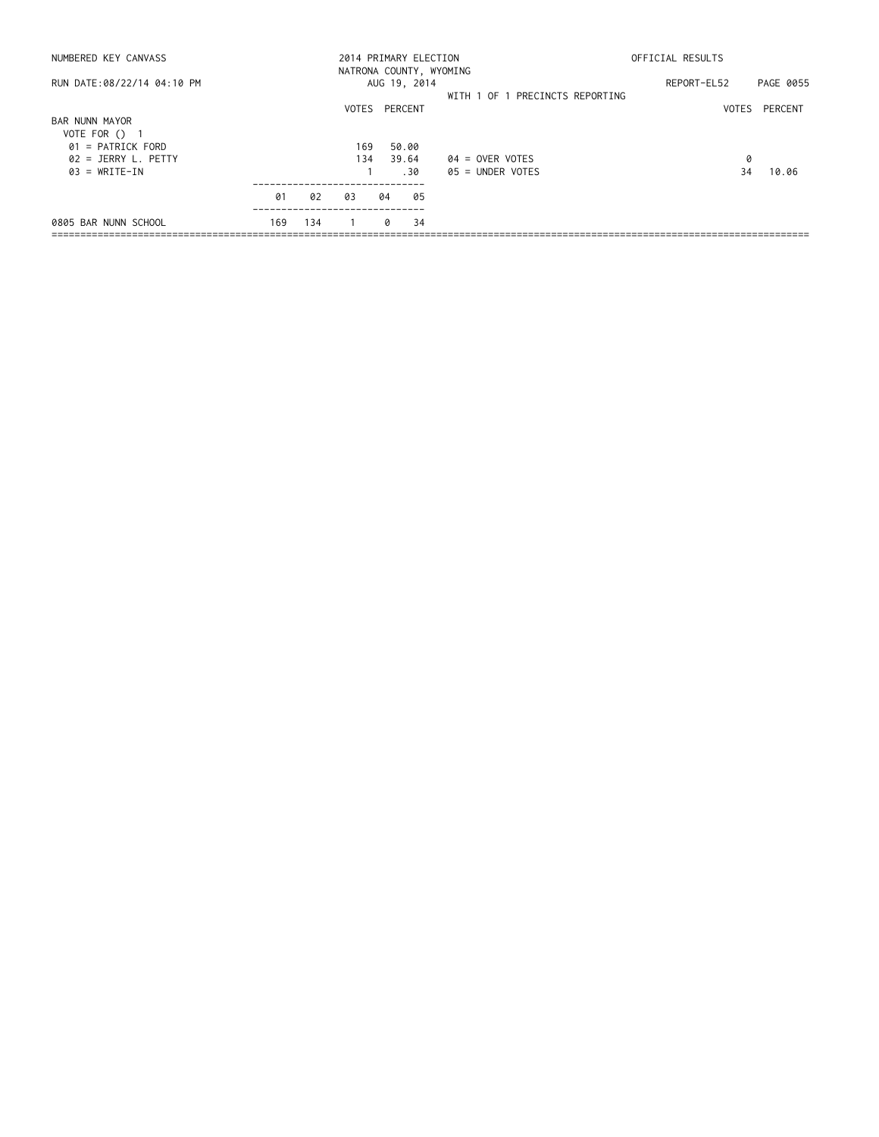| NUMBERED KEY CANVASS                          |     |     | 2014 PRIMARY ELECTION<br>NATRONA COUNTY, WYOMING |    |                |    |                                 | OFFICIAL RESULTS |           |  |  |
|-----------------------------------------------|-----|-----|--------------------------------------------------|----|----------------|----|---------------------------------|------------------|-----------|--|--|
| RUN DATE:08/22/14 04:10 PM                    |     |     |                                                  |    | AUG 19, 2014   |    |                                 | REPORT-EL52      | PAGE 0055 |  |  |
|                                               |     |     | VOTES PERCENT                                    |    |                |    | WITH 1 OF 1 PRECINCTS REPORTING | VOTES            | PERCENT   |  |  |
| BAR NUNN MAYOR<br>VOTE FOR () 1               |     |     |                                                  |    |                |    |                                 |                  |           |  |  |
| $01$ = PATRICK FORD<br>$02 = JERRY L$ . PETTY |     |     | 169<br>134                                       |    | 50.00<br>39.64 |    | 04 = OVER VOTES                 | 0                |           |  |  |
| $03 = WRITE-IN$                               |     |     |                                                  |    | .30            |    | 05 = UNDER VOTES                | 34               | 10.06     |  |  |
|                                               | 01  | 02  | 03                                               | 04 |                | 05 |                                 |                  |           |  |  |
| 0805 BAR NUNN SCHOOL                          | 169 | 134 |                                                  |    | 0              | 34 |                                 |                  |           |  |  |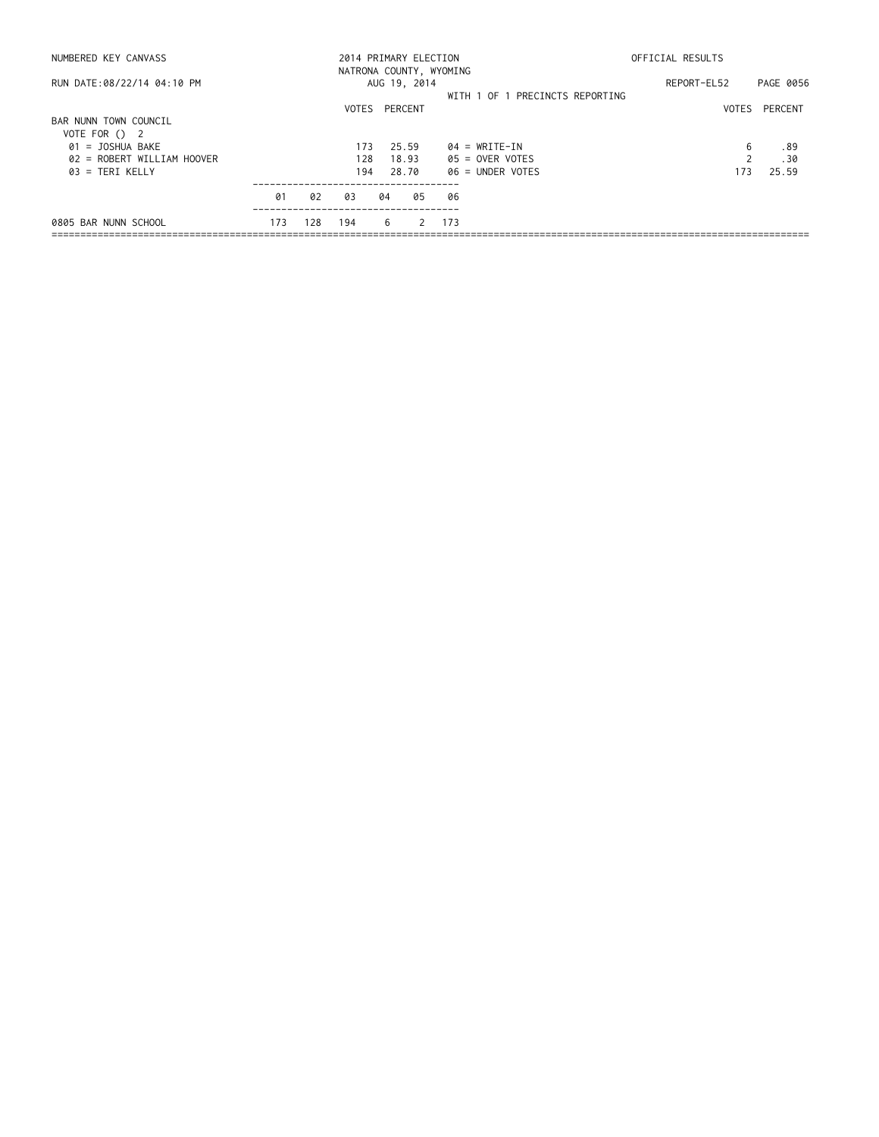| NUMBERED KEY CANVASS                   |     |     | 2014 PRIMARY ELECTION<br>NATRONA COUNTY, WYOMING | OFFICIAL RESULTS |              |             |           |                                 |     |               |
|----------------------------------------|-----|-----|--------------------------------------------------|------------------|--------------|-------------|-----------|---------------------------------|-----|---------------|
| RUN DATE:08/22/14 04:10 PM             |     |     |                                                  |                  | AUG 19, 2014 | REPORT-EL52 | PAGE 0056 |                                 |     |               |
|                                        |     |     | VOTES PERCENT                                    |                  |              |             |           | WITH 1 OF 1 PRECINCTS REPORTING |     | VOTES PERCENT |
| BAR NUNN TOWN COUNCIL<br>VOTE FOR () 2 |     |     |                                                  |                  |              |             |           |                                 |     |               |
| 01 = JOSHUA BAKE                       |     |     | 173                                              |                  | 25.59        |             |           | $04 = WRITE-IN$                 | 6   | .89           |
| 02 = ROBERT WILLIAM HOOVER             |     |     | 128                                              |                  | 18.93        |             |           | $05 =$ OVER VOTES               |     | .30           |
| $03$ = TERI KELLY                      |     |     | 194                                              |                  | 28.70        |             |           | 06 = UNDER VOTES                | 173 | 25.59         |
|                                        | 01  | 02  | 03                                               | 04               |              | 05          | 06        |                                 |     |               |
| 0805 BAR NUNN SCHOOL                   | 173 | 128 | 194                                              |                  | 6            | 2           | 173       |                                 |     |               |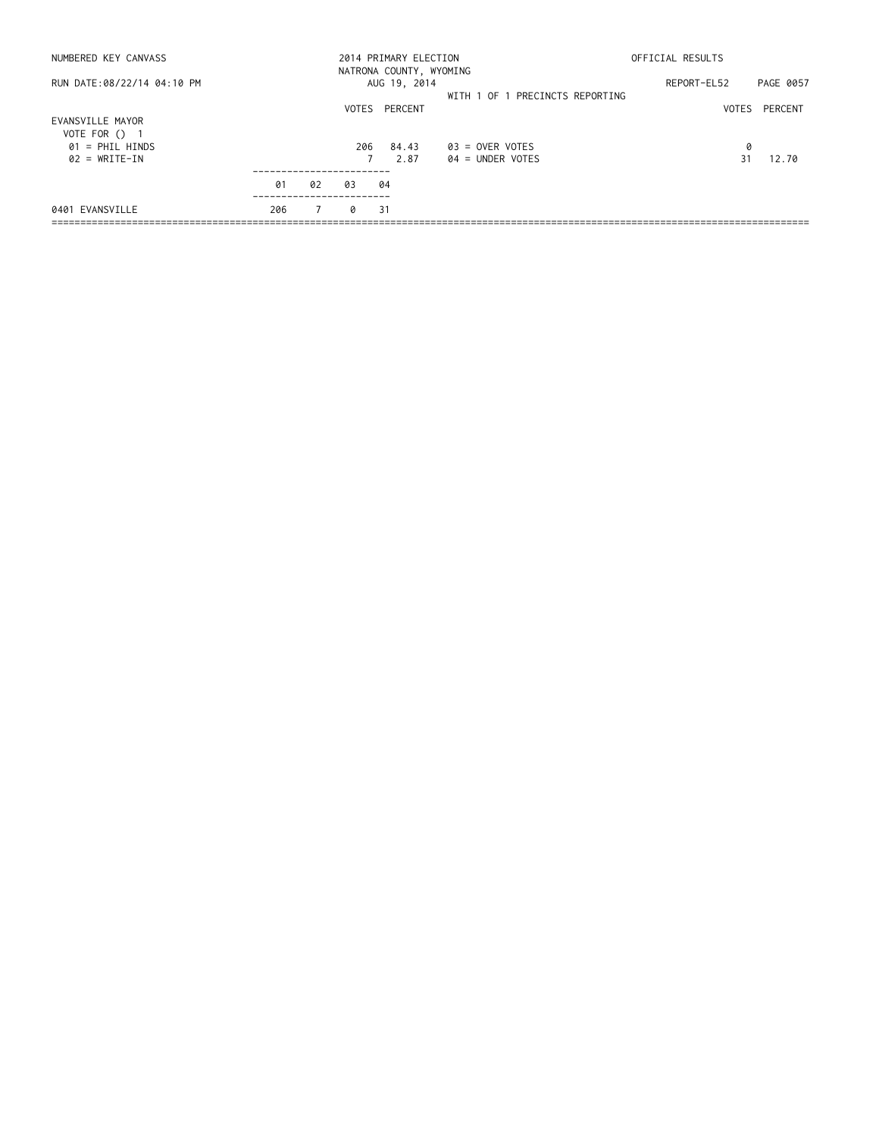| OFFICIAL RESULTS |                   |  |
|------------------|-------------------|--|
|                  |                   |  |
|                  | PAGE 0057         |  |
|                  | VOTES PERCENT     |  |
|                  |                   |  |
| 0                |                   |  |
|                  | 12.70             |  |
|                  |                   |  |
|                  |                   |  |
|                  | REPORT-EL52<br>31 |  |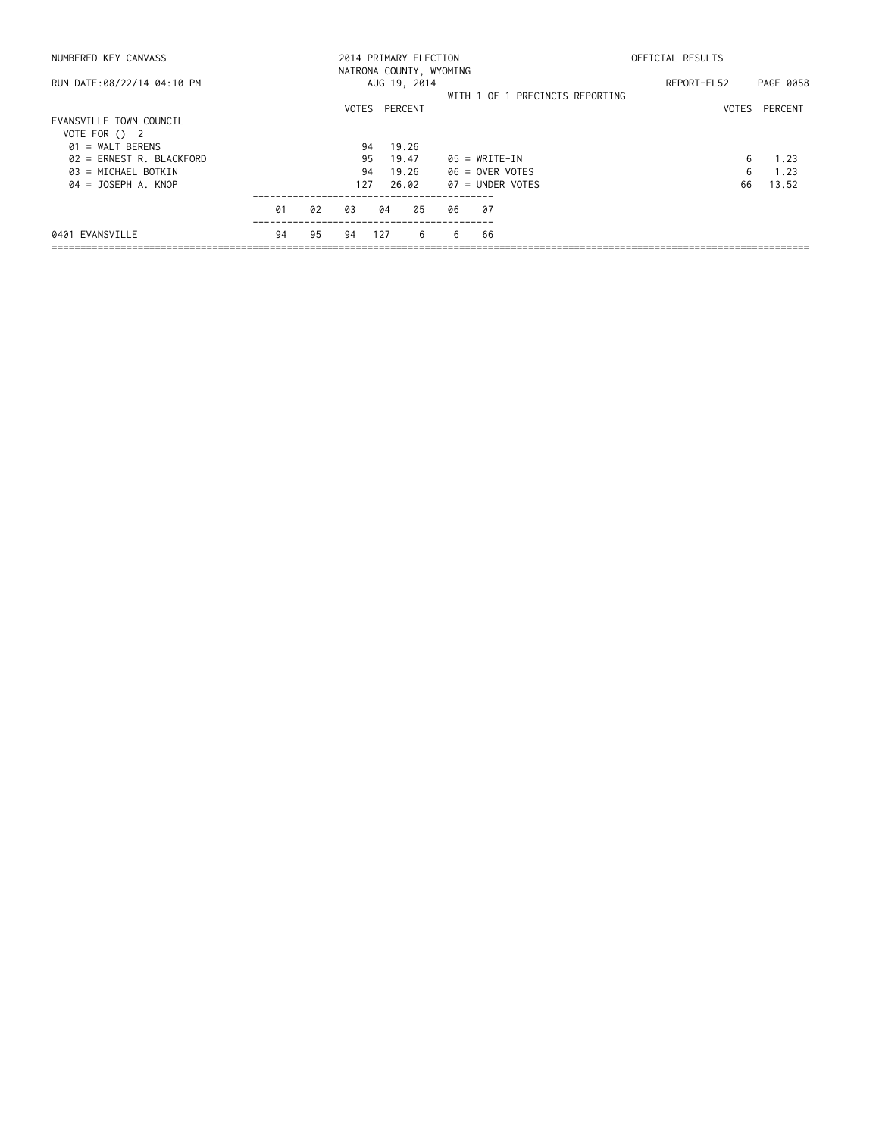| NUMBERED KEY CANVASS       |    |    | 2014 PRIMARY ELECTION   |         |              | OFFICIAL RESULTS |                   |                                 |             |           |
|----------------------------|----|----|-------------------------|---------|--------------|------------------|-------------------|---------------------------------|-------------|-----------|
|                            |    |    | NATRONA COUNTY, WYOMING |         |              |                  |                   |                                 |             |           |
| RUN DATE:08/22/14 04:10 PM |    |    |                         |         | AUG 19, 2014 |                  |                   |                                 | REPORT-EL52 | PAGE 0058 |
|                            |    |    |                         |         |              |                  |                   | WITH 1 OF 1 PRECINCTS REPORTING |             |           |
|                            |    |    | VOTES                   | PERCENT |              |                  |                   |                                 | VOTES       | PERCENT   |
| EVANSVILLE TOWN COUNCIL    |    |    |                         |         |              |                  |                   |                                 |             |           |
| VOTE FOR () 2              |    |    |                         |         |              |                  |                   |                                 |             |           |
| $01 = WALT$ BERENS         |    |    | 94                      |         | 19.26        |                  |                   |                                 |             |           |
| $02$ = ERNEST R. BLACKFORD |    |    | 95                      |         | 19.47        |                  | $05 = WRITE-IN$   |                                 | 6           | 1.23      |
| 03 = MICHAEL BOTKIN        |    |    | 94                      |         | 19.26        |                  | $06 =$ OVER VOTES |                                 | 6           | 1.23      |
| $04 = JOSEPH A. KNOP$      |    |    | 127                     |         | 26.02        |                  | 07 = UNDER VOTES  |                                 | 66          | 13.52     |
|                            | 01 | 02 | 03                      | 04      | 05           | 06               | -07               |                                 |             |           |
| 0401 EVANSVILLE            | 94 | 95 | 94                      | 127     | 6            | 6                | 66                |                                 |             |           |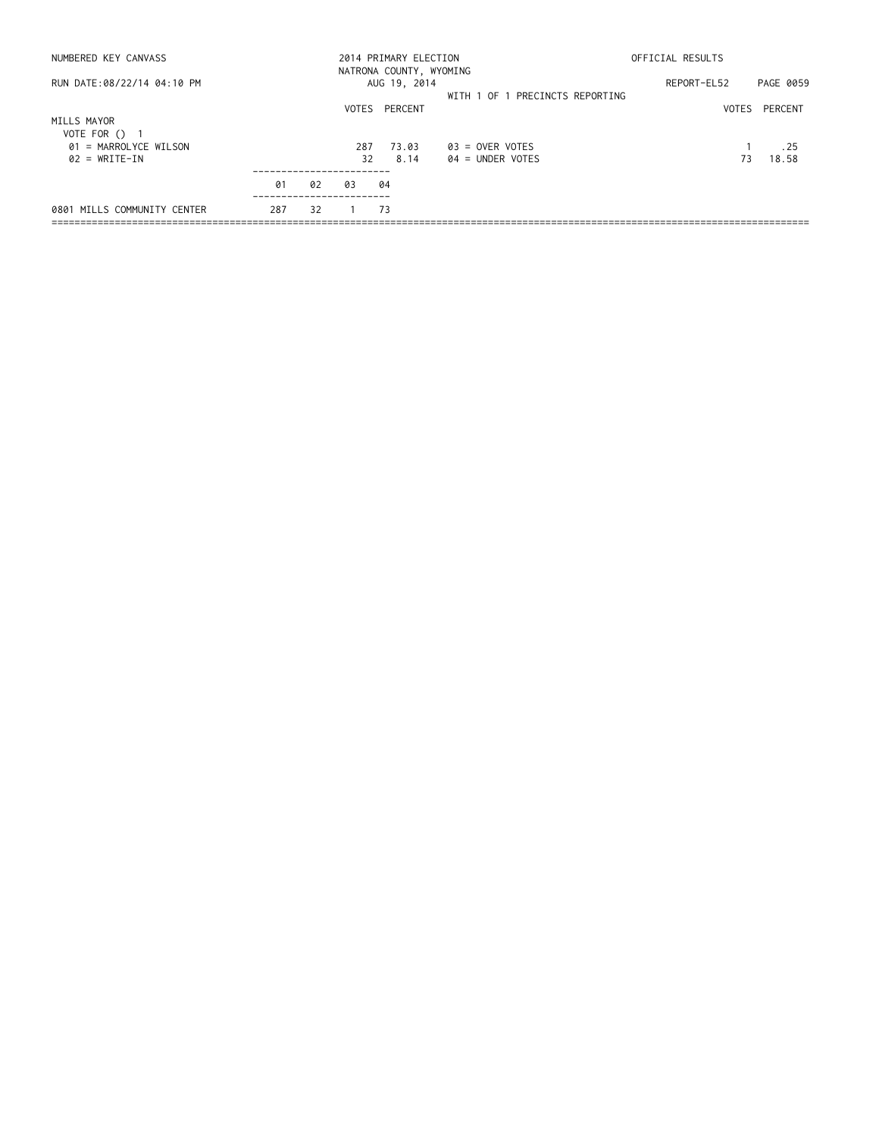| NUMBERED KEY CANVASS                             |     |     | 2014 PRIMARY ELECTION   | OFFICIAL RESULTS |                                 |             |               |
|--------------------------------------------------|-----|-----|-------------------------|------------------|---------------------------------|-------------|---------------|
|                                                  |     |     | NATRONA COUNTY, WYOMING |                  |                                 |             |               |
| RUN DATE:08/22/14 04:10 PM                       |     |     |                         | AUG 19, 2014     |                                 | REPORT-EL52 | PAGE 0059     |
|                                                  |     |     |                         |                  | WITH 1 OF 1 PRECINCTS REPORTING |             |               |
|                                                  |     |     |                         | VOTES PERCENT    |                                 |             | VOTES PERCENT |
| MILLS MAYOR                                      |     |     |                         |                  |                                 |             |               |
| VOTE FOR () 1<br>$01 = \text{MARROL YCE WILSON}$ |     |     | 287                     | 73.03            | $03 =$ OVER VOTES               |             | . 25          |
| $02 = WRITE-IN$                                  |     |     | 32                      | 8.14             | $04 =$ UNDER VOTES              | 73          | 18.58         |
|                                                  |     |     |                         |                  |                                 |             |               |
|                                                  | 01  | 02  | 03                      | 04               |                                 |             |               |
| 0801 MILLS COMMUNITY CENTER                      | 287 | -32 |                         | - 73             |                                 |             |               |
|                                                  |     |     |                         |                  |                                 |             |               |